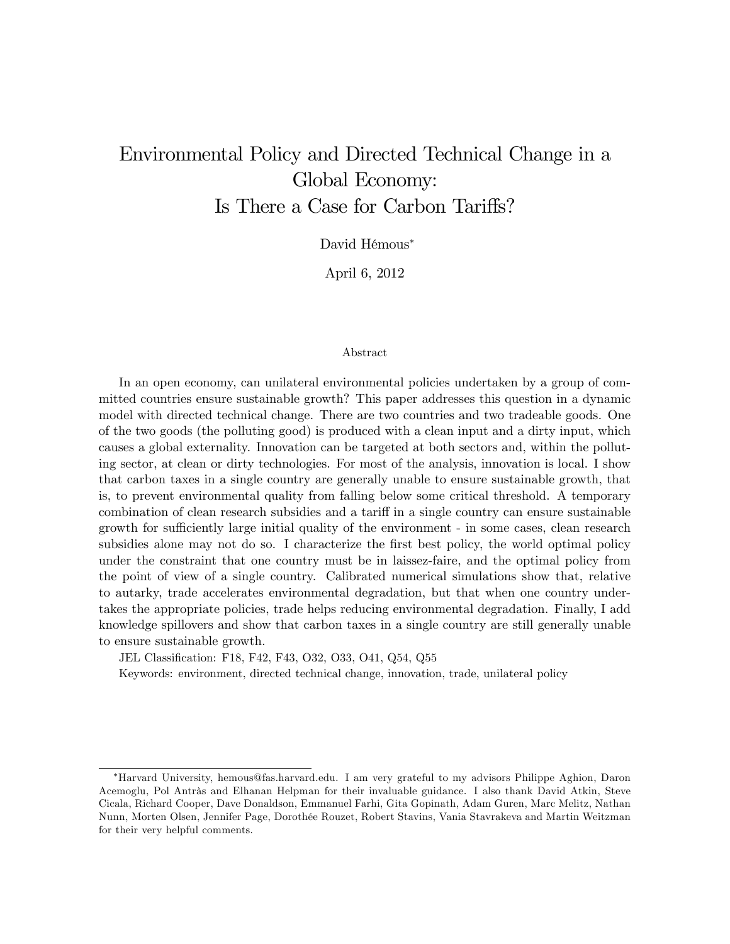# Environmental Policy and Directed Technical Change in a Global Economy: Is There a Case for Carbon Tariffs?

David Hémous\*

April 6, 2012

#### Abstract

In an open economy, can unilateral environmental policies undertaken by a group of committed countries ensure sustainable growth? This paper addresses this question in a dynamic model with directed technical change. There are two countries and two tradeable goods. One of the two goods (the polluting good) is produced with a clean input and a dirty input, which causes a global externality. Innovation can be targeted at both sectors and, within the polluting sector, at clean or dirty technologies. For most of the analysis, innovation is local. I show that carbon taxes in a single country are generally unable to ensure sustainable growth, that is, to prevent environmental quality from falling below some critical threshold. A temporary combination of clean research subsidies and a tariff in a single country can ensure sustainable growth for sufficiently large initial quality of the environment - in some cases, clean research subsidies alone may not do so. I characterize the first best policy, the world optimal policy under the constraint that one country must be in laissez-faire, and the optimal policy from the point of view of a single country. Calibrated numerical simulations show that, relative to autarky, trade accelerates environmental degradation, but that when one country undertakes the appropriate policies, trade helps reducing environmental degradation. Finally, I add knowledge spillovers and show that carbon taxes in a single country are still generally unable to ensure sustainable growth.

JEL Classification: F18, F42, F43, O32, O33, O41, Q54, Q55

Keywords: environment, directed technical change, innovation, trade, unilateral policy

Harvard University, hemous@fas.harvard.edu. I am very grateful to my advisors Philippe Aghion, Daron Acemoglu, Pol Antràs and Elhanan Helpman for their invaluable guidance. I also thank David Atkin, Steve Cicala, Richard Cooper, Dave Donaldson, Emmanuel Farhi, Gita Gopinath, Adam Guren, Marc Melitz, Nathan Nunn, Morten Olsen, Jennifer Page, DorothÈe Rouzet, Robert Stavins, Vania Stavrakeva and Martin Weitzman for their very helpful comments.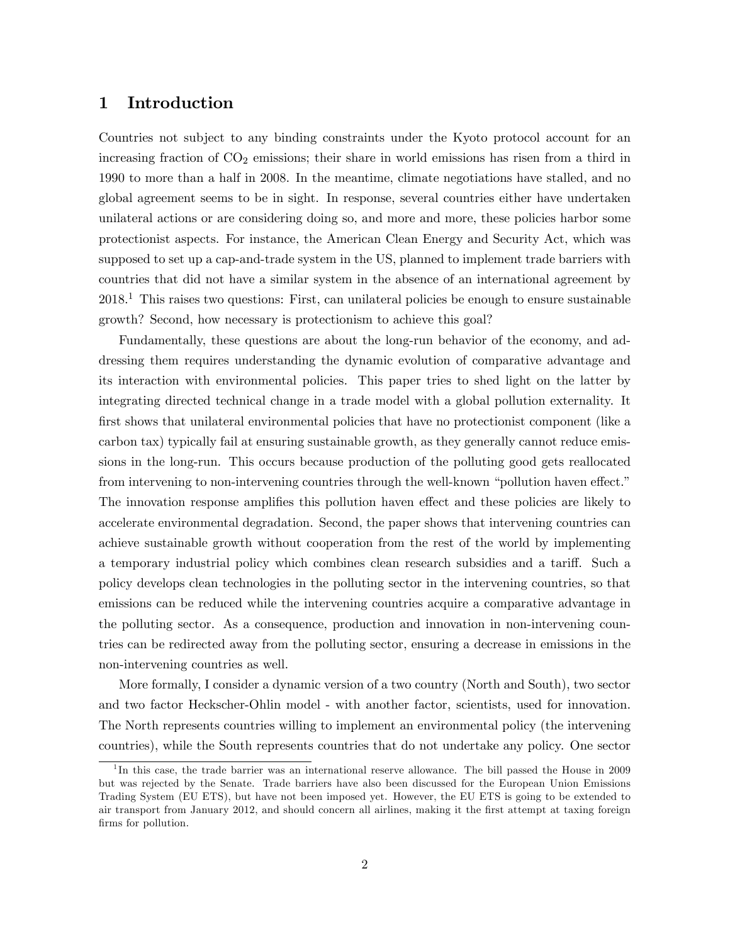## 1 Introduction

Countries not subject to any binding constraints under the Kyoto protocol account for an increasing fraction of  $CO<sub>2</sub>$  emissions; their share in world emissions has risen from a third in 1990 to more than a half in 2008. In the meantime, climate negotiations have stalled, and no global agreement seems to be in sight. In response, several countries either have undertaken unilateral actions or are considering doing so, and more and more, these policies harbor some protectionist aspects. For instance, the American Clean Energy and Security Act, which was supposed to set up a cap-and-trade system in the US, planned to implement trade barriers with countries that did not have a similar system in the absence of an international agreement by  $2018<sup>1</sup>$ . This raises two questions: First, can unilateral policies be enough to ensure sustainable growth? Second, how necessary is protectionism to achieve this goal?

Fundamentally, these questions are about the long-run behavior of the economy, and addressing them requires understanding the dynamic evolution of comparative advantage and its interaction with environmental policies. This paper tries to shed light on the latter by integrating directed technical change in a trade model with a global pollution externality. It first shows that unilateral environmental policies that have no protectionist component (like a carbon tax) typically fail at ensuring sustainable growth, as they generally cannot reduce emissions in the long-run. This occurs because production of the polluting good gets reallocated from intervening to non-intervening countries through the well-known "pollution haven effect." The innovation response amplifies this pollution haven effect and these policies are likely to accelerate environmental degradation. Second, the paper shows that intervening countries can achieve sustainable growth without cooperation from the rest of the world by implementing a temporary industrial policy which combines clean research subsidies and a tariff. Such a policy develops clean technologies in the polluting sector in the intervening countries, so that emissions can be reduced while the intervening countries acquire a comparative advantage in the polluting sector. As a consequence, production and innovation in non-intervening countries can be redirected away from the polluting sector, ensuring a decrease in emissions in the non-intervening countries as well.

More formally, I consider a dynamic version of a two country (North and South), two sector and two factor Heckscher-Ohlin model - with another factor, scientists, used for innovation. The North represents countries willing to implement an environmental policy (the intervening countries), while the South represents countries that do not undertake any policy. One sector

<sup>&</sup>lt;sup>1</sup>In this case, the trade barrier was an international reserve allowance. The bill passed the House in 2009 but was rejected by the Senate. Trade barriers have also been discussed for the European Union Emissions Trading System (EU ETS), but have not been imposed yet. However, the EU ETS is going to be extended to air transport from January 2012, and should concern all airlines, making it the Örst attempt at taxing foreign firms for pollution.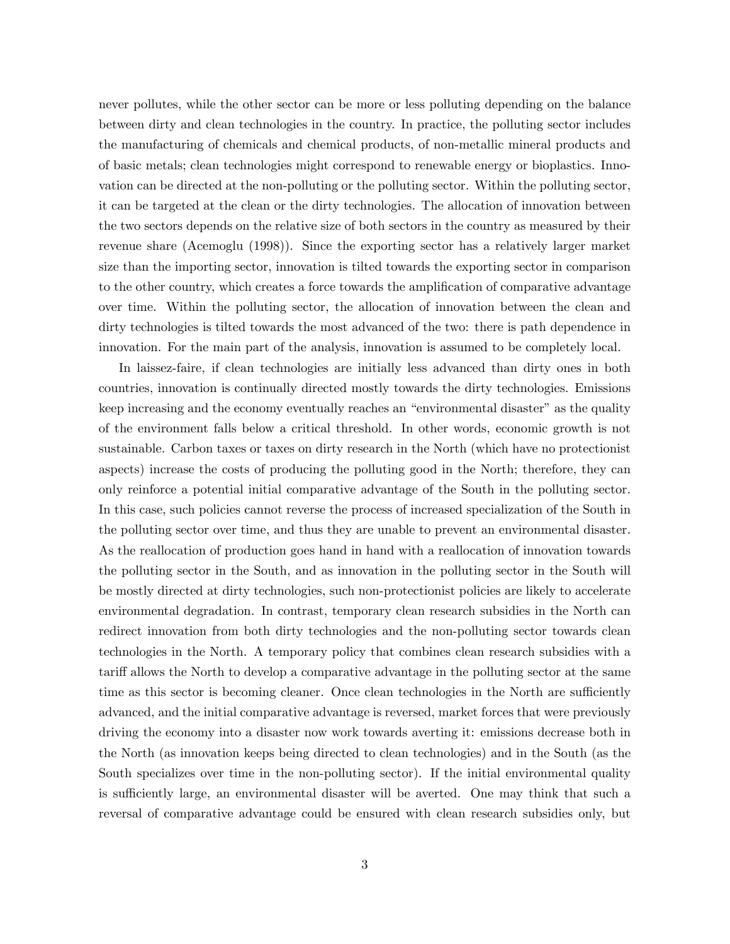never pollutes, while the other sector can be more or less polluting depending on the balance between dirty and clean technologies in the country. In practice, the polluting sector includes the manufacturing of chemicals and chemical products, of non-metallic mineral products and of basic metals; clean technologies might correspond to renewable energy or bioplastics. Innovation can be directed at the non-polluting or the polluting sector. Within the polluting sector, it can be targeted at the clean or the dirty technologies. The allocation of innovation between the two sectors depends on the relative size of both sectors in the country as measured by their revenue share (Acemoglu (1998)). Since the exporting sector has a relatively larger market size than the importing sector, innovation is tilted towards the exporting sector in comparison to the other country, which creates a force towards the amplification of comparative advantage over time. Within the polluting sector, the allocation of innovation between the clean and dirty technologies is tilted towards the most advanced of the two: there is path dependence in innovation. For the main part of the analysis, innovation is assumed to be completely local.

In laissez-faire, if clean technologies are initially less advanced than dirty ones in both countries, innovation is continually directed mostly towards the dirty technologies. Emissions keep increasing and the economy eventually reaches an "environmental disaster" as the quality of the environment falls below a critical threshold. In other words, economic growth is not sustainable. Carbon taxes or taxes on dirty research in the North (which have no protectionist aspects) increase the costs of producing the polluting good in the North; therefore, they can only reinforce a potential initial comparative advantage of the South in the polluting sector. In this case, such policies cannot reverse the process of increased specialization of the South in the polluting sector over time, and thus they are unable to prevent an environmental disaster. As the reallocation of production goes hand in hand with a reallocation of innovation towards the polluting sector in the South, and as innovation in the polluting sector in the South will be mostly directed at dirty technologies, such non-protectionist policies are likely to accelerate environmental degradation. In contrast, temporary clean research subsidies in the North can redirect innovation from both dirty technologies and the non-polluting sector towards clean technologies in the North. A temporary policy that combines clean research subsidies with a tariff allows the North to develop a comparative advantage in the polluting sector at the same time as this sector is becoming cleaner. Once clean technologies in the North are sufficiently advanced, and the initial comparative advantage is reversed, market forces that were previously driving the economy into a disaster now work towards averting it: emissions decrease both in the North (as innovation keeps being directed to clean technologies) and in the South (as the South specializes over time in the non-polluting sector). If the initial environmental quality is sufficiently large, an environmental disaster will be averted. One may think that such a reversal of comparative advantage could be ensured with clean research subsidies only, but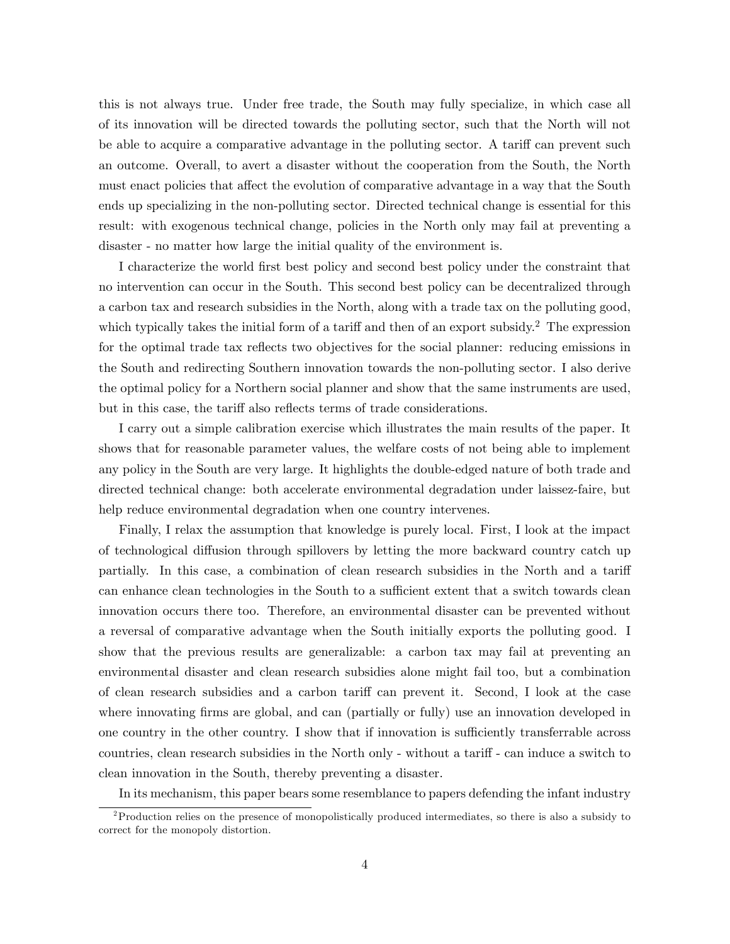this is not always true. Under free trade, the South may fully specialize, in which case all of its innovation will be directed towards the polluting sector, such that the North will not be able to acquire a comparative advantage in the polluting sector. A tariff can prevent such an outcome. Overall, to avert a disaster without the cooperation from the South, the North must enact policies that affect the evolution of comparative advantage in a way that the South ends up specializing in the non-polluting sector. Directed technical change is essential for this result: with exogenous technical change, policies in the North only may fail at preventing a disaster - no matter how large the initial quality of the environment is.

I characterize the world Örst best policy and second best policy under the constraint that no intervention can occur in the South. This second best policy can be decentralized through a carbon tax and research subsidies in the North, along with a trade tax on the polluting good, which typically takes the initial form of a tariff and then of an export subsidy.<sup>2</sup> The expression for the optimal trade tax reflects two objectives for the social planner: reducing emissions in the South and redirecting Southern innovation towards the non-polluting sector. I also derive the optimal policy for a Northern social planner and show that the same instruments are used, but in this case, the tariff also reflects terms of trade considerations.

I carry out a simple calibration exercise which illustrates the main results of the paper. It shows that for reasonable parameter values, the welfare costs of not being able to implement any policy in the South are very large. It highlights the double-edged nature of both trade and directed technical change: both accelerate environmental degradation under laissez-faire, but help reduce environmental degradation when one country intervenes.

Finally, I relax the assumption that knowledge is purely local. First, I look at the impact of technological diffusion through spillovers by letting the more backward country catch up partially. In this case, a combination of clean research subsidies in the North and a tariff can enhance clean technologies in the South to a sufficient extent that a switch towards clean innovation occurs there too. Therefore, an environmental disaster can be prevented without a reversal of comparative advantage when the South initially exports the polluting good. I show that the previous results are generalizable: a carbon tax may fail at preventing an environmental disaster and clean research subsidies alone might fail too, but a combination of clean research subsidies and a carbon tariff can prevent it. Second, I look at the case where innovating firms are global, and can (partially or fully) use an innovation developed in one country in the other country. I show that if innovation is sufficiently transferrable across countries, clean research subsidies in the North only - without a tariff - can induce a switch to clean innovation in the South, thereby preventing a disaster.

In its mechanism, this paper bears some resemblance to papers defending the infant industry

<sup>2</sup>Production relies on the presence of monopolistically produced intermediates, so there is also a subsidy to correct for the monopoly distortion.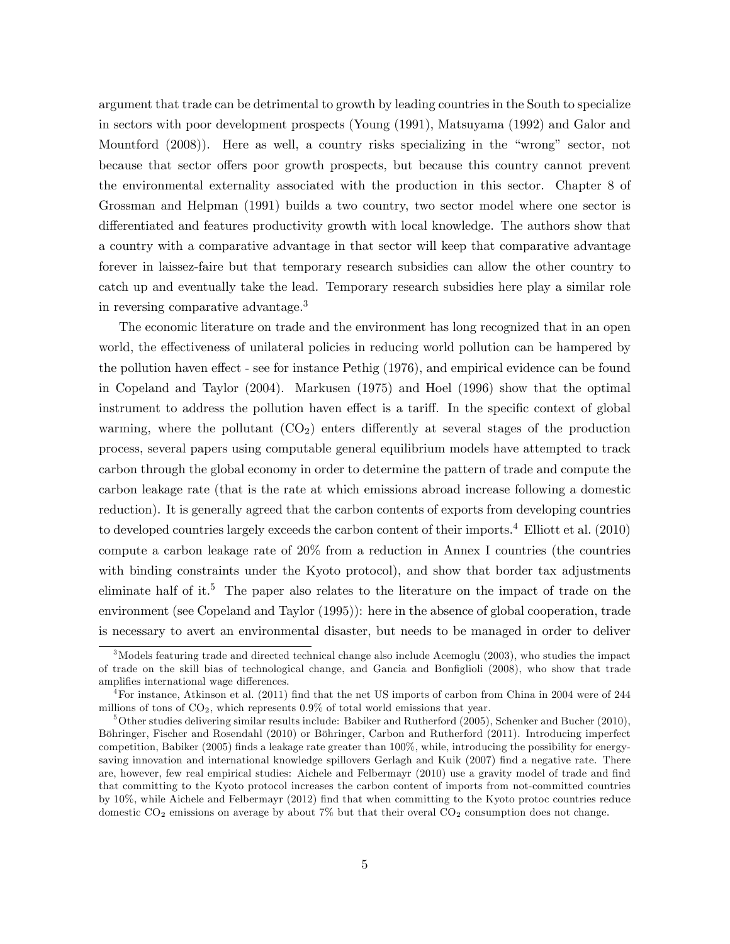argument that trade can be detrimental to growth by leading countries in the South to specialize in sectors with poor development prospects (Young (1991), Matsuyama (1992) and Galor and Mountford  $(2008)$ . Here as well, a country risks specializing in the "wrong" sector, not because that sector offers poor growth prospects, but because this country cannot prevent the environmental externality associated with the production in this sector. Chapter 8 of Grossman and Helpman (1991) builds a two country, two sector model where one sector is differentiated and features productivity growth with local knowledge. The authors show that a country with a comparative advantage in that sector will keep that comparative advantage forever in laissez-faire but that temporary research subsidies can allow the other country to catch up and eventually take the lead. Temporary research subsidies here play a similar role in reversing comparative advantage.<sup>3</sup>

The economic literature on trade and the environment has long recognized that in an open world, the effectiveness of unilateral policies in reducing world pollution can be hampered by the pollution haven effect - see for instance Pethig (1976), and empirical evidence can be found in Copeland and Taylor (2004). Markusen (1975) and Hoel (1996) show that the optimal instrument to address the pollution haven effect is a tariff. In the specific context of global warming, where the pollutant  $(CO_2)$  enters differently at several stages of the production process, several papers using computable general equilibrium models have attempted to track carbon through the global economy in order to determine the pattern of trade and compute the carbon leakage rate (that is the rate at which emissions abroad increase following a domestic reduction). It is generally agreed that the carbon contents of exports from developing countries to developed countries largely exceeds the carbon content of their imports.<sup>4</sup> Elliott et al. (2010) compute a carbon leakage rate of 20% from a reduction in Annex I countries (the countries with binding constraints under the Kyoto protocol), and show that border tax adjustments eliminate half of it.<sup>5</sup> The paper also relates to the literature on the impact of trade on the environment (see Copeland and Taylor (1995)): here in the absence of global cooperation, trade is necessary to avert an environmental disaster, but needs to be managed in order to deliver

<sup>&</sup>lt;sup>3</sup>Models featuring trade and directed technical change also include Acemoglu (2003), who studies the impact of trade on the skill bias of technological change, and Gancia and Bonfiglioli (2008), who show that trade amplifies international wage differences.

 $^{4}$ For instance, Atkinson et al. (2011) find that the net US imports of carbon from China in 2004 were of 244 millions of tons of  $CO<sub>2</sub>$ , which represents 0.9% of total world emissions that year.

 $5$ Other studies delivering similar results include: Babiker and Rutherford (2005), Schenker and Bucher (2010), Böhringer, Fischer and Rosendahl (2010) or Böhringer, Carbon and Rutherford (2011). Introducing imperfect competition, Babiker (2005) Önds a leakage rate greater than 100%, while, introducing the possibility for energysaving innovation and international knowledge spillovers Gerlagh and Kuik (2007) find a negative rate. There are, however, few real empirical studies: Aichele and Felbermayr (2010) use a gravity model of trade and find that committing to the Kyoto protocol increases the carbon content of imports from not-committed countries by 10%, while Aichele and Felbermayr (2012) Önd that when committing to the Kyoto protoc countries reduce domestic  $CO_2$  emissions on average by about 7% but that their overal  $CO_2$  consumption does not change.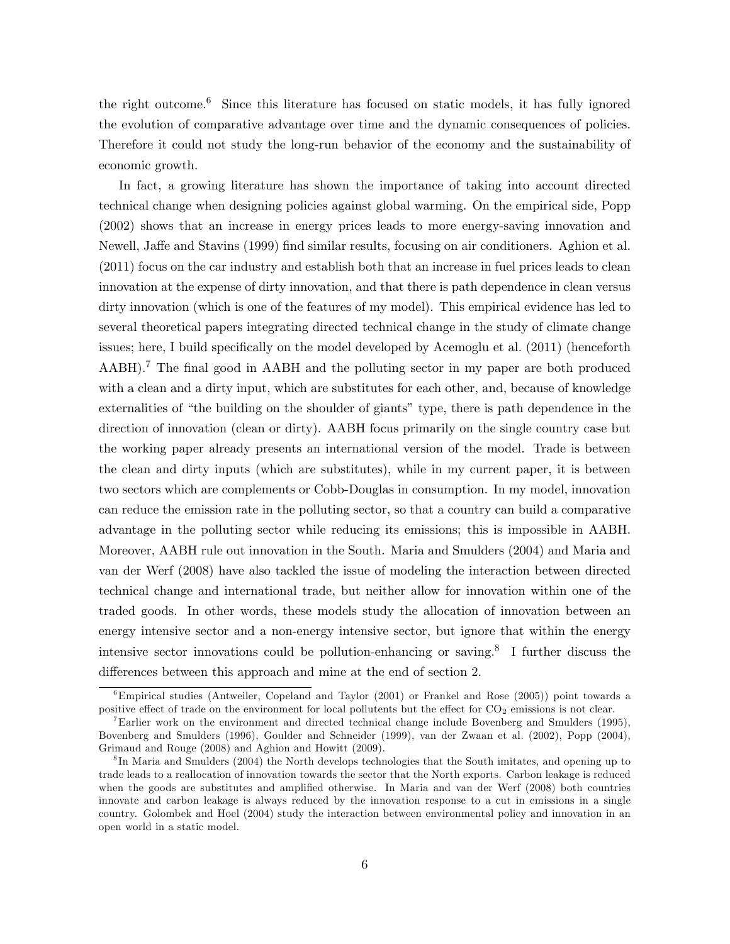the right outcome.<sup>6</sup> Since this literature has focused on static models, it has fully ignored the evolution of comparative advantage over time and the dynamic consequences of policies. Therefore it could not study the long-run behavior of the economy and the sustainability of economic growth.

In fact, a growing literature has shown the importance of taking into account directed technical change when designing policies against global warming. On the empirical side, Popp (2002) shows that an increase in energy prices leads to more energy-saving innovation and Newell, Jaffe and Stavins (1999) find similar results, focusing on air conditioners. Aghion et al. (2011) focus on the car industry and establish both that an increase in fuel prices leads to clean innovation at the expense of dirty innovation, and that there is path dependence in clean versus dirty innovation (which is one of the features of my model). This empirical evidence has led to several theoretical papers integrating directed technical change in the study of climate change issues; here, I build specifically on the model developed by Acemoglu et al. (2011) (henceforth AABH).<sup>7</sup> The final good in AABH and the polluting sector in my paper are both produced with a clean and a dirty input, which are substitutes for each other, and, because of knowledge externalities of "the building on the shoulder of giants" type, there is path dependence in the direction of innovation (clean or dirty). AABH focus primarily on the single country case but the working paper already presents an international version of the model. Trade is between the clean and dirty inputs (which are substitutes), while in my current paper, it is between two sectors which are complements or Cobb-Douglas in consumption. In my model, innovation can reduce the emission rate in the polluting sector, so that a country can build a comparative advantage in the polluting sector while reducing its emissions; this is impossible in AABH. Moreover, AABH rule out innovation in the South. Maria and Smulders (2004) and Maria and van der Werf (2008) have also tackled the issue of modeling the interaction between directed technical change and international trade, but neither allow for innovation within one of the traded goods. In other words, these models study the allocation of innovation between an energy intensive sector and a non-energy intensive sector, but ignore that within the energy intensive sector innovations could be pollution-enhancing or saving.<sup>8</sup> I further discuss the differences between this approach and mine at the end of section 2.

 $6$ Empirical studies (Antweiler, Copeland and Taylor (2001) or Frankel and Rose (2005)) point towards a positive effect of trade on the environment for local pollutents but the effect for CO<sub>2</sub> emissions is not clear.

<sup>&</sup>lt;sup>7</sup>Earlier work on the environment and directed technical change include Bovenberg and Smulders (1995), Bovenberg and Smulders (1996), Goulder and Schneider (1999), van der Zwaan et al. (2002), Popp (2004), Grimaud and Rouge (2008) and Aghion and Howitt (2009).

<sup>&</sup>lt;sup>8</sup>In Maria and Smulders (2004) the North develops technologies that the South imitates, and opening up to trade leads to a reallocation of innovation towards the sector that the North exports. Carbon leakage is reduced when the goods are substitutes and amplified otherwise. In Maria and van der Werf (2008) both countries innovate and carbon leakage is always reduced by the innovation response to a cut in emissions in a single country. Golombek and Hoel (2004) study the interaction between environmental policy and innovation in an open world in a static model.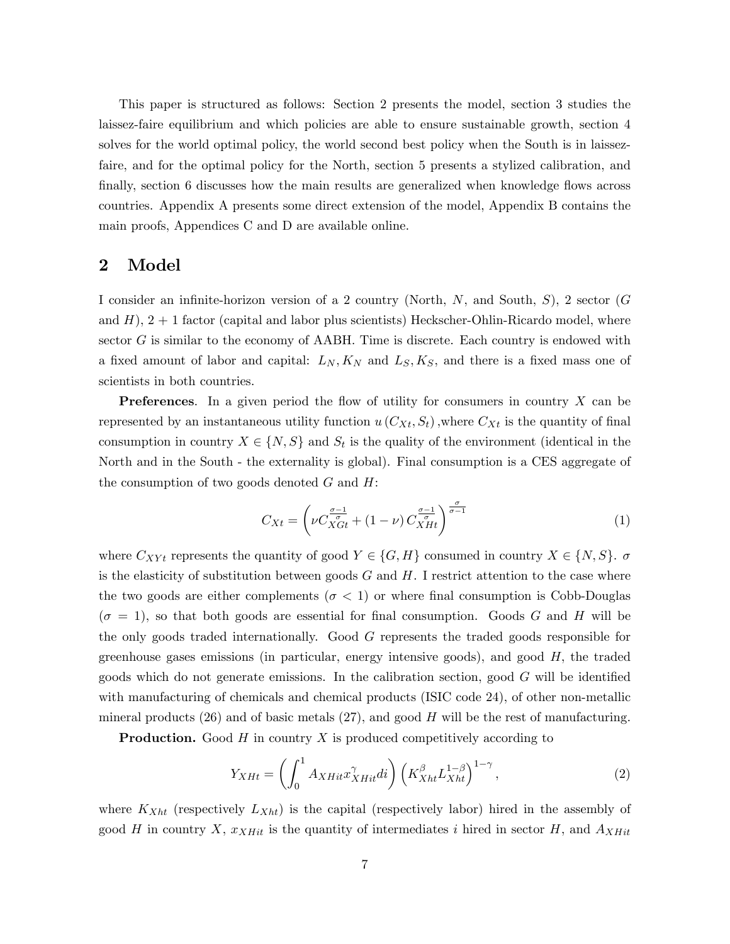This paper is structured as follows: Section 2 presents the model, section 3 studies the laissez-faire equilibrium and which policies are able to ensure sustainable growth, section 4 solves for the world optimal policy, the world second best policy when the South is in laissezfaire, and for the optimal policy for the North, section 5 presents a stylized calibration, and finally, section 6 discusses how the main results are generalized when knowledge flows across countries. Appendix A presents some direct extension of the model, Appendix B contains the main proofs, Appendices C and D are available online.

# 2 Model

I consider an infinite-horizon version of a 2 country (North,  $N$ , and South,  $S$ ), 2 sector (G and  $H$ ),  $2 + 1$  factor (capital and labor plus scientists) Heckscher-Ohlin-Ricardo model, where sector  $G$  is similar to the economy of AABH. Time is discrete. Each country is endowed with a fixed amount of labor and capital:  $L_N, K_N$  and  $L_S, K_S$ , and there is a fixed mass one of scientists in both countries.

**Preferences.** In a given period the flow of utility for consumers in country  $X$  can be represented by an instantaneous utility function  $u(C_{X_t}, S_t)$ , where  $C_{X_t}$  is the quantity of final consumption in country  $X \in \{N, S\}$  and  $S_t$  is the quality of the environment (identical in the North and in the South - the externality is global). Final consumption is a CES aggregate of the consumption of two goods denoted  $G$  and  $H$ :

$$
C_{Xt} = \left(\nu C_{XGt}^{\frac{\sigma-1}{\sigma}} + (1-\nu) C_{XHt}^{\frac{\sigma-1}{\sigma}}\right)^{\frac{\sigma}{\sigma-1}}
$$
(1)

where  $C_{XYt}$  represents the quantity of good  $Y \in \{G, H\}$  consumed in country  $X \in \{N, S\}$ .  $\sigma$ is the elasticity of substitution between goods  $G$  and  $H$ . I restrict attention to the case where the two goods are either complements ( $\sigma < 1$ ) or where final consumption is Cobb-Douglas  $(\sigma = 1)$ , so that both goods are essential for final consumption. Goods G and H will be the only goods traded internationally. Good G represents the traded goods responsible for greenhouse gases emissions (in particular, energy intensive goods), and good  $H$ , the traded goods which do not generate emissions. In the calibration section, good  $G$  will be identified with manufacturing of chemicals and chemical products (ISIC code 24), of other non-metallic mineral products  $(26)$  and of basic metals  $(27)$ , and good H will be the rest of manufacturing.

**Production.** Good  $H$  in country  $X$  is produced competitively according to

$$
Y_{XHt} = \left(\int_0^1 A_{XHit} x_{XHit}^\gamma di\right) \left(K_{Xht}^\beta L_{Xht}^{1-\beta}\right)^{1-\gamma},\tag{2}
$$

where  $K_{Xht}$  (respectively  $L_{Xht}$ ) is the capital (respectively labor) hired in the assembly of good H in country X,  $x_{XHit}$  is the quantity of intermediates i hired in sector H, and  $A_{XHit}$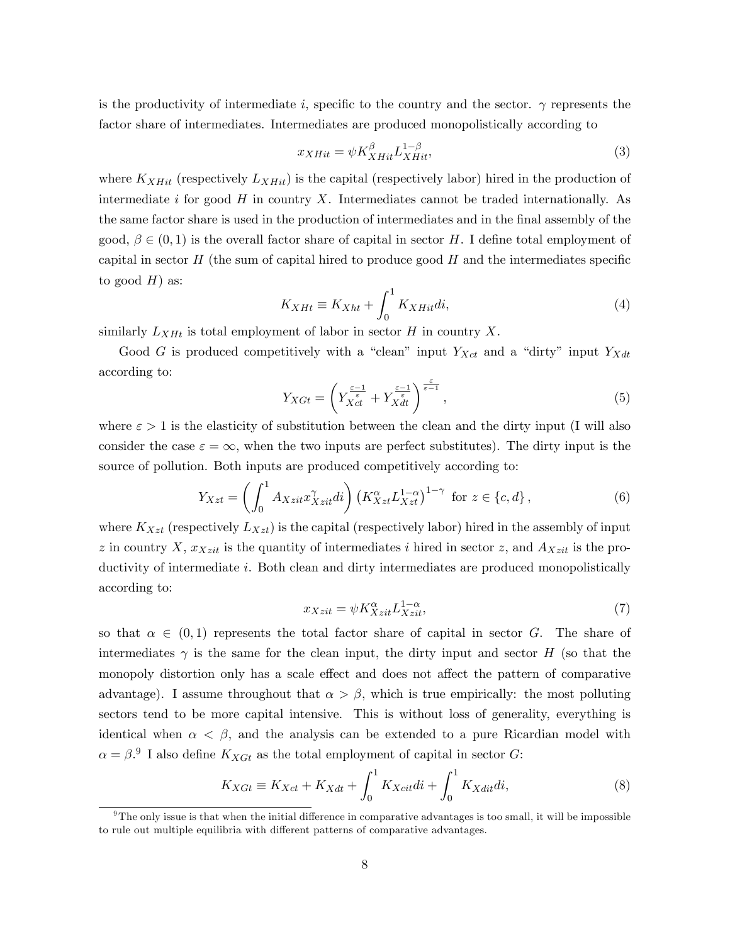is the productivity of intermediate i, specific to the country and the sector.  $\gamma$  represents the factor share of intermediates. Intermediates are produced monopolistically according to

$$
x_{XHit} = \psi K_{XHit}^{\beta} L_{XHit}^{1-\beta},\tag{3}
$$

where  $K_{XHit}$  (respectively  $L_{XHit}$ ) is the capital (respectively labor) hired in the production of intermediate  $i$  for good  $H$  in country  $X$ . Intermediates cannot be traded internationally. As the same factor share is used in the production of intermediates and in the final assembly of the good,  $\beta \in (0,1)$  is the overall factor share of capital in sector H. I define total employment of capital in sector  $H$  (the sum of capital hired to produce good  $H$  and the intermediates specific to good  $H$ ) as:

$$
K_{XHt} \equiv K_{Xht} + \int_0^1 K_{XHit}di,
$$
\n(4)

similarly  $L_{XHt}$  is total employment of labor in sector H in country X.

Good G is produced competitively with a "clean" input  $Y_{Xct}$  and a "dirty" input  $Y_{Xdt}$ according to:

$$
Y_{XGt} = \left(Y_{Xct}^{\frac{\varepsilon-1}{\varepsilon}} + Y_{Xdt}^{\frac{\varepsilon-1}{\varepsilon}}\right)^{\frac{\varepsilon}{\varepsilon-1}},\tag{5}
$$

where  $\varepsilon > 1$  is the elasticity of substitution between the clean and the dirty input (I will also consider the case  $\varepsilon = \infty$ , when the two inputs are perfect substitutes). The dirty input is the source of pollution. Both inputs are produced competitively according to:

$$
Y_{Xzt} = \left(\int_0^1 A_{Xzit} x_{Xzit}^{\gamma} di\right) \left(K_{Xzt}^{\alpha} L_{Xzt}^{1-\alpha}\right)^{1-\gamma} \text{ for } z \in \{c, d\},\tag{6}
$$

where  $K_{Xzt}$  (respectively  $L_{Xzt}$ ) is the capital (respectively labor) hired in the assembly of input z in country X,  $x_{Xzi}$  is the quantity of intermediates i hired in sector z, and  $A_{Xzi}$  is the productivity of intermediate i. Both clean and dirty intermediates are produced monopolistically according to:

$$
x_{Xzit} = \psi K_{Xzit}^{\alpha} L_{Xzit}^{1-\alpha},\tag{7}
$$

so that  $\alpha \in (0,1)$  represents the total factor share of capital in sector G. The share of intermediates  $\gamma$  is the same for the clean input, the dirty input and sector H (so that the monopoly distortion only has a scale effect and does not affect the pattern of comparative advantage). I assume throughout that  $\alpha > \beta$ , which is true empirically: the most polluting sectors tend to be more capital intensive. This is without loss of generality, everything is identical when  $\alpha < \beta$ , and the analysis can be extended to a pure Ricardian model with  $\alpha = \beta$ . I also define  $K_{XGt}$  as the total employment of capital in sector G:

$$
K_{XGt} \equiv K_{Xct} + K_{Xdt} + \int_0^1 K_{Xcit}di + \int_0^1 K_{Xdit}di,
$$
\n(8)

 $9$ The only issue is that when the initial difference in comparative advantages is too small, it will be impossible to rule out multiple equilibria with different patterns of comparative advantages.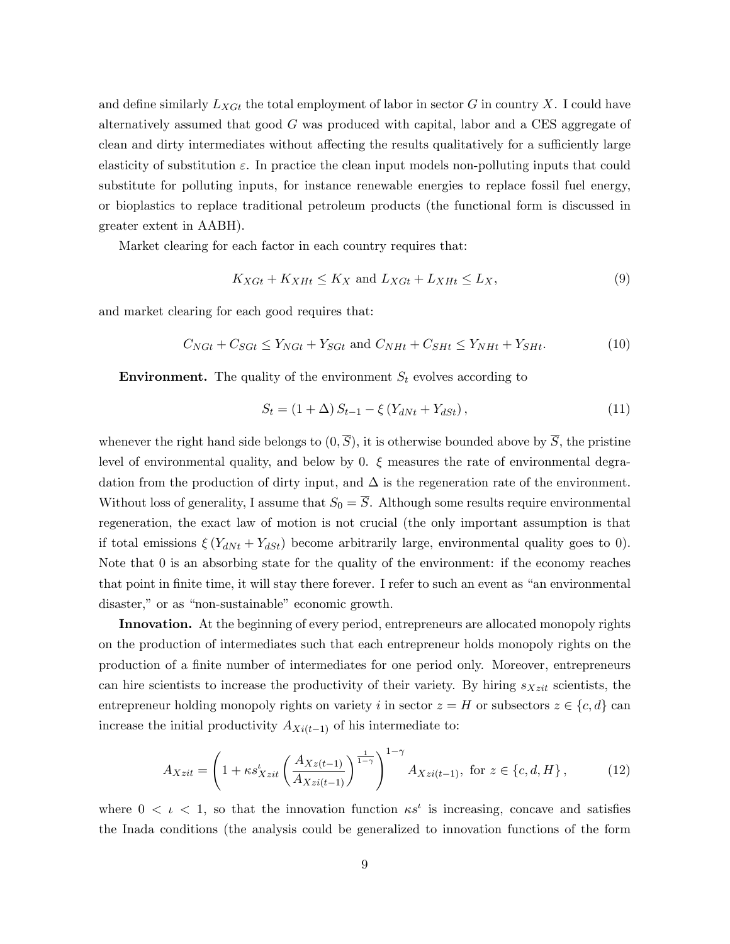and define similarly  $L_{XG}$  the total employment of labor in sector G in country X. I could have alternatively assumed that good G was produced with capital, labor and a CES aggregate of clean and dirty intermediates without affecting the results qualitatively for a sufficiently large elasticity of substitution  $\varepsilon$ . In practice the clean input models non-polluting inputs that could substitute for polluting inputs, for instance renewable energies to replace fossil fuel energy, or bioplastics to replace traditional petroleum products (the functional form is discussed in greater extent in AABH).

Market clearing for each factor in each country requires that:

$$
K_{XGt} + K_{XHt} \le K_X \text{ and } L_{XGt} + L_{XHt} \le L_X,\tag{9}
$$

and market clearing for each good requires that:

$$
C_{NGt} + C_{SGt} \le Y_{NGt} + Y_{SGt} \text{ and } C_{NHt} + C_{SHt} \le Y_{NHt} + Y_{SHt}.
$$
 (10)

**Environment.** The quality of the environment  $S_t$  evolves according to

$$
S_t = (1 + \Delta) S_{t-1} - \xi (Y_{dNt} + Y_{dSt}), \qquad (11)
$$

whenever the right hand side belongs to  $(0, \overline{S})$ , it is otherwise bounded above by  $\overline{S}$ , the pristine level of environmental quality, and below by 0.  $\xi$  measures the rate of environmental degradation from the production of dirty input, and  $\Delta$  is the regeneration rate of the environment. Without loss of generality, I assume that  $S_0 = \overline{S}$ . Although some results require environmental regeneration, the exact law of motion is not crucial (the only important assumption is that if total emissions  $\xi(Y_{dNt} + Y_{dSt})$  become arbitrarily large, environmental quality goes to 0). Note that 0 is an absorbing state for the quality of the environment: if the economy reaches that point in finite time, it will stay there forever. I refer to such an event as "an environmental" disaster," or as "non-sustainable" economic growth.

Innovation. At the beginning of every period, entrepreneurs are allocated monopoly rights on the production of intermediates such that each entrepreneur holds monopoly rights on the production of a Önite number of intermediates for one period only. Moreover, entrepreneurs can hire scientists to increase the productivity of their variety. By hiring  $s_{Xzit}$  scientists, the entrepreneur holding monopoly rights on variety i in sector  $z = H$  or subsectors  $z \in \{c, d\}$  can increase the initial productivity  $A_{Xi(t-1)}$  of his intermediate to:

$$
A_{Xzit} = \left(1 + \kappa s_{Xzit}' \left(\frac{A_{Xz(t-1)}}{A_{Xzi(t-1)}}\right)^{\frac{1}{1-\gamma}}\right)^{1-\gamma} A_{Xzi(t-1)}, \text{ for } z \in \{c, d, H\},\tag{12}
$$

where  $0 \lt t \lt 1$ , so that the innovation function  $\kappa s^t$  is increasing, concave and satisfies the Inada conditions (the analysis could be generalized to innovation functions of the form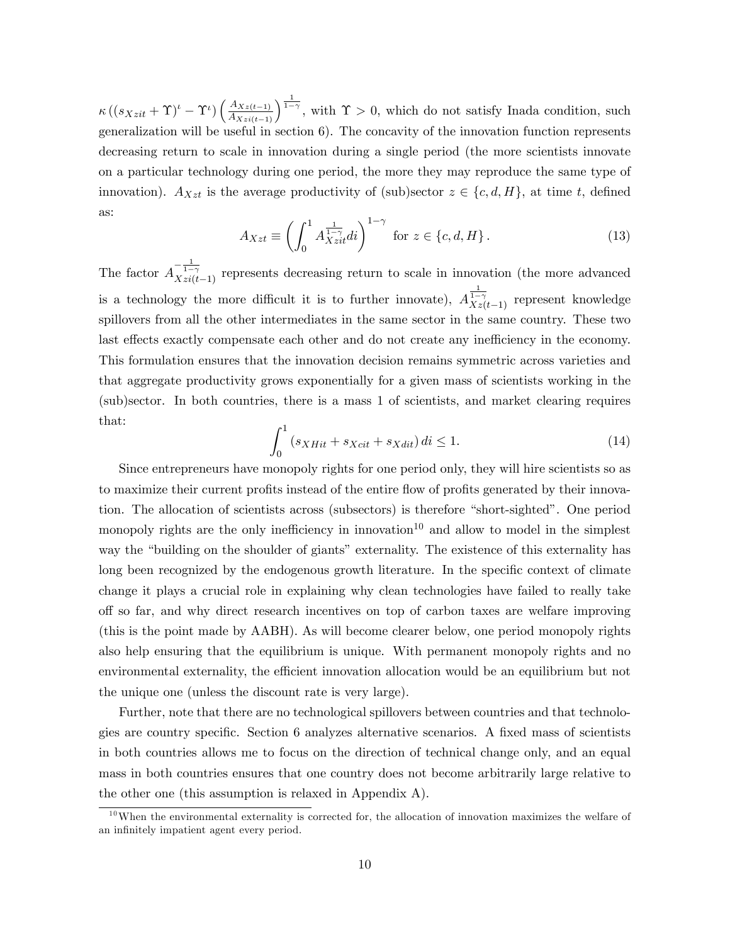$\kappa ((s_{Xzit} + \Upsilon)^t - \Upsilon^t) \left( \frac{A_{Xz(t-1)}}{A_{Xzi(t-1)}} \right)^{\frac{1}{1-\gamma}}$ , with  $\Upsilon > 0$ , which do not satisfy Inada condition, such generalization will be useful in section 6). The concavity of the innovation function represents decreasing return to scale in innovation during a single period (the more scientists innovate on a particular technology during one period, the more they may reproduce the same type of innovation).  $A_{Xzt}$  is the average productivity of (sub)sector  $z \in \{c, d, H\}$ , at time t, defined as:

$$
A_{Xzt} \equiv \left(\int_0^1 A_{Xzit}^{\frac{1}{1-\gamma}} di\right)^{1-\gamma} \text{ for } z \in \{c, d, H\}.
$$
 (13)

The factor  $A_{Xzi(t-1)}^{-1}$  represents decreasing return to scale in innovation (the more advanced is a technology the more difficult it is to further innovate),  $A\frac{1}{Xz(t-1)}$  represent knowledge spillovers from all the other intermediates in the same sector in the same country. These two last effects exactly compensate each other and do not create any inefficiency in the economy. This formulation ensures that the innovation decision remains symmetric across varieties and that aggregate productivity grows exponentially for a given mass of scientists working in the (sub)sector. In both countries, there is a mass 1 of scientists, and market clearing requires that:

$$
\int_{0}^{1} (s_{XHit} + s_{Xcit} + s_{Xdit}) \, di \le 1. \tag{14}
$$

Since entrepreneurs have monopoly rights for one period only, they will hire scientists so as to maximize their current profits instead of the entire flow of profits generated by their innovation. The allocation of scientists across (subsectors) is therefore "short-sighted". One period monopoly rights are the only inefficiency in innovation<sup>10</sup> and allow to model in the simplest way the "building on the shoulder of giants" externality. The existence of this externality has long been recognized by the endogenous growth literature. In the specific context of climate change it plays a crucial role in explaining why clean technologies have failed to really take o§ so far, and why direct research incentives on top of carbon taxes are welfare improving (this is the point made by AABH). As will become clearer below, one period monopoly rights also help ensuring that the equilibrium is unique. With permanent monopoly rights and no environmental externality, the efficient innovation allocation would be an equilibrium but not the unique one (unless the discount rate is very large).

Further, note that there are no technological spillovers between countries and that technologies are country specific. Section 6 analyzes alternative scenarios. A fixed mass of scientists in both countries allows me to focus on the direction of technical change only, and an equal mass in both countries ensures that one country does not become arbitrarily large relative to the other one (this assumption is relaxed in Appendix A).

 $10$ When the environmental externality is corrected for, the allocation of innovation maximizes the welfare of an infinitely impatient agent every period.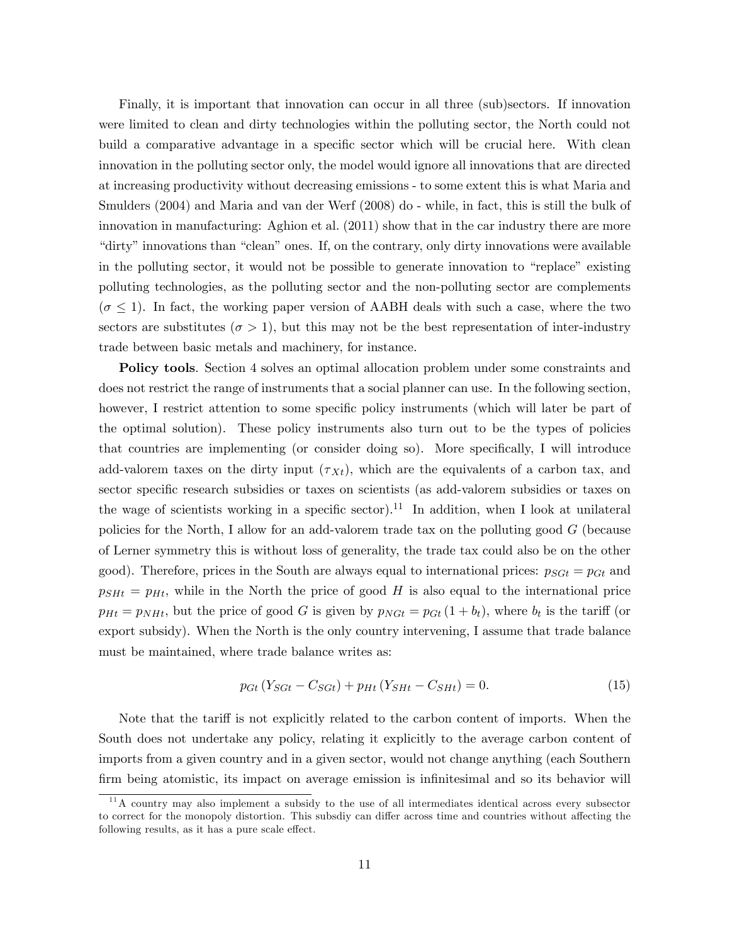Finally, it is important that innovation can occur in all three (sub)sectors. If innovation were limited to clean and dirty technologies within the polluting sector, the North could not build a comparative advantage in a specific sector which will be crucial here. With clean innovation in the polluting sector only, the model would ignore all innovations that are directed at increasing productivity without decreasing emissions - to some extent this is what Maria and Smulders (2004) and Maria and van der Werf (2008) do - while, in fact, this is still the bulk of innovation in manufacturing: Aghion et al. (2011) show that in the car industry there are more "dirty" innovations than "clean" ones. If, on the contrary, only dirty innovations were available in the polluting sector, it would not be possible to generate innovation to "replace" existing polluting technologies, as the polluting sector and the non-polluting sector are complements  $(\sigma \leq 1)$ . In fact, the working paper version of AABH deals with such a case, where the two sectors are substitutes ( $\sigma > 1$ ), but this may not be the best representation of inter-industry trade between basic metals and machinery, for instance.

Policy tools. Section 4 solves an optimal allocation problem under some constraints and does not restrict the range of instruments that a social planner can use. In the following section, however, I restrict attention to some specific policy instruments (which will later be part of the optimal solution). These policy instruments also turn out to be the types of policies that countries are implementing (or consider doing so). More specifically, I will introduce add-valorem taxes on the dirty input  $(\tau_{xt})$ , which are the equivalents of a carbon tax, and sector specific research subsidies or taxes on scientists (as add-valorem subsidies or taxes on the wage of scientists working in a specific sector).<sup>11</sup> In addition, when I look at unilateral policies for the North, I allow for an add-valorem trade tax on the polluting good G (because of Lerner symmetry this is without loss of generality, the trade tax could also be on the other good). Therefore, prices in the South are always equal to international prices:  $p_{SGt} = p_{Gt}$  and  $p_{SHH} = p_{Ht}$ , while in the North the price of good H is also equal to the international price  $p_{Ht} = p_{NHt}$ , but the price of good G is given by  $p_{NGt} = p_{Gt} (1 + b_t)$ , where  $b_t$  is the tariff (or export subsidy). When the North is the only country intervening, I assume that trade balance must be maintained, where trade balance writes as:

$$
p_{Gt} (Y_{SGt} - C_{SGt}) + p_{Ht} (Y_{SHt} - C_{SHt}) = 0.
$$
 (15)

Note that the tariff is not explicitly related to the carbon content of imports. When the South does not undertake any policy, relating it explicitly to the average carbon content of imports from a given country and in a given sector, would not change anything (each Southern firm being atomistic, its impact on average emission is infinitesimal and so its behavior will

<sup>11</sup>A country may also implement a subsidy to the use of all intermediates identical across every subsector to correct for the monopoly distortion. This subsdiy can differ across time and countries without affecting the following results, as it has a pure scale effect.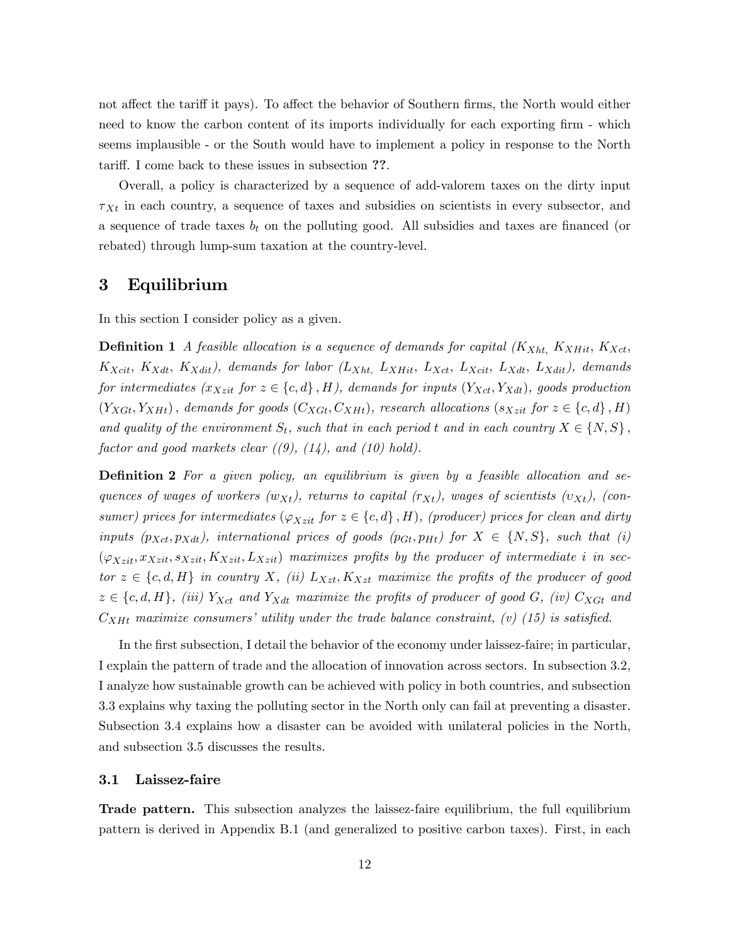not affect the tariff it pays). To affect the behavior of Southern firms, the North would either need to know the carbon content of its imports individually for each exporting firm - which seems implausible - or the South would have to implement a policy in response to the North tariff. I come back to these issues in subsection ??.

Overall, a policy is characterized by a sequence of add-valorem taxes on the dirty input  $\tau_{Xt}$  in each country, a sequence of taxes and subsidies on scientists in every subsector, and a sequence of trade taxes  $b_t$  on the polluting good. All subsidies and taxes are financed (or rebated) through lump-sum taxation at the country-level.

# 3 Equilibrium

In this section I consider policy as a given.

**Definition 1** A feasible allocation is a sequence of demands for capital  $(K_{Xht}, K_{XHit}, K_{Xct},$  $K_{Xcit}, K_{Xdit}, K_{Xdit}$ , demands for labor  $(L_{Xht}, L_{XHit}, L_{Xct}, L_{Xcit}, L_{Xdit}, L_{Xdit})$ , demands for intermediates  $(x_{Xzit}$  for  $z \in \{c, d\}$ , H), demands for inputs  $(Y_{Xct}, Y_{Xdt})$ , goods production  $(Y_{XGt}, Y_{XHt})$ , demands for goods  $(C_{XGt}, C_{XHt})$ , research allocations  $(s_{Xzit}$  for  $z \in \{c, d\}$ , H) and quality of the environment  $S_t$ , such that in each period t and in each country  $X \in \{N, S\}$ , factor and good markets clear  $((9), (14),$  and  $(10)$  hold).

**Definition 2** For a given policy, an equilibrium is given by a feasible allocation and sequences of wages of workers  $(w_{Xt})$ , returns to capital  $(r_{Xt})$ , wages of scientists  $(v_{Xt})$ , (consumer) prices for intermediates  $(\varphi_{Xzit}$  for  $z \in \{c, d\}$ , H), (producer) prices for clean and dirty inputs  $(p_{Xct}, p_{Xdt})$ , international prices of goods  $(p_{Gt}, p_{Ht})$  for  $X \in \{N, S\}$ , such that (i)  $(\varphi_{Xzit}, x_{Xzit}, s_{Xzit}, K_{Xzit}, L_{Xzit})$  maximizes profits by the producer of intermediate i in sector  $z \in \{c, d, H\}$  in country X, (ii)  $L_{Xzt}$ ,  $K_{Xzt}$  maximize the profits of the producer of good  $z \in \{c, d, H\}$ , (iii)  $Y_{Xct}$  and  $Y_{Xdt}$  maximize the profits of producer of good G, (iv)  $C_{XGt}$  and  $C_{XHt}$  maximize consumers' utility under the trade balance constraint, (v) (15) is satisfied.

In the first subsection, I detail the behavior of the economy under laissez-faire; in particular, I explain the pattern of trade and the allocation of innovation across sectors. In subsection 3.2, I analyze how sustainable growth can be achieved with policy in both countries, and subsection 3.3 explains why taxing the polluting sector in the North only can fail at preventing a disaster. Subsection 3.4 explains how a disaster can be avoided with unilateral policies in the North, and subsection 3.5 discusses the results.

#### 3.1 Laissez-faire

Trade pattern. This subsection analyzes the laissez-faire equilibrium, the full equilibrium pattern is derived in Appendix B.1 (and generalized to positive carbon taxes). First, in each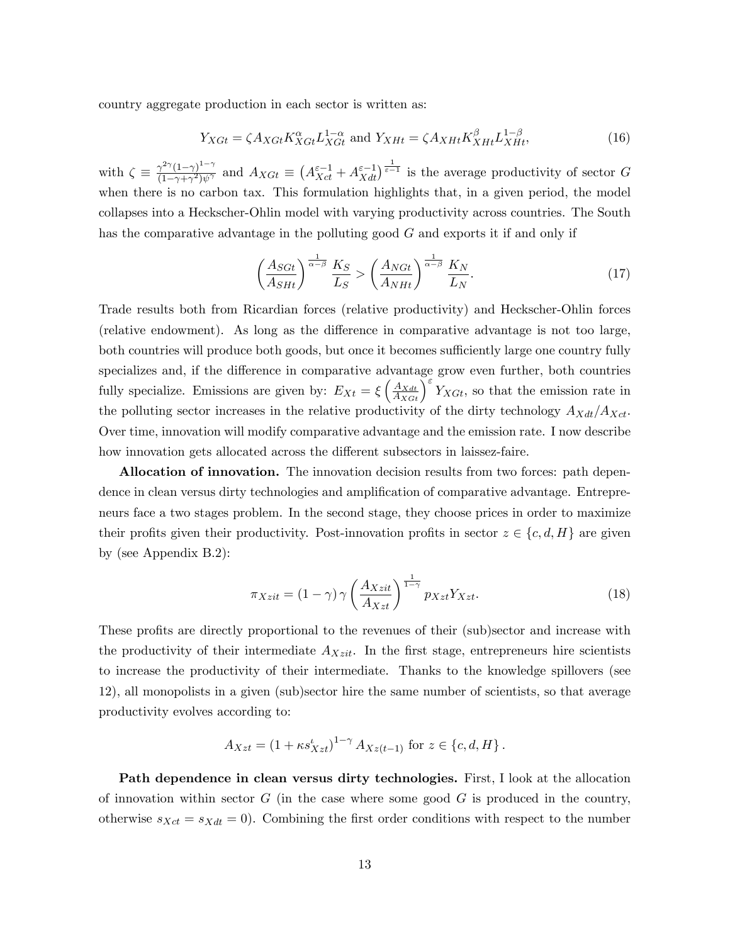country aggregate production in each sector is written as:

$$
Y_{XGt} = \zeta A_{XGt} K_{XGt}^{\alpha} L_{XGt}^{1-\alpha} \text{ and } Y_{XHt} = \zeta A_{XHt} K_{XHt}^{\beta} L_{XHt}^{1-\beta}, \tag{16}
$$

with  $\zeta \equiv \frac{\gamma^{2\gamma}(1-\gamma)^{1-\gamma}}{(1-\gamma+\gamma^2)\psi^{\gamma}}$  $\frac{\gamma^{2\gamma}(1-\gamma)^{1-\gamma}}{(1-\gamma+\gamma^2)\psi^{\gamma}}$  and  $A_{XGt} \equiv (A_{Xct}^{\varepsilon-1} + A_{Xdt}^{\varepsilon-1})^{\frac{1}{\varepsilon-1}}$  is the average productivity of sector G when there is no carbon tax. This formulation highlights that, in a given period, the model collapses into a Heckscher-Ohlin model with varying productivity across countries. The South has the comparative advantage in the polluting good G and exports it if and only if

$$
\left(\frac{A_{SGt}}{A_{SHt}}\right)^{\frac{1}{\alpha-\beta}}\frac{K_S}{L_S} > \left(\frac{A_{NGt}}{A_{NHt}}\right)^{\frac{1}{\alpha-\beta}}\frac{K_N}{L_N}.\tag{17}
$$

Trade results both from Ricardian forces (relative productivity) and Heckscher-Ohlin forces (relative endowment). As long as the difference in comparative advantage is not too large, both countries will produce both goods, but once it becomes sufficiently large one country fully specializes and, if the difference in comparative advantage grow even further, both countries fully specialize. Emissions are given by:  $E_{Xt} = \xi \left(\frac{A_{Xdt}}{A_{XGt}}\right)^{\epsilon} Y_{XGt}$ , so that the emission rate in the polluting sector increases in the relative productivity of the dirty technology  $A_{Xdt}/A_{Xct}$ . Over time, innovation will modify comparative advantage and the emission rate. I now describe how innovation gets allocated across the different subsectors in laissez-faire.

Allocation of innovation. The innovation decision results from two forces: path dependence in clean versus dirty technologies and amplification of comparative advantage. Entrepreneurs face a two stages problem. In the second stage, they choose prices in order to maximize their profits given their productivity. Post-innovation profits in sector  $z \in \{c, d, H\}$  are given by (see Appendix B.2):

$$
\pi_{Xzit} = (1 - \gamma) \gamma \left(\frac{A_{Xzit}}{A_{Xzt}}\right)^{\frac{1}{1 - \gamma}} p_{Xzt} Y_{Xzt}.
$$
\n(18)

These profits are directly proportional to the revenues of their (sub)sector and increase with the productivity of their intermediate  $A_{Xzit}$ . In the first stage, entrepreneurs hire scientists to increase the productivity of their intermediate. Thanks to the knowledge spillovers (see 12), all monopolists in a given (sub)sector hire the same number of scientists, so that average productivity evolves according to:

$$
A_{Xzt} = (1 + \kappa s_{Xzt}^t)^{1-\gamma} A_{Xz(t-1)} \text{ for } z \in \{c, d, H\}.
$$

Path dependence in clean versus dirty technologies. First, I look at the allocation of innovation within sector  $G$  (in the case where some good  $G$  is produced in the country, otherwise  $s_{Xct} = s_{Xdt} = 0$ . Combining the first order conditions with respect to the number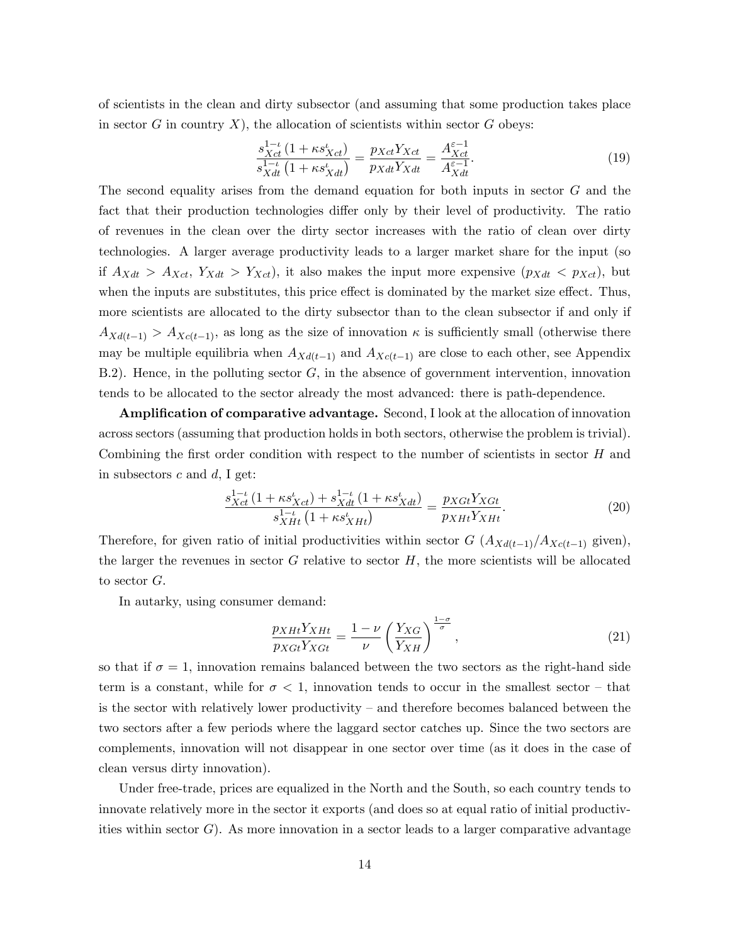of scientists in the clean and dirty subsector (and assuming that some production takes place in sector  $G$  in country  $X$ ), the allocation of scientists within sector  $G$  obeys:

$$
\frac{s_{Xct}^{1-\iota}(1+\kappa s_{Xct}^{\iota})}{s_{Xdt}^{1-\iota}(1+\kappa s_{Xdt}^{\iota})} = \frac{p_{Xct}Y_{Xct}}{p_{Xdt}Y_{Xdt}} = \frac{A_{Xct}^{\varepsilon-1}}{A_{Xdt}^{\varepsilon-1}}.
$$
\n(19)

The second equality arises from the demand equation for both inputs in sector G and the fact that their production technologies differ only by their level of productivity. The ratio of revenues in the clean over the dirty sector increases with the ratio of clean over dirty technologies. A larger average productivity leads to a larger market share for the input (so if  $A_{Xdt} > A_{Xct}$ ,  $Y_{Xdt} > Y_{Xct}$ , it also makes the input more expensive  $(p_{Xdt} < p_{Xct})$ , but when the inputs are substitutes, this price effect is dominated by the market size effect. Thus, more scientists are allocated to the dirty subsector than to the clean subsector if and only if  $A_{Xd(t-1)} > A_{Xc(t-1)}$ , as long as the size of innovation  $\kappa$  is sufficiently small (otherwise there may be multiple equilibria when  $A_{Xd(t-1)}$  and  $A_{Xc(t-1)}$  are close to each other, see Appendix B.2). Hence, in the polluting sector  $G$ , in the absence of government intervention, innovation tends to be allocated to the sector already the most advanced: there is path-dependence.

Amplification of comparative advantage. Second, I look at the allocation of innovation across sectors (assuming that production holds in both sectors, otherwise the problem is trivial). Combining the first order condition with respect to the number of scientists in sector  $H$  and in subsectors  $c$  and  $d$ , I get:

$$
\frac{s_{Xct}^{1-\iota}(1+\kappa s_{Xct}^{\iota})+s_{Xdt}^{1-\iota}(1+\kappa s_{Xdt}^{\iota})}{s_{XHt}^{1-\iota}(1+\kappa s_{XHt}^{\iota})} = \frac{p_{XGt}Y_{XGt}}{p_{XHt}Y_{XHt}}.
$$
\n(20)

Therefore, for given ratio of initial productivities within sector  $G$   $(A_{Xd(t-1)}/A_{Xc(t-1)}$  given), the larger the revenues in sector  $G$  relative to sector  $H$ , the more scientists will be allocated to sector G.

In autarky, using consumer demand:

$$
\frac{p_{XHt}Y_{XHt}}{p_{XGt}Y_{XGt}} = \frac{1-\nu}{\nu} \left(\frac{Y_{XG}}{Y_{XH}}\right)^{\frac{1-\sigma}{\sigma}},\tag{21}
$$

so that if  $\sigma = 1$ , innovation remains balanced between the two sectors as the right-hand side term is a constant, while for  $\sigma < 1$ , innovation tends to occur in the smallest sector – that is the sector with relatively lower productivity  $-$  and therefore becomes balanced between the two sectors after a few periods where the laggard sector catches up. Since the two sectors are complements, innovation will not disappear in one sector over time (as it does in the case of clean versus dirty innovation).

Under free-trade, prices are equalized in the North and the South, so each country tends to innovate relatively more in the sector it exports (and does so at equal ratio of initial productivities within sector  $G$ ). As more innovation in a sector leads to a larger comparative advantage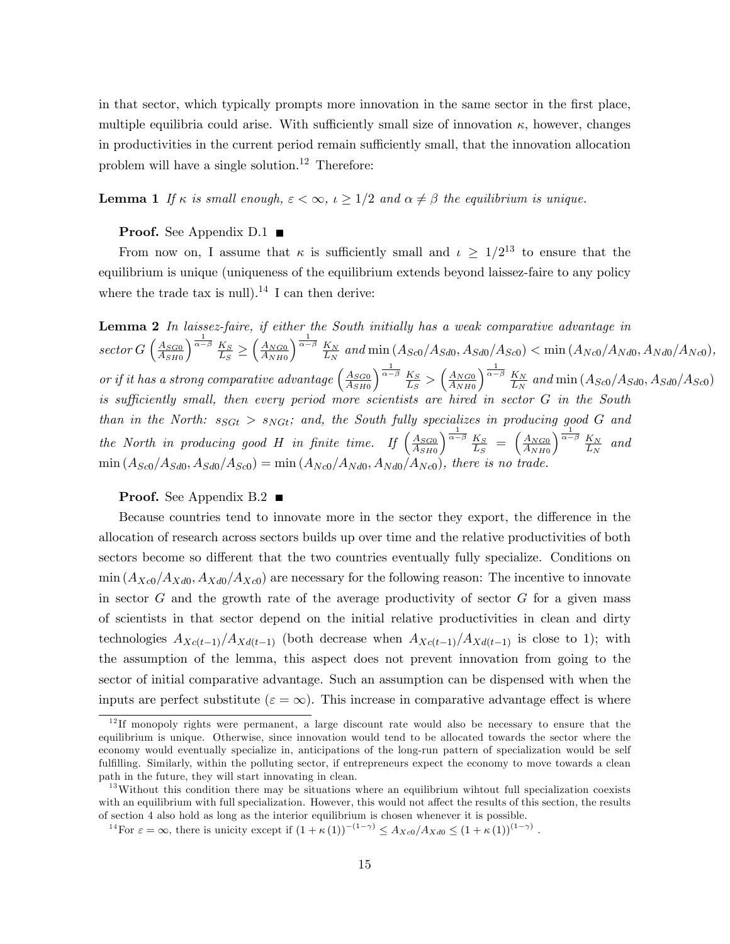in that sector, which typically prompts more innovation in the same sector in the first place, multiple equilibria could arise. With sufficiently small size of innovation  $\kappa$ , however, changes in productivities in the current period remain sufficiently small, that the innovation allocation problem will have a single solution.<sup>12</sup> Therefore:

**Lemma 1** If  $\kappa$  is small enough,  $\epsilon < \infty$ ,  $\iota \geq 1/2$  and  $\alpha \neq \beta$  the equilibrium is unique.

#### **Proof.** See Appendix D.1  $\blacksquare$

From now on, I assume that  $\kappa$  is sufficiently small and  $\iota \geq 1/2^{13}$  to ensure that the equilibrium is unique (uniqueness of the equilibrium extends beyond laissez-faire to any policy where the trade tax is null).<sup>14</sup> I can then derive:

Lemma 2 In laissez-faire, if either the South initially has a weak comparative advantage in sector  $G\left(\frac{A_{SG0}}{A_{GUS}}\right)$  $A_{SH0}$  $\sqrt{\frac{1}{\alpha-\beta}}$   $K_S$  $\frac{1}{L_S}$  2  $A_{NG0}$  $A_{NH0}$  $\sqrt{\frac{1}{\alpha-\beta}}$   $K_N$  $\frac{K_N}{L_N}$  and min  $(A_{Sc0}/A_{Sd0}, A_{Sd0}/A_{Sc0}) < \min (A_{Nc0}/A_{Nd0}, A_{Nd0}/A_{Nc0}),$ or if it has a strong comparative advantage  $\left(\frac{A_{SGO}}{A_{GMO}}\right)$  $A_{SH0}$  $\sqrt{\frac{1}{\alpha-\beta}} K_S$  $\frac{K_S}{L_S} > \left(\frac{A_{NG0}}{A_{NH0}}\right)$  $A_{NH0}$  $\int_0^{\frac{1}{\alpha-\beta}} K_N$  $\frac{K_N}{L_N}$  and min  $(A_{Sc0}/A_{Sd0}, A_{Sd0}/A_{Sc0})$ is sufficiently small, then every period more scientists are hired in sector G in the South than in the North:  $s_{SGt} > s_{NGt}$ ; and, the South fully specializes in producing good G and the North in producing good H in finite time. If  $\left(\frac{A_{SGO}}{A_{GUT}}\right)$  $A_{SH0}$  $\frac{1}{\alpha-\beta}$   $K_S$  $\frac{K_S}{L_S} = \left(\frac{A_{NG0}}{A_{NH0}}\right)$  $A_{NH0}$  $\int_0^{\frac{1}{\alpha-\beta}} K_N$  $rac{K_N}{L_N}$  and  $\min (A_{Sc0}/A_{Sd0}, A_{Sd0}/A_{Sc0}) = \min (A_{Nc0}/A_{Nd0}, A_{Nd0}/A_{Nc0})$ , there is no trade.

#### **Proof.** See Appendix B.2

Because countries tend to innovate more in the sector they export, the difference in the allocation of research across sectors builds up over time and the relative productivities of both sectors become so different that the two countries eventually fully specialize. Conditions on  $\min (A_{Xc0}/A_{Xd0}, A_{Xd0}/A_{Xc0})$  are necessary for the following reason: The incentive to innovate in sector  $G$  and the growth rate of the average productivity of sector  $G$  for a given mass of scientists in that sector depend on the initial relative productivities in clean and dirty technologies  $A_{Xc(t-1)}/A_{Xd(t-1)}$  (both decrease when  $A_{Xc(t-1)}/A_{Xd(t-1)}$  is close to 1); with the assumption of the lemma, this aspect does not prevent innovation from going to the sector of initial comparative advantage. Such an assumption can be dispensed with when the inputs are perfect substitute ( $\varepsilon = \infty$ ). This increase in comparative advantage effect is where

 $12$  If monopoly rights were permanent, a large discount rate would also be necessary to ensure that the equilibrium is unique. Otherwise, since innovation would tend to be allocated towards the sector where the economy would eventually specialize in, anticipations of the long-run pattern of specialization would be self fulfilling. Similarly, within the polluting sector, if entrepreneurs expect the economy to move towards a clean path in the future, they will start innovating in clean.

<sup>&</sup>lt;sup>13</sup>Without this condition there may be situations where an equilibrium wihtout full specialization coexists with an equilibrium with full specialization. However, this would not affect the results of this section, the results of section 4 also hold as long as the interior equilibrium is chosen whenever it is possible.

<sup>&</sup>lt;sup>14</sup> For  $\varepsilon = \infty$ , there is unicity except if  $(1 + \kappa(1))^{-(1-\gamma)} \leq A_{Xc0}/A_{Xd0} \leq (1 + \kappa(1))^{(1-\gamma)}$ .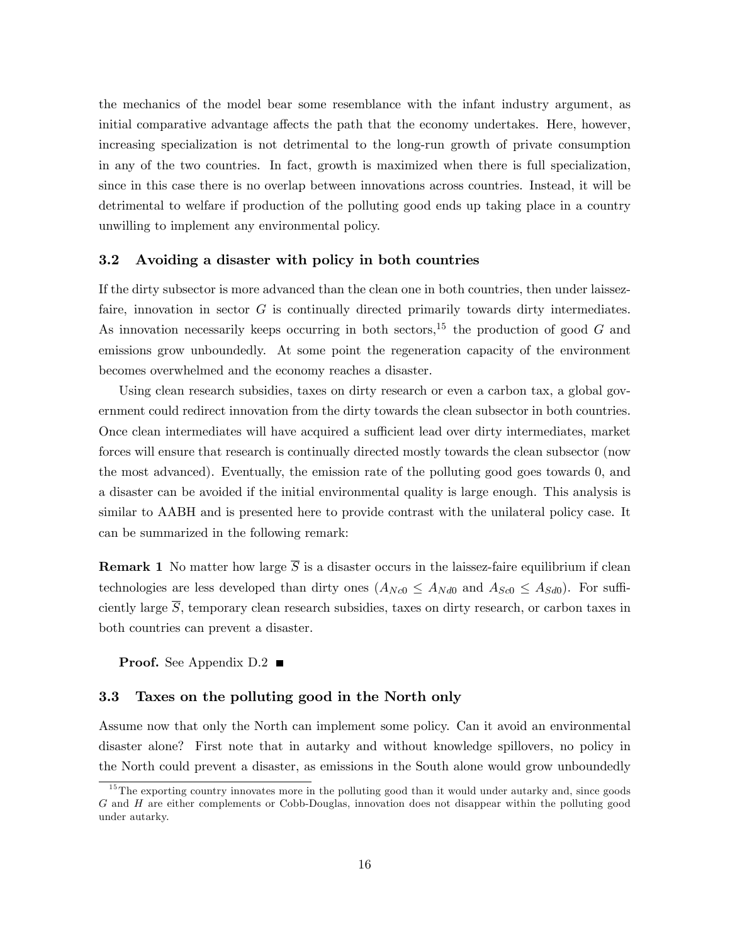the mechanics of the model bear some resemblance with the infant industry argument, as initial comparative advantage affects the path that the economy undertakes. Here, however, increasing specialization is not detrimental to the long-run growth of private consumption in any of the two countries. In fact, growth is maximized when there is full specialization, since in this case there is no overlap between innovations across countries. Instead, it will be detrimental to welfare if production of the polluting good ends up taking place in a country unwilling to implement any environmental policy.

#### 3.2 Avoiding a disaster with policy in both countries

If the dirty subsector is more advanced than the clean one in both countries, then under laissezfaire, innovation in sector  $G$  is continually directed primarily towards dirty intermediates. As innovation necessarily keeps occurring in both sectors,<sup>15</sup> the production of good G and emissions grow unboundedly. At some point the regeneration capacity of the environment becomes overwhelmed and the economy reaches a disaster.

Using clean research subsidies, taxes on dirty research or even a carbon tax, a global government could redirect innovation from the dirty towards the clean subsector in both countries. Once clean intermediates will have acquired a sufficient lead over dirty intermediates, market forces will ensure that research is continually directed mostly towards the clean subsector (now the most advanced). Eventually, the emission rate of the polluting good goes towards 0, and a disaster can be avoided if the initial environmental quality is large enough. This analysis is similar to AABH and is presented here to provide contrast with the unilateral policy case. It can be summarized in the following remark:

**Remark 1** No matter how large  $\overline{S}$  is a disaster occurs in the laissez-faire equilibrium if clean technologies are less developed than dirty ones  $(A_{Nc0} \leq A_{Nd0})$  and  $A_{Sc0} \leq A_{Sd0}$ ). For sufficiently large  $\overline{S}$ , temporary clean research subsidies, taxes on dirty research, or carbon taxes in both countries can prevent a disaster.

**Proof.** See Appendix  $D.2$ 

#### 3.3 Taxes on the polluting good in the North only

Assume now that only the North can implement some policy. Can it avoid an environmental disaster alone? First note that in autarky and without knowledge spillovers, no policy in the North could prevent a disaster, as emissions in the South alone would grow unboundedly

<sup>&</sup>lt;sup>15</sup>The exporting country innovates more in the polluting good than it would under autarky and, since goods G and H are either complements or Cobb-Douglas, innovation does not disappear within the polluting good under autarky.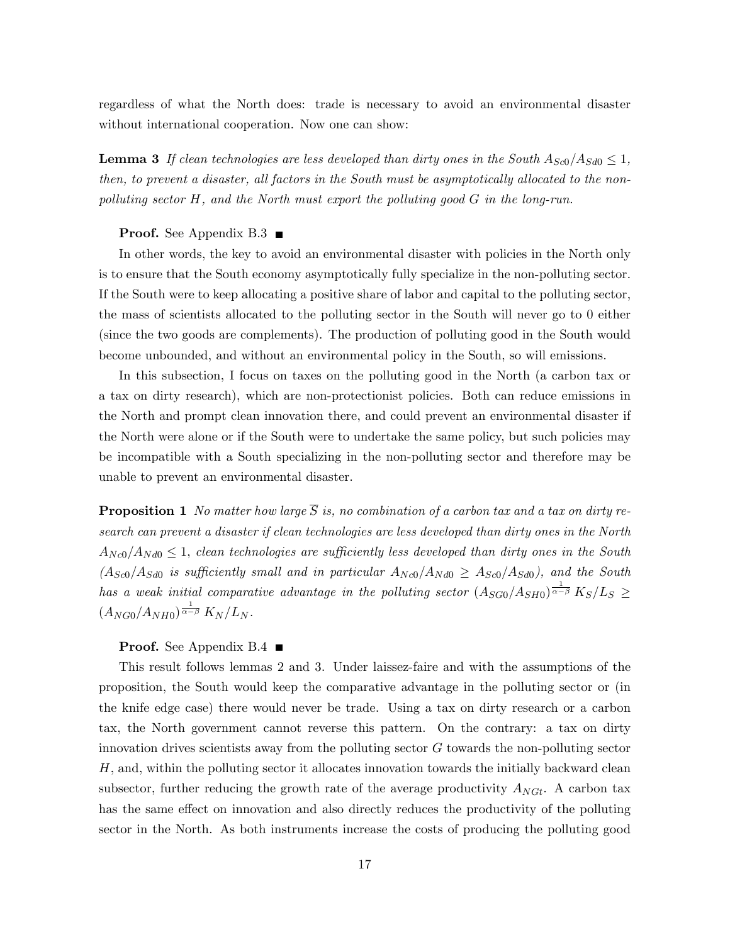regardless of what the North does: trade is necessary to avoid an environmental disaster without international cooperation. Now one can show:

**Lemma 3** If clean technologies are less developed than dirty ones in the South  $A_{Sc0}/A_{Sd0} \leq 1$ , then, to prevent a disaster, all factors in the South must be asymptotically allocated to the nonpolluting sector H, and the North must export the polluting good G in the long-run.

#### **Proof.** See Appendix B.3

In other words, the key to avoid an environmental disaster with policies in the North only is to ensure that the South economy asymptotically fully specialize in the non-polluting sector. If the South were to keep allocating a positive share of labor and capital to the polluting sector, the mass of scientists allocated to the polluting sector in the South will never go to 0 either (since the two goods are complements). The production of polluting good in the South would become unbounded, and without an environmental policy in the South, so will emissions.

In this subsection, I focus on taxes on the polluting good in the North (a carbon tax or a tax on dirty research), which are non-protectionist policies. Both can reduce emissions in the North and prompt clean innovation there, and could prevent an environmental disaster if the North were alone or if the South were to undertake the same policy, but such policies may be incompatible with a South specializing in the non-polluting sector and therefore may be unable to prevent an environmental disaster.

**Proposition 1** No matter how large  $\overline{S}$  is, no combination of a carbon tax and a tax on dirty research can prevent a disaster if clean technologies are less developed than dirty ones in the North  $A_{Nc0}/A_{Nd0} \leq 1$ , clean technologies are sufficiently less developed than dirty ones in the South  $(A_{Sc0}/A_{Sd0}$  is sufficiently small and in particular  $A_{Nc0}/A_{Nd0} \geq A_{Sc0}/A_{Sd0}$ , and the South has a weak initial comparative advantage in the polluting sector  $(A_{SG0}/A_{SH0})^{\frac{1}{\alpha-\beta}} K_S/L_S \geq$  $(A_{NG0}/A_{NH0})^{\frac{1}{\alpha-\beta}} K_N/L_N$ .

#### **Proof.** See Appendix B.4

This result follows lemmas 2 and 3. Under laissez-faire and with the assumptions of the proposition, the South would keep the comparative advantage in the polluting sector or (in the knife edge case) there would never be trade. Using a tax on dirty research or a carbon tax, the North government cannot reverse this pattern. On the contrary: a tax on dirty innovation drives scientists away from the polluting sector G towards the non-polluting sector  $H$ , and, within the polluting sector it allocates innovation towards the initially backward clean subsector, further reducing the growth rate of the average productivity  $A_{NGt}$ . A carbon tax has the same effect on innovation and also directly reduces the productivity of the polluting sector in the North. As both instruments increase the costs of producing the polluting good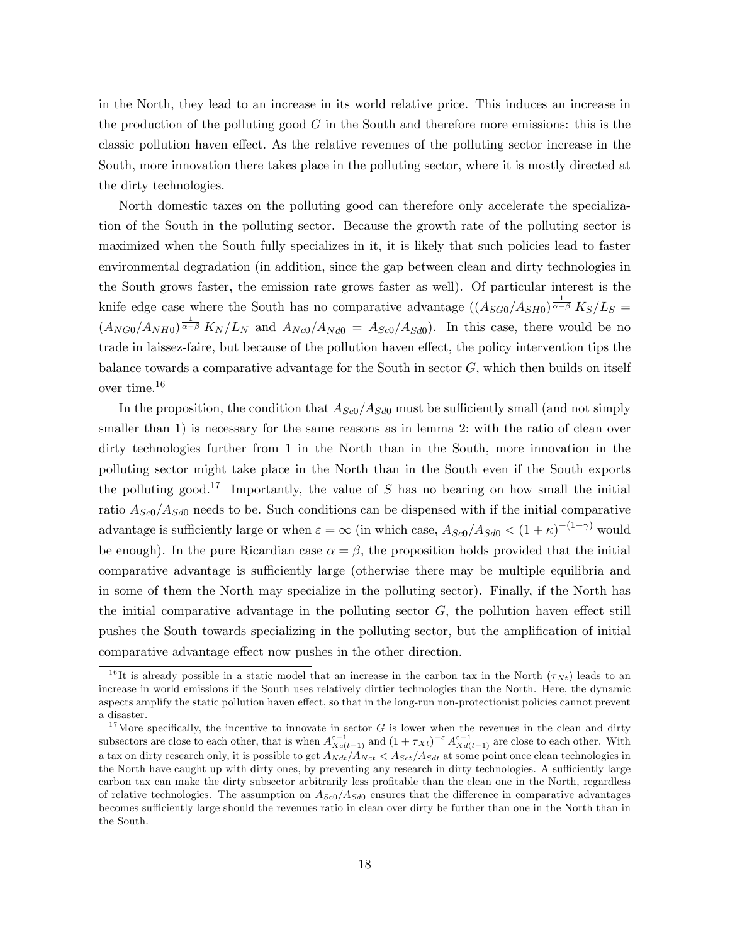in the North, they lead to an increase in its world relative price. This induces an increase in the production of the polluting good  $G$  in the South and therefore more emissions: this is the classic pollution haven effect. As the relative revenues of the polluting sector increase in the South, more innovation there takes place in the polluting sector, where it is mostly directed at the dirty technologies.

North domestic taxes on the polluting good can therefore only accelerate the specialization of the South in the polluting sector. Because the growth rate of the polluting sector is maximized when the South fully specializes in it, it is likely that such policies lead to faster environmental degradation (in addition, since the gap between clean and dirty technologies in the South grows faster, the emission rate grows faster as well). Of particular interest is the knife edge case where the South has no comparative advantage  $((A_{SG0}/A_{SH0})^{\frac{1}{\alpha-\beta}} K_S/L_S =$  $(A_{NG0}/A_{NH0})^{\frac{1}{\alpha-\beta}} K_N/L_N$  and  $A_{Nc0}/A_{Nd0} = A_{Sc0}/A_{Sd0}$ . In this case, there would be no trade in laissez-faire, but because of the pollution haven effect, the policy intervention tips the balance towards a comparative advantage for the South in sector  $G$ , which then builds on itself over time.<sup>16</sup>

In the proposition, the condition that  $A_{Sc0}/A_{Sd0}$  must be sufficiently small (and not simply smaller than 1) is necessary for the same reasons as in lemma 2: with the ratio of clean over dirty technologies further from 1 in the North than in the South, more innovation in the polluting sector might take place in the North than in the South even if the South exports the polluting good.<sup>17</sup> Importantly, the value of  $\overline{S}$  has no bearing on how small the initial ratio  $A_{Sc0}/A_{Sd0}$  needs to be. Such conditions can be dispensed with if the initial comparative advantage is sufficiently large or when  $\varepsilon = \infty$  (in which case,  $A_{Sc0}/A_{Sd0} < (1 + \kappa)^{-(1-\gamma)}$  would be enough). In the pure Ricardian case  $\alpha = \beta$ , the proposition holds provided that the initial comparative advantage is sufficiently large (otherwise there may be multiple equilibria and in some of them the North may specialize in the polluting sector). Finally, if the North has the initial comparative advantage in the polluting sector  $G$ , the pollution haven effect still pushes the South towards specializing in the polluting sector, but the amplification of initial comparative advantage effect now pushes in the other direction.

<sup>&</sup>lt;sup>16</sup>It is already possible in a static model that an increase in the carbon tax in the North  $(\tau_{Nt})$  leads to an increase in world emissions if the South uses relatively dirtier technologies than the North. Here, the dynamic aspects amplify the static pollution haven effect, so that in the long-run non-protectionist policies cannot prevent a disaster.

<sup>&</sup>lt;sup>17</sup>More specifically, the incentive to innovate in sector  $G$  is lower when the revenues in the clean and dirty subsectors are close to each other, that is when  $A_{Xc(t-1)}^{\varepsilon-1}$  and  $(1+\tau_{Xt})^{-\varepsilon} A_{Xd(t-1)}^{\varepsilon-1}$  are close to each other. With a tax on dirty research only, it is possible to get  $A_{Nat}/A_{Net} < A_{Set}/A_{Sat}$  at some point once clean technologies in the North have caught up with dirty ones, by preventing any research in dirty technologies. A sufficiently large carbon tax can make the dirty subsector arbitrarily less profitable than the clean one in the North, regardless of relative technologies. The assumption on  $A_{Sc0}/A_{Sd0}$  ensures that the difference in comparative advantages becomes sufficiently large should the revenues ratio in clean over dirty be further than one in the North than in the South.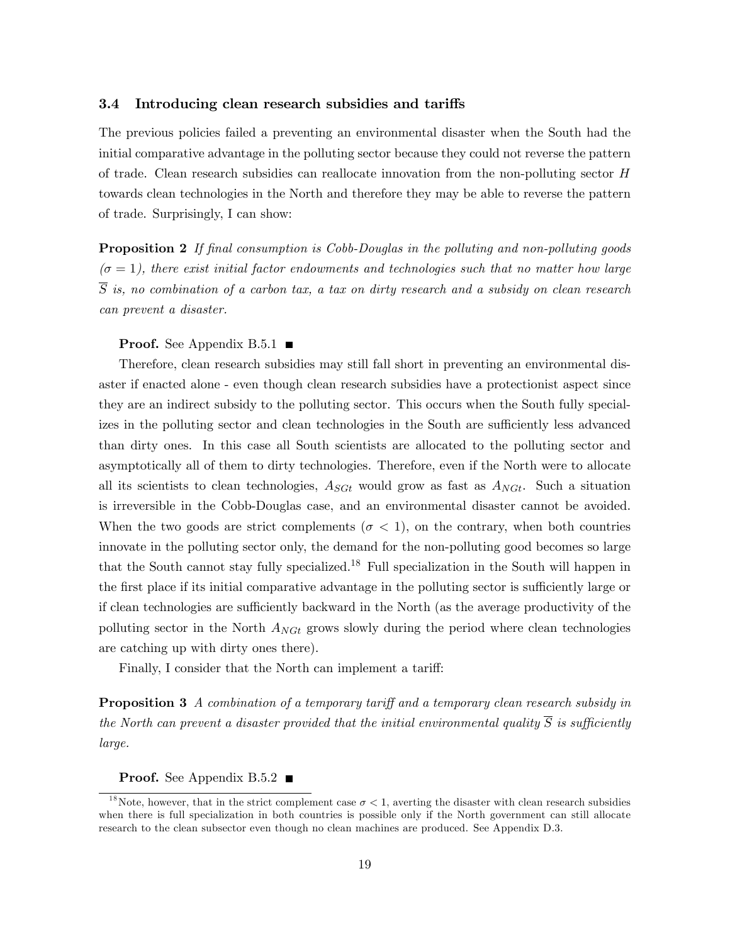#### 3.4 Introducing clean research subsidies and tariffs

The previous policies failed a preventing an environmental disaster when the South had the initial comparative advantage in the polluting sector because they could not reverse the pattern of trade. Clean research subsidies can reallocate innovation from the non-polluting sector H towards clean technologies in the North and therefore they may be able to reverse the pattern of trade. Surprisingly, I can show:

**Proposition 2** If final consumption is Cobb-Douglas in the polluting and non-polluting goods  $(\sigma = 1)$ , there exist initial factor endowments and technologies such that no matter how large  $\overline{S}$  is, no combination of a carbon tax, a tax on dirty research and a subsidy on clean research can prevent a disaster.

#### **Proof.** See Appendix B.5.1  $\blacksquare$

Therefore, clean research subsidies may still fall short in preventing an environmental disaster if enacted alone - even though clean research subsidies have a protectionist aspect since they are an indirect subsidy to the polluting sector. This occurs when the South fully specializes in the polluting sector and clean technologies in the South are sufficiently less advanced than dirty ones. In this case all South scientists are allocated to the polluting sector and asymptotically all of them to dirty technologies. Therefore, even if the North were to allocate all its scientists to clean technologies,  $A_{SGt}$  would grow as fast as  $A_{NGt}$ . Such a situation is irreversible in the Cobb-Douglas case, and an environmental disaster cannot be avoided. When the two goods are strict complements ( $\sigma < 1$ ), on the contrary, when both countries innovate in the polluting sector only, the demand for the non-polluting good becomes so large that the South cannot stay fully specialized.<sup>18</sup> Full specialization in the South will happen in the first place if its initial comparative advantage in the polluting sector is sufficiently large or if clean technologies are sufficiently backward in the North (as the average productivity of the polluting sector in the North  $A_{NGt}$  grows slowly during the period where clean technologies are catching up with dirty ones there).

Finally, I consider that the North can implement a tariff:

**Proposition 3** A combination of a temporary tariff and a temporary clean research subsidy in the North can prevent a disaster provided that the initial environmental quality  $\overline{S}$  is sufficiently large.

**Proof.** See Appendix B.5.2

<sup>&</sup>lt;sup>18</sup>Note, however, that in the strict complement case  $\sigma < 1$ , averting the disaster with clean research subsidies when there is full specialization in both countries is possible only if the North government can still allocate research to the clean subsector even though no clean machines are produced. See Appendix D.3.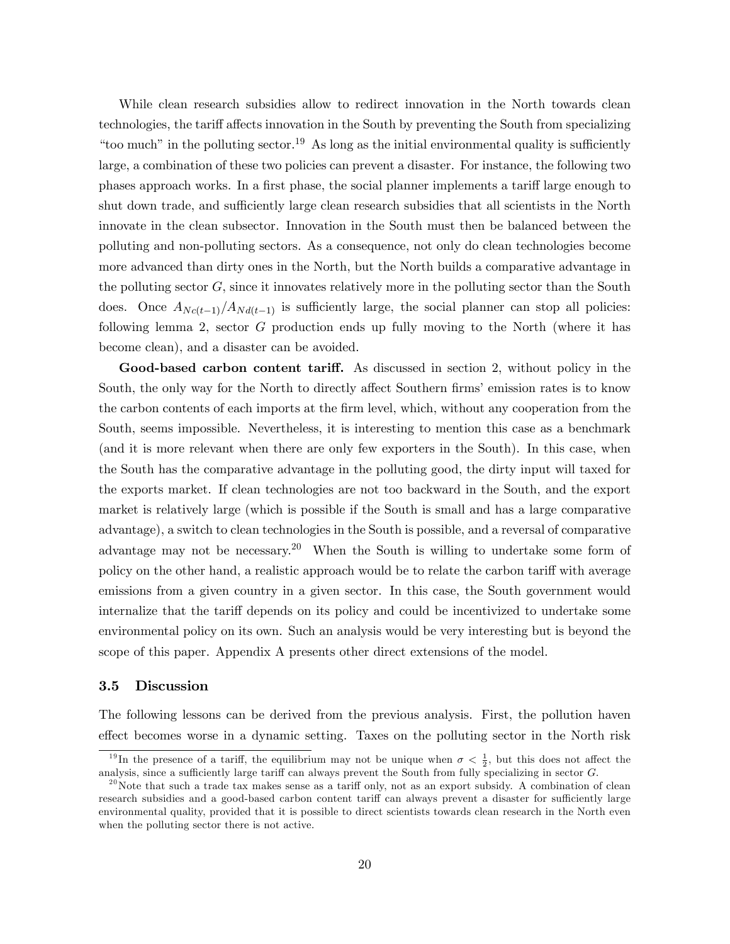While clean research subsidies allow to redirect innovation in the North towards clean technologies, the tariff affects innovation in the South by preventing the South from specializing "too much" in the polluting sector.<sup>19</sup> As long as the initial environmental quality is sufficiently large, a combination of these two policies can prevent a disaster. For instance, the following two phases approach works. In a first phase, the social planner implements a tariff large enough to shut down trade, and sufficiently large clean research subsidies that all scientists in the North innovate in the clean subsector. Innovation in the South must then be balanced between the polluting and non-polluting sectors. As a consequence, not only do clean technologies become more advanced than dirty ones in the North, but the North builds a comparative advantage in the polluting sector  $G$ , since it innovates relatively more in the polluting sector than the South does. Once  $A_{Nc(t-1)}/A_{Nd(t-1)}$  is sufficiently large, the social planner can stop all policies: following lemma 2, sector G production ends up fully moving to the North (where it has become clean), and a disaster can be avoided.

Good-based carbon content tariff. As discussed in section 2, without policy in the South, the only way for the North to directly affect Southern firms' emission rates is to know the carbon contents of each imports at the Örm level, which, without any cooperation from the South, seems impossible. Nevertheless, it is interesting to mention this case as a benchmark (and it is more relevant when there are only few exporters in the South). In this case, when the South has the comparative advantage in the polluting good, the dirty input will taxed for the exports market. If clean technologies are not too backward in the South, and the export market is relatively large (which is possible if the South is small and has a large comparative advantage), a switch to clean technologies in the South is possible, and a reversal of comparative advantage may not be necessary.<sup>20</sup> When the South is willing to undertake some form of policy on the other hand, a realistic approach would be to relate the carbon tariff with average emissions from a given country in a given sector. In this case, the South government would internalize that the tariff depends on its policy and could be incentivized to undertake some environmental policy on its own. Such an analysis would be very interesting but is beyond the scope of this paper. Appendix A presents other direct extensions of the model.

#### 3.5 Discussion

The following lessons can be derived from the previous analysis. First, the pollution haven effect becomes worse in a dynamic setting. Taxes on the polluting sector in the North risk

<sup>&</sup>lt;sup>19</sup>In the presence of a tariff, the equilibrium may not be unique when  $\sigma < \frac{1}{2}$ , but this does not affect the analysis, since a sufficiently large tariff can always prevent the South from fully specializing in sector  $G$ .

 $^{20}$ Note that such a trade tax makes sense as a tariff only, not as an export subsidy. A combination of clean research subsidies and a good-based carbon content tariff can always prevent a disaster for sufficiently large environmental quality, provided that it is possible to direct scientists towards clean research in the North even when the polluting sector there is not active.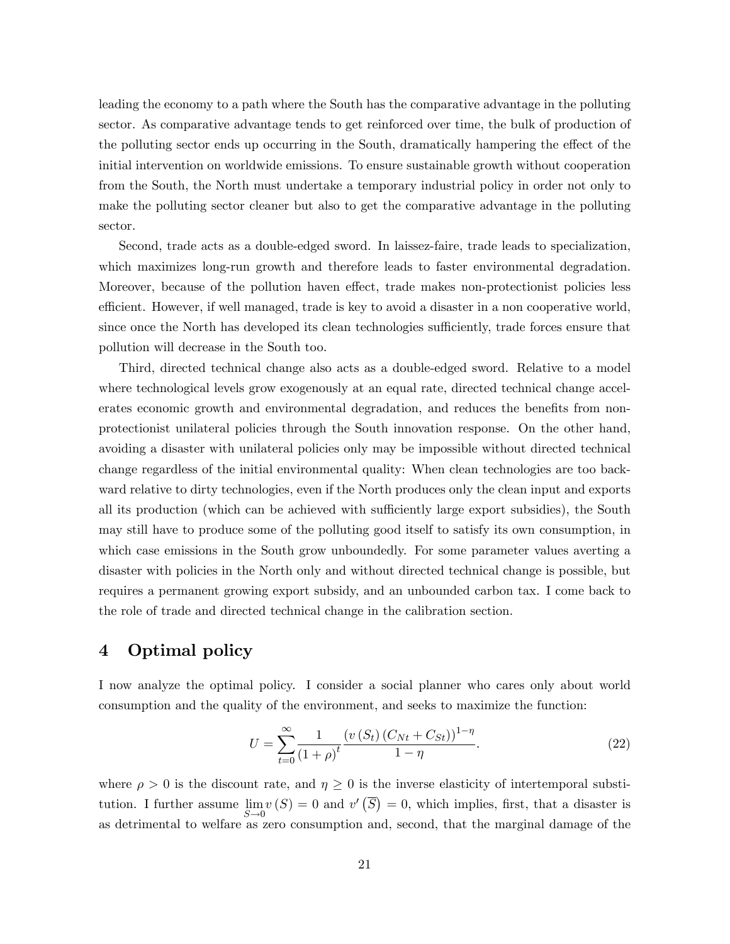leading the economy to a path where the South has the comparative advantage in the polluting sector. As comparative advantage tends to get reinforced over time, the bulk of production of the polluting sector ends up occurring in the South, dramatically hampering the effect of the initial intervention on worldwide emissions. To ensure sustainable growth without cooperation from the South, the North must undertake a temporary industrial policy in order not only to make the polluting sector cleaner but also to get the comparative advantage in the polluting sector.

Second, trade acts as a double-edged sword. In laissez-faire, trade leads to specialization, which maximizes long-run growth and therefore leads to faster environmental degradation. Moreover, because of the pollution haven effect, trade makes non-protectionist policies less efficient. However, if well managed, trade is key to avoid a disaster in a non cooperative world, since once the North has developed its clean technologies sufficiently, trade forces ensure that pollution will decrease in the South too.

Third, directed technical change also acts as a double-edged sword. Relative to a model where technological levels grow exogenously at an equal rate, directed technical change accelerates economic growth and environmental degradation, and reduces the benefits from nonprotectionist unilateral policies through the South innovation response. On the other hand, avoiding a disaster with unilateral policies only may be impossible without directed technical change regardless of the initial environmental quality: When clean technologies are too backward relative to dirty technologies, even if the North produces only the clean input and exports all its production (which can be achieved with sufficiently large export subsidies), the South may still have to produce some of the polluting good itself to satisfy its own consumption, in which case emissions in the South grow unboundedly. For some parameter values averting a disaster with policies in the North only and without directed technical change is possible, but requires a permanent growing export subsidy, and an unbounded carbon tax. I come back to the role of trade and directed technical change in the calibration section.

# 4 Optimal policy

I now analyze the optimal policy. I consider a social planner who cares only about world consumption and the quality of the environment, and seeks to maximize the function:

$$
U = \sum_{t=0}^{\infty} \frac{1}{(1+\rho)^t} \frac{\left(v\left(S_t\right)\left(C_{Nt} + C_{St}\right)\right)^{1-\eta}}{1-\eta}.
$$
\n(22)

where  $\rho > 0$  is the discount rate, and  $\eta \geq 0$  is the inverse elasticity of intertemporal substitution. I further assume lim  $S\rightarrow 0$  $v(S) = 0$  and  $v'(\overline{S}) = 0$ , which implies, first, that a disaster is as detrimental to welfare as zero consumption and, second, that the marginal damage of the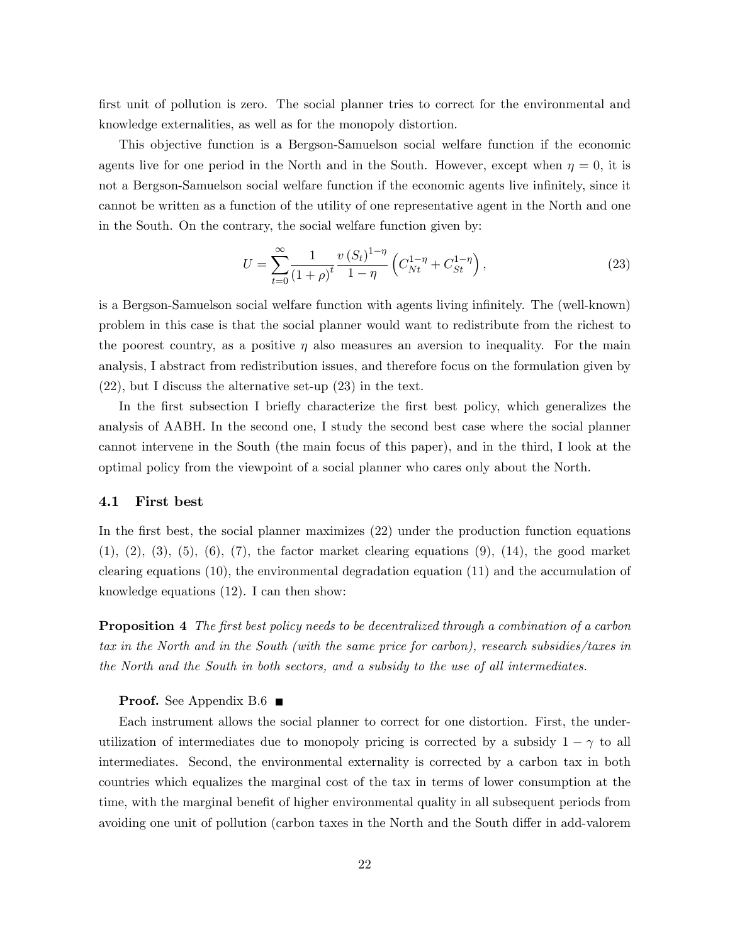first unit of pollution is zero. The social planner tries to correct for the environmental and knowledge externalities, as well as for the monopoly distortion.

This objective function is a Bergson-Samuelson social welfare function if the economic agents live for one period in the North and in the South. However, except when  $\eta = 0$ , it is not a Bergson-Samuelson social welfare function if the economic agents live infinitely, since it cannot be written as a function of the utility of one representative agent in the North and one in the South. On the contrary, the social welfare function given by:

$$
U = \sum_{t=0}^{\infty} \frac{1}{(1+\rho)^t} \frac{v (S_t)^{1-\eta}}{1-\eta} \left( C_{Nt}^{1-\eta} + C_{St}^{1-\eta} \right), \tag{23}
$$

is a Bergson-Samuelson social welfare function with agents living infinitely. The (well-known) problem in this case is that the social planner would want to redistribute from the richest to the poorest country, as a positive  $\eta$  also measures an aversion to inequality. For the main analysis, I abstract from redistribution issues, and therefore focus on the formulation given by (22), but I discuss the alternative set-up (23) in the text.

In the first subsection I briefly characterize the first best policy, which generalizes the analysis of AABH. In the second one, I study the second best case where the social planner cannot intervene in the South (the main focus of this paper), and in the third, I look at the optimal policy from the viewpoint of a social planner who cares only about the North.

#### 4.1 First best

In the first best, the social planner maximizes (22) under the production function equations  $(1), (2), (3), (5), (6), (7),$  the factor market clearing equations  $(9), (14),$  the good market clearing equations (10), the environmental degradation equation (11) and the accumulation of knowledge equations (12). I can then show:

**Proposition 4** The first best policy needs to be decentralized through a combination of a carbon tax in the North and in the South (with the same price for carbon), research subsidies/taxes in the North and the South in both sectors, and a subsidy to the use of all intermediates.

#### **Proof.** See Appendix B.6  $\blacksquare$

Each instrument allows the social planner to correct for one distortion. First, the underutilization of intermediates due to monopoly pricing is corrected by a subsidy  $1 - \gamma$  to all intermediates. Second, the environmental externality is corrected by a carbon tax in both countries which equalizes the marginal cost of the tax in terms of lower consumption at the time, with the marginal benefit of higher environmental quality in all subsequent periods from avoiding one unit of pollution (carbon taxes in the North and the South differ in add-valorem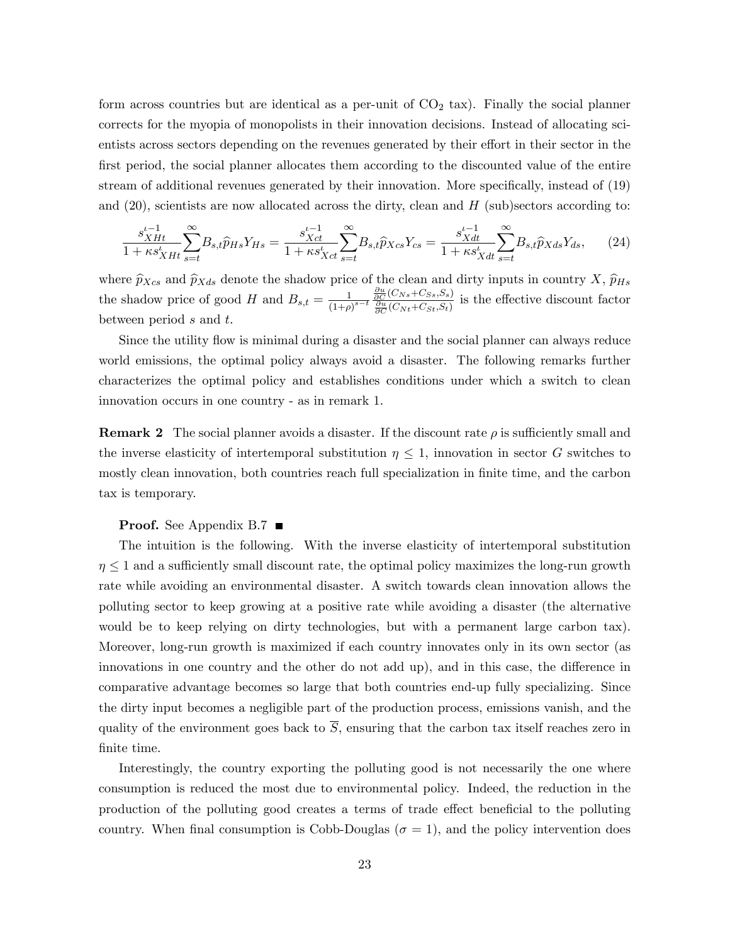form across countries but are identical as a per-unit of  $CO<sub>2</sub>$  tax). Finally the social planner corrects for the myopia of monopolists in their innovation decisions. Instead of allocating scientists across sectors depending on the revenues generated by their effort in their sector in the first period, the social planner allocates them according to the discounted value of the entire stream of additional revenues generated by their innovation. More specifically, instead of (19) and  $(20)$ , scientists are now allocated across the dirty, clean and H (sub)sectors according to:

$$
\frac{s_{XHt}^{t-1}}{1+\kappa s_{XHt}^t} \sum_{s=t}^{\infty} B_{s,t} \hat{p}_{Hs} Y_{Hs} = \frac{s_{Xct}^{t-1}}{1+\kappa s_{Xct}^t} \sum_{s=t}^{\infty} B_{s,t} \hat{p}_{Xcs} Y_{cs} = \frac{s_{Xdt}^{t-1}}{1+\kappa s_{Xdt}^t} \sum_{s=t}^{\infty} B_{s,t} \hat{p}_{Xds} Y_{ds},
$$
(24)

where  $\widehat{p}_{Xcs}$  and  $\widehat{p}_{Xds}$  denote the shadow price of the clean and dirty inputs in country  $X$ ,  $\widehat{p}_{Hs}$ the shadow price of good H and  $B_{s,t} = \frac{1}{(1+t)^2}$  $\overline{(1+\rho)}^{s-t}$  $\frac{\partial u}{\partial C}(C_{Ns}+C_{Ss},S_s)}{\frac{\partial u}{\partial C}(C_{Nt}+C_{St},S_t)}$  is the effective discount factor between period s and t.

Since the utility flow is minimal during a disaster and the social planner can always reduce world emissions, the optimal policy always avoid a disaster. The following remarks further characterizes the optimal policy and establishes conditions under which a switch to clean innovation occurs in one country - as in remark 1.

**Remark 2** The social planner avoids a disaster. If the discount rate  $\rho$  is sufficiently small and the inverse elasticity of intertemporal substitution  $\eta \leq 1$ , innovation in sector G switches to mostly clean innovation, both countries reach full specialization in finite time, and the carbon tax is temporary.

#### **Proof.** See Appendix B.7 ■

The intuition is the following. With the inverse elasticity of intertemporal substitution  $\eta \leq 1$  and a sufficiently small discount rate, the optimal policy maximizes the long-run growth rate while avoiding an environmental disaster. A switch towards clean innovation allows the polluting sector to keep growing at a positive rate while avoiding a disaster (the alternative would be to keep relying on dirty technologies, but with a permanent large carbon tax). Moreover, long-run growth is maximized if each country innovates only in its own sector (as innovations in one country and the other do not add up), and in this case, the difference in comparative advantage becomes so large that both countries end-up fully specializing. Since the dirty input becomes a negligible part of the production process, emissions vanish, and the quality of the environment goes back to  $\overline{S}$ , ensuring that the carbon tax itself reaches zero in finite time.

Interestingly, the country exporting the polluting good is not necessarily the one where consumption is reduced the most due to environmental policy. Indeed, the reduction in the production of the polluting good creates a terms of trade effect beneficial to the polluting country. When final consumption is Cobb-Douglas ( $\sigma = 1$ ), and the policy intervention does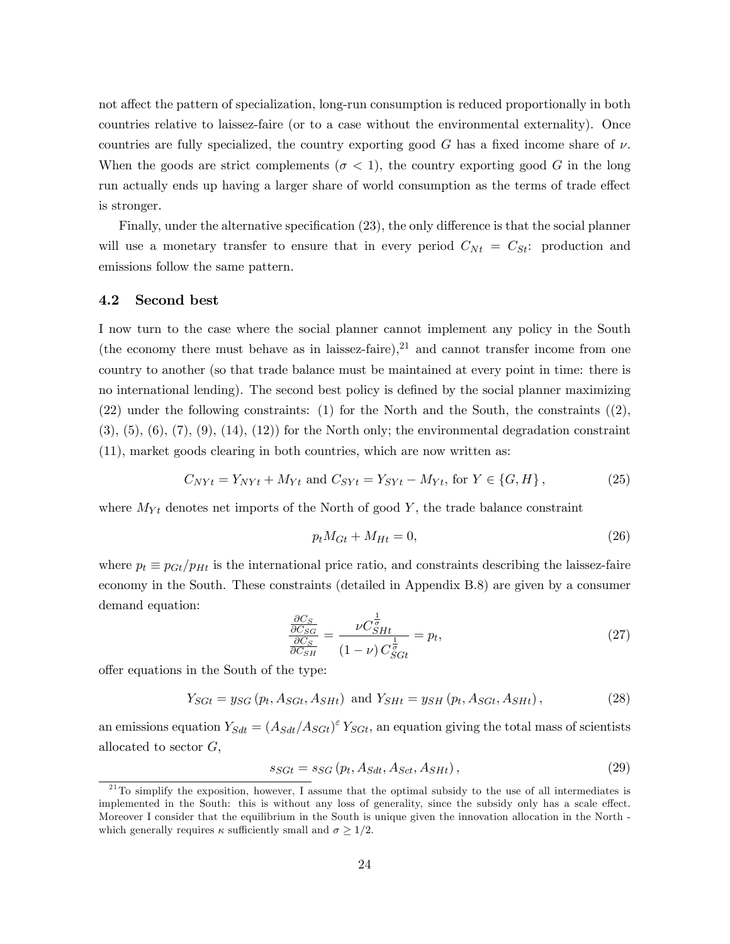not affect the pattern of specialization, long-run consumption is reduced proportionally in both countries relative to laissez-faire (or to a case without the environmental externality). Once countries are fully specialized, the country exporting good G has a fixed income share of  $\nu$ . When the goods are strict complements ( $\sigma < 1$ ), the country exporting good G in the long run actually ends up having a larger share of world consumption as the terms of trade effect is stronger.

Finally, under the alternative specification  $(23)$ , the only difference is that the social planner will use a monetary transfer to ensure that in every period  $C_{Nt} = C_{St}$ : production and emissions follow the same pattern.

#### 4.2 Second best

I now turn to the case where the social planner cannot implement any policy in the South (the economy there must behave as in laissez-faire),<sup>21</sup> and cannot transfer income from one country to another (so that trade balance must be maintained at every point in time: there is no international lending). The second best policy is defined by the social planner maximizing  $(22)$  under the following constraints: (1) for the North and the South, the constraints  $(2)$ ,  $(3), (5), (6), (7), (9), (14), (12)$  for the North only; the environmental degradation constraint (11), market goods clearing in both countries, which are now written as:

$$
C_{NYt} = Y_{NYt} + M_{Yt} \text{ and } C_{SYt} = Y_{SYt} - M_{Yt}, \text{ for } Y \in \{G, H\},\tag{25}
$$

where  $M_{Yt}$  denotes net imports of the North of good Y, the trade balance constraint

$$
p_t M_{Gt} + M_{Ht} = 0,\t\t(26)
$$

where  $p_t \equiv p_{Gt}/p_{Ht}$  is the international price ratio, and constraints describing the laissez-faire economy in the South. These constraints (detailed in Appendix B.8) are given by a consumer demand equation:

$$
\frac{\frac{\partial C_S}{\partial C_{SG}}}{\frac{\partial C_S}{\partial C_{SH}}} = \frac{\nu C_{SHL}^{\frac{1}{\sigma}}}{(1-\nu) C_{SGt}^{\frac{1}{\sigma}}} = p_t,\tag{27}
$$

offer equations in the South of the type:

$$
Y_{SGt} = y_{SG}(p_t, A_{SGt}, A_{SHt})
$$
 and  $Y_{SHt} = y_{SH}(p_t, A_{SGt}, A_{SHt}),$  (28)

an emissions equation  $Y_{Sdt} = (A_{Sdt}/A_{Sdt})^{\epsilon} Y_{Sdt}$ , an equation giving the total mass of scientists allocated to sector  $G$ ,

$$
s_{SGt} = s_{SG} (p_t, A_{Sdt}, A_{Sct}, A_{SHt}), \qquad (29)
$$

 $21$ To simplify the exposition, however, I assume that the optimal subsidy to the use of all intermediates is implemented in the South: this is without any loss of generality, since the subsidy only has a scale effect. Moreover I consider that the equilibrium in the South is unique given the innovation allocation in the North which generally requires  $\kappa$  sufficiently small and  $\sigma \geq 1/2$ .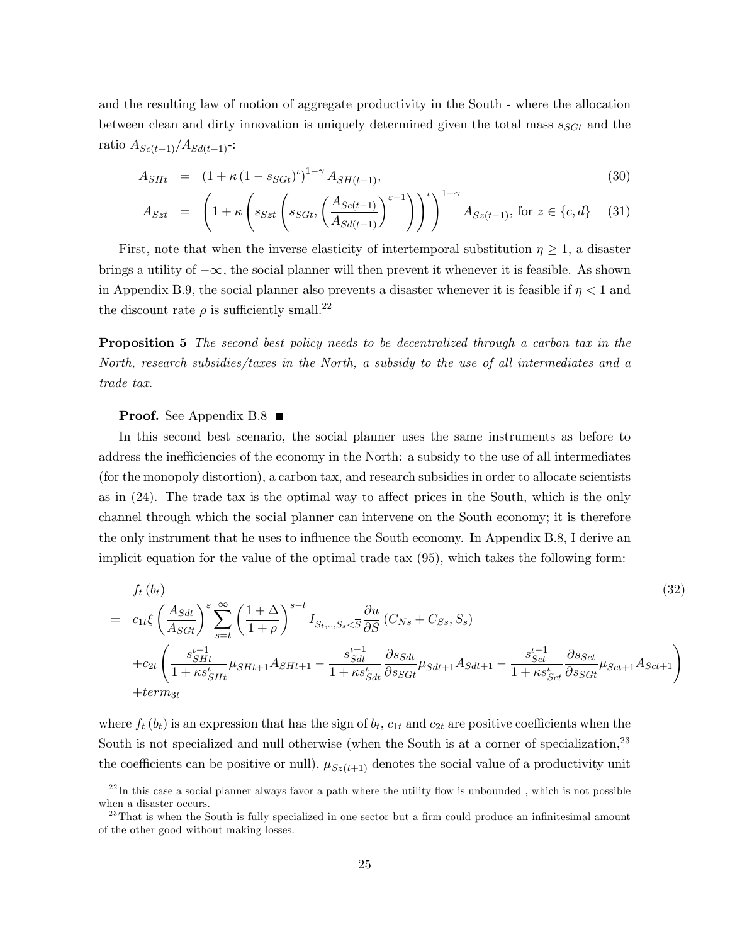and the resulting law of motion of aggregate productivity in the South - where the allocation between clean and dirty innovation is uniquely determined given the total mass  $s_{SGt}$  and the ratio  $A_{Sc(t-1)}/A_{Sd(t-1)}$ -:

$$
A_{SHt} = (1 + \kappa (1 - s_{SGt})^{\iota})^{1 - \gamma} A_{SH(t-1)},
$$
\n(30)

$$
A_{Szt} = \left(1 + \kappa \left(s_{Szt} \left(s_{Sct}, \left(\frac{A_{Sc(t-1)}}{A_{Sd(t-1)}}\right)^{\varepsilon-1}\right)\right)^t\right)^{1-\gamma} A_{Sz(t-1)}, \text{ for } z \in \{c, d\} \tag{31}
$$

First, note that when the inverse elasticity of intertemporal substitution  $\eta \geq 1$ , a disaster brings a utility of  $-\infty$ , the social planner will then prevent it whenever it is feasible. As shown in Appendix B.9, the social planner also prevents a disaster whenever it is feasible if  $\eta < 1$  and the discount rate  $\rho$  is sufficiently small.<sup>22</sup>

**Proposition 5** The second best policy needs to be decentralized through a carbon tax in the North, research subsidies/taxes in the North, a subsidy to the use of all intermediates and a trade tax.

#### **Proof.** See Appendix B.8 ■

In this second best scenario, the social planner uses the same instruments as before to address the inefficiencies of the economy in the North: a subsidy to the use of all intermediates (for the monopoly distortion), a carbon tax, and research subsidies in order to allocate scientists as in  $(24)$ . The trade tax is the optimal way to affect prices in the South, which is the only channel through which the social planner can intervene on the South economy; it is therefore the only instrument that he uses to influence the South economy. In Appendix B.8, I derive an implicit equation for the value of the optimal trade tax (95), which takes the following form:

$$
f_{t}(b_{t})
$$
\n
$$
= c_{1t}\xi \left(\frac{A_{Sdt}}{A_{Sdt}}\right)^{\varepsilon} \sum_{s=t}^{\infty} \left(\frac{1+\Delta}{1+\rho}\right)^{s-t} I_{S_{t},...,S_{s}<\overline{S}} \frac{\partial u}{\partial S} (C_{Ns} + C_{S_{s}}, S_{s})
$$
\n
$$
+ c_{2t} \left(\frac{s_{SHt}^{t-1}}{1+\kappa s_{SHt}^{t}}\mu_{SHt+1} A_{SHt+1} - \frac{s_{Sdt}^{t-1}}{1+\kappa s_{Sdt}^{t}} \frac{\partial s_{Sdt}}{\partial s_{Sdt}}\mu_{Sdt+1} A_{Sdt+1} - \frac{s_{Sct}^{t-1}}{1+\kappa s_{Sct}^{t}} \frac{\partial s_{Sct}}{\partial s_{Sdt}}\mu_{Sct+1} A_{Sct+1}\right)
$$
\n
$$
+ term_{3t}
$$
\n(32)

where  $f_t(b_t)$  is an expression that has the sign of  $b_t$ ,  $c_{1t}$  and  $c_{2t}$  are positive coefficients when the South is not specialized and null otherwise (when the South is at a corner of specialization,<sup>23</sup> the coefficients can be positive or null),  $\mu_{Sz(t+1)}$  denotes the social value of a productivity unit

 $22 \text{ In this case a social planner always favor a path where the utility flow is unbounded, which is not possible.}$ when a disaster occurs.

 $^{23}$ That is when the South is fully specialized in one sector but a firm could produce an infinitesimal amount of the other good without making losses.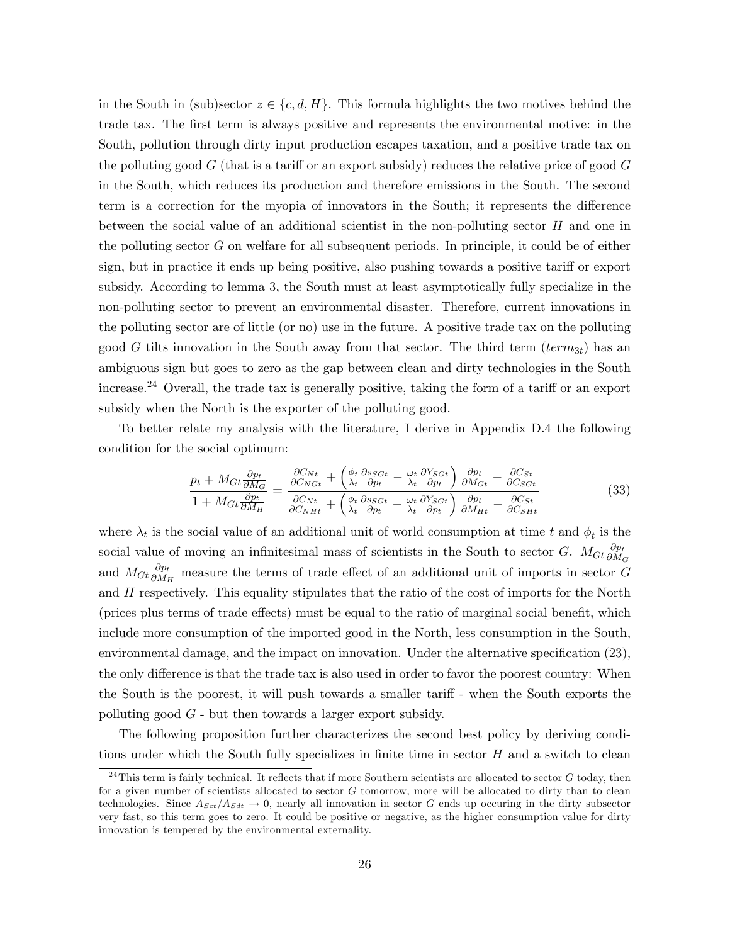in the South in (sub)sector  $z \in \{c, d, H\}$ . This formula highlights the two motives behind the trade tax. The first term is always positive and represents the environmental motive: in the South, pollution through dirty input production escapes taxation, and a positive trade tax on the polluting good  $G$  (that is a tariff or an export subsidy) reduces the relative price of good  $G$ in the South, which reduces its production and therefore emissions in the South. The second term is a correction for the myopia of innovators in the South; it represents the difference between the social value of an additional scientist in the non-polluting sector  $H$  and one in the polluting sector G on welfare for all subsequent periods. In principle, it could be of either sign, but in practice it ends up being positive, also pushing towards a positive tariff or export subsidy. According to lemma 3, the South must at least asymptotically fully specialize in the non-polluting sector to prevent an environmental disaster. Therefore, current innovations in the polluting sector are of little (or no) use in the future. A positive trade tax on the polluting good G tilts innovation in the South away from that sector. The third term  $(term_{3t})$  has an ambiguous sign but goes to zero as the gap between clean and dirty technologies in the South increase.<sup>24</sup> Overall, the trade tax is generally positive, taking the form of a tariff or an export subsidy when the North is the exporter of the polluting good.

To better relate my analysis with the literature, I derive in Appendix D.4 the following condition for the social optimum:

$$
\frac{p_t + M_{Gt} \frac{\partial p_t}{\partial M_G}}{1 + M_{Gt} \frac{\partial p_t}{\partial M_H}} = \frac{\frac{\partial C_{Nt}}{\partial C_{NGt}} + \left(\frac{\phi_t}{\lambda_t} \frac{\partial s_{SGt}}{\partial p_t} - \frac{\omega_t}{\lambda_t} \frac{\partial Y_{SGt}}{\partial p_t}\right) \frac{\partial p_t}{\partial M_{Gt}} - \frac{\partial C_{St}}{\partial C_{SGt}}}{\frac{\partial C_{Nt}}{\partial C_{NHt}} + \left(\frac{\phi_t}{\lambda_t} \frac{\partial s_{SGt}}{\partial p_t} - \frac{\omega_t}{\lambda_t} \frac{\partial Y_{SGt}}{\partial p_t}\right) \frac{\partial p_t}{\partial M_{Ht}} - \frac{\partial C_{St}}{\partial C_{SHt}}}
$$
(33)

where  $\lambda_t$  is the social value of an additional unit of world consumption at time t and  $\phi_t$  is the social value of moving an infinitesimal mass of scientists in the South to sector G.  $M_{Gt} \frac{\partial p_t}{\partial M_t}$  $\partial M_G$ and  $M_{Gt} \frac{\partial p_t}{\partial M_l}$  $\frac{\partial p_t}{\partial M_H}$  measure the terms of trade effect of an additional unit of imports in sector G and  $H$  respectively. This equality stipulates that the ratio of the cost of imports for the North (prices plus terms of trade effects) must be equal to the ratio of marginal social benefit, which include more consumption of the imported good in the North, less consumption in the South, environmental damage, and the impact on innovation. Under the alternative specification  $(23)$ , the only difference is that the trade tax is also used in order to favor the poorest country: When the South is the poorest, it will push towards a smaller tariff - when the South exports the polluting good  $G$  - but then towards a larger export subsidy.

The following proposition further characterizes the second best policy by deriving conditions under which the South fully specializes in finite time in sector  $H$  and a switch to clean

<sup>&</sup>lt;sup>24</sup>This term is fairly technical. It reflects that if more Southern scientists are allocated to sector  $G$  today, then for a given number of scientists allocated to sector G tomorrow, more will be allocated to dirty than to clean technologies. Since  $A_{Sct}/A_{Sdt} \rightarrow 0$ , nearly all innovation in sector G ends up occuring in the dirty subsector very fast, so this term goes to zero. It could be positive or negative, as the higher consumption value for dirty innovation is tempered by the environmental externality.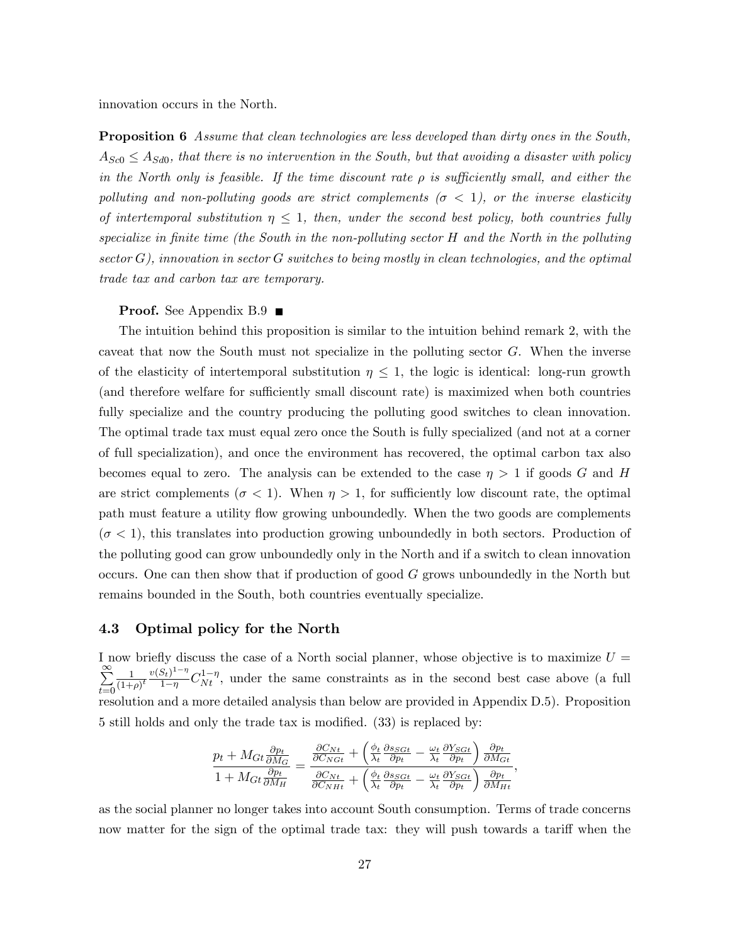innovation occurs in the North.

**Proposition 6** Assume that clean technologies are less developed than dirty ones in the South,  $A_{Sc0} \leq A_{Sd0}$ , that there is no intervention in the South, but that avoiding a disaster with policy in the North only is feasible. If the time discount rate  $\rho$  is sufficiently small, and either the polluting and non-polluting goods are strict complements ( $\sigma < 1$ ), or the inverse elasticity of intertemporal substitution  $\eta \leq 1$ , then, under the second best policy, both countries fully specialize in finite time (the South in the non-polluting sector  $H$  and the North in the polluting sector G), innovation in sector G switches to being mostly in clean technologies, and the optimal trade tax and carbon tax are temporary.

#### **Proof.** See Appendix  $B.9$

The intuition behind this proposition is similar to the intuition behind remark 2, with the caveat that now the South must not specialize in the polluting sector  $G$ . When the inverse of the elasticity of intertemporal substitution  $\eta \leq 1$ , the logic is identical: long-run growth (and therefore welfare for sufficiently small discount rate) is maximized when both countries fully specialize and the country producing the polluting good switches to clean innovation. The optimal trade tax must equal zero once the South is fully specialized (and not at a corner of full specialization), and once the environment has recovered, the optimal carbon tax also becomes equal to zero. The analysis can be extended to the case  $\eta > 1$  if goods G and H are strict complements ( $\sigma$  < 1). When  $\eta$  > 1, for sufficiently low discount rate, the optimal path must feature a utility áow growing unboundedly. When the two goods are complements  $(\sigma < 1)$ , this translates into production growing unboundedly in both sectors. Production of the polluting good can grow unboundedly only in the North and if a switch to clean innovation occurs. One can then show that if production of good G grows unboundedly in the North but remains bounded in the South, both countries eventually specialize.

#### 4.3 Optimal policy for the North

I now briefly discuss the case of a North social planner, whose objective is to maximize  $U =$  $\sum_{i=1}^{\infty}$  $t=0$ 1  $\frac{1}{(1+\rho)^t} \frac{v(S_t)^{1-\eta}}{1-\eta}$  $\frac{S_t}{1-\eta} C_{Nt}^{1-\eta}$ , under the same constraints as in the second best case above (a full resolution and a more detailed analysis than below are provided in Appendix D.5). Proposition 5 still holds and only the trade tax is modified.  $(33)$  is replaced by:

$$
\frac{p_t + M_{Gt} \frac{\partial p_t}{\partial M_G}}{1 + M_{Gt} \frac{\partial p_t}{\partial M_H}} = \frac{\frac{\partial C_{Nt}}{\partial C_{NGt}} + \left(\frac{\phi_t}{\lambda_t} \frac{\partial s_{SGt}}{\partial p_t} - \frac{\omega_t}{\lambda_t} \frac{\partial Y_{SGt}}{\partial p_t}\right) \frac{\partial p_t}{\partial M_{Gt}}}{\frac{\partial C_{Nt}}{\partial C_{NHt}} + \left(\frac{\phi_t}{\lambda_t} \frac{\partial s_{SGt}}{\partial p_t} - \frac{\omega_t}{\lambda_t} \frac{\partial Y_{SGt}}{\partial p_t}\right) \frac{\partial p_t}{\partial M_{Ht}}}
$$

;

as the social planner no longer takes into account South consumption. Terms of trade concerns now matter for the sign of the optimal trade tax: they will push towards a tariff when the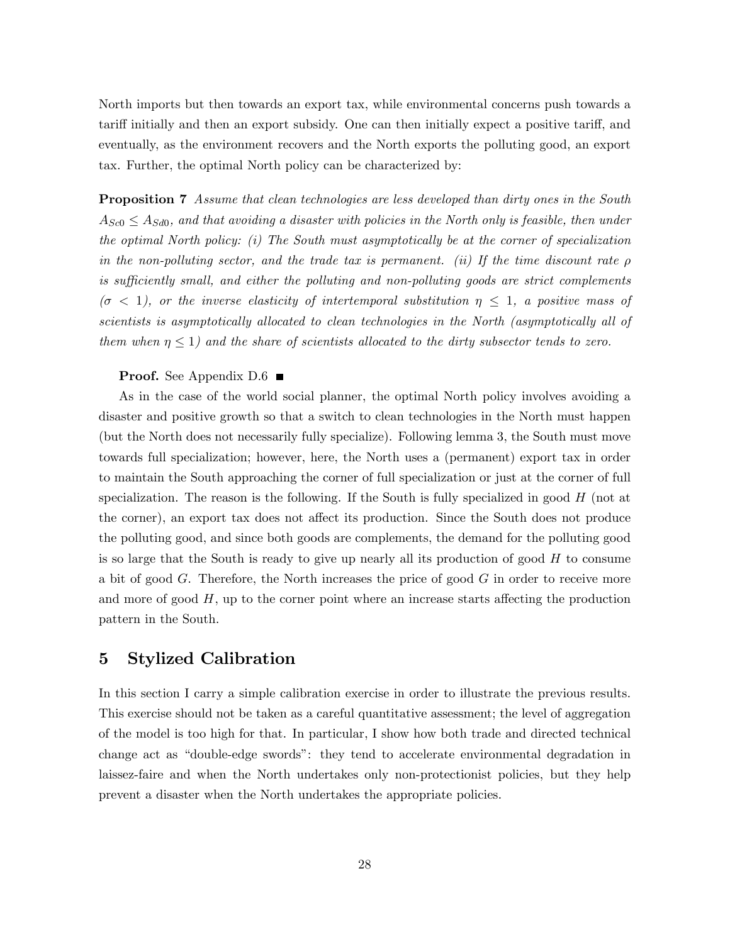North imports but then towards an export tax, while environmental concerns push towards a tariff initially and then an export subsidy. One can then initially expect a positive tariff, and eventually, as the environment recovers and the North exports the polluting good, an export tax. Further, the optimal North policy can be characterized by:

**Proposition 7** Assume that clean technologies are less developed than dirty ones in the South  $A_{Sc0} \leq A_{Sd0}$ , and that avoiding a disaster with policies in the North only is feasible, then under the optimal North policy: (i) The South must asymptotically be at the corner of specialization in the non-polluting sector, and the trade tax is permanent. (ii) If the time discount rate  $\rho$ is sufficiently small, and either the polluting and non-polluting goods are strict complements  $(\sigma < 1)$ , or the inverse elasticity of intertemporal substitution  $\eta \leq 1$ , a positive mass of scientists is asymptotically allocated to clean technologies in the North (asymptotically all of them when  $\eta \leq 1$ ) and the share of scientists allocated to the dirty subsector tends to zero.

#### **Proof.** See Appendix  $D.6$

As in the case of the world social planner, the optimal North policy involves avoiding a disaster and positive growth so that a switch to clean technologies in the North must happen (but the North does not necessarily fully specialize). Following lemma 3, the South must move towards full specialization; however, here, the North uses a (permanent) export tax in order to maintain the South approaching the corner of full specialization or just at the corner of full specialization. The reason is the following. If the South is fully specialized in good H (not at the corner), an export tax does not affect its production. Since the South does not produce the polluting good, and since both goods are complements, the demand for the polluting good is so large that the South is ready to give up nearly all its production of good H to consume a bit of good  $G$ . Therefore, the North increases the price of good  $G$  in order to receive more and more of good  $H$ , up to the corner point where an increase starts affecting the production pattern in the South.

### 5 Stylized Calibration

In this section I carry a simple calibration exercise in order to illustrate the previous results. This exercise should not be taken as a careful quantitative assessment; the level of aggregation of the model is too high for that. In particular, I show how both trade and directed technical change act as "double-edge swords": they tend to accelerate environmental degradation in laissez-faire and when the North undertakes only non-protectionist policies, but they help prevent a disaster when the North undertakes the appropriate policies.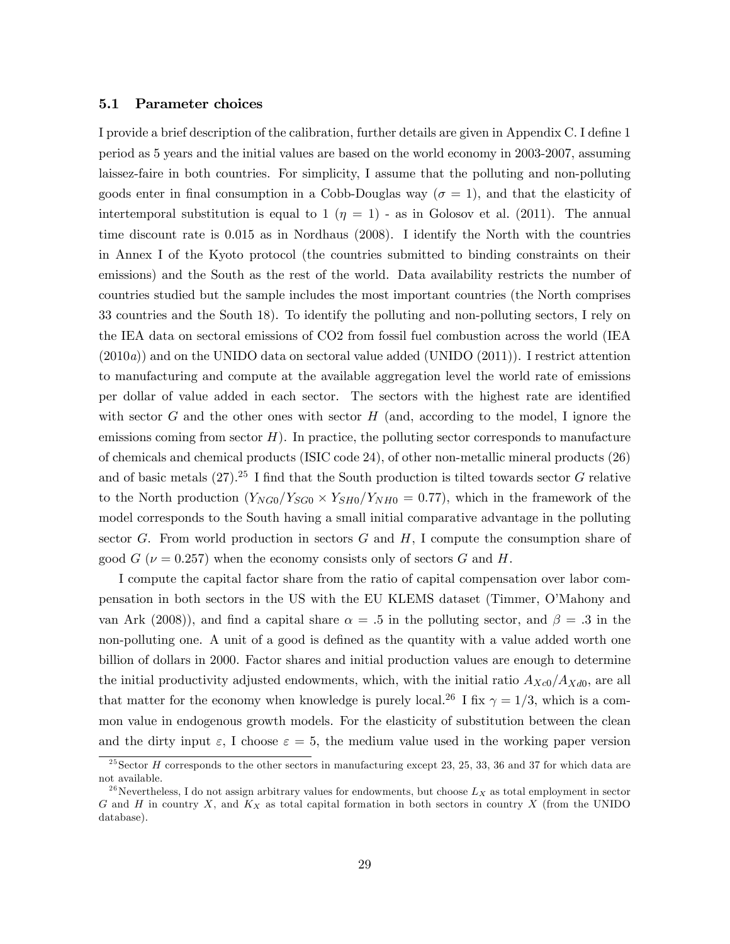#### 5.1 Parameter choices

I provide a brief description of the calibration, further details are given in Appendix C. I define 1 period as 5 years and the initial values are based on the world economy in 2003-2007, assuming laissez-faire in both countries. For simplicity, I assume that the polluting and non-polluting goods enter in final consumption in a Cobb-Douglas way ( $\sigma = 1$ ), and that the elasticity of intertemporal substitution is equal to 1  $(\eta = 1)$  - as in Golosov et al. (2011). The annual time discount rate is  $0.015$  as in Nordhaus  $(2008)$ . I identify the North with the countries in Annex I of the Kyoto protocol (the countries submitted to binding constraints on their emissions) and the South as the rest of the world. Data availability restricts the number of countries studied but the sample includes the most important countries (the North comprises 33 countries and the South 18). To identify the polluting and non-polluting sectors, I rely on the IEA data on sectoral emissions of CO2 from fossil fuel combustion across the world (IEA  $(2010a)$  and on the UNIDO data on sectoral value added (UNIDO  $(2011)$ ). I restrict attention to manufacturing and compute at the available aggregation level the world rate of emissions per dollar of value added in each sector. The sectors with the highest rate are identified with sector G and the other ones with sector H (and, according to the model, I ignore the emissions coming from sector  $H$ ). In practice, the polluting sector corresponds to manufacture of chemicals and chemical products (ISIC code 24), of other non-metallic mineral products (26) and of basic metals  $(27)$ .<sup>25</sup> I find that the South production is tilted towards sector G relative to the North production  $(Y_{NG0}/Y_{SG0} \times Y_{SH0}/Y_{NH0} = 0.77)$ , which in the framework of the model corresponds to the South having a small initial comparative advantage in the polluting sector G. From world production in sectors  $G$  and  $H$ , I compute the consumption share of good  $G$  ( $\nu = 0.257$ ) when the economy consists only of sectors G and H.

I compute the capital factor share from the ratio of capital compensation over labor compensation in both sectors in the US with the EU KLEMS dataset (Timmer, OíMahony and van Ark (2008)), and find a capital share  $\alpha = 0.5$  in the polluting sector, and  $\beta = 0.3$  in the non-polluting one. A unit of a good is defined as the quantity with a value added worth one billion of dollars in 2000. Factor shares and initial production values are enough to determine the initial productivity adjusted endowments, which, with the initial ratio  $A_{Xc0}/A_{Xd0}$ , are all that matter for the economy when knowledge is purely local.<sup>26</sup> I fix  $\gamma = 1/3$ , which is a common value in endogenous growth models. For the elasticity of substitution between the clean and the dirty input  $\varepsilon$ , I choose  $\varepsilon = 5$ , the medium value used in the working paper version

 $25$  Sector H corresponds to the other sectors in manufacturing except 23, 25, 33, 36 and 37 for which data are not available.

<sup>&</sup>lt;sup>26</sup>Nevertheless, I do not assign arbitrary values for endowments, but choose  $L_X$  as total employment in sector G and H in country X, and  $K_X$  as total capital formation in both sectors in country X (from the UNIDO database).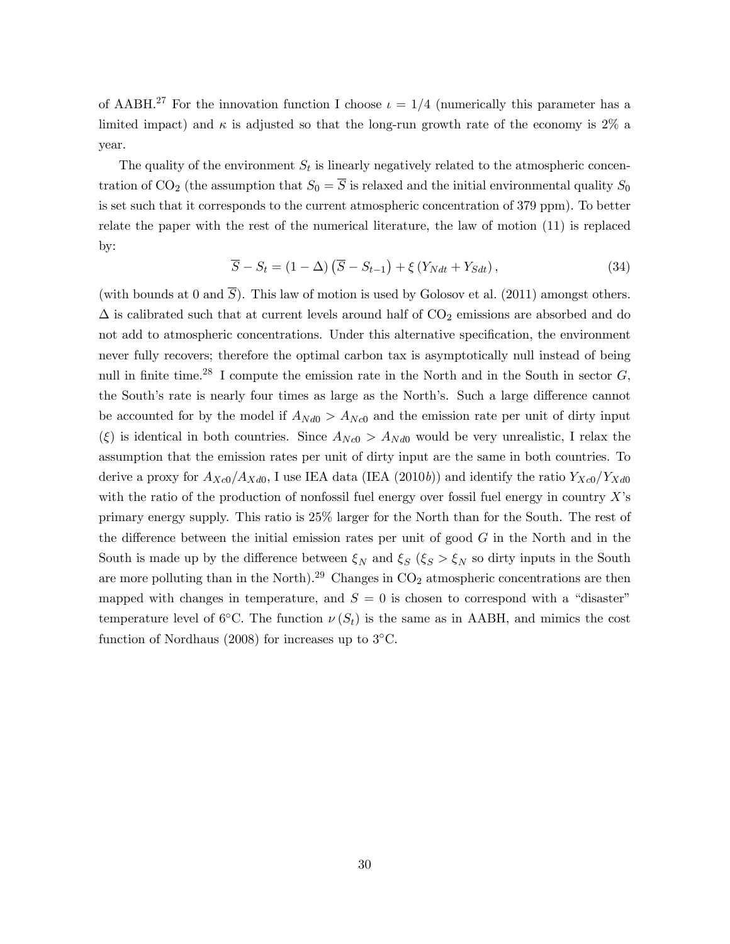of AABH.<sup>27</sup> For the innovation function I choose  $\iota = 1/4$  (numerically this parameter has a limited impact) and  $\kappa$  is adjusted so that the long-run growth rate of the economy is 2% a year.

The quality of the environment  $S_t$  is linearly negatively related to the atmospheric concentration of CO<sub>2</sub> (the assumption that  $S_0 = \overline{S}$  is relaxed and the initial environmental quality  $S_0$ is set such that it corresponds to the current atmospheric concentration of 379 ppm). To better relate the paper with the rest of the numerical literature, the law of motion (11) is replaced by:

$$
\overline{S} - S_t = (1 - \Delta) (\overline{S} - S_{t-1}) + \xi (Y_{Ndt} + Y_{Sdt}), \qquad (34)
$$

(with bounds at 0 and  $\overline{S}$ ). This law of motion is used by Golosov et al. (2011) amongst others.  $\Delta$  is calibrated such that at current levels around half of  $CO<sub>2</sub>$  emissions are absorbed and do not add to atmospheric concentrations. Under this alternative specification, the environment never fully recovers; therefore the optimal carbon tax is asymptotically null instead of being null in finite time.<sup>28</sup> I compute the emission rate in the North and in the South in sector  $G$ , the South's rate is nearly four times as large as the North's. Such a large difference cannot be accounted for by the model if  $A_{Nd0} > A_{Nc0}$  and the emission rate per unit of dirty input  $(\xi)$  is identical in both countries. Since  $A_{Nc0} > A_{Nd0}$  would be very unrealistic, I relax the assumption that the emission rates per unit of dirty input are the same in both countries. To derive a proxy for  $A_{Xc0}/A_{Xd0}$ , I use IEA data (IEA (2010b)) and identify the ratio  $Y_{Xc0}/Y_{Xd0}$ with the ratio of the production of nonfossil fuel energy over fossil fuel energy in country  $X$ 's primary energy supply. This ratio is 25% larger for the North than for the South. The rest of the difference between the initial emission rates per unit of good  $G$  in the North and in the South is made up by the difference between  $\xi_N$  and  $\xi_S$  ( $\xi_S > \xi_N$  so dirty inputs in the South are more polluting than in the North).<sup>29</sup> Changes in  $CO<sub>2</sub>$  atmospheric concentrations are then mapped with changes in temperature, and  $S = 0$  is chosen to correspond with a "disaster" temperature level of 6<sup>o</sup>C. The function  $\nu(S_t)$  is the same as in AABH, and mimics the cost function of Nordhaus  $(2008)$  for increases up to  $3^{\circ}$ C.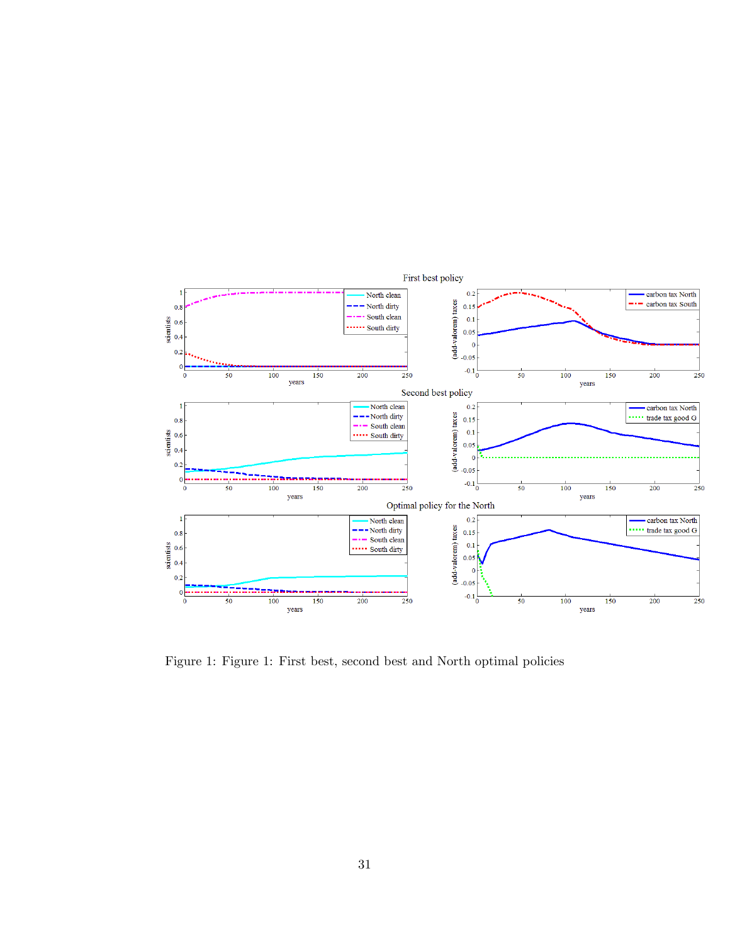

Figure 1: Figure 1: First best, second best and North optimal policies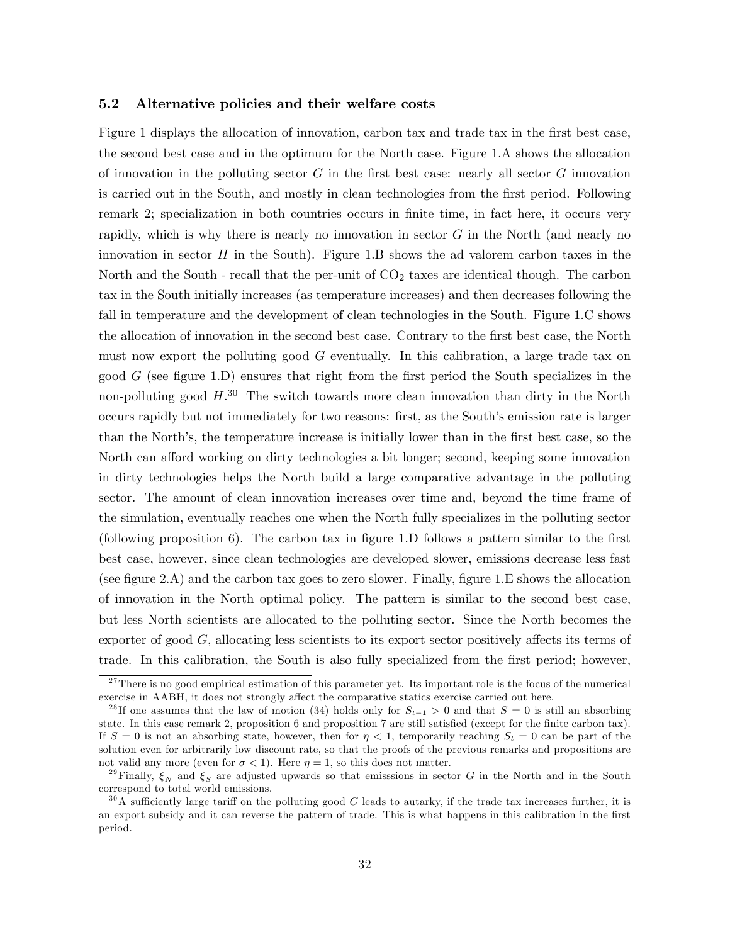#### 5.2 Alternative policies and their welfare costs

Figure 1 displays the allocation of innovation, carbon tax and trade tax in the first best case, the second best case and in the optimum for the North case. Figure 1.A shows the allocation of innovation in the polluting sector  $G$  in the first best case: nearly all sector  $G$  innovation is carried out in the South, and mostly in clean technologies from the first period. Following remark 2; specialization in both countries occurs in finite time, in fact here, it occurs very rapidly, which is why there is nearly no innovation in sector G in the North (and nearly no innovation in sector  $H$  in the South). Figure 1.B shows the ad valorem carbon taxes in the North and the South - recall that the per-unit of  $CO<sub>2</sub>$  taxes are identical though. The carbon tax in the South initially increases (as temperature increases) and then decreases following the fall in temperature and the development of clean technologies in the South. Figure 1.C shows the allocation of innovation in the second best case. Contrary to the first best case, the North must now export the polluting good G eventually. In this calibration, a large trade tax on good  $G$  (see figure 1.D) ensures that right from the first period the South specializes in the non-polluting good  $H^{30}$ . The switch towards more clean innovation than dirty in the North occurs rapidly but not immediately for two reasons: first, as the South's emission rate is larger than the North's, the temperature increase is initially lower than in the first best case, so the North can afford working on dirty technologies a bit longer; second, keeping some innovation in dirty technologies helps the North build a large comparative advantage in the polluting sector. The amount of clean innovation increases over time and, beyond the time frame of the simulation, eventually reaches one when the North fully specializes in the polluting sector (following proposition 6). The carbon tax in figure 1.D follows a pattern similar to the first best case, however, since clean technologies are developed slower, emissions decrease less fast (see figure 2.A) and the carbon tax goes to zero slower. Finally, figure 1.E shows the allocation of innovation in the North optimal policy. The pattern is similar to the second best case, but less North scientists are allocated to the polluting sector. Since the North becomes the exporter of good  $G$ , allocating less scientists to its export sector positively affects its terms of trade. In this calibration, the South is also fully specialized from the first period; however,

<sup>&</sup>lt;sup>27</sup>There is no good empirical estimation of this parameter yet. Its important role is the focus of the numerical exercise in AABH, it does not strongly affect the comparative statics exercise carried out here.

<sup>&</sup>lt;sup>28</sup>If one assumes that the law of motion (34) holds only for  $S_{t-1} > 0$  and that  $S = 0$  is still an absorbing state. In this case remark 2, proposition 6 and proposition 7 are still satisfied (except for the finite carbon tax). If  $S = 0$  is not an absorbing state, however, then for  $\eta < 1$ , temporarily reaching  $S_t = 0$  can be part of the solution even for arbitrarily low discount rate, so that the proofs of the previous remarks and propositions are not valid any more (even for  $\sigma < 1$ ). Here  $\eta = 1$ , so this does not matter.

<sup>&</sup>lt;sup>29</sup>Finally,  $\xi_N$  and  $\xi_S$  are adjusted upwards so that emisssions in sector G in the North and in the South correspond to total world emissions.

 $30\text{ Å}$  sufficiently large tariff on the polluting good G leads to autarky, if the trade tax increases further, it is an export subsidy and it can reverse the pattern of trade. This is what happens in this calibration in the first period.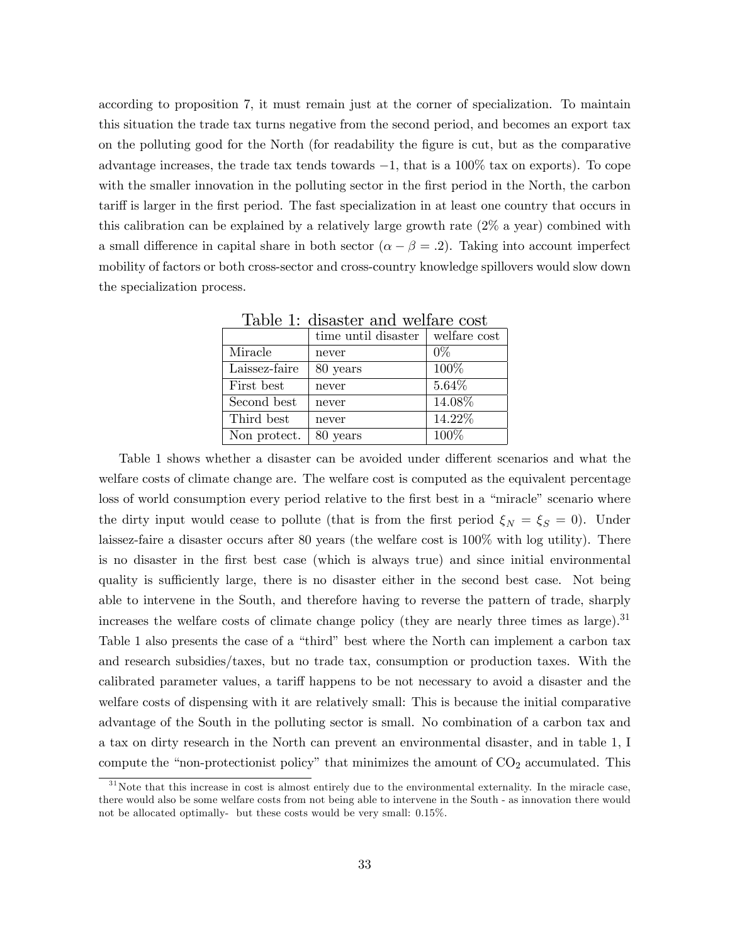according to proposition 7, it must remain just at the corner of specialization. To maintain this situation the trade tax turns negative from the second period, and becomes an export tax on the polluting good for the North (for readability the Ögure is cut, but as the comparative advantage increases, the trade tax tends towards  $-1$ , that is a 100% tax on exports). To cope with the smaller innovation in the polluting sector in the first period in the North, the carbon tariff is larger in the first period. The fast specialization in at least one country that occurs in this calibration can be explained by a relatively large growth rate (2% a year) combined with a small difference in capital share in both sector  $(\alpha - \beta = 0)$ . Taking into account imperfect mobility of factors or both cross-sector and cross-country knowledge spillovers would slow down the specialization process.

| TORIAL T. ATRIORIUM ORIIVE AVAIIORIA VANIU |                     |              |
|--------------------------------------------|---------------------|--------------|
|                                            | time until disaster | welfare cost |
| Miracle                                    | never               | $0\%$        |
| Laissez-faire                              | 80 years            | 100%         |
| First best                                 | never               | 5.64%        |
| Second best                                | never               | 14.08%       |
| Third best                                 | never               | 14.22%       |
| Non protect.                               | 80 years            | 100%         |

Table 1: disaster and welfare cost

Table 1 shows whether a disaster can be avoided under different scenarios and what the welfare costs of climate change are. The welfare cost is computed as the equivalent percentage loss of world consumption every period relative to the first best in a "miracle" scenario where the dirty input would cease to pollute (that is from the first period  $\xi_N = \xi_S = 0$ ). Under laissez-faire a disaster occurs after 80 years (the welfare cost is 100% with log utility). There is no disaster in the Örst best case (which is always true) and since initial environmental quality is sufficiently large, there is no disaster either in the second best case. Not being able to intervene in the South, and therefore having to reverse the pattern of trade, sharply increases the welfare costs of climate change policy (they are nearly three times as large). $31$ Table 1 also presents the case of a "third" best where the North can implement a carbon tax and research subsidies/taxes, but no trade tax, consumption or production taxes. With the calibrated parameter values, a tariff happens to be not necessary to avoid a disaster and the welfare costs of dispensing with it are relatively small: This is because the initial comparative advantage of the South in the polluting sector is small. No combination of a carbon tax and a tax on dirty research in the North can prevent an environmental disaster, and in table 1, I compute the "non-protectionist policy" that minimizes the amount of  $CO<sub>2</sub>$  accumulated. This

 $31$ Note that this increase in cost is almost entirely due to the environmental externality. In the miracle case, there would also be some welfare costs from not being able to intervene in the South - as innovation there would not be allocated optimally- but these costs would be very small: 0.15%.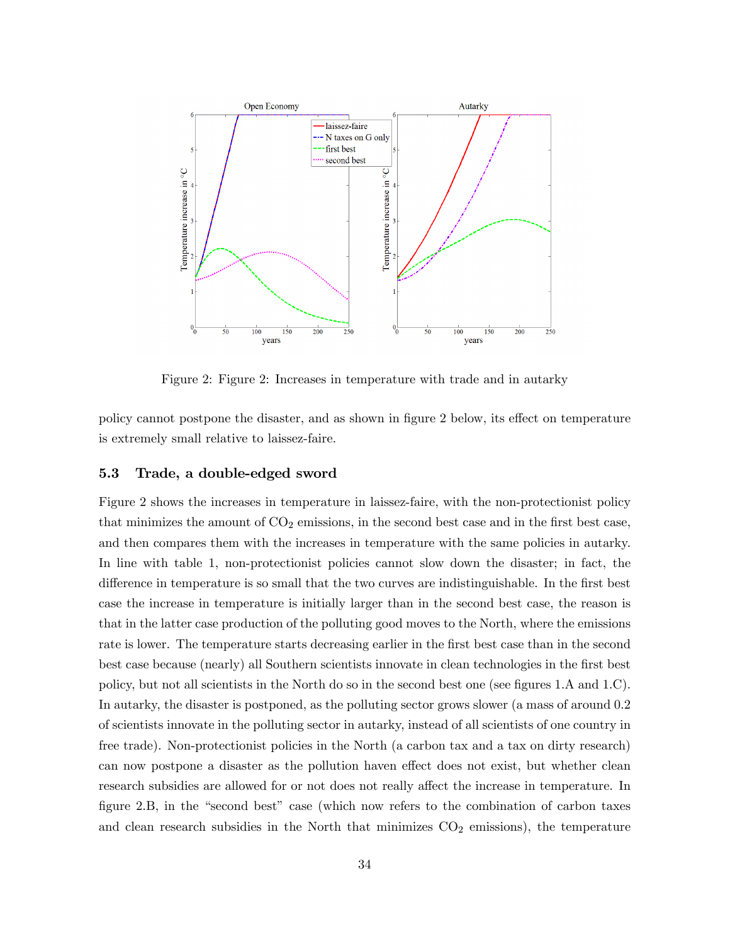

Figure 2: Figure 2: Increases in temperature with trade and in autarky

policy cannot postpone the disaster, and as shown in figure 2 below, its effect on temperature is extremely small relative to laissez-faire.

#### 5.3 Trade, a double-edged sword

Figure 2 shows the increases in temperature in laissez-faire, with the non-protectionist policy that minimizes the amount of  $CO<sub>2</sub>$  emissions, in the second best case and in the first best case, and then compares them with the increases in temperature with the same policies in autarky. In line with table 1, non-protectionist policies cannot slow down the disaster; in fact, the difference in temperature is so small that the two curves are indistinguishable. In the first best case the increase in temperature is initially larger than in the second best case, the reason is that in the latter case production of the polluting good moves to the North, where the emissions rate is lower. The temperature starts decreasing earlier in the first best case than in the second best case because (nearly) all Southern scientists innovate in clean technologies in the first best policy, but not all scientists in the North do so in the second best one (see figures  $1.A$  and  $1.C$ ). In autarky, the disaster is postponed, as the polluting sector grows slower (a mass of around 0.2 of scientists innovate in the polluting sector in autarky, instead of all scientists of one country in free trade). Non-protectionist policies in the North (a carbon tax and a tax on dirty research) can now postpone a disaster as the pollution haven effect does not exist, but whether clean research subsidies are allowed for or not does not really affect the increase in temperature. In figure  $2.B$ , in the "second best" case (which now refers to the combination of carbon taxes and clean research subsidies in the North that minimizes  $CO<sub>2</sub>$  emissions), the temperature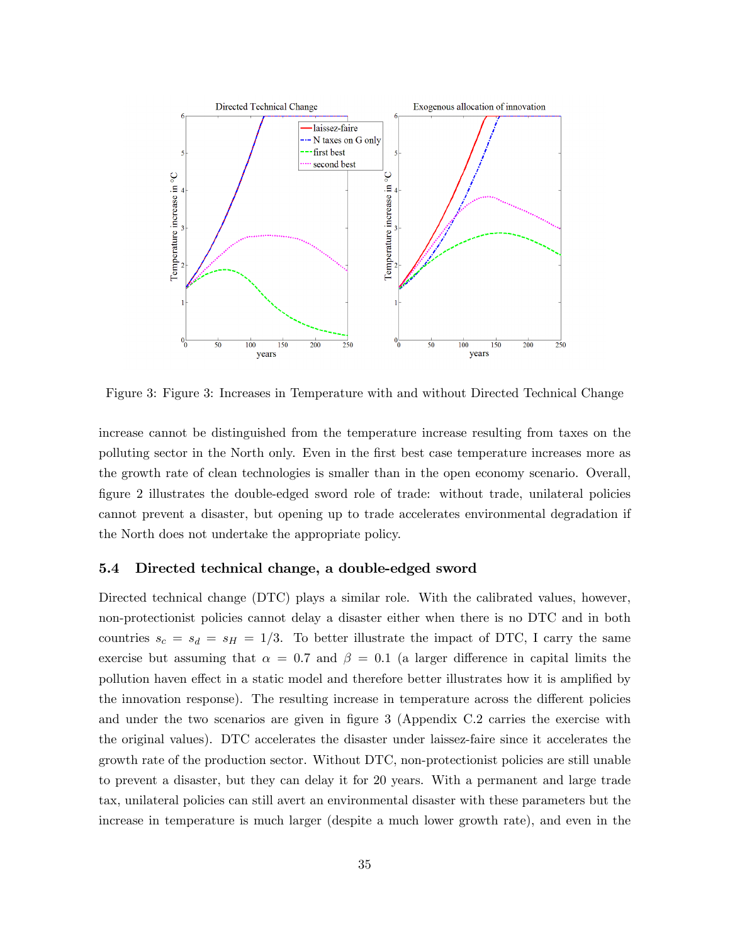

Figure 3: Figure 3: Increases in Temperature with and without Directed Technical Change

increase cannot be distinguished from the temperature increase resulting from taxes on the polluting sector in the North only. Even in the Örst best case temperature increases more as the growth rate of clean technologies is smaller than in the open economy scenario. Overall, Ögure 2 illustrates the double-edged sword role of trade: without trade, unilateral policies cannot prevent a disaster, but opening up to trade accelerates environmental degradation if the North does not undertake the appropriate policy.

#### 5.4 Directed technical change, a double-edged sword

Directed technical change (DTC) plays a similar role. With the calibrated values, however, non-protectionist policies cannot delay a disaster either when there is no DTC and in both countries  $s_c = s_d = s_H = 1/3$ . To better illustrate the impact of DTC, I carry the same exercise but assuming that  $\alpha = 0.7$  and  $\beta = 0.1$  (a larger difference in capital limits the pollution haven effect in a static model and therefore better illustrates how it is amplified by the innovation response). The resulting increase in temperature across the different policies and under the two scenarios are given in figure 3 (Appendix C.2 carries the exercise with the original values). DTC accelerates the disaster under laissez-faire since it accelerates the growth rate of the production sector. Without DTC, non-protectionist policies are still unable to prevent a disaster, but they can delay it for 20 years. With a permanent and large trade tax, unilateral policies can still avert an environmental disaster with these parameters but the increase in temperature is much larger (despite a much lower growth rate), and even in the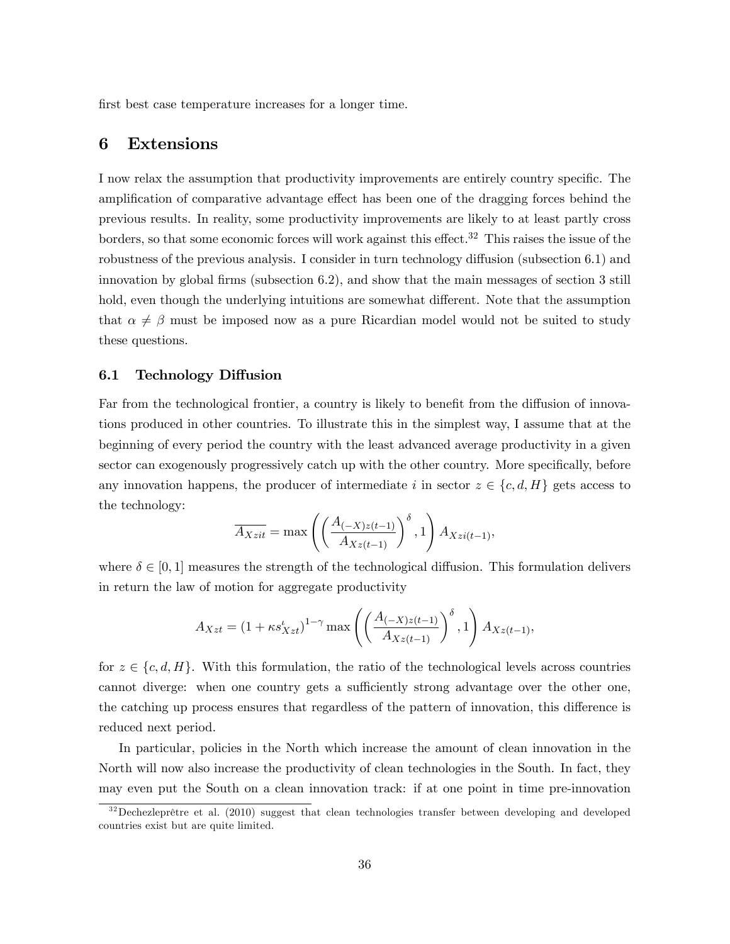first best case temperature increases for a longer time.

# 6 Extensions

I now relax the assumption that productivity improvements are entirely country specific. The amplification of comparative advantage effect has been one of the dragging forces behind the previous results. In reality, some productivity improvements are likely to at least partly cross borders, so that some economic forces will work against this effect.<sup>32</sup> This raises the issue of the robustness of the previous analysis. I consider in turn technology diffusion (subsection 6.1) and innovation by global firms (subsection  $6.2$ ), and show that the main messages of section 3 still hold, even though the underlying intuitions are somewhat different. Note that the assumption that  $\alpha \neq \beta$  must be imposed now as a pure Ricardian model would not be suited to study these questions.

#### 6.1 Technology Diffusion

Far from the technological frontier, a country is likely to benefit from the diffusion of innovations produced in other countries. To illustrate this in the simplest way, I assume that at the beginning of every period the country with the least advanced average productivity in a given sector can exogenously progressively catch up with the other country. More specifically, before any innovation happens, the producer of intermediate i in sector  $z \in \{c, d, H\}$  gets access to the technology:

$$
\overline{A_{Xzit}} = \max\left( \left( \frac{A_{(-X)z(t-1)}}{A_{Xz(t-1)}} \right)^{\delta}, 1 \right) A_{Xzi(t-1)},
$$

where  $\delta \in [0, 1]$  measures the strength of the technological diffusion. This formulation delivers in return the law of motion for aggregate productivity

$$
A_{Xzt} = (1 + \kappa s_{Xzt}^t)^{1-\gamma} \max \left( \left( \frac{A_{(-X)z(t-1)}}{A_{Xz(t-1)}} \right)^{\delta}, 1 \right) A_{Xz(t-1)},
$$

for  $z \in \{c, d, H\}$ . With this formulation, the ratio of the technological levels across countries cannot diverge: when one country gets a sufficiently strong advantage over the other one, the catching up process ensures that regardless of the pattern of innovation, this difference is reduced next period.

In particular, policies in the North which increase the amount of clean innovation in the North will now also increase the productivity of clean technologies in the South. In fact, they may even put the South on a clean innovation track: if at one point in time pre-innovation

 $32$ Dechezleprêtre et al. (2010) suggest that clean technologies transfer between developing and developed countries exist but are quite limited.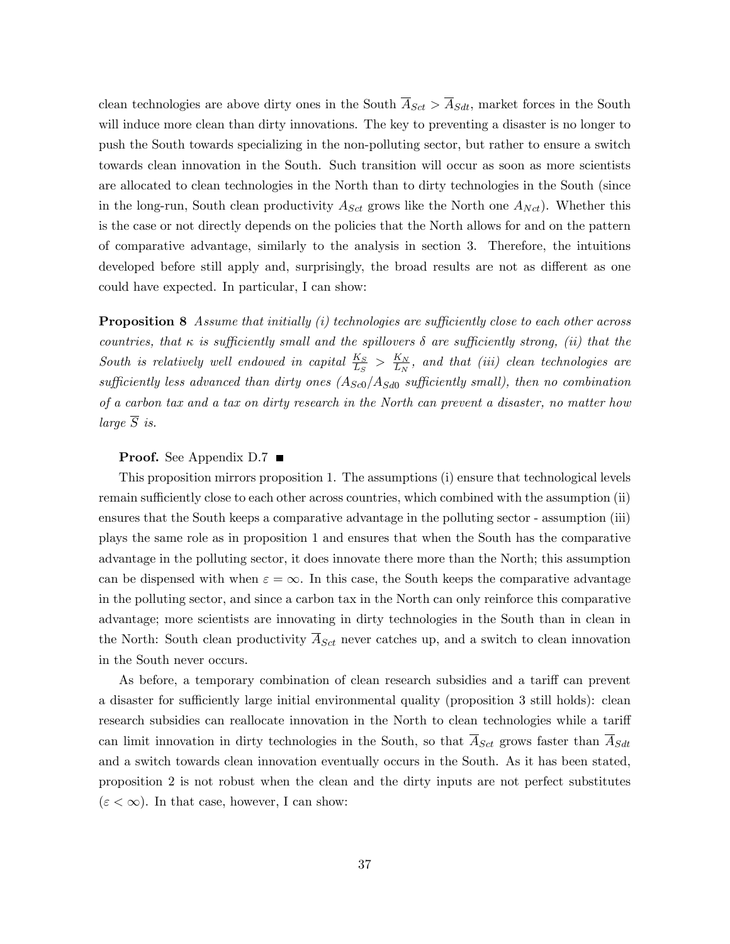clean technologies are above dirty ones in the South  $\overline{A}_{Sct} > \overline{A}_{Sdt}$ , market forces in the South will induce more clean than dirty innovations. The key to preventing a disaster is no longer to push the South towards specializing in the non-polluting sector, but rather to ensure a switch towards clean innovation in the South. Such transition will occur as soon as more scientists are allocated to clean technologies in the North than to dirty technologies in the South (since in the long-run, South clean productivity  $A_{Sct}$  grows like the North one  $A_{Nct}$ ). Whether this is the case or not directly depends on the policies that the North allows for and on the pattern of comparative advantage, similarly to the analysis in section 3. Therefore, the intuitions developed before still apply and, surprisingly, the broad results are not as different as one could have expected. In particular, I can show:

**Proposition 8** Assume that initially  $(i)$  technologies are sufficiently close to each other across countries, that  $\kappa$  is sufficiently small and the spillovers  $\delta$  are sufficiently strong, (ii) that the South is relatively well endowed in capital  $\frac{K_S}{L_S}$  >  $\frac{K_N}{L_N}$  $\frac{K_N}{L_N}$ , and that (iii) clean technologies are sufficiently less advanced than dirty ones  $(A_{Sc0}/A_{Sd0}$  sufficiently small), then no combination of a carbon tax and a tax on dirty research in the North can prevent a disaster, no matter how large  $\overline{S}$  is.

#### **Proof.** See Appendix D.7  $\blacksquare$

This proposition mirrors proposition 1. The assumptions (i) ensure that technological levels remain sufficiently close to each other across countries, which combined with the assumption (ii) ensures that the South keeps a comparative advantage in the polluting sector - assumption (iii) plays the same role as in proposition 1 and ensures that when the South has the comparative advantage in the polluting sector, it does innovate there more than the North; this assumption can be dispensed with when  $\varepsilon = \infty$ . In this case, the South keeps the comparative advantage in the polluting sector, and since a carbon tax in the North can only reinforce this comparative advantage; more scientists are innovating in dirty technologies in the South than in clean in the North: South clean productivity  $\overline{A}_{Sct}$  never catches up, and a switch to clean innovation in the South never occurs.

As before, a temporary combination of clean research subsidies and a tariff can prevent a disaster for sufficiently large initial environmental quality (proposition 3 still holds): clean research subsidies can reallocate innovation in the North to clean technologies while a tariff can limit innovation in dirty technologies in the South, so that  $\overline{A}_{Sct}$  grows faster than  $\overline{A}_{Sdt}$ and a switch towards clean innovation eventually occurs in the South. As it has been stated, proposition 2 is not robust when the clean and the dirty inputs are not perfect substitutes  $(\varepsilon < \infty)$ . In that case, however, I can show: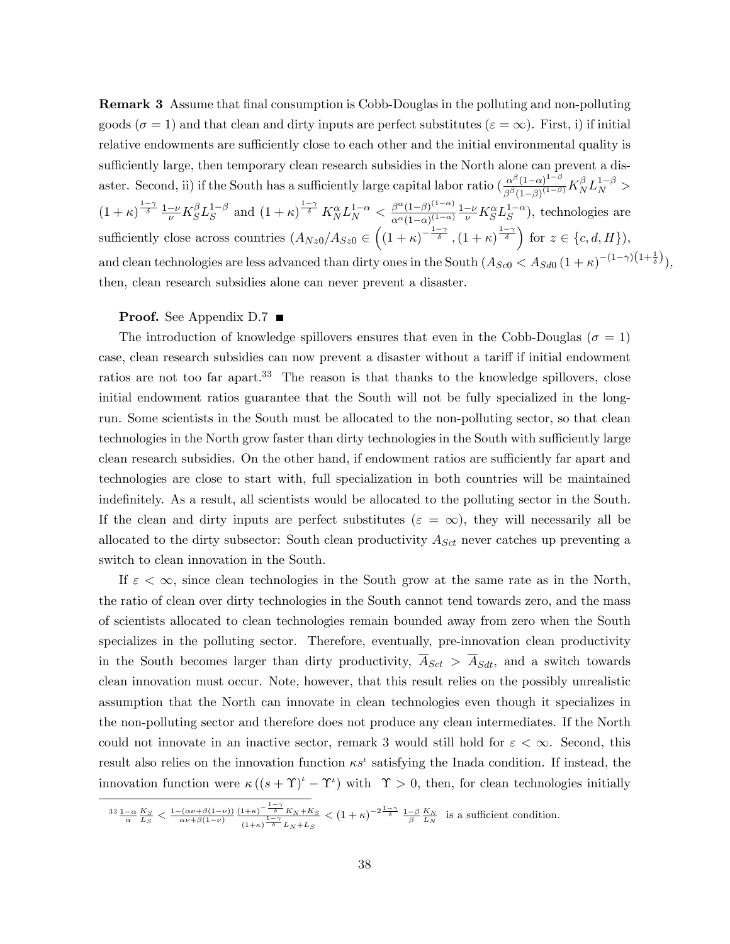**Remark 3** Assume that final consumption is Cobb-Douglas in the polluting and non-polluting goods ( $\sigma = 1$ ) and that clean and dirty inputs are perfect substitutes ( $\varepsilon = \infty$ ). First, i) if initial relative endowments are sufficiently close to each other and the initial environmental quality is sufficiently large, then temporary clean research subsidies in the North alone can prevent a disaster. Second, ii) if the South has a sufficiently large capital labor ratio  $\left(\frac{\alpha^{\beta}(1-\alpha)^{1-\beta}}{\alpha^{\beta}(1-\alpha)(1-\beta)}\right)$  $\frac{\alpha^{\beta}(1-\alpha)^{1-\beta}}{\beta^{\beta}(1-\beta)^{(1-\beta)}}K_{N}^{\beta}L_{N}^{1-\beta} >$  $(1+\kappa)^{\frac{1-\gamma}{\delta}} \frac{1-\nu}{\nu} K_S^{\beta} L_S^{1-\beta}$  and  $(1+\kappa)^{\frac{1-\gamma}{\delta}} K_N^{\alpha} L_N^{1-\alpha} < \frac{\beta^{\alpha} (1-\beta)^{(1-\alpha)}}{\alpha^{\alpha} (1-\alpha)^{(1-\alpha)}}$  $\frac{\beta^{\alpha}(1-\beta)^{(1-\alpha)}}{\alpha^{\alpha}(1-\alpha)^{(1-\alpha)}}\frac{1-\nu}{\nu}K_{S}^{\alpha}L_{S}^{1-\alpha}),$  technologies are sufficiently close across countries  $(A_{Nz0}/A_{Sz0} \in \left( (1+\kappa)^{-\frac{1-\gamma}{\delta}} , (1+\kappa)^{\frac{1-\gamma}{\delta}} \right)$  for  $z \in \{c, d, H\}$ , and clean technologies are less advanced than dirty ones in the South  $(A_{Sc0} < A_{Sd0} (1 + \kappa)^{-(1-\gamma)(1+\frac{1}{\delta}})$ , then, clean research subsidies alone can never prevent a disaster.

#### **Proof.** See Appendix D.7  $\blacksquare$

The introduction of knowledge spillovers ensures that even in the Cobb-Douglas ( $\sigma = 1$ ) case, clean research subsidies can now prevent a disaster without a tariff if initial endowment ratios are not too far apart.<sup>33</sup> The reason is that thanks to the knowledge spillovers, close initial endowment ratios guarantee that the South will not be fully specialized in the longrun. Some scientists in the South must be allocated to the non-polluting sector, so that clean technologies in the North grow faster than dirty technologies in the South with sufficiently large clean research subsidies. On the other hand, if endowment ratios are sufficiently far apart and technologies are close to start with, full specialization in both countries will be maintained indefinitely. As a result, all scientists would be allocated to the polluting sector in the South. If the clean and dirty inputs are perfect substitutes ( $\varepsilon = \infty$ ), they will necessarily all be allocated to the dirty subsector: South clean productivity  $A_{\text{Sct}}$  never catches up preventing a switch to clean innovation in the South.

If  $\varepsilon < \infty$ , since clean technologies in the South grow at the same rate as in the North, the ratio of clean over dirty technologies in the South cannot tend towards zero, and the mass of scientists allocated to clean technologies remain bounded away from zero when the South specializes in the polluting sector. Therefore, eventually, pre-innovation clean productivity in the South becomes larger than dirty productivity,  $\overline{A}_{Sct} > \overline{A}_{Sdt}$ , and a switch towards clean innovation must occur. Note, however, that this result relies on the possibly unrealistic assumption that the North can innovate in clean technologies even though it specializes in the non-polluting sector and therefore does not produce any clean intermediates. If the North could not innovate in an inactive sector, remark 3 would still hold for  $\varepsilon < \infty$ . Second, this result also relies on the innovation function  $\kappa s^{\iota}$  satisfying the Inada condition. If instead, the innovation function were  $\kappa ((s + \Upsilon)^t - \Upsilon^t)$  with  $\Upsilon > 0$ , then, for clean technologies initially

$$
\frac{33 \frac{1-\alpha}{\alpha} \frac{K_S}{L_S}}{\alpha} < \frac{1 - \frac{(\alpha \nu + \beta(1-\nu))}{\alpha \nu + \beta(1-\nu)} \frac{(1+\kappa)^{-\frac{1-\gamma}{\delta}} K_N + K_S}{(1+\kappa)^{\frac{1-\gamma}{\delta}} L_N + L_S} < (1+\kappa)^{-2\frac{1-\gamma}{\delta}} \frac{1-\beta}{\beta} \frac{K_N}{L_N} \text{ is a sufficient condition.}
$$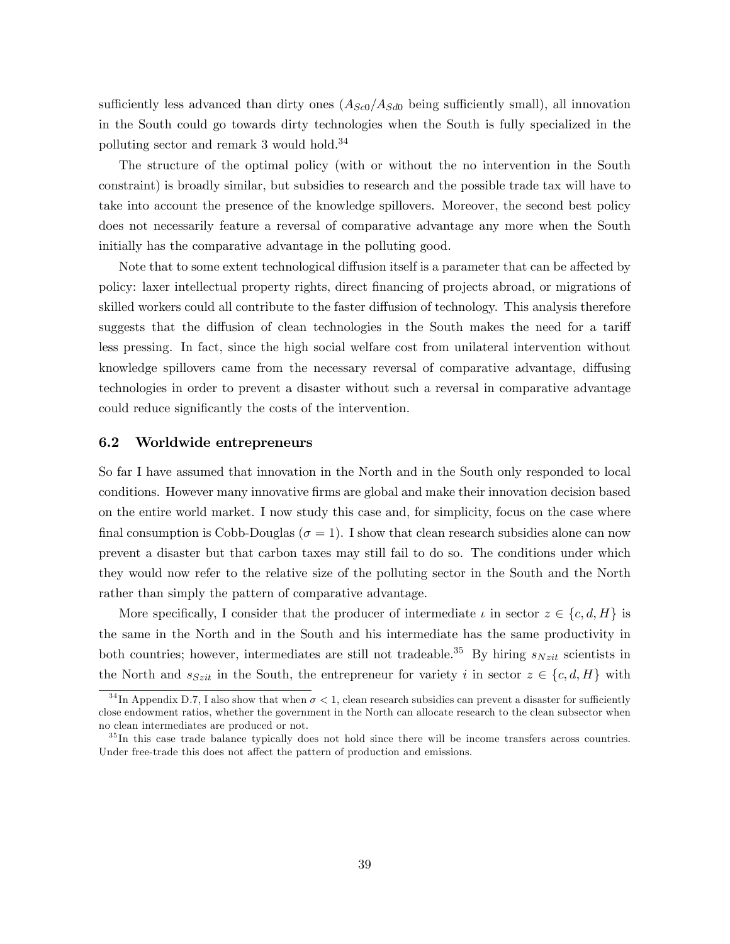sufficiently less advanced than dirty ones  $(A_{Sc0}/A_{Sd0}$  being sufficiently small), all innovation in the South could go towards dirty technologies when the South is fully specialized in the polluting sector and remark 3 would hold.<sup>34</sup>

The structure of the optimal policy (with or without the no intervention in the South constraint) is broadly similar, but subsidies to research and the possible trade tax will have to take into account the presence of the knowledge spillovers. Moreover, the second best policy does not necessarily feature a reversal of comparative advantage any more when the South initially has the comparative advantage in the polluting good.

Note that to some extent technological diffusion itself is a parameter that can be affected by policy: laxer intellectual property rights, direct Önancing of projects abroad, or migrations of skilled workers could all contribute to the faster diffusion of technology. This analysis therefore suggests that the diffusion of clean technologies in the South makes the need for a tariff less pressing. In fact, since the high social welfare cost from unilateral intervention without knowledge spillovers came from the necessary reversal of comparative advantage, diffusing technologies in order to prevent a disaster without such a reversal in comparative advantage could reduce significantly the costs of the intervention.

## 6.2 Worldwide entrepreneurs

So far I have assumed that innovation in the North and in the South only responded to local conditions. However many innovative Örms are global and make their innovation decision based on the entire world market. I now study this case and, for simplicity, focus on the case where final consumption is Cobb-Douglas ( $\sigma = 1$ ). I show that clean research subsidies alone can now prevent a disaster but that carbon taxes may still fail to do so. The conditions under which they would now refer to the relative size of the polluting sector in the South and the North rather than simply the pattern of comparative advantage.

More specifically, I consider that the producer of intermediate  $\iota$  in sector  $z \in \{c, d, H\}$  is the same in the North and in the South and his intermediate has the same productivity in both countries; however, intermediates are still not tradeable.<sup>35</sup> By hiring  $s_{Nzit}$  scientists in the North and  $s_{Szit}$  in the South, the entrepreneur for variety i in sector  $z \in \{c, d, H\}$  with

<sup>&</sup>lt;sup>34</sup>In Appendix D.7, I also show that when  $\sigma < 1$ , clean research subsidies can prevent a disaster for sufficiently close endowment ratios, whether the government in the North can allocate research to the clean subsector when no clean intermediates are produced or not.

 $35$  In this case trade balance typically does not hold since there will be income transfers across countries. Under free-trade this does not affect the pattern of production and emissions.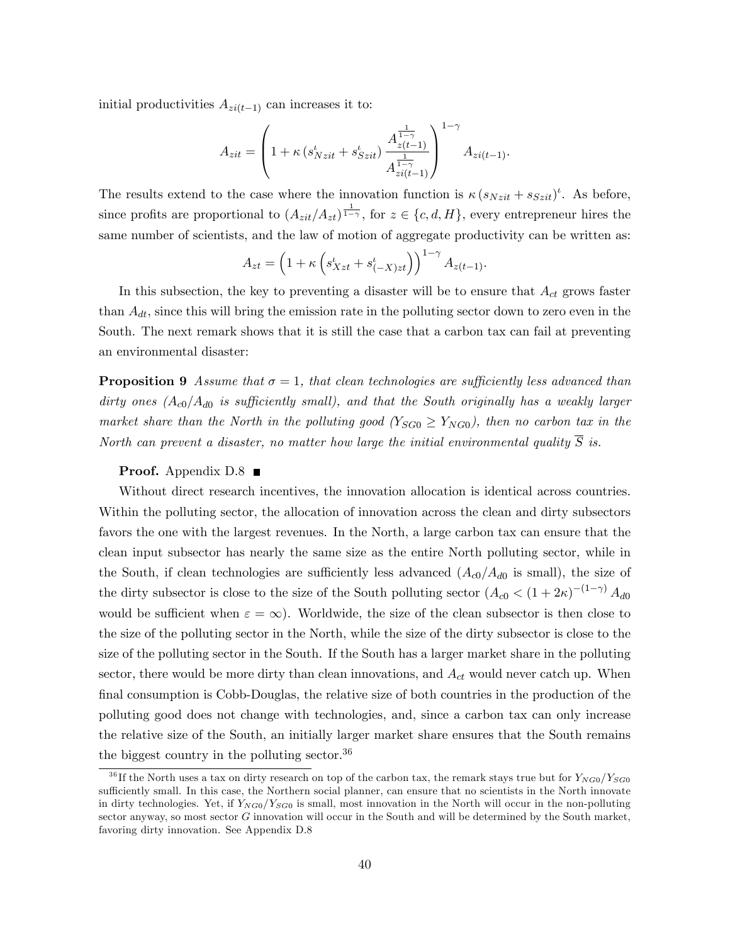initial productivities  $A_{zi(t-1)}$  can increases it to:

$$
A_{zit} = \left(1 + \kappa \left(s_{Nzit}^{\iota} + s_{Szit}^{\iota}\right) \frac{A_{z(t-1)}^{1-\gamma}}{A_{zit}^{1-\gamma}}\right)^{1-\gamma} A_{zi(t-1)}.
$$

The results extend to the case where the innovation function is  $\kappa (s_{Nzit} + s_{Szit})^t$ . As before, since profits are proportional to  $(A_{zit}/A_{zt})^{\frac{1}{1-\gamma}}$ , for  $z \in \{c, d, H\}$ , every entrepreneur hires the same number of scientists, and the law of motion of aggregate productivity can be written as:

$$
A_{zt} = \left(1 + \kappa \left(s_{Xzt}^t + s_{(-X)zt}^t\right)\right)^{1-\gamma} A_{z(t-1)}.
$$

In this subsection, the key to preventing a disaster will be to ensure that  $A_{ct}$  grows faster than  $A_{dt}$ , since this will bring the emission rate in the polluting sector down to zero even in the South. The next remark shows that it is still the case that a carbon tax can fail at preventing an environmental disaster:

**Proposition 9** Assume that  $\sigma = 1$ , that clean technologies are sufficiently less advanced than dirty ones  $(A_{c0}/A_{d0}$  is sufficiently small), and that the South originally has a weakly larger market share than the North in the polluting good  $(Y_{SG0} \ge Y_{NG0})$ , then no carbon tax in the North can prevent a disaster, no matter how large the initial environmental quality  $\overline{S}$  is.

#### **Proof.** Appendix  $D.8$

Without direct research incentives, the innovation allocation is identical across countries. Within the polluting sector, the allocation of innovation across the clean and dirty subsectors favors the one with the largest revenues. In the North, a large carbon tax can ensure that the clean input subsector has nearly the same size as the entire North polluting sector, while in the South, if clean technologies are sufficiently less advanced  $(A_{c0}/A_{d0}$  is small), the size of the dirty subsector is close to the size of the South polluting sector  $(A_{c0} < (1 + 2\kappa)^{-(1-\gamma)} A_{d0}$ would be sufficient when  $\varepsilon = \infty$ ). Worldwide, the size of the clean subsector is then close to the size of the polluting sector in the North, while the size of the dirty subsector is close to the size of the polluting sector in the South. If the South has a larger market share in the polluting sector, there would be more dirty than clean innovations, and  $A_{ct}$  would never catch up. When final consumption is Cobb-Douglas, the relative size of both countries in the production of the polluting good does not change with technologies, and, since a carbon tax can only increase the relative size of the South, an initially larger market share ensures that the South remains the biggest country in the polluting sector.  $36$ 

<sup>&</sup>lt;sup>36</sup> If the North uses a tax on dirty research on top of the carbon tax, the remark stays true but for  $Y_{NG0}/Y_{SG0}$ sufficiently small. In this case, the Northern social planner, can ensure that no scientists in the North innovate in dirty technologies. Yet, if  $Y_{NG0}/Y_{SG0}$  is small, most innovation in the North will occur in the non-polluting sector anyway, so most sector G innovation will occur in the South and will be determined by the South market, favoring dirty innovation. See Appendix D.8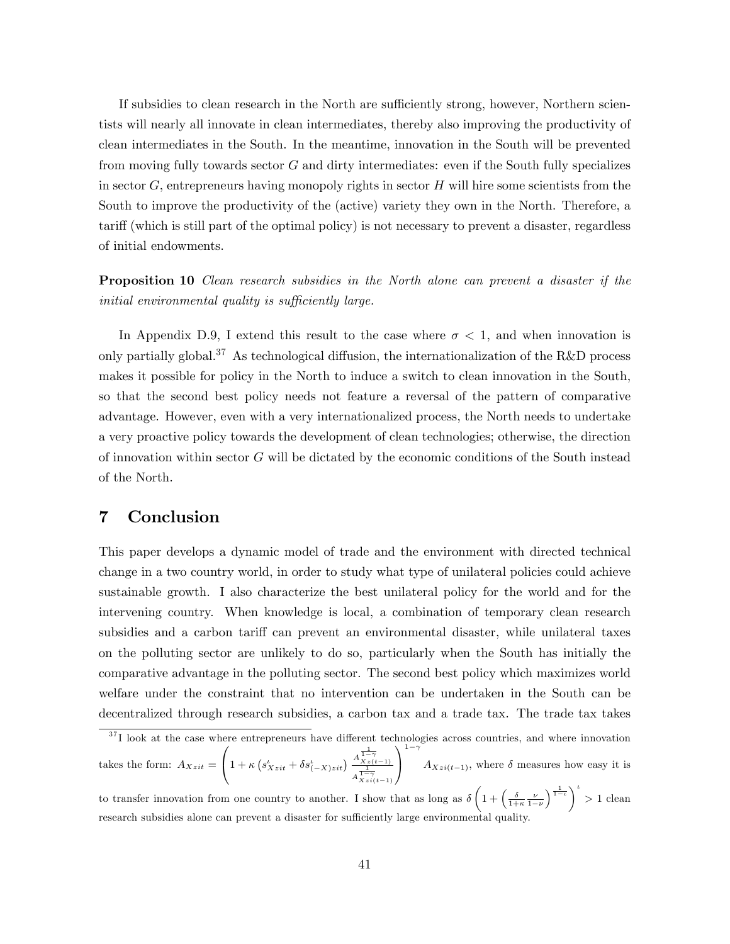If subsidies to clean research in the North are sufficiently strong, however, Northern scientists will nearly all innovate in clean intermediates, thereby also improving the productivity of clean intermediates in the South. In the meantime, innovation in the South will be prevented from moving fully towards sector  $G$  and dirty intermediates: even if the South fully specializes in sector  $G$ , entrepreneurs having monopoly rights in sector  $H$  will hire some scientists from the South to improve the productivity of the (active) variety they own in the North. Therefore, a tariff (which is still part of the optimal policy) is not necessary to prevent a disaster, regardless of initial endowments.

**Proposition 10** Clean research subsidies in the North alone can prevent a disaster if the initial environmental quality is sufficiently large.

In Appendix D.9, I extend this result to the case where  $\sigma < 1$ , and when innovation is only partially global.<sup>37</sup> As technological diffusion, the internationalization of the R&D process makes it possible for policy in the North to induce a switch to clean innovation in the South, so that the second best policy needs not feature a reversal of the pattern of comparative advantage. However, even with a very internationalized process, the North needs to undertake a very proactive policy towards the development of clean technologies; otherwise, the direction of innovation within sector  $G$  will be dictated by the economic conditions of the South instead of the North.

# 7 Conclusion

This paper develops a dynamic model of trade and the environment with directed technical change in a two country world, in order to study what type of unilateral policies could achieve sustainable growth. I also characterize the best unilateral policy for the world and for the intervening country. When knowledge is local, a combination of temporary clean research subsidies and a carbon tariff can prevent an environmental disaster, while unilateral taxes on the polluting sector are unlikely to do so, particularly when the South has initially the comparative advantage in the polluting sector. The second best policy which maximizes world welfare under the constraint that no intervention can be undertaken in the South can be decentralized through research subsidies, a carbon tax and a trade tax. The trade tax takes

 $37$  I look at the case where entrepreneurs have different technologies across countries, and where innovation takes the form:  $A_{Xzit} =$  $\sqrt{ }$  $\left(1+\kappa\left(s_{X\,zit}^{\iota}+\delta s_{(-X)zit}^{\iota}\right)\frac{A_{X\,z\,(t-1)}^{\frac{1}{1-\gamma}}}{\frac{1}{1-\gamma}}\right)$  $\frac{1}{A\frac{1-\gamma}{Xz_i(t-1)}}$ 1 A  $1-\gamma$  $A_{Xzi(t-1)}$ , where  $\delta$  measures how easy it is to transfer innovation from one country to another. I show that as long as  $\delta\left(1+\left(\frac{\delta}{1+\kappa}\frac{\nu}{1-\nu}\right)\right)$  $\left(\frac{1}{1-\iota}\right)^{\iota} > 1$  clean research subsidies alone can prevent a disaster for sufficiently large environmental quality.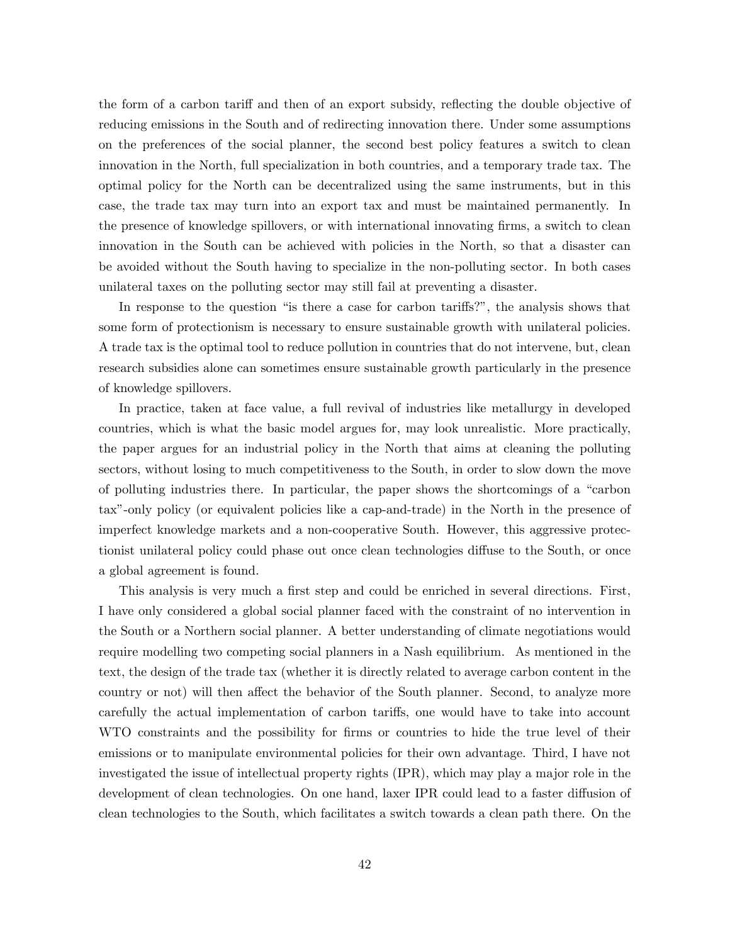the form of a carbon tariff and then of an export subsidy, reflecting the double objective of reducing emissions in the South and of redirecting innovation there. Under some assumptions on the preferences of the social planner, the second best policy features a switch to clean innovation in the North, full specialization in both countries, and a temporary trade tax. The optimal policy for the North can be decentralized using the same instruments, but in this case, the trade tax may turn into an export tax and must be maintained permanently. In the presence of knowledge spillovers, or with international innovating firms, a switch to clean innovation in the South can be achieved with policies in the North, so that a disaster can be avoided without the South having to specialize in the non-polluting sector. In both cases unilateral taxes on the polluting sector may still fail at preventing a disaster.

In response to the question "is there a case for carbon tariffs?", the analysis shows that some form of protectionism is necessary to ensure sustainable growth with unilateral policies. A trade tax is the optimal tool to reduce pollution in countries that do not intervene, but, clean research subsidies alone can sometimes ensure sustainable growth particularly in the presence of knowledge spillovers.

In practice, taken at face value, a full revival of industries like metallurgy in developed countries, which is what the basic model argues for, may look unrealistic. More practically, the paper argues for an industrial policy in the North that aims at cleaning the polluting sectors, without losing to much competitiveness to the South, in order to slow down the move of polluting industries there. In particular, the paper shows the shortcomings of a "carbon taxî-only policy (or equivalent policies like a cap-and-trade) in the North in the presence of imperfect knowledge markets and a non-cooperative South. However, this aggressive protectionist unilateral policy could phase out once clean technologies diffuse to the South, or once a global agreement is found.

This analysis is very much a first step and could be enriched in several directions. First, I have only considered a global social planner faced with the constraint of no intervention in the South or a Northern social planner. A better understanding of climate negotiations would require modelling two competing social planners in a Nash equilibrium. As mentioned in the text, the design of the trade tax (whether it is directly related to average carbon content in the country or not) will then affect the behavior of the South planner. Second, to analyze more carefully the actual implementation of carbon tariffs, one would have to take into account WTO constraints and the possibility for firms or countries to hide the true level of their emissions or to manipulate environmental policies for their own advantage. Third, I have not investigated the issue of intellectual property rights (IPR), which may play a major role in the development of clean technologies. On one hand, laxer IPR could lead to a faster diffusion of clean technologies to the South, which facilitates a switch towards a clean path there. On the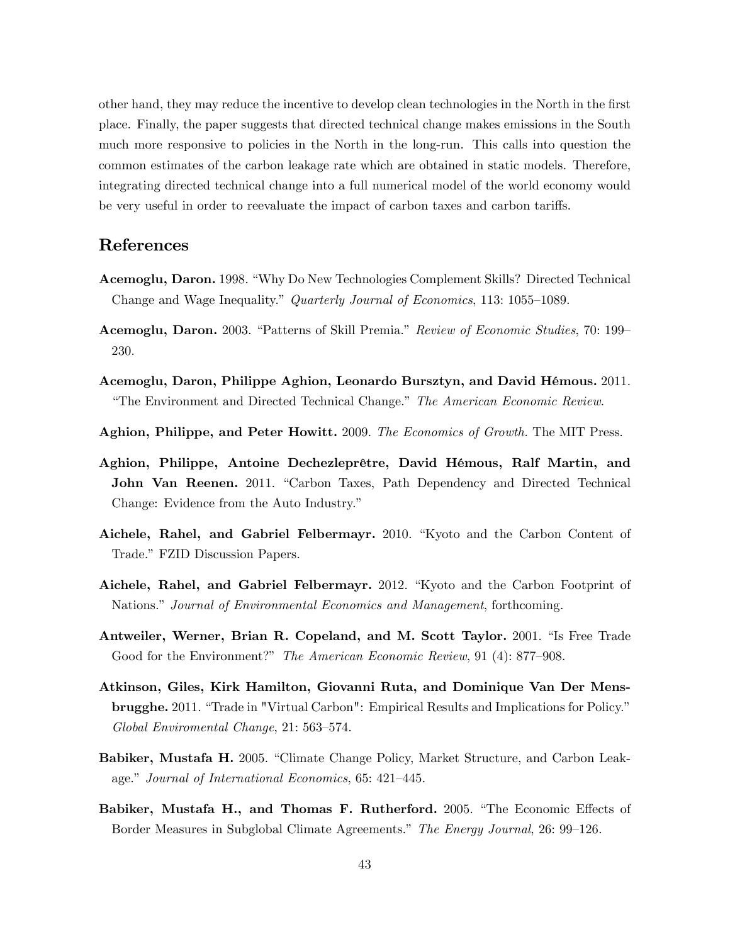other hand, they may reduce the incentive to develop clean technologies in the North in the first place. Finally, the paper suggests that directed technical change makes emissions in the South much more responsive to policies in the North in the long-run. This calls into question the common estimates of the carbon leakage rate which are obtained in static models. Therefore, integrating directed technical change into a full numerical model of the world economy would be very useful in order to reevaluate the impact of carbon taxes and carbon tariffs.

# **References**

- **Acemoglu, Daron.** 1998. "Why Do New Technologies Complement Skills? Directed Technical Change and Wage Inequality." Quarterly Journal of Economics, 113: 1055–1089.
- **Acemoglu, Daron.** 2003. "Patterns of Skill Premia." Review of Economic Studies, 70: 199 230.
- Acemoglu, Daron, Philippe Aghion, Leonardo Bursztyn, and David Hémous. 2011. "The Environment and Directed Technical Change." The American Economic Review.
- Aghion, Philippe, and Peter Howitt. 2009. The Economics of Growth. The MIT Press.
- Aghion, Philippe, Antoine Dechezleprêtre, David Hémous, Ralf Martin, and John Van Reenen. 2011. "Carbon Taxes, Path Dependency and Directed Technical Change: Evidence from the Auto Industry."
- Aichele, Rahel, and Gabriel Felbermayr. 2010. "Kyoto and the Carbon Content of Trade." FZID Discussion Papers.
- Aichele, Rahel, and Gabriel Felbermayr. 2012. "Kyoto and the Carbon Footprint of Nations." Journal of Environmental Economics and Management, forthcoming.
- Antweiler, Werner, Brian R. Copeland, and M. Scott Taylor. 2001. "Is Free Trade Good for the Environment?" The American Economic Review, 91 (4): 877–908.
- Atkinson, Giles, Kirk Hamilton, Giovanni Ruta, and Dominique Van Der Mensbrugghe. 2011. "Trade in "Virtual Carbon": Empirical Results and Implications for Policy." Global Enviromental Change, 21: 563-574.
- **Babiker, Mustafa H.** 2005. "Climate Change Policy, Market Structure, and Carbon Leakage." Journal of International Economics, 65: 421-445.
- Babiker, Mustafa H., and Thomas F. Rutherford. 2005. "The Economic Effects of Border Measures in Subglobal Climate Agreements." The Energy Journal, 26: 99–126.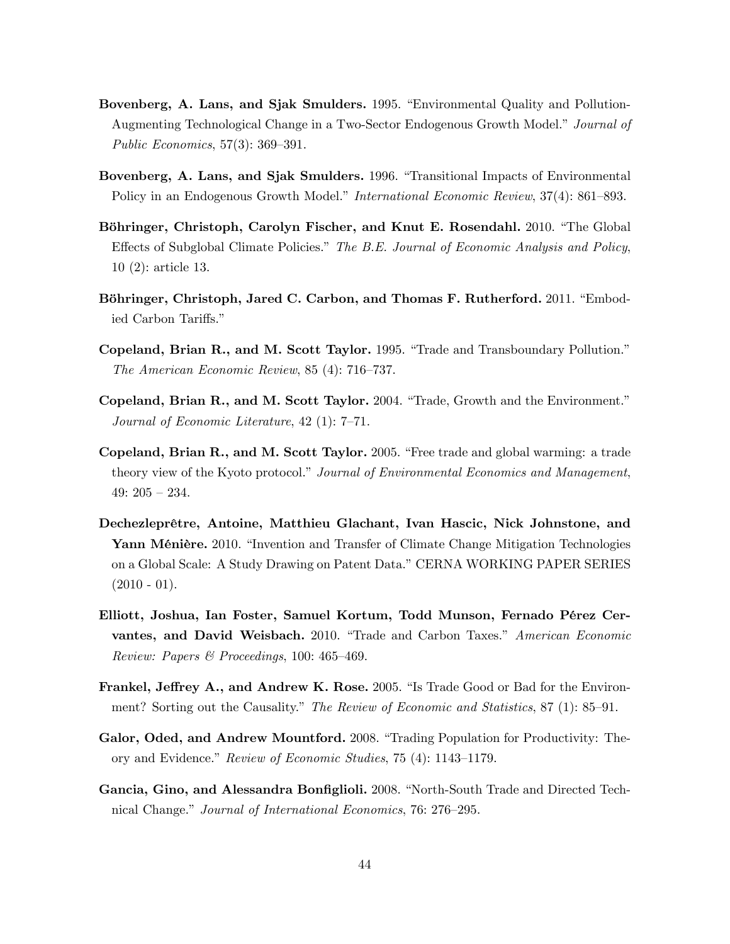- Bovenberg, A. Lans, and Sjak Smulders. 1995. "Environmental Quality and Pollution-Augmenting Technological Change in a Two-Sector Endogenous Growth Model." Journal of *Public Economics*,  $57(3)$ :  $369-391$ .
- Bovenberg, A. Lans, and Sjak Smulders. 1996. "Transitional Impacts of Environmental Policy in an Endogenous Growth Model." International Economic Review, 37(4): 861–893.
- Böhringer, Christoph, Carolyn Fischer, and Knut E. Rosendahl. 2010. "The Global Effects of Subglobal Climate Policies." The B.E. Journal of Economic Analysis and Policy,  $10(2)$ : article 13.
- Böhringer, Christoph, Jared C. Carbon, and Thomas F. Rutherford. 2011. "Embodied Carbon Tariffs."
- Copeland, Brian R., and M. Scott Taylor. 1995. "Trade and Transboundary Pollution." The American Economic Review, 85 (4): 716–737.
- Copeland, Brian R., and M. Scott Taylor. 2004. "Trade, Growth and the Environment." Journal of Economic Literature,  $42(1)$ : 7-71.
- Copeland, Brian R., and M. Scott Taylor. 2005. "Free trade and global warming: a trade theory view of the Kyoto protocol." Journal of Environmental Economics and Management, 49:  $205 - 234$ .
- Dechezleprêtre, Antoine, Matthieu Glachant, Ivan Hascic, Nick Johnstone, and Yann Ménière. 2010. "Invention and Transfer of Climate Change Mitigation Technologies on a Global Scale: A Study Drawing on Patent Data." CERNA WORKING PAPER SERIES  $(2010 - 01).$
- Elliott, Joshua, Ian Foster, Samuel Kortum, Todd Munson, Fernado Pérez Cervantes, and David Weisbach. 2010. "Trade and Carbon Taxes." American Economic Review: Papers & Proceedings, 100: 465-469.
- Frankel, Jeffrey A., and Andrew K. Rose. 2005. "Is Trade Good or Bad for the Environment? Sorting out the Causality." The Review of Economic and Statistics, 87 (1): 85–91.
- Galor, Oded, and Andrew Mountford. 2008. "Trading Population for Productivity: Theory and Evidence." Review of Economic Studies, 75 (4): 1143-1179.
- Gancia, Gino, and Alessandra Bonfiglioli. 2008. "North-South Trade and Directed Technical Change." Journal of International Economics, 76: 276–295.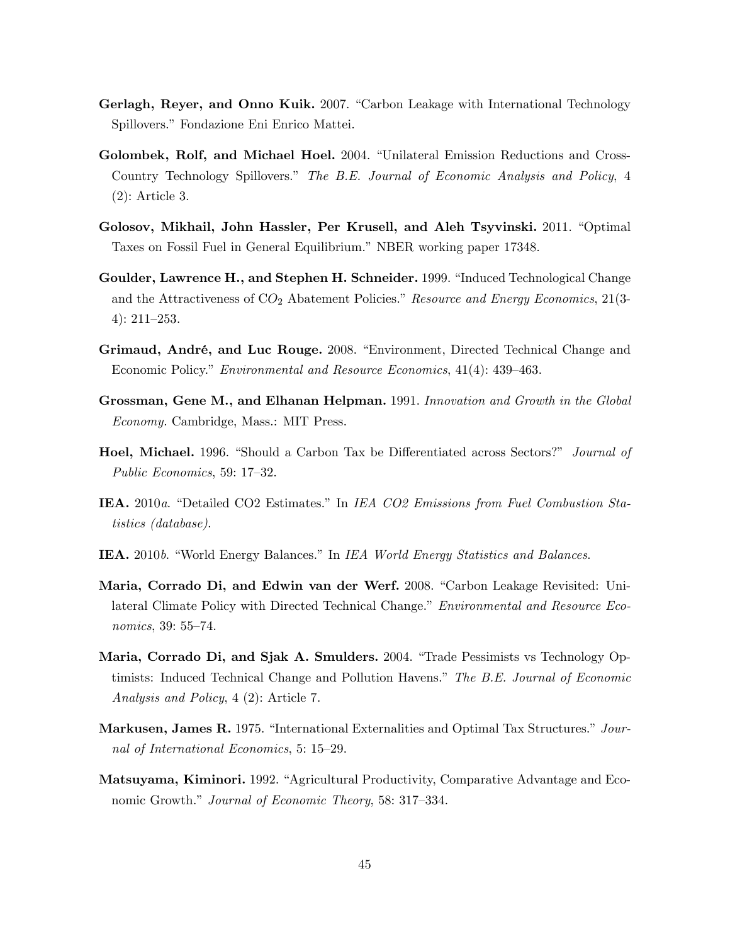- Gerlagh, Reyer, and Onno Kuik. 2007. "Carbon Leakage with International Technology Spillovers." Fondazione Eni Enrico Mattei.
- Golombek, Rolf, and Michael Hoel. 2004. "Unilateral Emission Reductions and Cross-Country Technology Spillovers." The B.E. Journal of Economic Analysis and Policy, 4  $(2)$ : Article 3.
- Golosov, Mikhail, John Hassler, Per Krusell, and Aleh Tsyvinski. 2011. "Optimal Taxes on Fossil Fuel in General Equilibrium." NBER working paper 17348.
- Goulder, Lawrence H., and Stephen H. Schneider. 1999. "Induced Technological Change and the Attractiveness of  $CO<sub>2</sub>$  Abatement Policies." Resource and Energy Economics, 21(3- $4)$ : 211-253.
- Grimaud, André, and Luc Rouge. 2008. "Environment, Directed Technical Change and Economic Policy." *Environmental and Resource Economics*, 41(4): 439–463.
- Grossman, Gene M., and Elhanan Helpman. 1991. Innovation and Growth in the Global *Economy.* Cambridge, Mass.: MIT Press.
- Hoel, Michael. 1996. "Should a Carbon Tax be Differentiated across Sectors?" Journal of Public Economics, 59: 17-32.
- IEA. 2010a. "Detailed CO2 Estimates." In IEA CO2 Emissions from Fuel Combustion Sta*tistics* (*database*).
- IEA. 2010b. "World Energy Balances." In IEA World Energy Statistics and Balances.
- Maria, Corrado Di, and Edwin van der Werf. 2008. "Carbon Leakage Revisited: Unilateral Climate Policy with Directed Technical Change." *Environmental and Resource Eco*nomics, 39: 55-74.
- Maria, Corrado Di, and Sjak A. Smulders. 2004. "Trade Pessimists vs Technology Optimists: Induced Technical Change and Pollution Havens." The B.E. Journal of Economic *Analysis and Policy*, 4 (2): Article 7.
- **Markusen, James R. 1975.** "International Externalities and Optimal Tax Structures." Journal of International Economics, 5: 15–29.
- Matsuyama, Kiminori. 1992. "Agricultural Productivity, Comparative Advantage and Economic Growth." Journal of Economic Theory, 58: 317-334.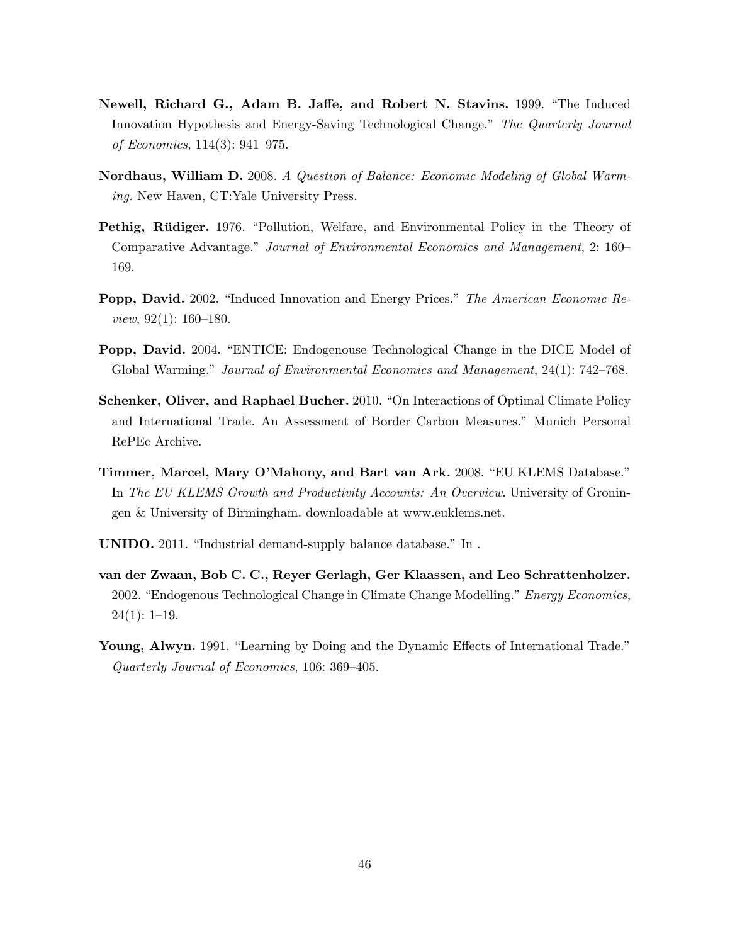- Newell, Richard G., Adam B. Jaffe, and Robert N. Stavins. 1999. "The Induced Innovation Hypothesis and Energy-Saving Technological Change." The Quarterly Journal of Economics,  $114(3)$ : 941-975.
- Nordhaus, William D. 2008. A Question of Balance: Economic Modeling of Global Warming. New Haven, CT: Yale University Press.
- Pethig, Rüdiger. 1976. "Pollution, Welfare, and Environmental Policy in the Theory of Comparative Advantage." Journal of Environmental Economics and Management, 2: 160– 169.
- **Popp, David.** 2002. "Induced Innovation and Energy Prices." The American Economic Re*view*,  $92(1)$ :  $160-180$ .
- **Popp, David.** 2004. "ENTICE: Endogenouse Technological Change in the DICE Model of Global Warming." Journal of Environmental Economics and Management, 24(1): 742–768.
- Schenker, Oliver, and Raphael Bucher. 2010. "On Interactions of Optimal Climate Policy and International Trade. An Assessment of Border Carbon Measures." Munich Personal RePEc Archive.
- Timmer, Marcel, Mary O'Mahony, and Bart van Ark. 2008. "EU KLEMS Database." In The EU KLEMS Growth and Productivity Accounts: An Overview. University of Groningen & University of Birmingham. downloadable at www.euklems.net.
- **UNIDO.** 2011. "Industrial demand-supply balance database." In .
- van der Zwaan, Bob C. C., Reyer Gerlagh, Ger Klaassen, and Leo Schrattenholzer. 2002. "Endogenous Technological Change in Climate Change Modelling." Energy Economics,  $24(1): 1-19.$
- Young, Alwyn. 1991. "Learning by Doing and the Dynamic Effects of International Trade." Quarterly Journal of Economics, 106: 369-405.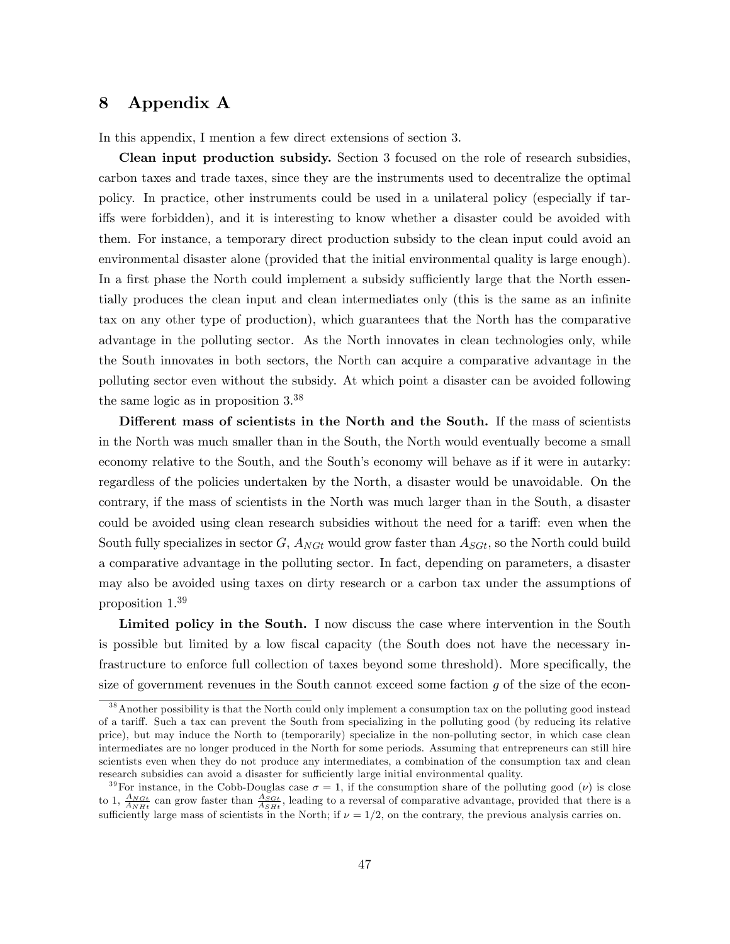# 8 Appendix A

In this appendix, I mention a few direct extensions of section 3.

Clean input production subsidy. Section 3 focused on the role of research subsidies, carbon taxes and trade taxes, since they are the instruments used to decentralize the optimal policy. In practice, other instruments could be used in a unilateral policy (especially if tariffs were forbidden), and it is interesting to know whether a disaster could be avoided with them. For instance, a temporary direct production subsidy to the clean input could avoid an environmental disaster alone (provided that the initial environmental quality is large enough). In a first phase the North could implement a subsidy sufficiently large that the North essentially produces the clean input and clean intermediates only (this is the same as an infinite tax on any other type of production), which guarantees that the North has the comparative advantage in the polluting sector. As the North innovates in clean technologies only, while the South innovates in both sectors, the North can acquire a comparative advantage in the polluting sector even without the subsidy. At which point a disaster can be avoided following the same logic as in proposition 3.<sup>38</sup>

Different mass of scientists in the North and the South. If the mass of scientists in the North was much smaller than in the South, the North would eventually become a small economy relative to the South, and the South's economy will behave as if it were in autarky: regardless of the policies undertaken by the North, a disaster would be unavoidable. On the contrary, if the mass of scientists in the North was much larger than in the South, a disaster could be avoided using clean research subsidies without the need for a tariff: even when the South fully specializes in sector  $G$ ,  $A_{NGt}$  would grow faster than  $A_{SGt}$ , so the North could build a comparative advantage in the polluting sector. In fact, depending on parameters, a disaster may also be avoided using taxes on dirty research or a carbon tax under the assumptions of proposition 1.<sup>39</sup>

Limited policy in the South. I now discuss the case where intervention in the South is possible but limited by a low Öscal capacity (the South does not have the necessary infrastructure to enforce full collection of taxes beyond some threshold). More specifically, the size of government revenues in the South cannot exceed some faction  $g$  of the size of the econ-

<sup>&</sup>lt;sup>38</sup> Another possibility is that the North could only implement a consumption tax on the polluting good instead of a tariff. Such a tax can prevent the South from specializing in the polluting good (by reducing its relative price), but may induce the North to (temporarily) specialize in the non-polluting sector, in which case clean intermediates are no longer produced in the North for some periods. Assuming that entrepreneurs can still hire scientists even when they do not produce any intermediates, a combination of the consumption tax and clean research subsidies can avoid a disaster for sufficiently large initial environmental quality.

<sup>&</sup>lt;sup>39</sup>For instance, in the Cobb-Douglas case  $\sigma = 1$ , if the consumption share of the polluting good  $(\nu)$  is close to 1,  $\frac{A_{NGI}}{A_{NHt}}$  can grow faster than  $\frac{A_{SGI}}{A_{SHt}}$ , leading to a reversal of comparative advantage, provided that there is a sufficiently large mass of scientists in the North; if  $\nu = 1/2$ , on the contrary, the previous analysis carries on.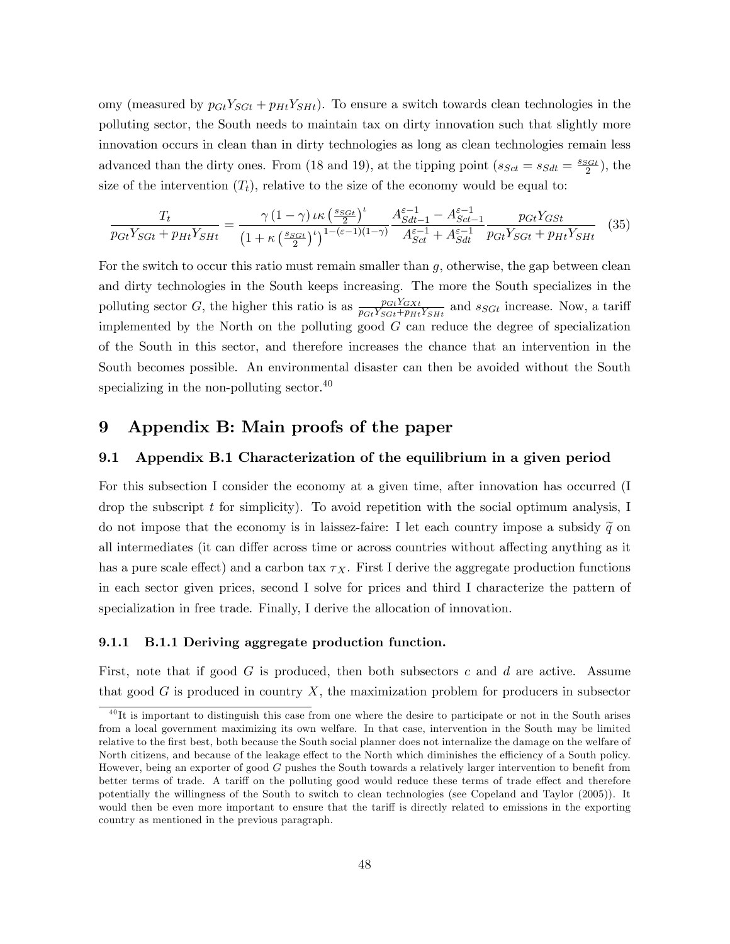omy (measured by  $p_{Gt}Y_{SGL} + p_{Ht}Y_{SHe}$ ). To ensure a switch towards clean technologies in the polluting sector, the South needs to maintain tax on dirty innovation such that slightly more innovation occurs in clean than in dirty technologies as long as clean technologies remain less advanced than the dirty ones. From (18 and 19), at the tipping point  $(s_{Sct} = s_{Sdt} = \frac{s_{Sdt}}{2})$ , the size of the intervention  $(T_t)$ , relative to the size of the economy would be equal to:

$$
\frac{T_t}{p_{Gt}Y_{SGt} + p_{Ht}Y_{SHt}} = \frac{\gamma (1 - \gamma) \iota \kappa \left(\frac{s_{SGt}}{2}\right)^t}{\left(1 + \kappa \left(\frac{s_{SGt}}{2}\right)^t\right)^{1 - (\varepsilon - 1)(1 - \gamma)}} \frac{A_{Sdt - 1}^{\varepsilon - 1} - A_{Sct - 1}^{\varepsilon - 1}}{A_{Sct}^{\varepsilon - 1} + A_{Sdt}^{\varepsilon - 1}} \frac{p_{Gt}Y_{GSt}}{p_{Gt}Y_{SGt} + p_{Ht}Y_{SHt}} \tag{35}
$$

For the switch to occur this ratio must remain smaller than  $g$ , otherwise, the gap between clean and dirty technologies in the South keeps increasing. The more the South specializes in the polluting sector G, the higher this ratio is as  $\frac{p_{GI}Y_{GXt}}{p_{GI}Y_{SGI}+p_{Hi}Y_{SHi}}$  and  $s_{SGt}$  increase. Now, a tariff implemented by the North on the polluting good  $G$  can reduce the degree of specialization of the South in this sector, and therefore increases the chance that an intervention in the South becomes possible. An environmental disaster can then be avoided without the South specializing in the non-polluting sector. $40$ 

# 9 Appendix B: Main proofs of the paper

## 9.1 Appendix B.1 Characterization of the equilibrium in a given period

For this subsection I consider the economy at a given time, after innovation has occurred (I drop the subscript  $t$  for simplicity). To avoid repetition with the social optimum analysis, I do not impose that the economy is in laissez-faire: I let each country impose a subsidy  $\tilde{q}$  on all intermediates (it can differ across time or across countries without affecting anything as it has a pure scale effect) and a carbon tax  $\tau_X$ . First I derive the aggregate production functions in each sector given prices, second I solve for prices and third I characterize the pattern of specialization in free trade. Finally, I derive the allocation of innovation.

#### 9.1.1 B.1.1 Deriving aggregate production function.

First, note that if good  $G$  is produced, then both subsectors c and d are active. Assume that good  $G$  is produced in country  $X$ , the maximization problem for producers in subsector

<sup>&</sup>lt;sup>40</sup>It is important to distinguish this case from one where the desire to participate or not in the South arises from a local government maximizing its own welfare. In that case, intervention in the South may be limited relative to the Örst best, both because the South social planner does not internalize the damage on the welfare of North citizens, and because of the leakage effect to the North which diminishes the efficiency of a South policy. However, being an exporter of good  $G$  pushes the South towards a relatively larger intervention to benefit from better terms of trade. A tariff on the polluting good would reduce these terms of trade effect and therefore potentially the willingness of the South to switch to clean technologies (see Copeland and Taylor (2005)). It would then be even more important to ensure that the tariff is directly related to emissions in the exporting country as mentioned in the previous paragraph.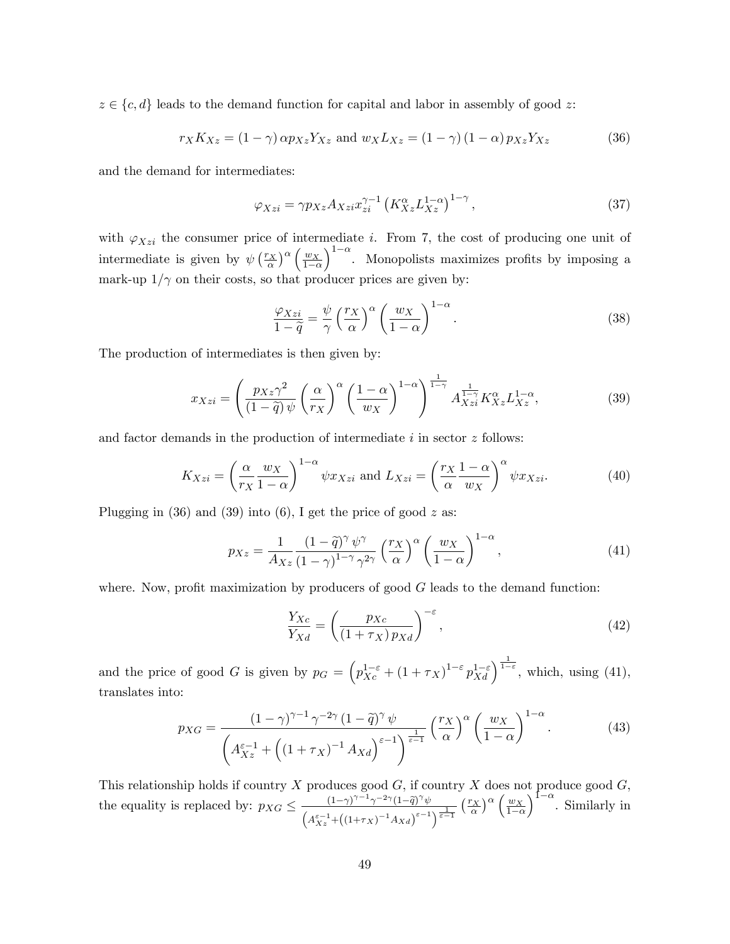$z \in \{c, d\}$  leads to the demand function for capital and labor in assembly of good z:

$$
r_X K_{Xz} = (1 - \gamma) \alpha p_{Xz} Y_{Xz} \text{ and } w_X L_{Xz} = (1 - \gamma) (1 - \alpha) p_{Xz} Y_{Xz}
$$
(36)

and the demand for intermediates:

$$
\varphi_{Xzi} = \gamma p_{Xz} A_{Xzi} x_{zi}^{\gamma - 1} \left( K_{Xz}^{\alpha} L_{Xz}^{1 - \alpha} \right)^{1 - \gamma}, \tag{37}
$$

with  $\varphi_{Xzi}$  the consumer price of intermediate i. From 7, the cost of producing one unit of intermediate is given by  $\psi \left(\frac{r_X}{\alpha}\right)^{\alpha} \left(\frac{w_X}{1-c}\right)$  $1-\alpha$  $1-\alpha$ . Monopolists maximizes profits by imposing a mark-up  $1/\gamma$  on their costs, so that producer prices are given by:

$$
\frac{\varphi_{Xzi}}{1-\tilde{q}} = \frac{\psi}{\gamma} \left(\frac{r_X}{\alpha}\right)^{\alpha} \left(\frac{w_X}{1-\alpha}\right)^{1-\alpha}.
$$
\n(38)

The production of intermediates is then given by:

$$
x_{Xzi} = \left(\frac{p_{Xz}\gamma^2}{(1-\tilde{q})\,\psi} \left(\frac{\alpha}{r_X}\right)^{\alpha} \left(\frac{1-\alpha}{w_X}\right)^{1-\alpha}\right)^{\frac{1}{1-\gamma}} A_{Xzi}^{\frac{1}{1-\gamma}} K_{Xz}^{\alpha} L_{Xz}^{1-\alpha},\tag{39}
$$

and factor demands in the production of intermediate  $i$  in sector  $z$  follows:

$$
K_{Xzi} = \left(\frac{\alpha}{r_X} \frac{w_X}{1-\alpha}\right)^{1-\alpha} \psi x_{Xzi} \text{ and } L_{Xzi} = \left(\frac{r_X}{\alpha} \frac{1-\alpha}{w_X}\right)^{\alpha} \psi x_{Xzi}.
$$
 (40)

Plugging in  $(36)$  and  $(39)$  into  $(6)$ , I get the price of good z as:

$$
p_{Xz} = \frac{1}{A_{Xz}} \frac{(1 - \tilde{q})^{\gamma} \psi^{\gamma}}{(1 - \gamma)^{1 - \gamma} \gamma^{2\gamma}} \left(\frac{r_X}{\alpha}\right)^{\alpha} \left(\frac{w_X}{1 - \alpha}\right)^{1 - \alpha},\tag{41}
$$

where. Now, profit maximization by producers of good  $G$  leads to the demand function:

$$
\frac{Y_{Xc}}{Y_{Xd}} = \left(\frac{p_{Xc}}{(1+\tau_X)p_{Xd}}\right)^{-\varepsilon},\tag{42}
$$

and the price of good G is given by  $p_G = \left( p_{Xc}^{1-\varepsilon} + (1+\tau_X)^{1-\varepsilon} p_{Xd}^{1-\varepsilon} \right)^{\frac{1}{1-\varepsilon}}$ , which, using (41), translates into:

$$
p_{XG} = \frac{(1-\gamma)^{\gamma-1}\,\gamma^{-2\gamma}\,(1-\tilde{q})^{\gamma}\,\psi}{\left(A_{Xz}^{\varepsilon-1} + \left((1+\tau_X)^{-1}\,A_{Xd}\right)^{\varepsilon-1}\right)^{\frac{1}{\varepsilon-1}}}\left(\frac{r_X}{\alpha}\right)^{\alpha}\left(\frac{w_X}{1-\alpha}\right)^{1-\alpha}.\tag{43}
$$

This relationship holds if country X produces good  $G$ , if country X does not produce good  $G$ , the equality is replaced by:  $p_{XG} \leq \frac{(1-\gamma)^{\gamma-1} \gamma^{-2\gamma} (1-\tilde{q})^{\gamma} \psi}{(1-\gamma)^{\gamma-1} (1-\gamma)^{\gamma-1}}$  $\left(A_{Xz}^{\varepsilon-1}+\left(\left(1+\tau_X\right)^{-1}A_{Xd}\right)^{\varepsilon-1}\right)^{\frac{1}{\varepsilon-1}}$  $\left(\frac{r_X}{\alpha}\right)^{\alpha} \left(\frac{w_X}{1-\epsilon}\right)$  $1-\alpha$  $\int_{0}^{1-\alpha}$ . Similarly in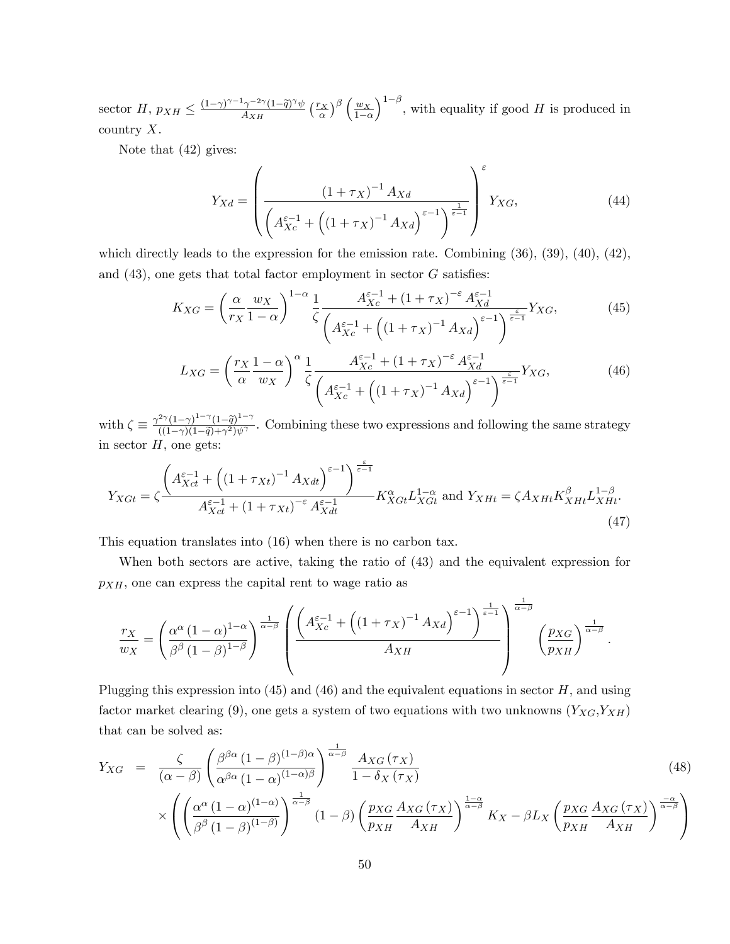sector  $H$ ,  $p_{XH} \leq \frac{(1-\gamma)^{\gamma-1}\gamma^{-2\gamma}(1-\tilde{q})^{\gamma}\psi}{A_{XH}}$  $\frac{1-\gamma^{-2\gamma}(1-\widetilde{q})^{\gamma}\psi}{A_{XH}}\left(\frac{r_{X}}{\alpha}\right)^{\beta}\left(\frac{w_{X}}{1-c}\right)$  $1-\alpha$  $\int_{0}^{1-\beta}$ , with equality if good H is produced in country  $X$ .

Note that (42) gives:

$$
Y_{Xd} = \left(\frac{(1+\tau_X)^{-1} A_{Xd}}{\left(A_{Xc}^{\varepsilon-1} + \left((1+\tau_X)^{-1} A_{Xd}\right)^{\varepsilon-1}\right)^{\frac{1}{\varepsilon-1}}}\right)^{\varepsilon} Y_{XG},\tag{44}
$$

which directly leads to the expression for the emission rate. Combining  $(36)$ ,  $(39)$ ,  $(40)$ ,  $(42)$ , and  $(43)$ , one gets that total factor employment in sector G satisfies:

$$
K_{XG} = \left(\frac{\alpha}{r_X} \frac{w_X}{1-\alpha}\right)^{1-\alpha} \frac{1}{\zeta} \frac{A_{Xc}^{\varepsilon-1} + (1+\tau_X)^{-\varepsilon} A_{Xd}^{\varepsilon-1}}{\left(A_{Xc}^{\varepsilon-1} + \left((1+\tau_X)^{-1} A_{Xd}\right)^{\varepsilon-1}\right)^{\frac{\varepsilon}{\varepsilon-1}}} Y_{XG},\tag{45}
$$

$$
L_{XG} = \left(\frac{r_X}{\alpha} \frac{1-\alpha}{w_X}\right)^{\alpha} \frac{1}{\zeta} \frac{A_{Xc}^{\varepsilon-1} + (1+\tau_X)^{-\varepsilon} A_{Xd}^{\varepsilon-1}}{\left(A_{Xc}^{\varepsilon-1} + \left((1+\tau_X)^{-1} A_{Xd}\right)^{\varepsilon-1}\right)^{\frac{\varepsilon}{\varepsilon-1}}} Y_{XG},\tag{46}
$$

with  $\zeta \equiv \frac{\gamma^{2\gamma}(1-\gamma)^{1-\gamma}(1-\tilde{q})^{1-\gamma}}{(1-\gamma)(1-\tilde{q})+\gamma^2)\psi^{\gamma}}$  $\frac{(1-\gamma)(1-\gamma)(1-q)}{(1-\gamma)(1-\tilde{q})+\gamma^2\psi^{\gamma}}$ . Combining these two expressions and following the same strategy in sector  $H$ , one gets:

$$
Y_{XGt} = \zeta \frac{\left(A_{Xct}^{\varepsilon-1} + \left((1 + \tau_{Xt})^{-1} A_{Xdt}\right)^{\varepsilon-1}\right)^{\frac{\varepsilon}{\varepsilon-1}}}{A_{Xct}^{\varepsilon-1} + (1 + \tau_{Xt})^{-\varepsilon} A_{Xdt}^{\varepsilon-1}} K_{XGt}^{\alpha} L_{XGt}^{1-\alpha} \text{ and } Y_{XHt} = \zeta A_{XHt} K_{XHt}^{\beta} L_{XHt}^{1-\beta}.
$$
\n(47)

This equation translates into (16) when there is no carbon tax.

When both sectors are active, taking the ratio of (43) and the equivalent expression for  $p_{XH}$ , one can express the capital rent to wage ratio as

$$
\frac{r_X}{w_X} = \left(\frac{\alpha^{\alpha} (1-\alpha)^{1-\alpha}}{\beta^{\beta} (1-\beta)^{1-\beta}}\right)^{\frac{1}{\alpha-\beta}} \left(\frac{\left(A_{Xc}^{\varepsilon-1} + \left((1+\tau_X)^{-1} A_{Xd}\right)^{\varepsilon-1}\right)^{\frac{1}{\varepsilon-1}}}{A_{XH}}\right)^{\frac{1}{\alpha-\beta}} \left(\frac{p_{XG}}{p_{XH}}\right)^{\frac{1}{\alpha-\beta}}.
$$

Plugging this expression into  $(45)$  and  $(46)$  and the equivalent equations in sector H, and using factor market clearing (9), one gets a system of two equations with two unknowns  $(Y_{XG}, Y_{XH})$ that can be solved as:

$$
Y_{XG} = \frac{\zeta}{(\alpha - \beta)} \left( \frac{\beta^{\beta\alpha} (1 - \beta)^{(1 - \beta)\alpha}}{\alpha^{\beta\alpha} (1 - \alpha)^{(1 - \alpha)\beta}} \right)^{\frac{1}{\alpha - \beta}} \frac{A_{XG}(\tau_X)}{1 - \delta_X(\tau_X)} \times \left( \left( \frac{\alpha^{\alpha} (1 - \alpha)^{(1 - \alpha)}}{\beta^{\beta} (1 - \beta)^{(1 - \beta)}} \right)^{\frac{1}{\alpha - \beta}} (1 - \beta) \left( \frac{p_{XG}}{p_{XH}} \frac{A_{XG}(\tau_X)}{A_{XH}} \right)^{\frac{1 - \alpha}{\alpha - \beta}} K_X - \beta L_X \left( \frac{p_{XG}}{p_{XH}} \frac{A_{XG}(\tau_X)}{A_{XH}} \right)^{\frac{-\alpha}{\alpha - \beta}} \right)
$$
(48)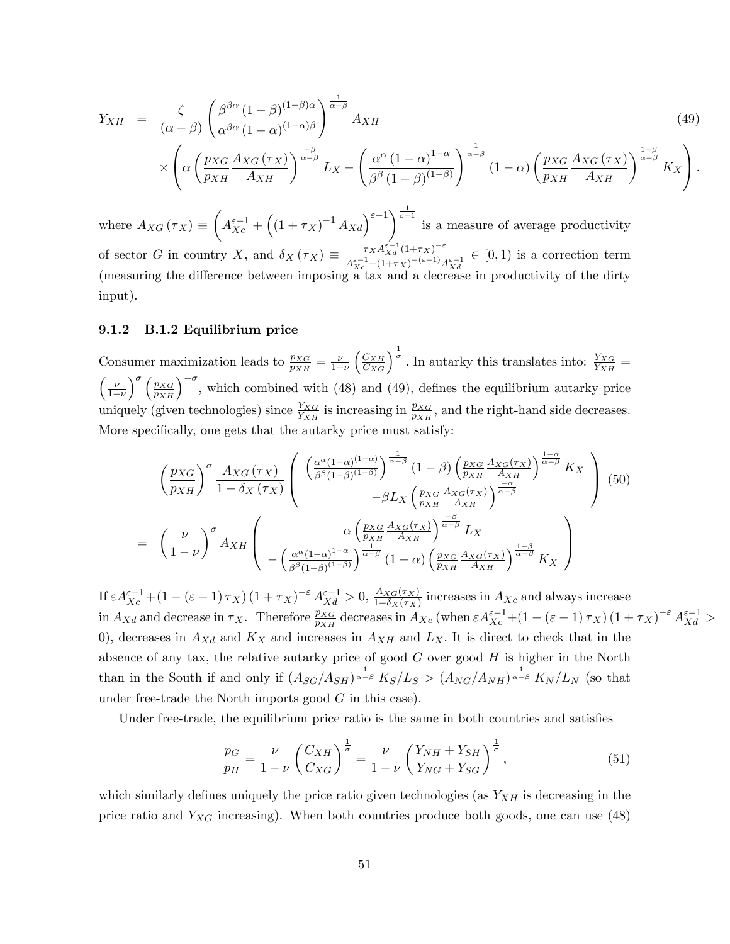$$
Y_{XH} = \frac{\zeta}{(\alpha - \beta)} \left( \frac{\beta^{\beta \alpha} (1 - \beta)^{(1 - \beta)\alpha}}{\alpha^{\beta \alpha} (1 - \alpha)^{(1 - \alpha)\beta}} \right)^{\frac{1}{\alpha - \beta}} A_{XH}
$$
\n
$$
\int \left( \max A_{XG}(\tau x) \right)^{\frac{-\beta}{\alpha - \beta}} \left( \alpha^{\alpha} (1 - \alpha)^{(1 - \alpha)} \right)^{\frac{1}{\alpha - \beta}} \left( \max A_{XG}(\tau x) \right)^{\frac{1 - \beta}{\alpha - \beta}}
$$
\n
$$
(49)
$$

$$
\times \left( \alpha \left( \frac{p_{XG}}{p_{XH}} \frac{A_{XG}(\tau_X)}{A_{XH}} \right)^{\frac{-\beta}{\alpha-\beta}} L_X - \left( \frac{\alpha^{\alpha} (1-\alpha)^{1-\alpha}}{\beta^{\beta} (1-\beta)^{(1-\beta)}} \right)^{\frac{1-\beta}{\alpha-\beta}} (1-\alpha) \left( \frac{p_{XG}}{p_{XH}} \frac{A_{XG}(\tau_X)}{A_{XH}} \right)^{\frac{1-\beta}{\alpha-\beta}} K_X \right).
$$

where  $A_{XG}(\tau_X) \equiv$  $\sqrt{ }$  $A_{Xc}^{\varepsilon-1} + ((1+\tau_X)^{-1} A_{Xd})^{\varepsilon-1}$  is a measure of average productivity of sector G in country X, and  $\delta_X(\tau_X) \equiv \frac{\tau_X A_{Xd}^{\varepsilon-1}(1+\tau_X)^{-\varepsilon}}{A_{\tau}^{\varepsilon-1}+(1+\tau_X)^{-(\varepsilon-1)}A}$  $\frac{1}{A_{X}^{s-1}+(1+\tau_X)^{-(\varepsilon-1)}A_{Xd}^{\varepsilon-1}} \in [0,1)$  is a correction term (measuring the difference between imposing a tax and a decrease in productivity of the dirty input).

#### 9.1.2 B.1.2 Equilibrium price

Consumer maximization leads to  $\frac{p_{XG}}{p_{XH}} = \frac{\nu}{1-\nu}$  $1-\nu$  $\left(\frac{C_{XH}}{C_{XG}}\right)^{\frac{1}{\sigma}}$ . In autarky this translates into:  $\frac{Y_{XG}}{Y_{XH}}$  =  $\int \nu$  $1-\nu$  $\int_{0}^{\infty} \left(\frac{p_{XG}}{p_{XH}}\right)^{-\sigma}$ , which combined with (48) and (49), defines the equilibrium autarky price uniquely (given technologies) since  $\frac{Y_{XG}}{Y_{XH}}$  is increasing in  $\frac{p_{XG}}{p_{XH}}$ , and the right-hand side decreases. More specifically, one gets that the autarky price must satisfy:

$$
\left(\frac{p_{XG}}{p_{XH}}\right)^{\sigma} \frac{A_{XG}(\tau_X)}{1-\delta_X(\tau_X)} \left(\begin{array}{c} \left(\frac{\alpha^{\alpha}(1-\alpha)^{(1-\alpha)}}{\beta^{\beta}(1-\beta)^{(1-\beta)}}\right)^{\frac{1}{\alpha-\beta}} (1-\beta) \left(\frac{p_{XG}}{p_{XH}} \frac{A_{XG}(\tau_X)}{A_{XH}}\right)^{\frac{1-\alpha}{\alpha-\beta}} K_X\\ -\beta L_X \left(\frac{p_{XG}}{p_{XH}} \frac{A_{XG}(\tau_X)}{A_{XH}}\right)^{\frac{-\alpha}{\alpha-\beta}} \end{array}\right) (50)
$$
\n
$$
= \left(\frac{\nu}{1-\nu}\right)^{\sigma} A_{XH} \left(\begin{array}{c} \alpha \left(\frac{p_{XG}}{p_{XH}} \frac{A_{XG}(\tau_X)}{A_{XH}}\right)^{\frac{-\beta}{\alpha-\beta}} L_X\\ -\left(\frac{\alpha^{\alpha}(1-\alpha)^{1-\alpha}}{\beta^{\beta}(1-\beta)^{(1-\beta)}}\right)^{\frac{1-\beta}{\alpha-\beta}} (1-\alpha) \left(\frac{p_{XG}}{p_{XH}} \frac{A_{XG}(\tau_X)}{A_{XH}}\right)^{\frac{1-\beta}{\alpha-\beta}} K_X \end{array}\right)
$$

If  $\varepsilon A_{Xc}^{\varepsilon-1} + (1 - (\varepsilon - 1)\tau_X) (1 + \tau_X)^{-\varepsilon} A_{Xd}^{\varepsilon-1} > 0$ ,  $\frac{A_{XG}(\tau_X)}{1 - \delta_X(\tau_X)}$  $\frac{A_{XG}(T_X)}{1-\delta_X(\tau_X)}$  increases in  $A_{Xc}$  and always increase in  $A_{Xd}$  and decrease in  $\tau_X$ . Therefore  $\frac{p_{XG}}{p_{XH}}$  decreases in  $A_{Xc}$  (when  $\varepsilon A_{Xc}^{\varepsilon-1} + (1 - (\varepsilon - 1)\tau_X)(1 + \tau_X)^{-\varepsilon} A_{Xd}^{\varepsilon-1} >$ 0), decreases in  $A_{Xd}$  and  $K_X$  and increases in  $A_{XH}$  and  $L_X$ . It is direct to check that in the absence of any tax, the relative autarky price of good  $G$  over good  $H$  is higher in the North than in the South if and only if  $(A_{SG}/A_{SH})^{\frac{1}{\alpha-\beta}} K_S/L_S > (A_{NG}/A_{NH})^{\frac{1}{\alpha-\beta}} K_N/L_N$  (so that under free-trade the North imports good  $G$  in this case).

Under free-trade, the equilibrium price ratio is the same in both countries and satisfies

$$
\frac{p_G}{p_H} = \frac{\nu}{1 - \nu} \left( \frac{C_{XH}}{C_{XG}} \right)^{\frac{1}{\sigma}} = \frac{\nu}{1 - \nu} \left( \frac{Y_{NH} + Y_{SH}}{Y_{NG} + Y_{SG}} \right)^{\frac{1}{\sigma}},\tag{51}
$$

which similarly defines uniquely the price ratio given technologies (as  $Y_{XH}$  is decreasing in the price ratio and  $Y_{XG}$  increasing). When both countries produce both goods, one can use (48)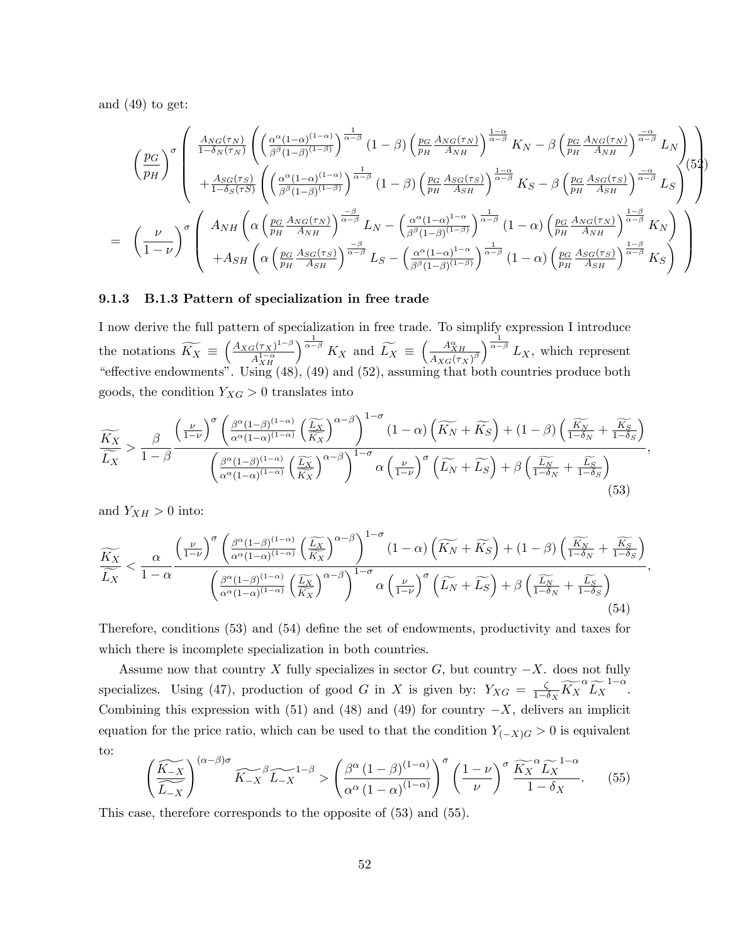and  $(49)$  to get:

$$
\begin{pmatrix}\n\underline{p}_{G} \\
\underline{p}_{H}\n\end{pmatrix}^{\sigma} \begin{pmatrix}\n\underline{A_{NG}(\tau_N)} \\
\frac{A_{NG}(\tau_N)}{1-\delta_N(\tau_N)}\n\end{pmatrix}\n\begin{pmatrix}\n\underline{\alpha^{\alpha}(1-\alpha)^{(1-\alpha)}} \\
\beta^{\beta}(1-\beta)^{(1-\beta)}\n\end{pmatrix}^{\frac{1}{\alpha-\beta}}(1-\beta)\n\begin{pmatrix}\n\underline{p}_{G} \frac{A_{NG}(\tau_N)}{A_{NH}}\n\end{pmatrix}^{\frac{1-\alpha}{\alpha-\beta}}K_N - \beta \begin{pmatrix}\n\underline{p}_{G} \frac{A_{NG}(\tau_N)}{A_{NH}}\n\end{pmatrix}^{\frac{-\alpha}{\alpha-\beta}}L_N\n\end{pmatrix}\n\begin{pmatrix}\n\underline{\alpha^{\alpha}(1-\alpha)^{(1-\alpha)}} \\
+\frac{A_{SG}(\tau_S)}{1-\delta_S(\tau_S)}\n\end{pmatrix}\n\begin{pmatrix}\n\underline{\alpha^{\alpha}(1-\alpha)^{(1-\alpha)}} \\
\beta^{\beta}(1-\beta)^{(1-\beta)}\n\end{pmatrix}^{\frac{1}{\alpha-\beta}}(1-\beta)\n\begin{pmatrix}\n\underline{p}_{G} \frac{A_{SG}(\tau_S)}{A_{SH}}\n\end{pmatrix}^{\frac{1-\alpha}{\alpha-\beta}}K_S - \beta \begin{pmatrix}\n\underline{p}_{G} \frac{A_{SG}(\tau_S)}{A_{SH}}\n\end{pmatrix}^{\frac{-\alpha}{\alpha-\beta}}L_S\n\end{pmatrix}\n\begin{pmatrix}\n52 \\
\beta\n\end{pmatrix}
$$
\n
$$
= \left(\frac{\nu}{1-\nu}\right)^{\sigma} \begin{pmatrix}\nA_{NH} \left(\alpha \left(\frac{p_{G}}{p_{H}} \frac{A_{NG}(\tau_N)}{A_{NH}}\right)^{\frac{-\beta}{\alpha-\beta}}L_N - \left(\frac{\alpha^{\alpha}(1-\alpha)^{1-\alpha}}{\beta^{\beta}(1-\beta)^{(1-\beta)}}\right)^{\frac{1}{\alpha-\beta}}(1-\alpha)\left(\frac{p_{G}}{p_{H}} \frac{A_{NG}(\tau_N)}{A_{NH}}\right)^{\frac{1-\beta}{\alpha-\beta}}K_S\n\end{pmatrix} + A_{SH} \left(\alpha \left(\frac{p_{G}}{p_{H}} \frac{A_{SG}(\tau_S)}{A_{SH}}\right
$$

#### 9.1.3 B.1.3 Pattern of specialization in free trade

I now derive the full pattern of specialization in free trade. To simplify expression I introduce the notations  $\widetilde{K_X} \equiv \left(\frac{A_{XG}(\tau_X)^{1-\beta}}{A_{YM}^{1-\alpha}}\right)$  $A^{1-\alpha}_{XH}$  $\int_{0}^{\frac{1}{\alpha-\beta}} K_X$  and  $\widetilde{L_X} \equiv \left(\frac{A_{XH}^{\alpha}}{A_{XG}(\tau_X)^{\beta}}\right)^{\frac{1}{\alpha-\beta}} L_X$ , which represent  $\text{``effective endowments''}.$  Using  $(48)$ ,  $(49)$  and  $(52)$ , assuming that both countries produce both goods, the condition  $Y_{XG} > 0$  translates into

$$
\frac{\widetilde{K_X}}{\widetilde{L_X}} > \frac{\beta}{1-\beta} \frac{\left(\frac{\nu}{1-\nu}\right)^{\sigma} \left(\frac{\beta^{\alpha}(1-\beta)^{(1-\alpha)}}{\alpha^{\alpha}(1-\alpha)^{(1-\alpha)}} \left(\frac{\widetilde{L_X}}{\widetilde{K_X}}\right)^{\alpha-\beta}\right)^{1-\sigma} (1-\alpha) \left(\widetilde{K_N} + \widetilde{K_S}\right) + (1-\beta) \left(\frac{\widetilde{K_N}}{1-\delta_N} + \frac{\widetilde{K_S}}{1-\delta_S}\right)}{\left(\frac{\beta^{\alpha}(1-\beta)^{(1-\alpha)}}{\alpha^{\alpha}(1-\alpha)^{(1-\alpha)}} \left(\frac{\widetilde{L_X}}{\widetilde{K_X}}\right)^{\alpha-\beta}\right)^{1-\sigma} \alpha \left(\frac{\nu}{1-\nu}\right)^{\sigma} \left(\widetilde{L_N} + \widetilde{L_S}\right) + \beta \left(\frac{\widetilde{L_N}}{1-\delta_N} + \frac{\widetilde{L_S}}{1-\delta_S}\right)}{(53)}
$$

and  $Y_{XH} > 0$  into:

$$
\frac{\widetilde{K_X}}{\widetilde{L_X}} < \frac{\alpha}{1-\alpha} \frac{\left(\frac{\nu}{1-\nu}\right)^{\sigma} \left(\frac{\beta^{\alpha}(1-\beta)^{(1-\alpha)}}{\alpha^{\alpha}(1-\alpha)^{(1-\alpha)}} \left(\frac{\widetilde{L_X}}{\widetilde{K_X}}\right)^{\alpha-\beta}\right)^{1-\sigma} (1-\alpha) \left(\widetilde{K_N} + \widetilde{K_S}\right) + (1-\beta) \left(\frac{\widetilde{K_N}}{1-\delta_N} + \frac{\widetilde{K_S}}{1-\delta_S}\right)}{\left(\frac{\beta^{\alpha}(1-\beta)^{(1-\alpha)}}{\alpha^{\alpha}(1-\alpha)^{(1-\alpha)}} \left(\frac{\widetilde{L_X}}{\widetilde{K_X}}\right)^{\alpha-\beta}\right)^{1-\sigma} \alpha \left(\frac{\nu}{1-\nu}\right)^{\sigma} \left(\widetilde{L_N} + \widetilde{L_S}\right) + \beta \left(\frac{\widetilde{L_N}}{1-\delta_N} + \frac{\widetilde{L_S}}{1-\delta_S}\right)}{(54)}
$$

Therefore, conditions (53) and (54) define the set of endowments, productivity and taxes for which there is incomplete specialization in both countries.

Assume now that country X fully specializes in sector  $G$ , but country  $-X$ . does not fully specializes. Using (47), production of good G in X is given by:  $Y_{XG} = \frac{\zeta}{1-\zeta}$  $\frac{\zeta}{1-\delta_X} \widetilde{K_X}^{\alpha} \widetilde{L_X}^{1-\alpha}.$ Combining this expression with (51) and (48) and (49) for country  $-X$ , delivers an implicit equation for the price ratio, which can be used to that the condition  $Y_{(-X)G} > 0$  is equivalent to:

$$
\left(\frac{\widetilde{K_{-X}}}{\widetilde{L_{-X}}}\right)^{(\alpha-\beta)\sigma} \widetilde{K_{-X}}^{\beta} \widetilde{L_{-X}}^{-1-\beta} > \left(\frac{\beta^{\alpha} (1-\beta)^{(1-\alpha)}}{\alpha^{\alpha} (1-\alpha)^{(1-\alpha)}}\right)^{\sigma} \left(\frac{1-\nu}{\nu}\right)^{\sigma} \frac{\widetilde{K_{X}}^{\alpha} \widetilde{L_{X}}^{-1-\alpha}}{1-\delta_{X}}.\tag{55}
$$

This case, therefore corresponds to the opposite of (53) and (55).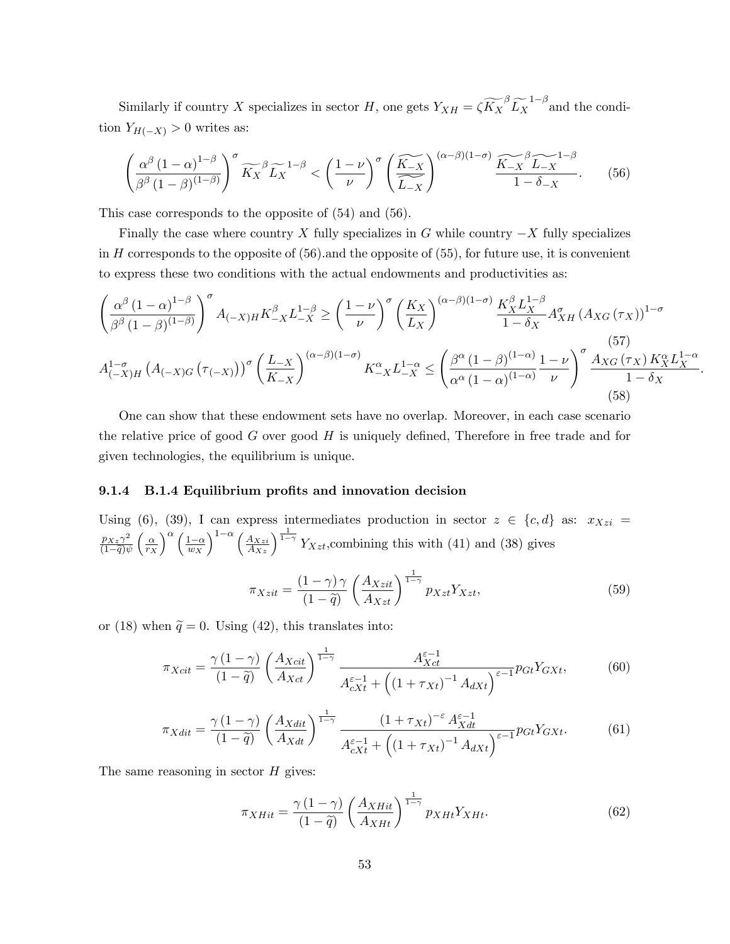Similarly if country X specializes in sector H, one gets  $Y_{XH} = \zeta \widetilde{K_X}^{\beta} \widetilde{L_X}^{1-\beta}$  and the condition  $Y_{H(-X)} > 0$  writes as:

$$
\left(\frac{\alpha^{\beta} (1-\alpha)^{1-\beta}}{\beta^{\beta} (1-\beta)^{(1-\beta)}}\right)^{\sigma} \widetilde{K_X}^{\beta} \widetilde{L_X}^{1-\beta} < \left(\frac{1-\nu}{\nu}\right)^{\sigma} \left(\frac{\widetilde{K_{-X}}}{\widetilde{L_{-X}}}\right)^{(\alpha-\beta)(1-\sigma)} \frac{\widetilde{K_{-X}} \widetilde{L_{-X}}^{1-\beta}}{1-\delta_{-X}}.\tag{56}
$$

This case corresponds to the opposite of  $(54)$  and  $(56)$ .

Finally the case where country X fully specializes in G while country  $-X$  fully specializes in  $H$  corresponds to the opposite of  $(56)$  and the opposite of  $(55)$ , for future use, it is convenient to express these two conditions with the actual endowments and productivities as:

$$
\left(\frac{\alpha^{\beta} (1-\alpha)^{1-\beta}}{\beta^{\beta} (1-\beta)^{(1-\beta)}}\right)^{\sigma} A_{(-X)H} K_{-X}^{\beta} L_{-X}^{1-\beta} \ge \left(\frac{1-\nu}{\nu}\right)^{\sigma} \left(\frac{K_X}{L_X}\right)^{(\alpha-\beta)(1-\sigma)} \frac{K_X^{\beta} L_X^{1-\beta}}{1-\delta_X} A_{XH}^{\sigma} (A_{XG}(\tau_X))^{1-\sigma}
$$
\n
$$
A_{(-X)H}^{1-\sigma} (A_{(-X)G}(\tau_{(-X)}))^{\sigma} \left(\frac{L_{-X}}{K_{-X}}\right)^{(\alpha-\beta)(1-\sigma)} K_{-X}^{\alpha} L_{-X}^{1-\alpha} \le \left(\frac{\beta^{\alpha} (1-\beta)^{(1-\alpha)}}{\alpha^{\alpha} (1-\alpha)^{(1-\alpha)}} \frac{1-\nu}{\nu}\right)^{\sigma} \frac{A_{XG}(\tau_X) K_X^{\alpha} L_X^{1-\alpha}}{1-\delta_X}
$$
\n(58)

One can show that these endowment sets have no overlap. Moreover, in each case scenario the relative price of good  $G$  over good  $H$  is uniquely defined, Therefore in free trade and for given technologies, the equilibrium is unique.

#### 9.1.4 B.1.4 Equilibrium profits and innovation decision

Using (6), (39), I can express intermediates production in sector  $z \in \{c, d\}$  as:  $x_{Xzi} =$  $\frac{p_{Xz}\gamma^2}{(1-\tilde{q})\psi} \left(\frac{\alpha}{r_X}\right)^{\alpha} \left(\frac{1-\alpha}{w_X}\right)^{1-\alpha} \left(\frac{A_{Xzi}}{A_{Xz}}\right)^{\frac{1}{1-\gamma}} Y_{Xzt}$ , combining this with (41) and (38) gives

$$
\pi_{Xzit} = \frac{(1-\gamma)\gamma}{(1-\tilde{q})} \left(\frac{A_{Xzit}}{A_{Xzt}}\right)^{\frac{1}{1-\gamma}} p_{Xzt} Y_{Xzt},\tag{59}
$$

or (18) when  $\tilde{q} = 0$ . Using (42), this translates into:

$$
\pi_{Xcit} = \frac{\gamma (1 - \gamma)}{(1 - \tilde{q})} \left(\frac{A_{Xcit}}{A_{Xct}}\right)^{\frac{1}{1 - \gamma}} \frac{A_{Xct}^{\varepsilon - 1}}{A_{cXt}^{\varepsilon - 1} + \left((1 + \tau_{Xt})^{-1} A_{dXt}\right)^{\varepsilon - 1}} p_{Gt} Y_{GXt},\tag{60}
$$

$$
\pi_{Xdit} = \frac{\gamma (1 - \gamma)}{(1 - \tilde{q})} \left(\frac{A_{Xdit}}{A_{Xdt}}\right)^{\frac{1}{1 - \gamma}} \frac{(1 + \tau_{Xt})^{-\varepsilon} A_{Xdt}^{\varepsilon - 1}}{A_{cXt}^{\varepsilon - 1} + \left((1 + \tau_{Xt})^{-1} A_{dXt}\right)^{\varepsilon - 1}} p_{Gt} Y_{GXt}.
$$
(61)

The same reasoning in sector  $H$  gives:

$$
\pi_{XHit} = \frac{\gamma (1 - \gamma)}{(1 - \tilde{q})} \left( \frac{A_{XHit}}{A_{XHit}} \right)^{\frac{1}{1 - \gamma}} p_{XHit} Y_{XHit}.
$$
\n(62)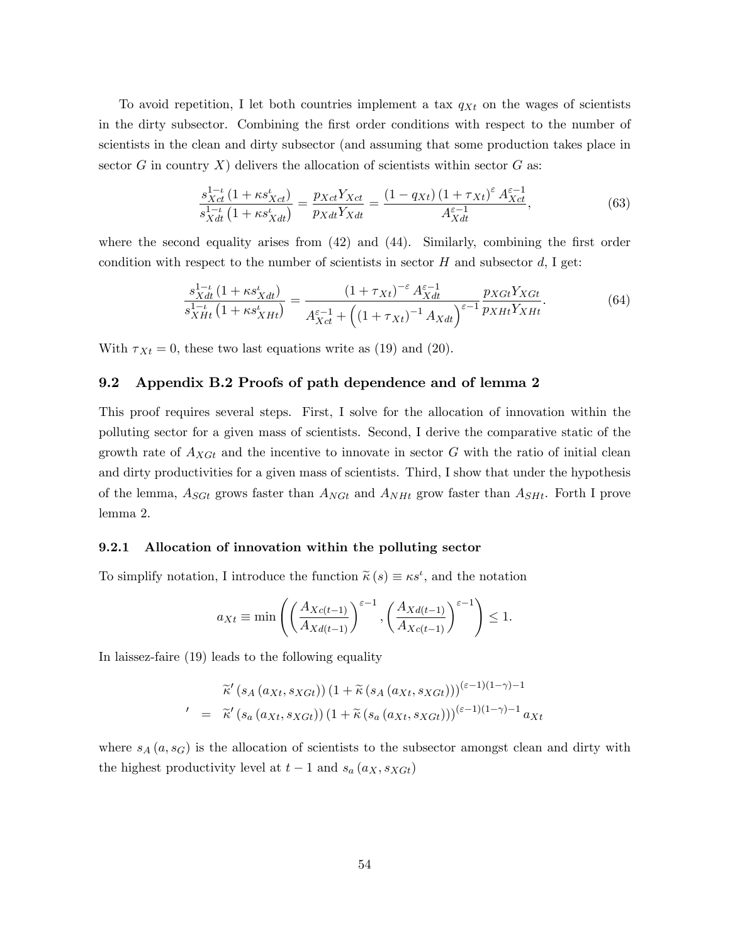To avoid repetition, I let both countries implement a tax  $q_{Xt}$  on the wages of scientists in the dirty subsector. Combining the first order conditions with respect to the number of scientists in the clean and dirty subsector (and assuming that some production takes place in sector G in country X) delivers the allocation of scientists within sector G as:

$$
\frac{s_{Xct}^{1-\iota} (1 + \kappa s_{Xct}^{\iota})}{s_{Xdt}^{1-\iota} (1 + \kappa s_{Xdt}^{\iota})} = \frac{p_{Xct} Y_{Xct}}{p_{Xdt} Y_{Xdt}} = \frac{(1 - q_{Xt}) (1 + \tau_{Xt})^{\varepsilon} A_{Xct}^{\varepsilon - 1}}{A_{Xdt}^{\varepsilon - 1}},
$$
(63)

where the second equality arises from  $(42)$  and  $(44)$ . Similarly, combining the first order condition with respect to the number of scientists in sector  $H$  and subsector  $d$ , I get:

$$
\frac{s_{Xdt}^{1-\iota}(1+\kappa s_{Xdt}^{\iota})}{s_{XHt}^{1-\iota}(1+\kappa s_{XHt}^{\iota})} = \frac{(1+\tau_{Xt})^{-\varepsilon} A_{Xdt}^{\varepsilon-1}}{A_{Xct}^{\varepsilon-1} + ((1+\tau_{Xt})^{-1} A_{Xdt})^{\varepsilon-1}} \frac{p_{XGt} Y_{XGt}}{p_{XHt} Y_{XHt}}.
$$
(64)

With  $\tau_{Xt} = 0$ , these two last equations write as (19) and (20).

## 9.2 Appendix B.2 Proofs of path dependence and of lemma 2

This proof requires several steps. First, I solve for the allocation of innovation within the polluting sector for a given mass of scientists. Second, I derive the comparative static of the growth rate of  $A_{XGt}$  and the incentive to innovate in sector G with the ratio of initial clean and dirty productivities for a given mass of scientists. Third, I show that under the hypothesis of the lemma,  $A_{SGt}$  grows faster than  $A_{NGt}$  and  $A_{NHt}$  grow faster than  $A_{SHt}$ . Forth I prove lemma 2:

#### 9.2.1 Allocation of innovation within the polluting sector

To simplify notation, I introduce the function  $\tilde{\kappa}(s) \equiv \kappa s^{\iota}$ , and the notation

$$
a_{Xt} \equiv \min\left(\left(\frac{A_{Xc(t-1)}}{A_{Xd(t-1)}}\right)^{\varepsilon-1}, \left(\frac{A_{Xd(t-1)}}{A_{Xc(t-1)}}\right)^{\varepsilon-1}\right) \le 1.
$$

In laissez-faire (19) leads to the following equality

$$
\widetilde{\kappa}'\left(s_A\left(a_{Xt}, s_{XGt}\right)\right)\left(1+\widetilde{\kappa}\left(s_A\left(a_{Xt}, s_{XGt}\right)\right)\right)\left(\varepsilon-1\right)\left(1-\gamma\right)-1
$$
\n
$$
'\quad = \quad \widetilde{\kappa}'\left(s_a\left(a_{Xt}, s_{XGt}\right)\right)\left(1+\widetilde{\kappa}\left(s_a\left(a_{Xt}, s_{XGt}\right)\right)\right)\left(\varepsilon-1\right)\left(1-\gamma\right)-1 a_{Xt}
$$

where  $s_A(a, s_G)$  is the allocation of scientists to the subsector amongst clean and dirty with the highest productivity level at  $t-1$  and  $s_a(a_X, s_{XGt})$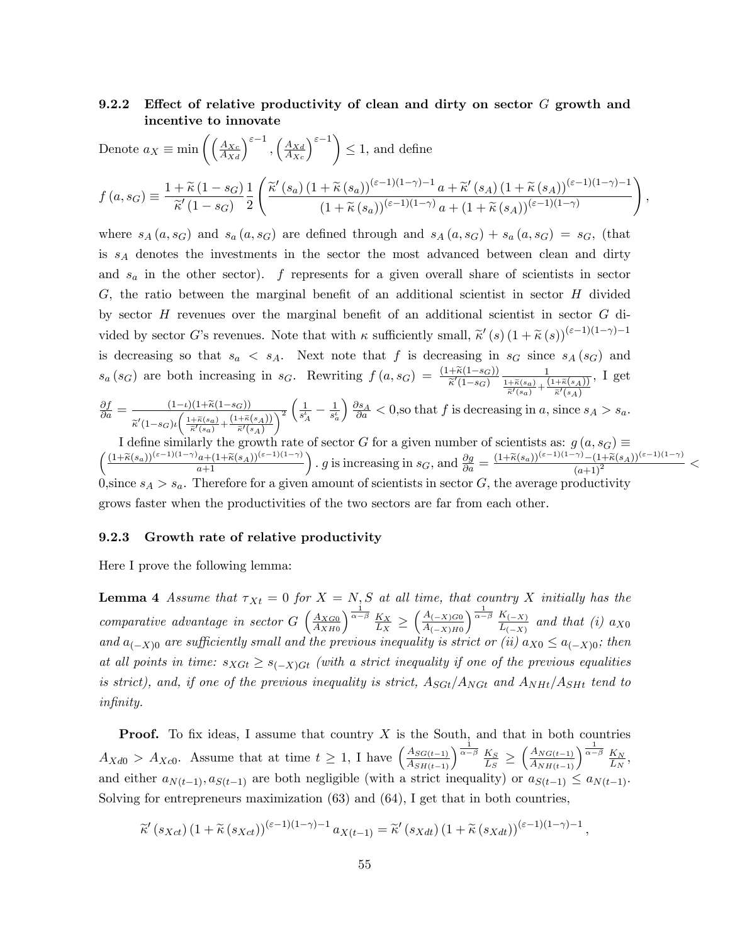#### Effect of relative productivity of clean and dirty on sector  $G$  growth and  $9.2.2$ incentive to innovate

Denote 
$$
a_X \equiv \min \left( \left( \frac{A_{Xc}}{A_{Xd}} \right)^{\varepsilon - 1}, \left( \frac{A_{Xd}}{A_{Xc}} \right)^{\varepsilon - 1} \right) \le 1
$$
, and define  

$$
f(a, s_G) \equiv \frac{1 + \widetilde{\kappa} (1 - s_G)}{\widetilde{\kappa}' (1 - s_G)} \frac{1}{2} \left( \frac{\widetilde{\kappa}' (s_a) (1 + \widetilde{\kappa} (s_a))^{(\varepsilon - 1)(1 - \gamma) - 1} a + \widetilde{\kappa}' (s_A) (1 + \widetilde{\kappa} (s_A))^{(\varepsilon - 1)(1 - \gamma) - 1}}{(1 + \widetilde{\kappa} (s_a))^{(\varepsilon - 1)(1 - \gamma)} a + (1 + \widetilde{\kappa} (s_A))^{(\varepsilon - 1)(1 - \gamma)}} \right),
$$

where  $s_A(a, s_G)$  and  $s_a(a, s_G)$  are defined through and  $s_A(a, s_G) + s_a(a, s_G) = s_G$ , (that is  $s_A$  denotes the investments in the sector the most advanced between clean and dirty and  $s_a$  in the other sector). f represents for a given overall share of scientists in sector  $G$ , the ratio between the marginal benefit of an additional scientist in sector  $H$  divided by sector  $H$  revenues over the marginal benefit of an additional scientist in sector  $G$  divided by sector G's revenues. Note that with  $\kappa$  sufficiently small,  $\tilde{\kappa}'(s)$   $(1+\tilde{\kappa}(s))^{(\varepsilon-1)(1-\gamma)-1}$ is decreasing so that  $s_a \leq s_A$ . Next note that f is decreasing in  $s_G$  since  $s_A(s_G)$  and  $s_a(s_G)$  are both increasing in  $s_G$ . Rewriting  $f(a,s_G) = \frac{(1+\tilde{\kappa}(1-s_G))}{\tilde{\kappa}'(1-s_G)} \frac{1}{\frac{1+\tilde{\kappa}(s_G)}{\tilde{\kappa}'(s_G)} + \frac{(1+\tilde{\kappa}(s_A))}{\tilde{\kappa}'(s_G)}}$ , I get  $\mathcal{L}$  $\sim$ 

$$
\frac{\partial f}{\partial a} = \frac{(1-t)(1+\kappa(1-s_G))}{\tilde{\kappa}'(1-s_G)\iota\left(\frac{1+\tilde{\kappa}(s_G)}{\tilde{\kappa}'(s_G)} + \frac{(1+\tilde{\kappa}(s_A))}{\tilde{\kappa}'(s_A)}\right)^2} \left(\frac{1}{s_A^L} - \frac{1}{s_a^L}\right) \frac{\partial s_A}{\partial a} < 0,\text{so that } f \text{ is decreasing in } a, \text{ since } s_A > s_a.
$$
  
1 define similarly the growth rate of sector *G* for a given number of scientists as:  $a(a, s_C) \equiv$ 

I define similarly the growth rate of sector G for a given number of scientists as:  $g(u, s_G) =$ <br>  $\left( \frac{(1+\tilde{\kappa}(s_a))^{(\varepsilon-1)(1-\gamma)}a + (1+\tilde{\kappa}(s_A))^{(\varepsilon-1)(1-\gamma)}}{a+1} \right)$ . g is increasing in  $s_G$ , and  $\frac{\partial g}{\partial a} = \frac{(1+\tilde{\kappa}(s_a))^{(\vare$ 0, since  $s_A > s_a$ . Therefore for a given amount of scientists in sector G, the average productivity grows faster when the productivities of the two sectors are far from each other.

#### 9.2.3 Growth rate of relative productivity

Here I prove the following lemma:

**Lemma 4** Assume that  $\tau_{Xt} = 0$  for  $X = N$ , S at all time, that country X initially has the comparative advantage in sector  $G\left(\frac{A_{XG0}}{A_{XH0}}\right)^{\frac{1}{\alpha-\beta}} \frac{K_X}{L_X} \geq \left(\frac{A_{(-X)G0}}{A_{(-X)H0}}\right)^{\frac{1}{\alpha-\beta}} \frac{K_{(-X)}}{L_{(-X)}}$  and  $a_{(-X)0}$  are sufficiently small and the previous inequality is strict or (ii)  $a_{X0} \le a_{(-X)0}$ ; then at all points in time:  $s_{XGt} \geq s_{(-X)Gt}$  (with a strict inequality if one of the previous equalities is strict), and, if one of the previous inequality is strict,  $A_{SGt}/A_{NGt}$  and  $A_{NHt}/A_{SHt}$  tend to *infinity.* 

**Proof.** To fix ideas, I assume that country  $X$  is the South, and that in both countries  $A_{Xd0} > A_{Xc0}$ . Assume that at time  $t \geq 1$ , I have  $\left(\frac{A_{SG(t-1)}}{A_{SH(t-1)}}\right)^{\frac{1}{\alpha-\beta}} \frac{K_S}{L_S} \geq \left(\frac{A_{NG(t-1)}}{A_{NH(t-1)}}\right)^{\frac{1}{\alpha-\beta}} \frac{K_N}{L_N}$ and either  $a_{N(t-1)}, a_{S(t-1)}$  are both negligible (with a strict inequality) or  $a_{S(t-1)} \le a_{N(t-1)}$ . Solving for entrepreneurs maximization  $(63)$  and  $(64)$ , I get that in both countries,

$$
\widetilde{\kappa}'(s_{Xct})\left(1+\widetilde{\kappa}(s_{Xct})\right)^{(\varepsilon-1)(1-\gamma)-1}a_{X(t-1)}=\widetilde{\kappa}'(s_{Xdt})\left(1+\widetilde{\kappa}(s_{Xdt})\right)^{(\varepsilon-1)(1-\gamma)-1},
$$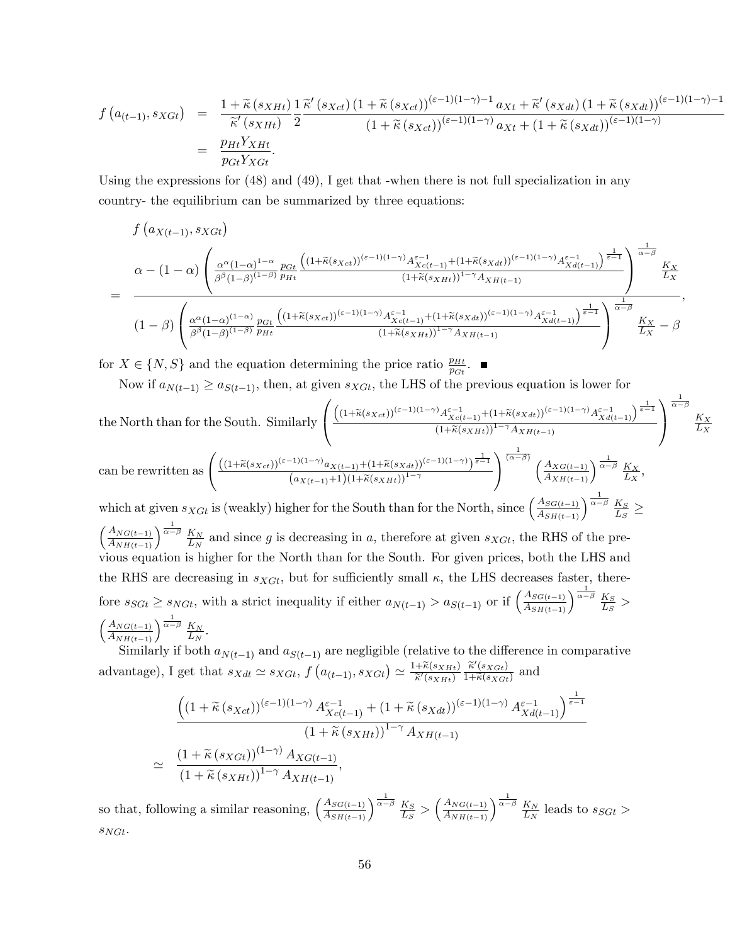$$
f\left(a_{(t-1)}, s_{XGt}\right) = \frac{1+\widetilde{\kappa}\left(s_{XHt}\right)}{\widetilde{\kappa}'\left(s_{XHt}\right)}\frac{1}{2}\frac{\widetilde{\kappa}'\left(s_{Xct}\right)\left(1+\widetilde{\kappa}\left(s_{Xct}\right)\right)^{(\varepsilon-1)(1-\gamma)-1}a_{Xt} + \widetilde{\kappa}'\left(s_{Xdt}\right)\left(1+\widetilde{\kappa}\left(s_{Xdt}\right)\right)^{(\varepsilon-1)(1-\gamma)-1}}{\left(1+\widetilde{\kappa}\left(s_{Xct}\right)\right)^{(\varepsilon-1)(1-\gamma)}a_{Xt} + \left(1+\widetilde{\kappa}\left(s_{Xdt}\right)\right)^{(\varepsilon-1)(1-\gamma)}}\n= \frac{p_{Ht}Y_{XHt}}{p_{Gt}Y_{XGt}}.
$$

Using the expressions for (48) and (49), I get that -when there is not full specialization in any country- the equilibrium can be summarized by three equations:

$$
f(a_{X(t-1)}, s_{XGt})
$$
\n
$$
= \frac{\alpha - (1 - \alpha) \left( \frac{\alpha^{\alpha} (1 - \alpha)^{1 - \alpha}}{\beta^{\beta} (1 - \beta)^{(1 - \beta)}} \frac{p_{Gt}}{p_{Ht}} \frac{\left( (1 + \tilde{\kappa}(s_{Xct}))^{(\varepsilon - 1)(1 - \gamma)} A_{Xc(t-1)}^{\varepsilon - 1} + (1 + \tilde{\kappa}(s_{Xdt}))^{(\varepsilon - 1)(1 - \gamma)} A_{Xd(t-1)}^{\varepsilon - 1} \right)}{1 + \tilde{\kappa}(s_{XHt}))^{1 - \gamma} A_{XH(t-1)}}} \right)^{\frac{1}{\alpha - \beta}} \frac{K_{X}}{L_{X}}
$$
\n
$$
= \frac{1}{\left( 1 - \beta \right) \left( \frac{\alpha^{\alpha} (1 - \alpha)^{(1 - \alpha)}}{\beta^{\beta} (1 - \beta)^{(1 - \beta)}} \frac{p_{Gt}}{p_{Ht}} \frac{\left( (1 + \tilde{\kappa}(s_{Xct}))^{(\varepsilon - 1)(1 - \gamma)} A_{Xc(t-1)}^{\varepsilon - 1} + (1 + \tilde{\kappa}(s_{Xdt}))^{(\varepsilon - 1)(1 - \gamma)} A_{Xd(t-1)}^{\varepsilon - 1} \right)^{\frac{1}{\alpha - \beta}}} \frac{K_{X}}{L_{X}}}{(1 + \tilde{\kappa}(s_{XHt}))^{1 - \gamma} A_{XH(t-1)}}} \right)^{\frac{1}{\alpha - \beta}} \frac{K_{X}}{L_{X}} - \beta
$$

for  $X \in \{N, S\}$  and the equation determining the price ratio  $\frac{p_{Ht}}{p_{Gt}}$ .

Now if  $a_{N(t-1)} \ge a_{S(t-1)}$ , then, at given  $s_{XGt}$ , the LHS of the previous equation is lower for

the North than for the South. Similarly\n
$$
\left(\frac{\left((1+\tilde{\kappa}(s_{Xct}))^{(\varepsilon-1)(1-\gamma)}A_{Xc(t-1)}^{\varepsilon-1}+(1+\tilde{\kappa}(s_{Xdt}))^{(\varepsilon-1)(1-\gamma)}A_{Xd(t-1)}^{\varepsilon-1}}{(1+\tilde{\kappa}(s_{Xdt}))^{1-\gamma}A_{XH(t-1)}}\right)^{\frac{1}{\varepsilon-1}}\frac{K_X}{L_X}
$$
\n
$$
\text{can be rewritten as }\left(\frac{\left((1+\tilde{\kappa}(s_{Xct}))^{(\varepsilon-1)(1-\gamma)}a_{X(t-1)}+(1+\tilde{\kappa}(s_{Xdt}))^{(\varepsilon-1)(1-\gamma)}\right)^{\frac{1}{\varepsilon-1}}}{(a_{X(t-1)}+1)(1+\tilde{\kappa}(s_{XHt}))^{1-\gamma}}\right)^{\frac{1}{(\alpha-\beta)}}\left(\frac{A_{XG(t-1)}}{A_{XH(t-1)}}\right)^{\frac{1}{\alpha-\beta}}\frac{K_X}{L_X},
$$
\nwhich at given  $s_{XGt}$  is (weakly) higher for the South than for the North, since  $\left(\frac{A_{SG(t-1)}}{A_{SH(t-1)}}\right)^{\frac{1}{\alpha-\beta}}\frac{K_S}{L_S} \ge$ 

 $\left(\frac{A_{NG(t-1)}}{A_{NH(t-1)}}\right)^{\frac{1}{\alpha-\beta}} \frac{K_N}{L_N}$  $\frac{K_N}{L_N}$  and since g is decreasing in a, therefore at given  $s_{XGt}$ , the RHS of the previous equation is higher for the North than for the South. For given prices, both the LHS and the RHS are decreasing in  $s_{XGt}$ , but for sufficiently small  $\kappa$ , the LHS decreases faster, therefore  $s_{SGt} \ge s_{NGt}$ , with a strict inequality if either  $a_{N(t-1)} > a_{S(t-1)}$  or if  $\left(\frac{A_{SG(t-1)}}{A_{SH(t-1)}}\right)^{\frac{1}{\alpha-\beta}} \frac{K_S}{L_S}$  $\frac{\kappa_S}{L_S}$  >  $\left(\frac{A_{NG(t-1)}}{A_{NH(t-1)}}\right)^{\frac{1}{\alpha-\beta}} \frac{K_N}{L_N}$  $\frac{K_N}{L_N}$  .

Similarly if both  $a_{N(t-1)}$  and  $a_{S(t-1)}$  are negligible (relative to the difference in comparative advantage), I get that  $s_{Xdt} \simeq s_{XGt}$ ,  $f(a_{(t-1)}, s_{XGt}) \simeq \frac{1+\widetilde{\kappa}(s_{XHt})}{\widetilde{\kappa}'(s_{XHt})}$  $\frac{\widetilde{\kappa}(s_{XHt})}{\widetilde{\kappa}'(s_{XHt})} \frac{\widetilde{\kappa}'(s_{XGt})}{1+\widetilde{\kappa}(s_{XGt})}$  $\frac{\kappa (s_{XGt})}{1+\widetilde{\kappa}(s_{XGt})}$  and

$$
\frac{\left((1+\widetilde{\kappa}(s_{Xct}))^{(\varepsilon-1)(1-\gamma)}A_{Xc(t-1)}^{\varepsilon-1} + (1+\widetilde{\kappa}(s_{Xdt}))^{(\varepsilon-1)(1-\gamma)}A_{Xd(t-1)}^{\varepsilon-1}\right)^{\frac{1}{\varepsilon-1}}}{(1+\widetilde{\kappa}(s_{Xdt}))^{(1-\gamma)}A_{Xd(t-1)}},
$$
\n
$$
\simeq \frac{(1+\widetilde{\kappa}(s_{Xdt}))^{(1-\gamma)}A_{Xd(t-1)}}{(1+\widetilde{\kappa}(s_{XHt}))^{1-\gamma}A_{XH(t-1)}},
$$

so that, following a similar reasoning,  $\left(\frac{A_{SG(t-1)}}{A_{SH(t-1)}}\right)^{\frac{1}{\alpha-\beta}} \frac{K_S}{L_S}$  $\frac{K_S}{L_S} > \left(\frac{A_{NG(t-1)}}{A_{NH(t-1)}}\right)^{\frac{1}{\alpha-\beta}} \frac{K_N}{L_N}$  $\frac{K_N}{L_N}$  leads to  $s_{SGt} >$  $SNGt$ .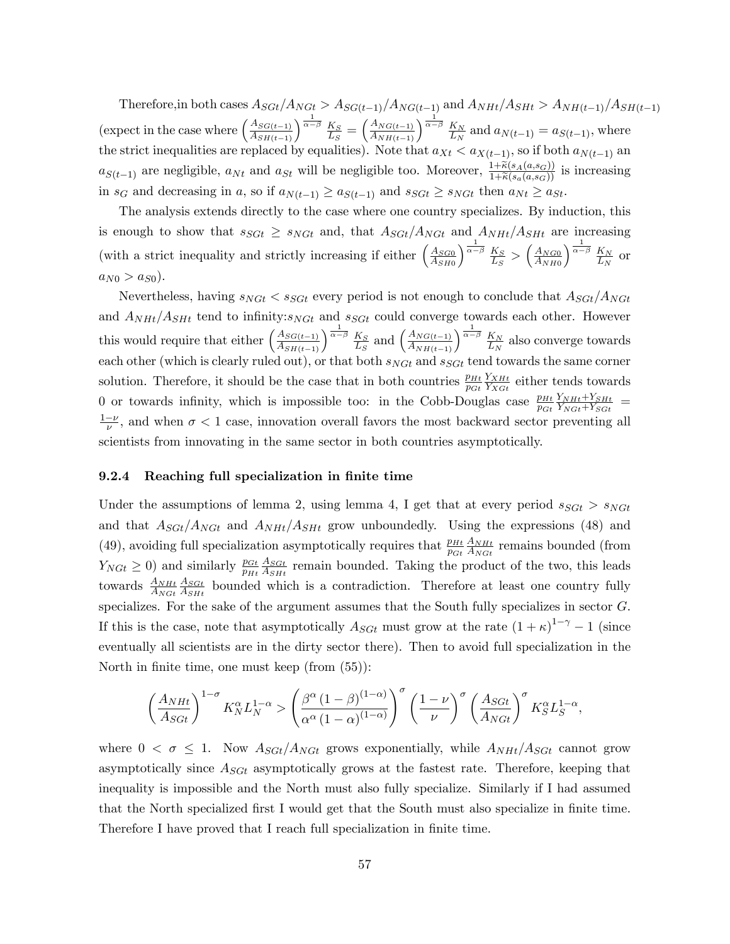Therefore, in both cases  $A_{SGt}/A_{NGt} > A_{SG(t-1)}/A_{NG(t-1)}$  and  $A_{NHt}/A_{SHt} > A_{NH(t-1)}/A_{SH(t-1)}$ (expect in the case where  $\left(\frac{A_{SG(t-1)}}{A_{SH(t-1)}}\right)^{\frac{1}{\alpha-\beta}} \frac{K_S}{L_S}$  $\frac{K_S}{L_S} = \left(\frac{A_{NG(t-1)}}{A_{NH(t-1)}}\right)^{\frac{1}{\alpha-\beta}} \frac{K_N}{L_N}$  $\frac{K_N}{L_N}$  and  $a_{N(t-1)} = a_{S(t-1)}$ , where the strict inequalities are replaced by equalities). Note that  $a_{Xt} < a_{X(t-1)}$ , so if both  $a_{N(t-1)}$  and  $a_{S(t-1)}$  are negligible,  $a_{Nt}$  and  $a_{St}$  will be negligible too. Moreover,  $\frac{1+\widetilde{\kappa}(s_A(a,s_G))}{1+\widetilde{\kappa}(s_a(a,s_G))}$  is increasing in  $s_G$  and decreasing in a, so if  $a_{N(t-1)} \ge a_{S(t-1)}$  and  $s_{SGt} \ge s_{NGt}$  then  $a_{Nt} \ge a_{St}$ .

The analysis extends directly to the case where one country specializes. By induction, this is enough to show that  $s_{SGt} \geq s_{NGt}$  and, that  $A_{SGt}/A_{NGt}$  and  $A_{NHt}/A_{SHt}$  are increasing (with a strict inequality and strictly increasing if either  $\left(\frac{A_{SGO}}{A_{GMS}}\right)$  $A_{SH0}$  $\sqrt{\frac{1}{\alpha-\beta}}$   $K_S$  $\frac{K_S}{L_S} > \left(\frac{A_{NG0}}{A_{NH0}}\right)$  $A_{NH0}$  $\int_0^{\frac{1}{\alpha-\beta}} K_N$  $\frac{K_N}{L_N}$  or  $a_{N0} > a_{S0}$ ).

Nevertheless, having  $s_{NGt} < s_{SGt}$  every period is not enough to conclude that  $A_{SGt}/A_{NGt}$ and  $A_{NHt}/A_{SHt}$  tend to infinity:s<sub>NGt</sub> and s<sub>SGt</sub> could converge towards each other. However this would require that either  $\left(\frac{A_{SG(t-1)}}{A_{SH(t-1)}}\right)^{\frac{1}{\alpha-\beta}} \frac{K_S}{L_S}$  $\frac{K_S}{L_S}$  and  $\left(\frac{A_{NG(t-1)}}{A_{NH(t-1)}}\right)^{\frac{1}{\alpha-\beta}} \frac{K_N}{L_N}$  $\frac{K_N}{L_N}$  also converge towards each other (which is clearly ruled out), or that both  $s_{NGt}$  and  $s_{SGt}$  tend towards the same corner solution. Therefore, it should be the case that in both countries  $\frac{p_{Ht}}{p_{Gt}}$  $Y_{XHt}$  $\frac{Y_{XHt}}{Y_{XGt}}$  either tends towards 0 or towards infinity, which is impossible too: in the Cobb-Douglas case  $\frac{p_{Ht}}{p_{Gt}}$  $Y_{NHt}+Y_{SHt}$  $\frac{Y_{NHt}+Y_{SHt}}{Y_{NGt}+Y_{SGt}}$  =  $\frac{1-\nu}{\nu}$ , and when  $\sigma < 1$  case, innovation overall favors the most backward sector preventing all scientists from innovating in the same sector in both countries asymptotically.

#### 9.2.4 Reaching full specialization in finite time

Under the assumptions of lemma 2, using lemma 4, I get that at every period  $s_{SGt} > s_{NGt}$ and that  $A_{SGt}/A_{NGt}$  and  $A_{NHt}/A_{SHt}$  grow unboundedly. Using the expressions (48) and (49), avoiding full specialization asymptotically requires that  $\frac{p_{Ht}}{p_{Gt}}$  $A_{NHt}$  $\frac{A_{NHt}}{A_{NGt}}$  remains bounded (from  $Y_{NGt} \geq 0$ ) and similarly  $\frac{p_{Gt}}{p_{Ht}}$  $A_{SGt}$  $\frac{A_{SGL}}{A_{SHt}}$  remain bounded. Taking the product of the two, this leads towards  $\frac{A_{NHt}}{A_{NGt}}$  $A_{SGt}$  $\frac{A_{SGL}}{A_{SHt}}$  bounded which is a contradiction. Therefore at least one country fully specializes. For the sake of the argument assumes that the South fully specializes in sector G. If this is the case, note that asymptotically  $A_{SGt}$  must grow at the rate  $(1 + \kappa)^{1-\gamma} - 1$  (since eventually all scientists are in the dirty sector there). Then to avoid full specialization in the North in finite time, one must keep (from  $(55)$ ):

$$
\left(\frac{A_{NHt}}{A_{SGt}}\right)^{1-\sigma} K_{N}^{\alpha} L_{N}^{1-\alpha} > \left(\frac{\beta^{\alpha} \left(1-\beta\right)^{(1-\alpha)}}{\alpha^{\alpha} \left(1-\alpha\right)^{(1-\alpha)}}\right)^{\sigma} \left(\frac{1-\nu}{\nu}\right)^{\sigma} \left(\frac{A_{SGt}}{A_{NGt}}\right)^{\sigma} K_{S}^{\alpha} L_{S}^{1-\alpha},
$$

where  $0 < \sigma \leq 1$ . Now  $A_{SGt}/A_{NGt}$  grows exponentially, while  $A_{NHt}/A_{SGt}$  cannot grow asymptotically since  $A_{SGL}$  asymptotically grows at the fastest rate. Therefore, keeping that inequality is impossible and the North must also fully specialize. Similarly if I had assumed that the North specialized first I would get that the South must also specialize in finite time. Therefore I have proved that I reach full specialization in finite time.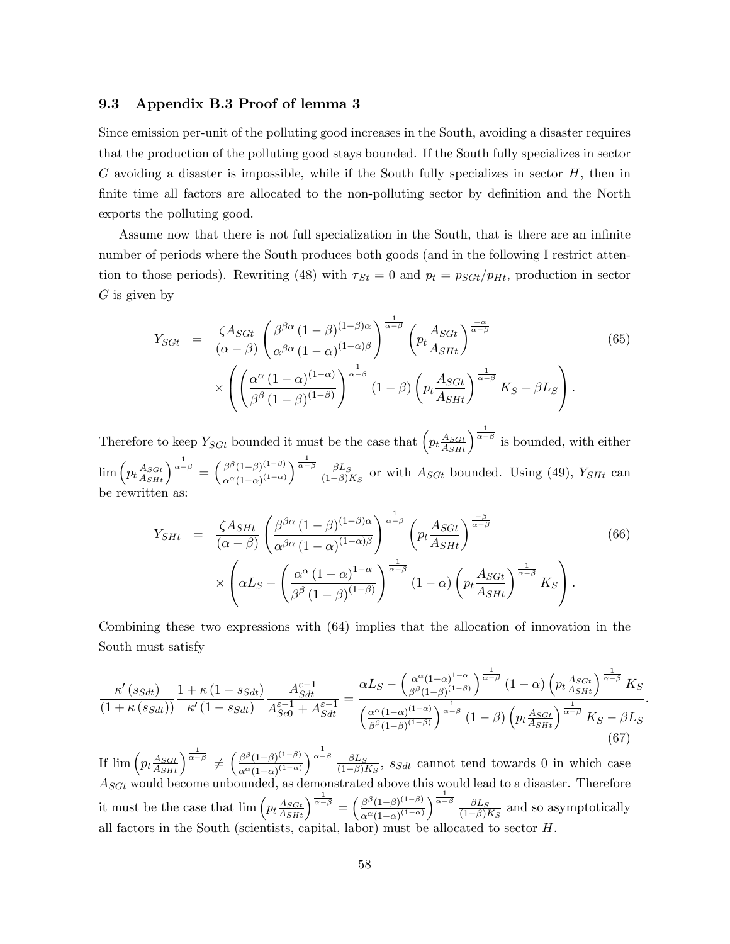#### 9.3 Appendix B.3 Proof of lemma 3

Since emission per-unit of the polluting good increases in the South, avoiding a disaster requires that the production of the polluting good stays bounded. If the South fully specializes in sector  $G$  avoiding a disaster is impossible, while if the South fully specializes in sector  $H$ , then in finite time all factors are allocated to the non-polluting sector by definition and the North exports the polluting good.

Assume now that there is not full specialization in the South, that is there are an infinite number of periods where the South produces both goods (and in the following I restrict attention to those periods). Rewriting (48) with  $\tau_{St} = 0$  and  $p_t = p_{SGt}/p_{Ht}$ , production in sector  $G$  is given by

$$
Y_{SGt} = \frac{\zeta A_{SGt}}{(\alpha - \beta)} \left( \frac{\beta^{\beta \alpha} (1 - \beta)^{(1 - \beta)\alpha}}{\alpha^{\beta \alpha} (1 - \alpha)^{(1 - \alpha)\beta}} \right)^{\frac{1}{\alpha - \beta}} \left( p_t \frac{A_{SGt}}{A_{SHt}} \right)^{\frac{-\alpha}{\alpha - \beta}} \times \left( \left( \frac{\alpha^{\alpha} (1 - \alpha)^{(1 - \alpha)}}{\beta^{\beta} (1 - \beta)^{(1 - \beta)}} \right)^{\frac{1}{\alpha - \beta}} (1 - \beta) \left( p_t \frac{A_{SGt}}{A_{SHt}} \right)^{\frac{1}{\alpha - \beta}} K_S - \beta L_S \right). \tag{65}
$$

Therefore to keep  $Y_{SGt}$  bounded it must be the case that  $\left(p_t \frac{A_{SGt}}{A_{SHt}}\right)^{\frac{1}{\alpha-\beta}}$  is bounded, with either  $\lim\left(p_t\frac{A_{SGL}}{A_{SHt}}\right)^{\frac{1}{\alpha-\beta}}=\left(\frac{\beta^{\beta}(1-\beta)^{(1-\beta)}}{\alpha^{\alpha}(1-\alpha)^{(1-\alpha)}}\right)$  $\alpha^{\alpha}(1-\alpha)^{(1-\alpha)}$  $\sqrt{\frac{1}{\alpha-\beta}} \sqrt{\beta L_S}$  $\frac{\beta L_S}{(1-\beta)K_S}$  or with  $A_{SGt}$  bounded. Using (49),  $Y_{SHt}$  can be rewritten as:

$$
Y_{SHt} = \frac{\zeta A_{SHt}}{(\alpha - \beta)} \left( \frac{\beta^{\beta \alpha} (1 - \beta)^{(1 - \beta)\alpha}}{\alpha^{\beta \alpha} (1 - \alpha)^{(1 - \alpha)\beta}} \right)^{\frac{1}{\alpha - \beta}} \left( p_t \frac{A_{SGt}}{A_{SHt}} \right)^{\frac{-\beta}{\alpha - \beta}} \times \left( \alpha L_S - \left( \frac{\alpha^{\alpha} (1 - \alpha)^{1 - \alpha}}{\beta^{\beta} (1 - \beta)^{(1 - \beta)}} \right)^{\frac{1}{\alpha - \beta}} (1 - \alpha) \left( p_t \frac{A_{SGt}}{A_{SHt}} \right)^{\frac{1}{\alpha - \beta}} K_S \right). \tag{66}
$$

Combining these two expressions with (64) implies that the allocation of innovation in the South must satisfy

$$
\frac{\kappa'(s_{Sdt})}{\left(1+\kappa(s_{Sdt})\right)}\frac{1+\kappa(1-s_{Sdt})}{\kappa'\left(1-s_{Sdt}\right)}\frac{A_{Sdt}^{\varepsilon-1}}{A_{Sc0}^{\varepsilon-1}+A_{Sdt}^{\varepsilon-1}} = \frac{\alpha L_S - \left(\frac{\alpha^{\alpha}(1-\alpha)^{1-\alpha}}{\beta^{\beta}(1-\beta)^{(1-\beta)}}\right)^{\frac{1}{\alpha-\beta}}(1-\alpha)\left(p_t\frac{A_{SGL}}{A_{SHL}}\right)^{\frac{1}{\alpha-\beta}}K_S}{\left(\frac{\alpha^{\alpha}(1-\alpha)^{(1-\alpha)}}{\beta^{\beta}(1-\beta)^{(1-\beta)}}\right)^{\frac{1}{\alpha-\beta}}(1-\beta)\left(p_t\frac{A_{SGL}}{A_{SHL}}\right)^{\frac{1}{\alpha-\beta}}K_S - \beta L_S}
$$
\n(67)

:

If  $\lim_{\alpha \to 0} \left( p_t \frac{A_{SGt}}{A_{SHt}} \right)^{\frac{1}{\alpha-\beta}} \neq \left( \frac{\beta^{\beta} (1-\beta)^{(1-\beta)}}{\alpha^{\alpha} (1-\alpha)^{(1-\alpha)}} \right)$  $\alpha^{\alpha}(1-\alpha)^{(1-\alpha)}$  $\sqrt{\frac{1}{\alpha-\beta}}$   $\beta$ L<sub>S</sub>  $\frac{\beta L_S}{(1-\beta)K_S}$ , s<sub>Sdt</sub> cannot tend towards 0 in which case  $A_{SGt}$  would become unbounded, as demonstrated above this would lead to a disaster. Therefore it must be the case that  $\lim_{\epsilon \to 0} \left( p_t \frac{A_{SGL}}{A_{SH}} \right)^{\frac{1}{\alpha-\beta}} = \left( \frac{\beta^{\beta} (1-\beta)^{(1-\beta)}}{\alpha^{\alpha} (1-\alpha)^{(1-\alpha)}} \right)$  $\alpha^{\alpha} (1-\alpha)^{(1-\alpha)}$  $\sqrt{\frac{1}{\alpha-\beta}} \sqrt{\beta L_S}$  $\frac{\beta L_S}{(1-\beta)K_S}$  and so asymptotically all factors in the South (scientists, capital, labor) must be allocated to sector  $H$ .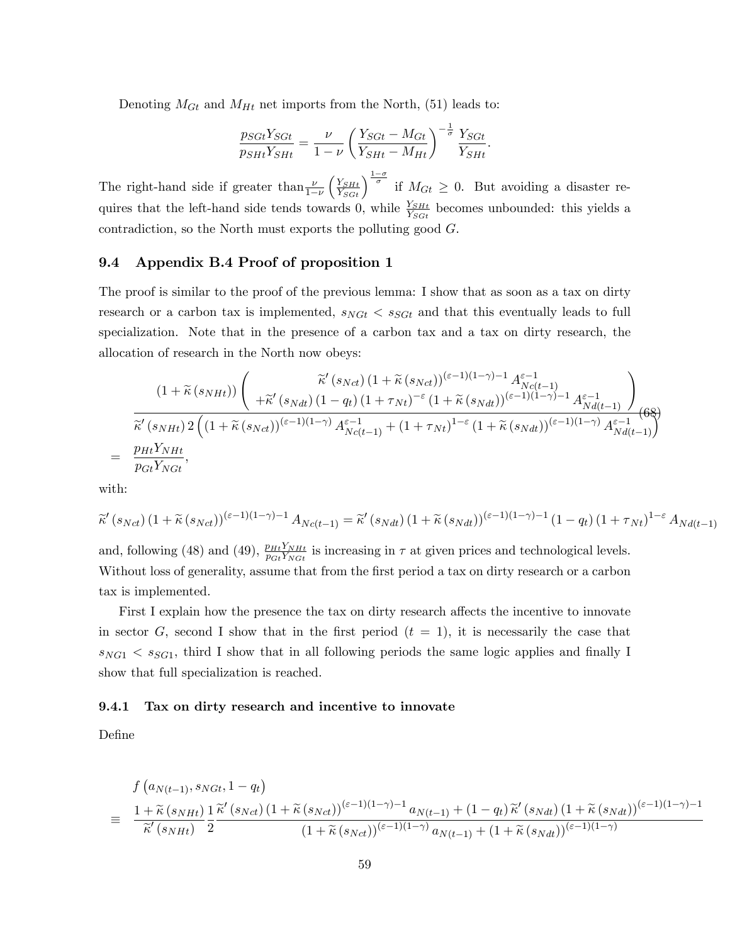Denoting  $M_{Gt}$  and  $M_{Ht}$  net imports from the North, (51) leads to:

$$
\frac{p_{SGI}Y_{SGI}}{p_{SHt}Y_{SHt}} = \frac{\nu}{1-\nu} \left(\frac{Y_{SGI} - M_{Gt}}{Y_{SHt} - M_{Ht}}\right)^{-\frac{1}{\sigma}} \frac{Y_{SGIt}}{Y_{SHt}}.
$$

The right-hand side if greater than  $\frac{\nu}{1-\nu}$  $\left(\frac{Y_{SHL}}{Y_{SGL}}\right)^{\frac{1-\sigma}{\sigma}}$  if  $M_{Gt} \geq 0$ . But avoiding a disaster requires that the left-hand side tends towards 0, while  $\frac{Y_{SHL}}{Y_{SGL}}$  becomes unbounded: this yields a contradiction, so the North must exports the polluting good G.

## 9.4 Appendix B.4 Proof of proposition 1

The proof is similar to the proof of the previous lemma: I show that as soon as a tax on dirty research or a carbon tax is implemented,  $s_{NGt} < s_{SGt}$  and that this eventually leads to full specialization. Note that in the presence of a carbon tax and a tax on dirty research, the allocation of research in the North now obeys:

$$
(1+\widetilde{\kappa}(s_{NHt}))\left(\begin{array}{c}\widetilde{\kappa}'(s_{Nct})\left(1+\widetilde{\kappa}(s_{Nct})\right)^{(\varepsilon-1)(1-\gamma)-1}A_{Nct-1}^{\varepsilon-1}\\\qquad+\widetilde{\kappa}'(s_{Ndt})\left(1-q_t\right)\left(1+\tau_{Nt}\right)^{-\varepsilon}\left(1+\widetilde{\kappa}(s_{Ndt})\right)^{(\varepsilon-1)(1-\gamma)-1}A_{Nd(t-1)}^{\varepsilon-1}\right)\\\hline\widetilde{\kappa}'(s_{NHt})\,2\left((1+\widetilde{\kappa}(s_{Nct}))^{(\varepsilon-1)(1-\gamma)}A_{Nct-1}^{\varepsilon-1}+(1+\tau_{Nt})^{1-\varepsilon}\left(1+\widetilde{\kappa}(s_{Ndt})\right)^{(\varepsilon-1)(1-\gamma)}A_{Nd(t-1)}^{\varepsilon-1}\right)\right)\\\qquad=\frac{p_{Ht}Y_{NHt}}{p_{Gt}Y_{NGt}},\end{array}
$$

with:

$$
\widetilde{\kappa}'(s_{Nct})\left(1+\widetilde{\kappa}(s_{Nct})\right)^{(\varepsilon-1)(1-\gamma)-1}A_{Nc(t-1)}=\widetilde{\kappa}'(s_{Ndt})\left(1+\widetilde{\kappa}(s_{Ndt})\right)^{(\varepsilon-1)(1-\gamma)-1}\left(1-q_t\right)\left(1+\tau_{Nt}\right)^{1-\varepsilon}A_{Nd(t-1)}
$$

and, following (48) and (49),  $\frac{p_{Ht}Y_{NHt}}{p_{Gt}Y_{NGt}}$  is increasing in  $\tau$  at given prices and technological levels. Without loss of generality, assume that from the first period a tax on dirty research or a carbon tax is implemented.

First I explain how the presence the tax on dirty research affects the incentive to innovate in sector G, second I show that in the first period  $(t = 1)$ , it is necessarily the case that  $s_{NG1} < s_{SG1}$ , third I show that in all following periods the same logic applies and finally I show that full specialization is reached.

## 9.4.1 Tax on dirty research and incentive to innovate

DeÖne

$$
f(a_{N(t-1)}, s_{NGt}, 1-q_t)
$$
\n
$$
\equiv \frac{1+\tilde{\kappa}(s_{NHt})}{\tilde{\kappa}'(s_{NHt})} \frac{1}{2} \frac{\tilde{\kappa}'(s_{Nct})(1+\tilde{\kappa}(s_{Nct}))^{(\varepsilon-1)(1-\gamma)-1} a_{N(t-1)} + (1-q_t)\tilde{\kappa}'(s_{Ndt})(1+\tilde{\kappa}(s_{Ndt}))^{(\varepsilon-1)(1-\gamma)-1}}{(1+\tilde{\kappa}(s_{Nct}))^{(\varepsilon-1)(1-\gamma)} a_{N(t-1)} + (1+\tilde{\kappa}(s_{Ndt}))^{(\varepsilon-1)(1-\gamma)}}
$$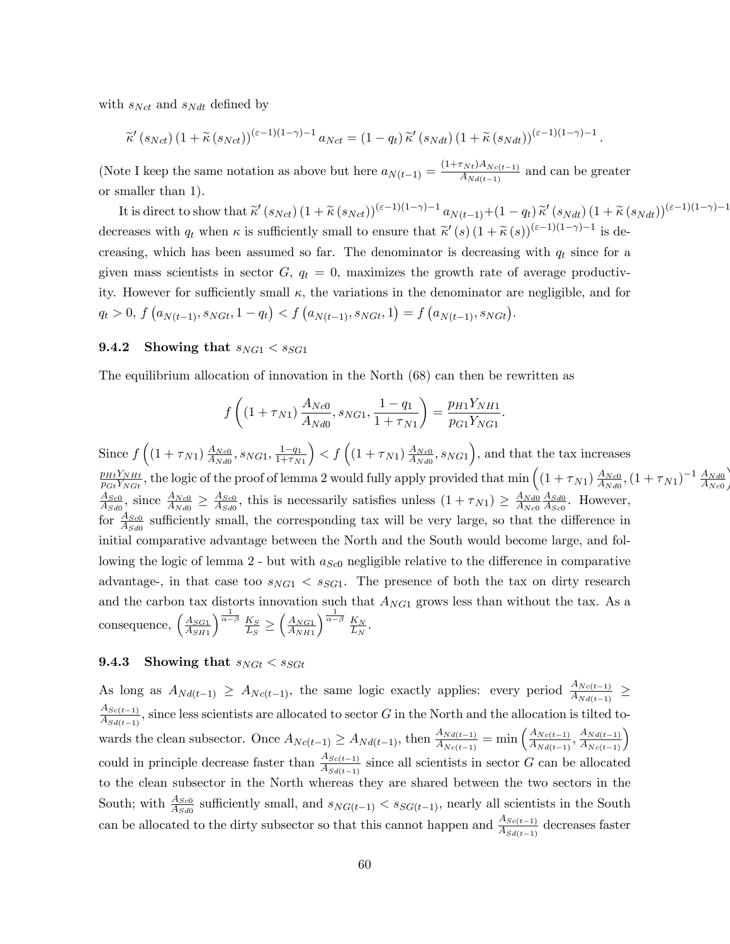with  $s_{Net}$  and  $s_{Ndt}$  defined by

$$
\widetilde{\kappa}'(s_{Nct}) \left(1+\widetilde{\kappa}(s_{Nct})\right)^{(\varepsilon-1)(1-\gamma)-1} a_{Nct} = (1-q_t) \widetilde{\kappa}'(s_{Ndt}) \left(1+\widetilde{\kappa}(s_{Ndt})\right)^{(\varepsilon-1)(1-\gamma)-1}
$$

(Note I keep the same notation as above but here  $a_{N(t-1)} = \frac{(1+\tau_{Nt})A_{Nc(t-1)}}{A_{Ndt(t-1)}}$  and can be greater or smaller than 1).

It is direct to show that  $\widetilde{\kappa}'(s_{Nct}) \left(1+\widetilde{\kappa}(s_{Nct})\right)^{(\varepsilon-1)(1-\gamma)-1} a_{N(t-1)}+(1-q_t)\widetilde{\kappa}'(s_{Ndt}) \left(1+\widetilde{\kappa}(s_{Ndt})\right)^{(\varepsilon-1)(1-\gamma)-1}$ decreases with  $q_t$  when  $\kappa$  is sufficiently small to ensure that  $\tilde{\kappa}'(s)$   $(1+\tilde{\kappa}(s))^{(\varepsilon-1)(1-\gamma)-1}$  is decreasing, which has been assumed so far. The denominator is decreasing with  $q_t$  since for a given mass scientists in sector  $G, q_t = 0$ , maximizes the growth rate of average productivity. However for sufficiently small  $\kappa$ , the variations in the denominator are negligible, and for  $q_t > 0, f(a_{N(t-1)}, s_{NGt}, 1 - q_t) < f(a_{N(t-1)}, s_{NGt}, 1) = f(a_{N(t-1)}, s_{NGt}).$ 

#### $9.4.2$ Showing that  $s_{NG1} < s_{SG1}$

The equilibrium allocation of innovation in the North (68) can then be rewritten as

$$
f\left((1+\tau_{N1})\frac{A_{Nc0}}{A_{Nd0}}, s_{NG1}, \frac{1-q_1}{1+\tau_{N1}}\right) = \frac{p_{H1}Y_{NH1}}{p_{G1}Y_{NG1}}.
$$

Since  $f\left((1+\tau_{N1})\frac{A_{Nc0}}{A_{Nd0}}, s_{NG1}, \frac{1-q_1}{1+\tau_{N1}}\right) < f\left((1+\tau_{N1})\frac{A_{Nc0}}{A_{Nd0}}, s_{NG1}\right)$ , and that the tax increases  $\frac{p_{Ht}Y_{NHt}}{p_{Gt}Y_{NGt}}$ , the logic of the proof of lemma 2 would fully apply provided that  $\min \left( (1 + \tau_{N1}) \frac{A_{Nc0}}{A_{Nd0}}, (1 + \tau_{N1})^{-1} \frac{A_{Nd0}}{A_{Nc0}} \right)$  $\frac{A_{Sc0}}{A_{Sd0}}$ , since  $\frac{A_{Nc0}}{A_{Nd0}} \geq \frac{A_{Sc0}}{A_{Sd0}}$ , this is necessarily satisfies unless  $(1 + \tau_{N1}) \geq \frac{A_{Nd0}}{A_{Nc0}} \frac{A_{Sd0}}{A_{Sc0}}$ . However, for  $\frac{A_{Sc0}}{A_{Sd0}}$  sufficiently small, the corresponding tax will be very large, so that the difference in initial comparative advantage between the North and the South would become large, and following the logic of lemma 2 - but with  $a_{\text{Sc}0}$  negligible relative to the difference in comparative advantage-, in that case too  $s_{NG1} < s_{SG1}$ . The presence of both the tax on dirty research and the carbon tax distorts innovation such that  $A_{NG1}$  grows less than without the tax. As a consequence,  $\left(\frac{A_{SG1}}{A_{SH1}}\right)^{\frac{1}{\alpha-\beta}} \frac{K_S}{L_S} \geq \left(\frac{A_{NG1}}{A_{NH1}}\right)^{\frac{1}{\alpha-\beta}} \frac{K_N}{L_N}.$ 

#### 9.4.3 Showing that  $s_{NGt} < s_{SGt}$

As long as  $A_{Nd(t-1)} \geq A_{Nc(t-1)}$ , the same logic exactly applies: every period  $\frac{A_{Nc(t-1)}}{A_{Nd(t-1)}} \geq$  $\frac{A_{Sc(t-1)}}{A_{Sd(t-1)}}$ , since less scientists are allocated to sector G in the North and the allocation is tilted towards the clean subsector. Once  $A_{Nc(t-1)} \geq A_{Nd(t-1)}$ , then  $\frac{A_{Nd(t-1)}}{A_{Nc(t-1)}} = \min\left(\frac{A_{Nc(t-1)}}{A_{Nd(t-1)}}, \frac{A_{Nd(t-1)}}{A_{Nc(t-1)}}\right)$ <br>could in principle decrease faster than  $\frac{A_{Sc(t-1)}}{A_{Sd(t-1)}}$  since all scientists in sector to the clean subsector in the North whereas they are shared between the two sectors in the South; with  $\frac{A_{S_{c0}}}{A_{S_{d0}}}$  sufficiently small, and  $s_{NG(t-1)} < s_{SG(t-1)}$ , nearly all scientists in the South can be allocated to the dirty subsector so that this cannot happen and  $\frac{A_{Sc(t-1)}}{A_{Sd(t-1)}}$  decreases faster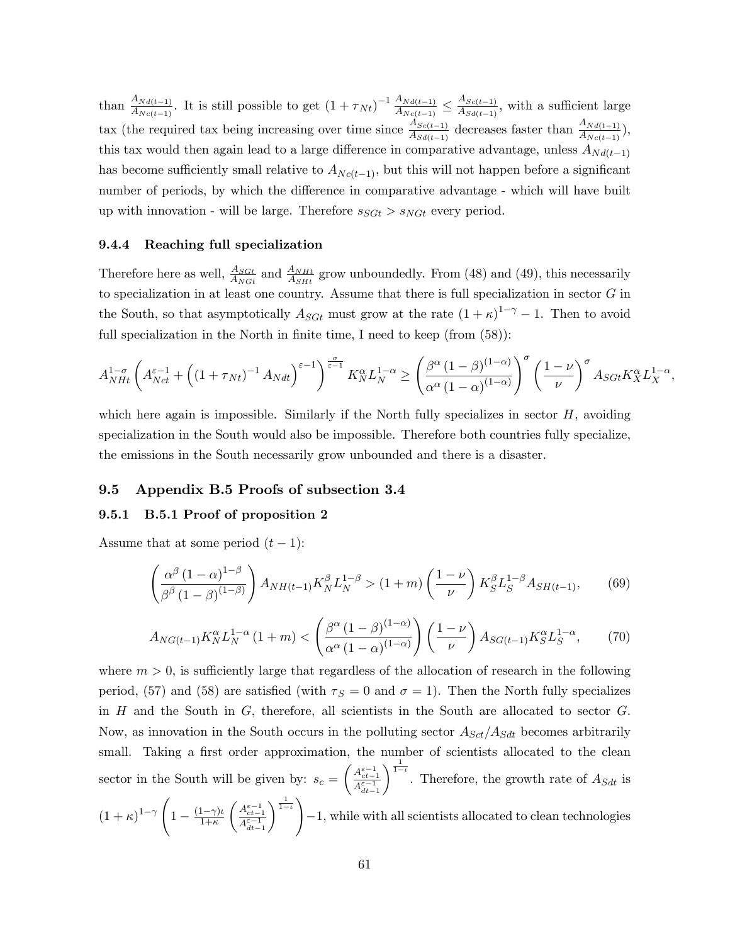than  $\frac{A_{Nd(t-1)}}{A_{Nc(t-1)}}$ . It is still possible to get  $(1 + \tau_{Nt})^{-1} \frac{A_{Nd(t-1)}}{A_{Nc(t-1)}}$  $\frac{A_{Nd(t-1)}}{A_{Nc(t-1)}} \leq \frac{A_{Sc(t-1)}}{A_{Sd(t-1)}}$  $\frac{A_{S_{c}(t-1)}}{A_{S_{d}(t-1)}},$  with a sufficient large tax (the required tax being increasing over time since  $\frac{A_{Sc(t-1)}}{A_{Sd(t-1)}}$  decreases faster than  $\frac{A_{Nd(t-1)}}{A_{Nc(t-1)}}$ ), this tax would then again lead to a large difference in comparative advantage, unless  $A_{Nd(t-1)}$ has become sufficiently small relative to  $A_{Nc(t-1)}$ , but this will not happen before a significant number of periods, by which the difference in comparative advantage - which will have built up with innovation - will be large. Therefore  $s_{SGt} > s_{NGt}$  every period.

## 9.4.4 Reaching full specialization

Therefore here as well,  $\frac{A_{SGL}}{A_{NH}}$  and  $\frac{A_{NHt}}{A_{SH}}$  grow unboundedly. From (48) and (49), this necessarily to specialization in at least one country. Assume that there is full specialization in sector  $G$  in the South, so that asymptotically  $A_{SGt}$  must grow at the rate  $(1 + \kappa)^{1-\gamma} - 1$ . Then to avoid full specialization in the North in finite time, I need to keep (from  $(58)$ ):

$$
A_{NHt}^{1-\sigma} \left( A_{Nct}^{\varepsilon-1} + \left( \left( 1 + \tau_{Nt} \right)^{-1} A_{Ndt} \right)^{\varepsilon-1} \right)^{\frac{\sigma}{\varepsilon-1}} K_N^{\alpha} L_N^{1-\alpha} \ge \left( \frac{\beta^{\alpha} \left( 1 - \beta \right)^{(1-\alpha)}}{\alpha^{\alpha} \left( 1 - \alpha \right)^{(1-\alpha)}} \right)^{\sigma} \left( \frac{1-\nu}{\nu} \right)^{\sigma} A_{SGt} K_X^{\alpha} L_X^{1-\alpha},
$$

which here again is impossible. Similarly if the North fully specializes in sector  $H$ , avoiding specialization in the South would also be impossible. Therefore both countries fully specialize, the emissions in the South necessarily grow unbounded and there is a disaster.

#### 9.5 Appendix B.5 Proofs of subsection 3.4

# 9.5.1 B.5.1 Proof of proposition 2

Assume that at some period  $(t-1)$ :

$$
\left(\frac{\alpha^{\beta} \left(1-\alpha\right)^{1-\beta}}{\beta^{\beta} \left(1-\beta\right)^{(1-\beta)}}\right) A_{NH(t-1)} K_N^{\beta} L_N^{1-\beta} > (1+m) \left(\frac{1-\nu}{\nu}\right) K_S^{\beta} L_S^{1-\beta} A_{SH(t-1)},\tag{69}
$$

$$
A_{NG(t-1)} K_N^{\alpha} L_N^{1-\alpha} (1+m) < \left( \frac{\beta^{\alpha} (1-\beta)^{(1-\alpha)}}{\alpha^{\alpha} (1-\alpha)^{(1-\alpha)}} \right) \left( \frac{1-\nu}{\nu} \right) A_{SG(t-1)} K_S^{\alpha} L_S^{1-\alpha},\tag{70}
$$

where  $m > 0$ , is sufficiently large that regardless of the allocation of research in the following period, (57) and (58) are satisfied (with  $\tau_s = 0$  and  $\sigma = 1$ ). Then the North fully specializes in  $H$  and the South in  $G$ , therefore, all scientists in the South are allocated to sector  $G$ . Now, as innovation in the South occurs in the polluting sector  $A_{Sct}/A_{Sdt}$  becomes arbitrarily small. Taking a first order approximation, the number of scientists allocated to the clean sector in the South will be given by:  $s_c =$  $\left(\frac{A_{ct-1}^{\varepsilon-1}}{A_{dt-1}^{\varepsilon-1}}\right.$  $\int_{1-i}^{\frac{1}{1-i}}$ . Therefore, the growth rate of  $A_{Sdt}$  is  $(1 + \kappa)^{1-\gamma}$  $\sqrt{ }$  $1-\frac{(1-\gamma)\iota}{1+\kappa}$  $\left(\frac{A_{ct-1}^{\varepsilon-1}}{A_{dt-1}^{\varepsilon-1}}\right.$  $\left\langle \frac{1}{1-i} \right\rangle$  $-1$ , while with all scientists allocated to clean technologies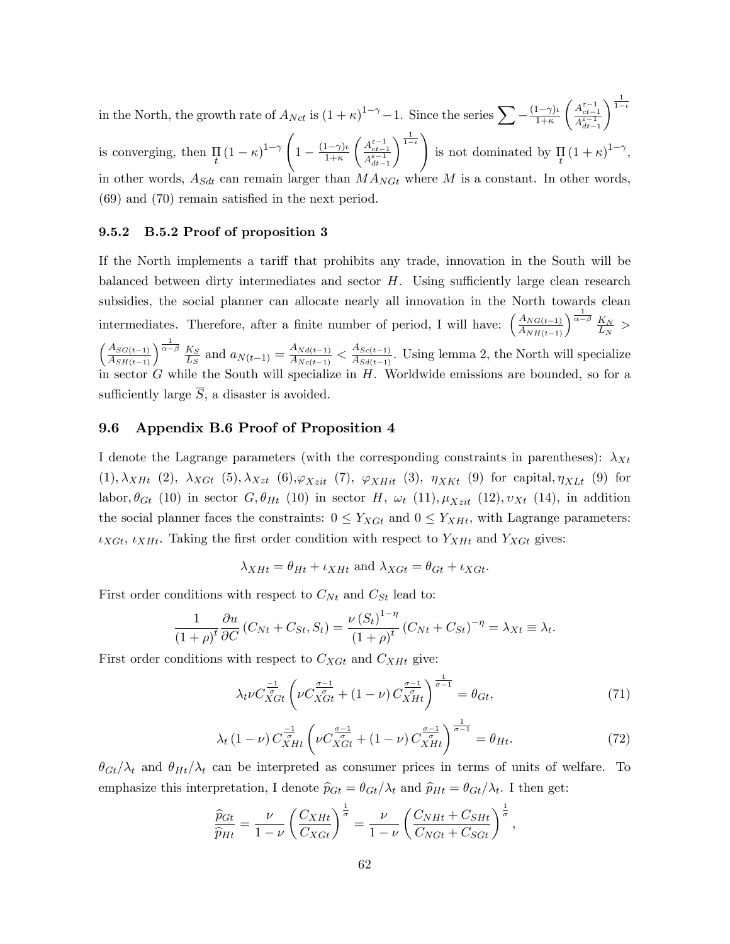in the North, the growth rate of  $A_{Nct}$  is  $(1 + \kappa)^{1-\gamma} - 1$ . Since the series  $\sum -\frac{(1-\gamma)\iota}{1+\kappa}$  $\left(\begin{array}{c} A_{ct-1}^{\varepsilon-1} \\ \overline{A_{dt-1}^{\varepsilon-1}} \end{array}\right)$  $dt-1$  $\frac{1}{1-\iota}$ is converging, then  $\prod_t (1 - \kappa)^{1 - \gamma}$  $\sqrt{ }$  $1-\frac{(1-\gamma)\iota}{1+\kappa}$  $\left(\frac{A_{ct-1}^{\varepsilon-1}}{A_{dt-1}^{\varepsilon-1}}\right.$  $\frac{1}{1-t}$ is not dominated by  $\prod_{t} (1 + \kappa)^{1-\gamma}$ , in other words,  $A_{Sdt}$  can remain larger than  $MA_{NGt}$  where M is a constant. In other words,  $(69)$  and  $(70)$  remain satisfied in the next period.

## 9.5.2 B.5.2 Proof of proposition 3

If the North implements a tariff that prohibits any trade, innovation in the South will be balanced between dirty intermediates and sector  $H$ . Using sufficiently large clean research subsidies, the social planner can allocate nearly all innovation in the North towards clean intermediates. Therefore, after a finite number of period, I will have:  $\left(\frac{A_{NG(t-1)}}{A_{NH(t-1)}}\right)^{\frac{1}{\alpha-\beta}} \frac{K_N}{L_N}$  $\frac{K_N}{L_N} >$  $\left(\frac{A_{SG(t-1)}}{A_{SH(t-1)}}\right)^{\frac{1}{\alpha-\beta}} \frac{K_S}{L_S}$  $\frac{K_S}{L_S}$  and  $a_{N(t-1)} = \frac{A_{Nd(t-1)}}{A_{Nc(t-1)}}$  $\frac{A_{Nd(t-1)}}{A_{Nc(t-1)}} < \frac{A_{Sc(t-1)}}{A_{Sd(t-1)}}$  $\frac{A_{S_{cl}(t-1)}}{A_{S_{cl}(t-1)}}$ . Using lemma 2, the North will specialize in sector G while the South will specialize in H. Worldwide emissions are bounded, so for a sufficiently large  $\overline{S}$ , a disaster is avoided.

### 9.6 Appendix B.6 Proof of Proposition 4

I denote the Lagrange parameters (with the corresponding constraints in parentheses):  $\lambda_{Xt}$  $(1), \lambda_{XHt}$   $(2), \lambda_{XGt}$   $(5), \lambda_{Xzt}$   $(6), \varphi_{Xzit}$   $(7), \varphi_{XHit}$   $(3), \eta_{XKt}$   $(9)$  for capital,  $\eta_{XLt}$   $(9)$  for labor,  $\theta_{Gt}$  (10) in sector G,  $\theta_{Ht}$  (10) in sector H,  $\omega_t$  (11),  $\mu_{Xzit}$  (12),  $v_{Xt}$  (14), in addition the social planner faces the constraints:  $0 \le Y_{XGt}$  and  $0 \le Y_{XHt}$ , with Lagrange parameters:  $\iota_{XGt}, \iota_{XHt}$ . Taking the first order condition with respect to  $Y_{XHt}$  and  $Y_{XGt}$  gives:

$$
\lambda_{XHt} = \theta_{Ht} + \iota_{XHt} \text{ and } \lambda_{XGt} = \theta_{Gt} + \iota_{XGt}.
$$

First order conditions with respect to  $C_{Nt}$  and  $C_{St}$  lead to:

$$
\frac{1}{(1+\rho)^t}\frac{\partial u}{\partial C}\left(C_{Nt}+C_{St},S_t\right)=\frac{\nu\left(S_t\right)^{1-\eta}}{\left(1+\rho\right)^t}\left(C_{Nt}+C_{St}\right)^{-\eta}=\lambda_{Xt}\equiv\lambda_t.
$$

First order conditions with respect to  $C_{XGt}$  and  $C_{XHt}$  give:

$$
\lambda_t \nu C_{XGt}^{\frac{-1}{\sigma}} \left( \nu C_{XGt}^{\frac{\sigma-1}{\sigma}} + (1-\nu) C_{XHt}^{\frac{\sigma-1}{\sigma}} \right)^{\frac{1}{\sigma-1}} = \theta_{Gt},\tag{71}
$$

$$
\lambda_t \left(1 - \nu\right) C_{XHt}^{\frac{-1}{\sigma}} \left(\nu C_{XGt}^{\frac{\sigma - 1}{\sigma}} + \left(1 - \nu\right) C_{XHt}^{\frac{\sigma - 1}{\sigma}}\right)^{\frac{1}{\sigma - 1}} = \theta_{Ht}.\tag{72}
$$

 $\theta_{Gt}/\lambda_t$  and  $\theta_{Ht}/\lambda_t$  can be interpreted as consumer prices in terms of units of welfare. To emphasize this interpretation, I denote  $\hat{p}_{Gt} = \theta_{Gt}/\lambda_t$  and  $\hat{p}_{Ht} = \theta_{Gt}/\lambda_t$ . I then get:

$$
\frac{\widehat{p}_{Gt}}{\widehat{p}_{Ht}} = \frac{\nu}{1-\nu} \left( \frac{C_{XHt}}{C_{XGt}} \right)^{\frac{1}{\sigma}} = \frac{\nu}{1-\nu} \left( \frac{C_{NHt} + C_{SHt}}{C_{NGt} + C_{SGt}} \right)^{\frac{1}{\sigma}},
$$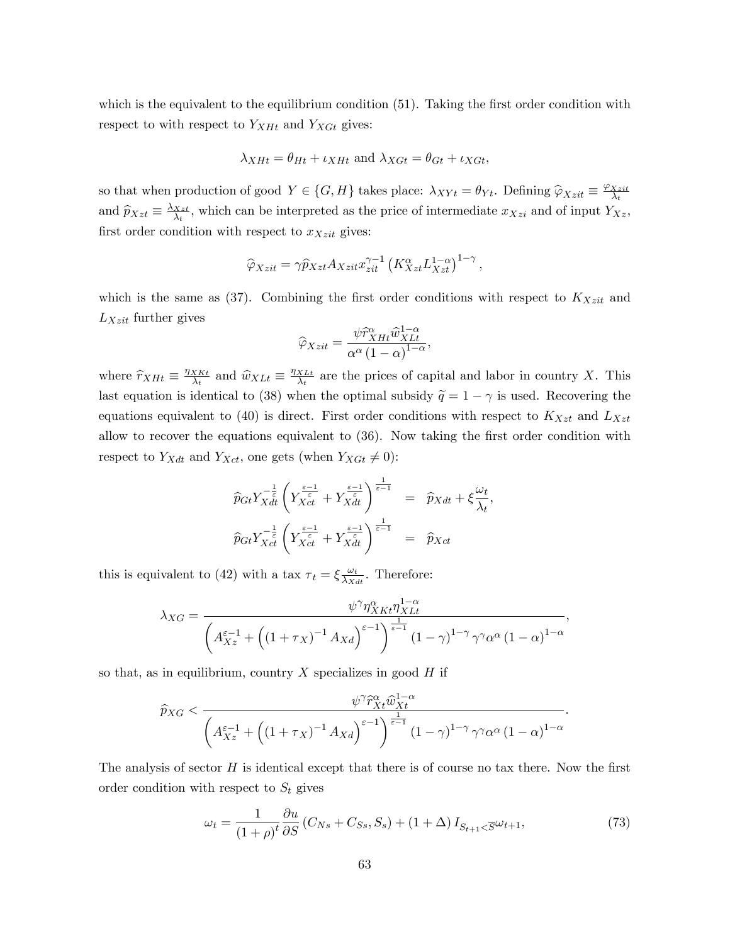which is the equivalent to the equilibrium condition  $(51)$ . Taking the first order condition with respect to with respect to  $Y_{XHt}$  and  $Y_{XGt}$  gives:

$$
\lambda_{XHt} = \theta_{Ht} + \iota_{XHt}
$$
 and  $\lambda_{XGt} = \theta_{Gt} + \iota_{XGt}$ ,

so that when production of good  $Y \in \{G, H\}$  takes place:  $\lambda_{XY}t = \theta_{Yt}$ . Defining  $\hat{\varphi}_{Xzit} \equiv \frac{\varphi_{Xzit}}{\lambda_t}$ and  $\widehat{p}_{Xzt} \equiv \frac{\lambda_{Xzt}}{\lambda_t}$  $\frac{Xzt}{\lambda_t}$ , which can be interpreted as the price of intermediate  $x_{Xzi}$  and of input  $Y_{Xz}$ , first order condition with respect to  $x_{Xzit}$  gives:

$$
\widehat{\varphi}_{Xzt} = \gamma \widehat{p}_{Xzt} A_{Xzit} x_{zit}^{\gamma - 1} \left( K_{Xzt}^{\alpha} L_{Xzt}^{1 - \alpha} \right)^{1 - \gamma},
$$

which is the same as  $(37)$ . Combining the first order conditions with respect to  $K_{Xzit}$  and  $L_{Xzit}$  further gives

$$
\widehat{\varphi}_{Xzit} = \frac{\psi \widehat{r}_{XHt}^{\alpha} \widehat{w}_{XLt}^{1-\alpha}}{\alpha^{\alpha} (1-\alpha)^{1-\alpha}},
$$

where  $\hat{r}_{XHt} \equiv \frac{\eta_{XKt}}{\lambda_t}$  $\frac{X K t}{\lambda_t}$  and  $\widehat{w}_{X L t} \equiv \frac{\eta_{X L t}}{\lambda_t}$  $\frac{X_{Lt}}{\lambda_t}$  are the prices of capital and labor in country X. This last equation is identical to (38) when the optimal subsidy  $\tilde{q} = 1 - \gamma$  is used. Recovering the equations equivalent to (40) is direct. First order conditions with respect to  $K_{Xzt}$  and  $L_{Xzt}$ allow to recover the equations equivalent to  $(36)$ . Now taking the first order condition with respect to  $Y_{Xdt}$  and  $Y_{Xct}$ , one gets (when  $Y_{XGt} \neq 0$ ):

$$
\widehat{p}_{Gt} Y_{Xdt}^{-\frac{1}{\varepsilon}} \left( Y_{Xct}^{\frac{\varepsilon-1}{\varepsilon}} + Y_{Xdt}^{\frac{\varepsilon-1}{\varepsilon}} \right)^{\frac{1}{\varepsilon-1}} = \widehat{p}_{Xdt} + \xi \frac{\omega_t}{\lambda_t},
$$
  

$$
\widehat{p}_{Gt} Y_{Xct}^{-\frac{1}{\varepsilon}} \left( Y_{Xct}^{\frac{\varepsilon-1}{\varepsilon}} + Y_{Xdt}^{\frac{\varepsilon-1}{\varepsilon}} \right)^{\frac{1}{\varepsilon-1}} = \widehat{p}_{Xct}
$$

this is equivalent to (42) with a tax  $\tau_t = \xi \frac{\omega_t}{\lambda x}$  $\frac{\omega_t}{\lambda_{Xdt}}$ . Therefore:

$$
\lambda_{XG} = \frac{\psi^{\gamma} \eta_{XKt}^{\alpha} \eta_{XLt}^{1-\alpha}}{\left(A_{Xz}^{\varepsilon-1} + \left((1+\tau_X)^{-1} A_{Xd}\right)^{\varepsilon-1}\right)^{\frac{1}{\varepsilon-1}} (1-\gamma)^{1-\gamma} \gamma^{\gamma} \alpha^{\alpha} (1-\alpha)^{1-\alpha}},
$$

so that, as in equilibrium, country  $X$  specializes in good  $H$  if

$$
\widehat{p}_{XG} < \frac{\psi^{\gamma} \widehat{r}_{Xt}^{\alpha} \widehat{w}_{Xt}^{1-\alpha}}{\left(A_{Xz}^{\varepsilon-1} + \left((1+\tau_X)^{-1} A_{Xd}\right)^{\varepsilon-1}\right)^{\frac{1}{\varepsilon-1}} (1-\gamma)^{1-\gamma} \gamma^{\gamma} \alpha^{\alpha} (1-\alpha)^{1-\alpha}}.
$$

The analysis of sector  $H$  is identical except that there is of course no tax there. Now the first order condition with respect to  $S_t$  gives

$$
\omega_t = \frac{1}{\left(1+\rho\right)^t} \frac{\partial u}{\partial S} \left(C_{Ns} + C_{Ss}, S_s\right) + \left(1+\Delta\right) I_{S_{t+1} < \overline{S}} \omega_{t+1},\tag{73}
$$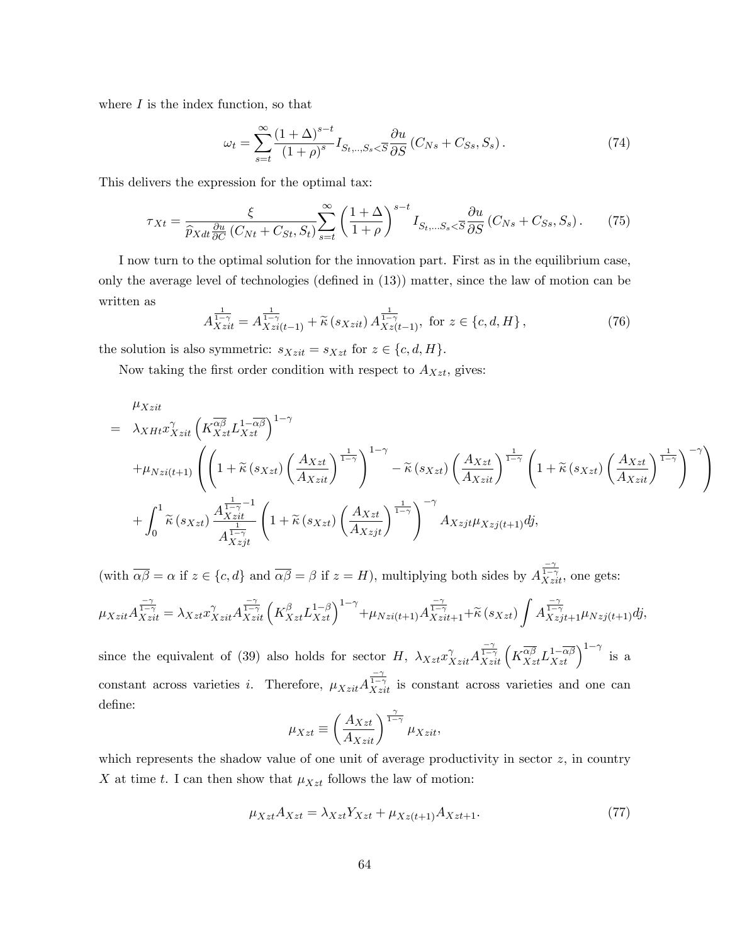where  $I$  is the index function, so that

$$
\omega_t = \sum_{s=t}^{\infty} \frac{\left(1+\Delta\right)^{s-t}}{\left(1+\rho\right)^s} I_{S_t,\dots,S_s < \overline{S}} \frac{\partial u}{\partial S} \left(C_{Ns} + C_{S_s}, S_s\right). \tag{74}
$$

This delivers the expression for the optimal tax:

$$
\tau_{Xt} = \frac{\xi}{\hat{p}_{Xdt}\frac{\partial u}{\partial C}(C_{Nt} + C_{St}, S_t)} \sum_{s=t}^{\infty} \left(\frac{1+\Delta}{1+\rho}\right)^{s-t} I_{S_t,\dots S_s < \overline{S}} \frac{\partial u}{\partial S}(C_{Ns} + C_{Ss}, S_s). \tag{75}
$$

I now turn to the optimal solution for the innovation part. First as in the equilibrium case, only the average level of technologies (defined in  $(13)$ ) matter, since the law of motion can be written as

$$
A_{X\, zit}^{\frac{1}{1-\gamma}} = A_{X\, zi(t-1)}^{\frac{1}{1-\gamma}} + \tilde{\kappa}\left(s_{X\, zit}\right) A_{X\, z(t-1)}^{\frac{1}{1-\gamma}}, \text{ for } z \in \{c, d, H\}\,,\tag{76}
$$

the solution is also symmetric:  $s_{Xzit} = s_{Xzt}$  for  $z \in \{c, d, H\}.$ 

Now taking the first order condition with respect to  $A_{Xzt}$ , gives:

$$
\mu_{Xzit}
$$
\n
$$
= \lambda_{XHt} x_{Xzit}^{\gamma} \left( K_{Xzt}^{\overline{\alpha\beta}} L_{Xzt}^{1-\overline{\alpha\beta}} \right)^{1-\gamma}
$$
\n
$$
+ \mu_{Nzi(t+1)} \left( \left( 1 + \tilde{\kappa} \left( s_{Xzt} \right) \left( \frac{A_{Xzt}}{A_{Xzit}} \right)^{\frac{1}{1-\gamma}} \right)^{1-\gamma} - \tilde{\kappa} \left( s_{Xzt} \right) \left( \frac{A_{Xzt}}{A_{Xzit}} \right)^{\frac{1}{1-\gamma}} \left( 1 + \tilde{\kappa} \left( s_{Xzt} \right) \left( \frac{A_{Xzt}}{A_{Xzit}} \right)^{\frac{1}{1-\gamma}} \right)^{-\gamma} \right)
$$
\n
$$
+ \int_{0}^{1} \tilde{\kappa} \left( s_{Xzt} \right) \frac{A_{Xzit}^{\frac{1}{1-\gamma}-1}}{A_{Xzit}^{\frac{1}{1-\gamma}}} \left( 1 + \tilde{\kappa} \left( s_{Xzt} \right) \left( \frac{A_{Xzt}}{A_{Xzjt}} \right)^{\frac{1}{1-\gamma}} \right)^{-\gamma} A_{Xzjt} \mu_{Xzj(t+1)} dj,
$$

(with  $\overline{\alpha\beta} = \alpha$  if  $z \in \{c, d\}$  and  $\overline{\alpha\beta} = \beta$  if  $z = H$ ), multiplying both sides by  $A_{Xzi}^{\frac{-\gamma}{1-\gamma}}$ , one gets:

$$
\mu_{Xzit} A_{Xzit}^{\frac{-\gamma}{1-\gamma}} = \lambda_{Xzt} x_{Xzit}^{\gamma} A_{Xzit}^{\frac{-\gamma}{1-\gamma}} \left( K_{Xzt}^{\beta} L_{Xzt}^{1-\beta} \right)^{1-\gamma} + \mu_{Nzi(t+1)} A_{Xzit+1}^{\frac{-\gamma}{1-\gamma}} + \tilde{\kappa}(s_{Xzt}) \int A_{Xzjt+1}^{\frac{-\gamma}{1-\gamma}} \mu_{Nzj(t+1)} dj,
$$

since the equivalent of (39) also holds for sector H,  $\lambda_{Xzt} x_{Xzit}^{\gamma} A_{Xzit}^{\frac{-\gamma}{1-\gamma}} \left( K_{Xzt}^{\overline{\alpha\beta}} L_{Xzt}^{1-\overline{\alpha\beta}} \right)^{1-\gamma}$  is a constant across varieties *i*. Therefore,  $\mu_{Xzit} A_{Xzit}^{\frac{-\gamma}{1-\gamma}}$  is constant across varieties and one can define:

$$
\mu_{Xzt} \equiv \left(\frac{A_{Xzt}}{A_{Xzit}}\right)^{\frac{\gamma}{1-\gamma}} \mu_{Xzit}.
$$

which represents the shadow value of one unit of average productivity in sector  $z$ , in country  $X$  at time  $t.$  I can then show that  $\mu_{Xzt}$  follows the law of motion:

$$
\mu_{Xzt} A_{Xzt} = \lambda_{Xzt} Y_{Xzt} + \mu_{Xz(t+1)} A_{Xzt+1}.
$$
\n(77)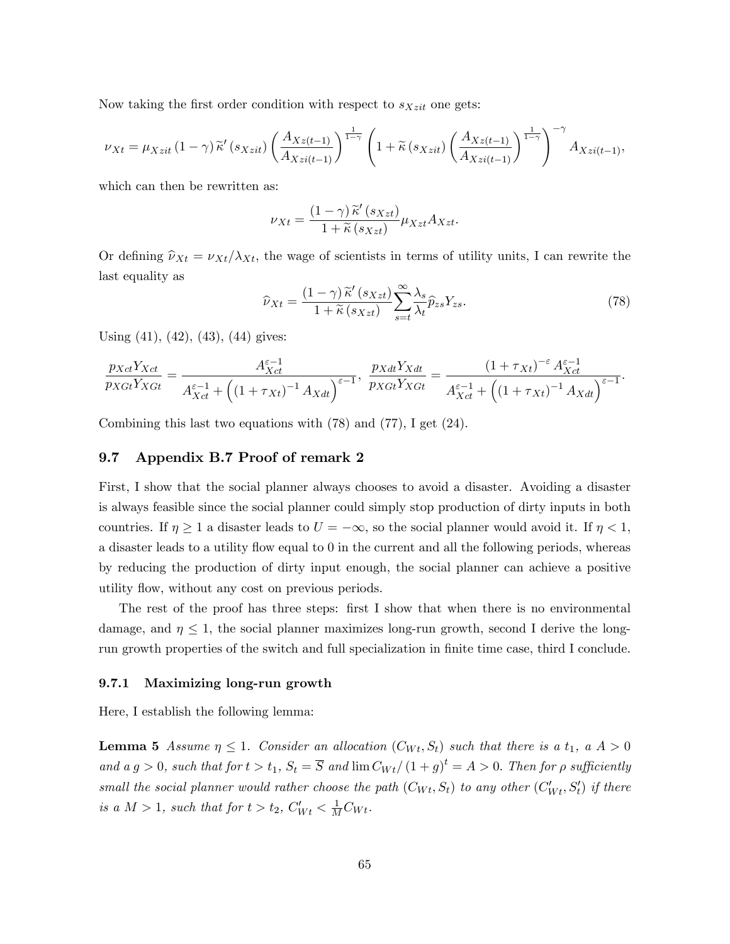Now taking the first order condition with respect to  $s_{Xzit}$  one gets:

$$
\nu_{Xt} = \mu_{Xzit} \left(1 - \gamma\right) \widetilde{\kappa}'\left(s_{Xzit}\right) \left(\frac{A_{Xz(t-1)}}{A_{Xzi(t-1)}}\right)^{\frac{1}{1-\gamma}} \left(1 + \widetilde{\kappa}\left(s_{Xzit}\right) \left(\frac{A_{Xz(t-1)}}{A_{Xzi(t-1)}}\right)^{\frac{1}{1-\gamma}}\right)^{-\gamma} A_{Xzi(t-1)},
$$

which can then be rewritten as:

$$
\nu_{Xt} = \frac{(1-\gamma)\widetilde{\kappa}'(s_{Xzt})}{1+\widetilde{\kappa}(s_{Xzt})}\mu_{Xzt}A_{Xzt}.
$$

Or defining  $\hat{\nu}_{Xt} = \nu_{Xt}/\lambda_{Xt}$ , the wage of scientists in terms of utility units, I can rewrite the last equality as

$$
\widehat{\nu}_{Xt} = \frac{(1-\gamma)\widetilde{\kappa}'(s_{Xzt})}{1+\widetilde{\kappa}(s_{Xzt})} \sum_{s=t}^{\infty} \frac{\lambda_s}{\lambda_t} \widehat{p}_{zs} Y_{zs}.
$$
\n(78)

Using (41), (42), (43), (44) gives:

$$
\frac{p_{Xct}Y_{Xct}}{p_{XGt}Y_{XGt}} = \frac{A_{Xct}^{\varepsilon-1}}{A_{Xct}^{\varepsilon-1} + \left( (1 + \tau_{Xt})^{-1} A_{Xdt} \right)^{\varepsilon-1}}, \frac{p_{Xdt}Y_{Xdt}}{p_{XGt}Y_{XGt}} = \frac{(1 + \tau_{Xt})^{-\varepsilon} A_{Xct}^{\varepsilon-1}}{A_{Xct}^{\varepsilon-1} + \left( (1 + \tau_{Xt})^{-1} A_{Xdt} \right)^{\varepsilon-1}}.
$$

Combining this last two equations with (78) and (77), I get (24).

#### 9.7 Appendix B.7 Proof of remark 2

First, I show that the social planner always chooses to avoid a disaster. Avoiding a disaster is always feasible since the social planner could simply stop production of dirty inputs in both countries. If  $\eta \geq 1$  a disaster leads to  $U = -\infty$ , so the social planner would avoid it. If  $\eta < 1$ , a disaster leads to a utility flow equal to 0 in the current and all the following periods, whereas by reducing the production of dirty input enough, the social planner can achieve a positive utility flow, without any cost on previous periods.

The rest of the proof has three steps: first I show that when there is no environmental damage, and  $\eta \leq 1$ , the social planner maximizes long-run growth, second I derive the longrun growth properties of the switch and full specialization in finite time case, third I conclude.

#### 9.7.1 Maximizing long-run growth

Here, I establish the following lemma:

**Lemma 5** Assume  $\eta \leq 1$ . Consider an allocation  $(C_{W_t}, S_t)$  such that there is a  $t_1$ , a  $A > 0$ and a  $g > 0$ , such that for  $t > t_1$ ,  $S_t = \overline{S}$  and  $\lim C_{Wt}/(1 + g)^t = A > 0$ . Then for  $\rho$  sufficiently small the social planner would rather choose the path  $(C_{Wt}, S_t)$  to any other  $(C'_{Wt}, S'_t)$  if there is a  $M > 1$ , such that for  $t > t_2$ ,  $C_{Wt}^{\prime} < \frac{1}{M}C_{Wt}$ .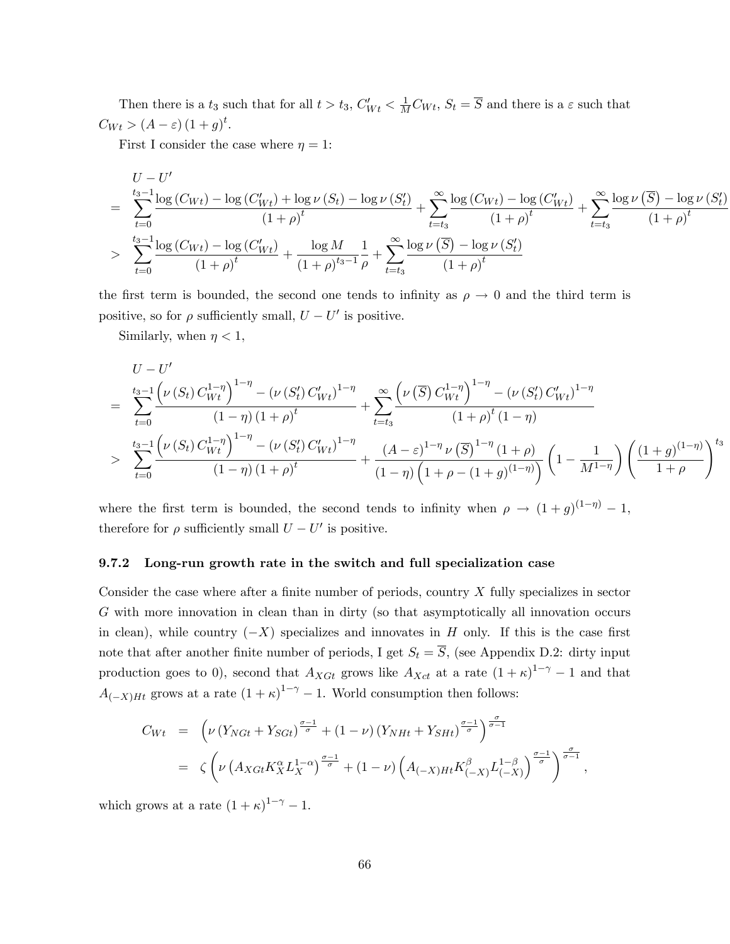Then there is a  $t_3$  such that for all  $t > t_3$ ,  $C_{Wt}$   $< \frac{1}{M}C_{Wt}$ ,  $S_t = \overline{S}$  and there is a  $\varepsilon$  such that  $C_{Wt} > (A - \varepsilon) (1 + g)^t.$ 

First I consider the case where  $\eta = 1$ :

$$
U - U'
$$
\n
$$
= \sum_{t=0}^{t_3-1} \frac{\log(C_{Wt}) - \log(C'_{Wt}) + \log \nu(S_t) - \log \nu(S'_t)}{(1+\rho)^t} + \sum_{t=t_3}^{\infty} \frac{\log(C_{Wt}) - \log(C'_{Wt})}{(1+\rho)^t} + \sum_{t=t_3}^{\infty} \frac{\log \nu(\overline{S}) - \log \nu(S'_t)}{(1+\rho)^t}
$$
\n
$$
> \sum_{t=0}^{t_3-1} \frac{\log(C_{Wt}) - \log(C'_{Wt})}{(1+\rho)^t} + \frac{\log M}{(1+\rho)^{t_3-1}} \frac{1}{\rho} + \sum_{t=t_3}^{\infty} \frac{\log \nu(\overline{S}) - \log \nu(S'_t)}{(1+\rho)^t}
$$

the first term is bounded, the second one tends to infinity as  $\rho \to 0$  and the third term is positive, so for  $\rho$  sufficiently small,  $U - U'$  is positive.

Similarly, when  $\eta < 1$ ,

$$
U - U'
$$
\n
$$
= \sum_{t=0}^{t_3-1} \frac{\left(\nu(S_t) C_{Wt}^{1-\eta}\right)^{1-\eta} - \left(\nu(S_t') C_{Wt}'\right)^{1-\eta}}{(1-\eta)(1+\rho)^t} + \sum_{t=t_3}^{\infty} \frac{\left(\nu(\overline{S}) C_{Wt}^{1-\eta}\right)^{1-\eta} - \left(\nu(S_t') C_{Wt}'\right)^{1-\eta}}{(1+\rho)^t (1-\eta)}
$$
\n
$$
> \sum_{t=0}^{t_3-1} \frac{\left(\nu(S_t) C_{Wt}^{1-\eta}\right)^{1-\eta} - \left(\nu(S_t') C_{Wt}'\right)^{1-\eta}}{(1-\eta)(1+\rho)^t} + \frac{\left(A-\varepsilon\right)^{1-\eta} \nu(\overline{S})^{1-\eta} (1+\rho)}{(1-\eta)\left(1+\rho - (1+g)^{(1-\eta)}\right)} \left(1 - \frac{1}{M^{1-\eta}}\right) \left(\frac{(1+g)^{(1-\eta)}}{1+\rho}\right)^{t_3}
$$

where the first term is bounded, the second tends to infinity when  $\rho \rightarrow (1 + g)^{(1 - \eta)} - 1$ , therefore for  $\rho$  sufficiently small  $U - U'$  is positive.

### 9.7.2 Long-run growth rate in the switch and full specialization case

Consider the case where after a finite number of periods, country  $X$  fully specializes in sector G with more innovation in clean than in dirty (so that asymptotically all innovation occurs in clean), while country  $(-X)$  specializes and innovates in H only. If this is the case first note that after another finite number of periods, I get  $S_t = \overline{S}$ , (see Appendix D.2: dirty input production goes to 0), second that  $A_{XGt}$  grows like  $A_{Xct}$  at a rate  $(1 + \kappa)^{1-\gamma} - 1$  and that  $A_{(-X)Ht}$  grows at a rate  $(1 + \kappa)^{1-\gamma} - 1$ . World consumption then follows:

$$
C_{Wt} = \left(\nu \left(Y_{NGt} + Y_{SGt}\right)^{\frac{\sigma-1}{\sigma}} + (1-\nu) \left(Y_{NHt} + Y_{SHt}\right)^{\frac{\sigma-1}{\sigma}}\right)^{\frac{\sigma}{\sigma-1}}
$$
  

$$
= \zeta \left(\nu \left(A_{XGt}K_X^{\alpha}L_X^{1-\alpha}\right)^{\frac{\sigma-1}{\sigma}} + (1-\nu) \left(A_{(-X)Ht}K_{(-X)}^{\beta}L_{(-X)}^{1-\beta}\right)^{\frac{\sigma-1}{\sigma}}\right)^{\frac{\sigma}{\sigma-1}},
$$

which grows at a rate  $(1 + \kappa)^{1-\gamma} - 1$ .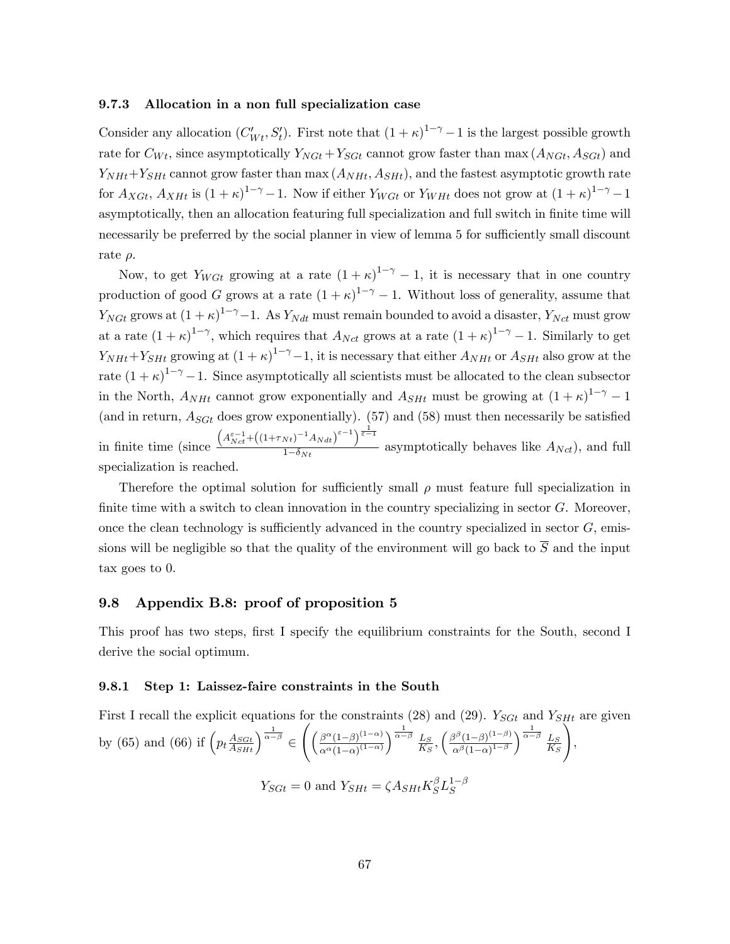### 9.7.3 Allocation in a non full specialization case

Consider any allocation  $(C'_{Wt}, S'_{t})$ . First note that  $(1 + \kappa)^{1-\gamma} - 1$  is the largest possible growth rate for  $C_{Wt}$ , since asymptotically  $Y_{NGt} + Y_{SGt}$  cannot grow faster than max  $(A_{NGt}, A_{SGt})$  and  $Y_{NHt}+Y_{SHt}$  cannot grow faster than max  $(A_{NHt}, A_{SHt})$ , and the fastest asymptotic growth rate for  $A_{XGt}$ ,  $A_{XHt}$  is  $(1 + \kappa)^{1-\gamma} - 1$ . Now if either  $Y_{WGt}$  or  $Y_{WHt}$  does not grow at  $(1 + \kappa)^{1-\gamma} - 1$ asymptotically, then an allocation featuring full specialization and full switch in finite time will necessarily be preferred by the social planner in view of lemma 5 for sufficiently small discount rate  $\rho$ .

Now, to get  $Y_{WGt}$  growing at a rate  $(1 + \kappa)^{1-\gamma} - 1$ , it is necessary that in one country production of good G grows at a rate  $(1 + \kappa)^{1-\gamma} - 1$ . Without loss of generality, assume that  $Y_{NGt}$  grows at  $(1 + \kappa)^{1-\gamma} - 1$ . As  $Y_{Ndt}$  must remain bounded to avoid a disaster,  $Y_{Nct}$  must grow at a rate  $(1 + \kappa)^{1-\gamma}$ , which requires that  $A_{Net}$  grows at a rate  $(1 + \kappa)^{1-\gamma} - 1$ . Similarly to get  $Y_{NHt}+Y_{SHt}$  growing at  $(1+\kappa)^{1-\gamma}-1$ , it is necessary that either  $A_{NHt}$  or  $A_{SHt}$  also grow at the rate  $(1 + \kappa)^{1-\gamma} - 1$ . Since asymptotically all scientists must be allocated to the clean subsector in the North,  $A_{NHt}$  cannot grow exponentially and  $A_{SHt}$  must be growing at  $(1 + \kappa)^{1-\gamma} - 1$ (and in return,  $A_{SGt}$  does grow exponentially). (57) and (58) must then necessarily be satisfied in finite time (since  $\left(A_{Net}^{\varepsilon-1} + \left((1+\tau_{Nt})^{-1}A_{Ndt}\right)^{\varepsilon-1}\right)^{\frac{1}{\varepsilon-1}}$  $\frac{N(t)}{1-\delta_{Nt}}$  asymptotically behaves like  $A_{Nct}$ , and full specialization is reached.

Therefore the optimal solution for sufficiently small  $\rho$  must feature full specialization in finite time with a switch to clean innovation in the country specializing in sector  $G$ . Moreover, once the clean technology is sufficiently advanced in the country specialized in sector  $G$ , emissions will be negligible so that the quality of the environment will go back to  $\overline{S}$  and the input tax goes to 0.

## 9.8 Appendix B.8: proof of proposition 5

This proof has two steps, first I specify the equilibrium constraints for the South, second I derive the social optimum.

### 9.8.1 Step 1: Laissez-faire constraints in the South

First I recall the explicit equations for the constraints (28) and (29).  $Y_{SGt}$  and  $Y_{SHt}$  are given by (65) and (66) if  $\left(p_t \frac{A_{SGt}}{A_{SHt}}\right)^{\frac{1}{\alpha-\beta}} \in$  $\int \frac{\beta^{\alpha}(1-\beta)^{(1-\alpha)}}{(\beta-\alpha)^{(1-\alpha)}}$  $\alpha^{\alpha}(1-\alpha)^{(1-\alpha)}$  $\sqrt{\frac{1}{\alpha-\beta}} \underline{L}_S$  $rac{L_S}{K_S}, \left(\frac{\beta^{\beta}(1-\beta)^{(1-\beta)}}{\alpha^{\beta}(1-\alpha)^{1-\beta}}\right)$  $\alpha^{\beta} (1-\alpha)^{1-\beta}$  $\sqrt{\frac{1}{\alpha-\beta}} \underline{L}_S$  $K_S$  $\setminus$ ,

$$
Y_{SGt} = 0 \text{ and } Y_{SHt} = \zeta A_{SHt} K_S^{\beta} L_S^{1-\beta}
$$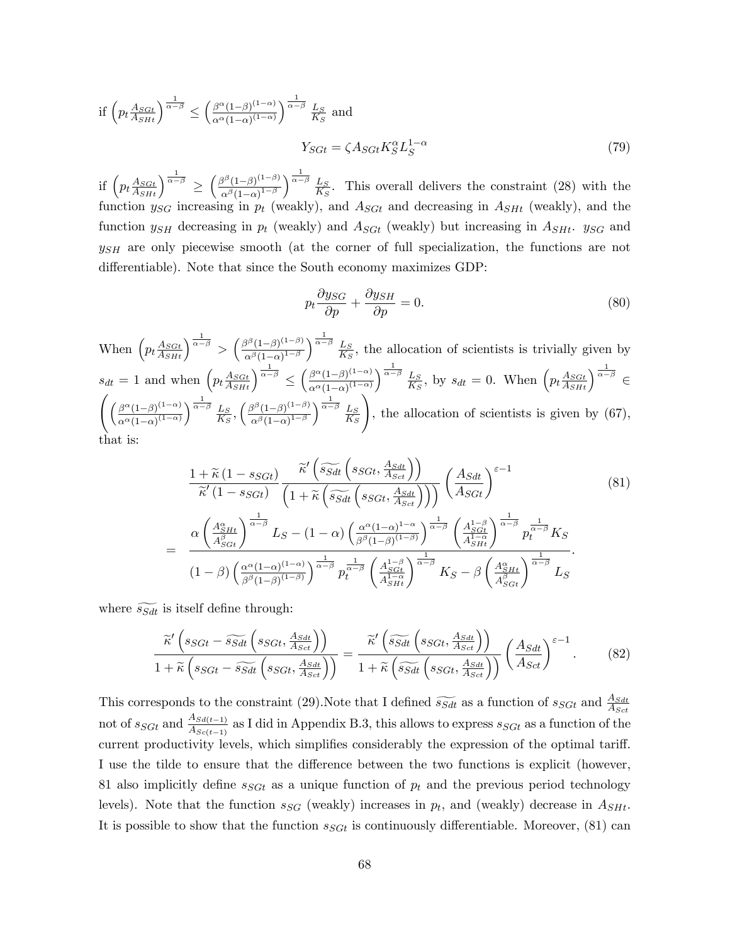if 
$$
\left(p_t \frac{A_{SGt}}{A_{SHt}}\right)^{\frac{1}{\alpha-\beta}} \le \left(\frac{\beta^{\alpha}(1-\beta)^{(1-\alpha)}}{\alpha^{\alpha}(1-\alpha)^{(1-\alpha)}}\right)^{\frac{1}{\alpha-\beta}} \frac{L_S}{K_S}
$$
 and  

$$
Y_{SGt} = \zeta A_{SGt} K_S^{\alpha} L_S^{1-\alpha}
$$
 (79)

if  $\left(p_t\frac{A_{SGL}}{A_{SHt}}\right)^{\frac{1}{\alpha-\beta}} \geq \left(\frac{\beta^{\beta}(1-\beta)^{(1-\beta)}}{\alpha^{\beta}(1-\alpha)^{1-\beta}}\right)$  $\alpha^{\beta} (1-\alpha)^{1-\beta}$  $\sqrt{\frac{1}{\alpha-\beta}} \underline{L}_S$  $\frac{L_S}{K_S}$ . This overall delivers the constraint (28) with the function  $y_{SG}$  increasing in  $p_t$  (weakly), and  $A_{SGt}$  and decreasing in  $A_{SHt}$  (weakly), and the function  $y_{SH}$  decreasing in  $p_t$  (weakly) and  $A_{SGt}$  (weakly) but increasing in  $A_{SHt}$ .  $y_{SG}$  and  $y_{SH}$  are only piecewise smooth (at the corner of full specialization, the functions are not differentiable). Note that since the South economy maximizes GDP:

$$
p_t \frac{\partial y_{SG}}{\partial p} + \frac{\partial y_{SH}}{\partial p} = 0.
$$
\n(80)

When  $\left(p_t \frac{A_{SGL}}{A_{SHt}}\right)^{\frac{1}{\alpha-\beta}} > \left(\frac{\beta^{\beta}(1-\beta)^{(1-\beta)}}{\alpha^{\beta}(1-\alpha)^{1-\beta}}\right)$  $\alpha^{\beta} (1-\alpha)^{1-\beta}$  $\sqrt{\frac{1}{\alpha-\beta}} \underline{L}_S$  $\frac{L_S}{K_S}$ , the allocation of scientists is trivially given by  $s_{dt} = 1$  and when  $\left( p_t \frac{A_{SGL}}{A_{SH}} \right)^{\frac{1}{\alpha-\beta}} \leq \left( \frac{\beta^{\alpha} (1-\beta)^{(1-\alpha)}}{\alpha^{\alpha} (1-\alpha)^{(1-\alpha)}} \right)$  $\alpha^{\alpha}(1-\alpha)^{(1-\alpha)}$  $\sqrt{\frac{1}{\alpha-\beta}} \underline{L}_S$  $\frac{L_S}{K_S}$ , by  $s_{dt} = 0$ . When  $\left( p_t \frac{A_{SGL}}{A_{SHt}} \right)^{\frac{1}{\alpha - \beta}} \in$  $\int \frac{\beta^{\alpha}(1-\beta)^{(1-\alpha)}}{(\beta-\alpha)^{(1-\alpha)}}$  $\alpha^{\alpha}(1-\alpha)^{(1-\alpha)}$  $\sqrt{\frac{1}{\alpha-\beta}} \underline{L}_S$  $rac{L_S}{K_S}, \left(\frac{\beta^{\beta}(1-\beta)^{(1-\beta)}}{\alpha^{\beta}(1-\alpha)^{1-\beta}}\right)$  $\alpha^{\beta} (1-\alpha)^{1-\beta}$  $\sqrt{\frac{1}{\alpha-\beta}} \underline{L}_S$  $K_S$  $\setminus$ , the allocation of scientists is given by (67), that is:

$$
\frac{1+\tilde{\kappa}(1-s_{SGt})}{\tilde{\kappa}'(1-s_{SGt})}\frac{\tilde{\kappa}'\left(\tilde{s}_{Sdt}\left(s_{SGt},\frac{A_{Sdt}}{A_{Sct}}\right)\right)}{\left(1+\tilde{\kappa}\left(\tilde{s}_{Sdt}\left(s_{SGt},\frac{A_{Sdt}}{A_{Sct}}\right)\right)\right)}\left(\frac{A_{Sdt}}{A_{SGt}}\right)^{\varepsilon-1}
$$
\n
$$
=\frac{\alpha\left(\frac{A_{SH}^{\alpha}}{A_{SGt}^{\beta}}\right)^{\frac{1}{\alpha-\beta}}L_{S}-(1-\alpha)\left(\frac{\alpha^{\alpha}(1-\alpha)^{1-\alpha}}{\beta^{\beta}(1-\beta)^{(1-\beta)}}\right)^{\frac{1}{\alpha-\beta}}\left(\frac{A_{SGt}^{1-\beta}}{A_{SHt}^{1-\alpha}}\right)^{\frac{1}{\alpha-\beta}}p_{t}^{\frac{1}{\alpha-\beta}}K_{S}}{\left(1-\beta\right)\left(\frac{\alpha^{\alpha}(1-\alpha)^{(1-\alpha)}}{\beta^{\beta}(1-\beta)^{(1-\beta)}}\right)^{\frac{1}{\alpha-\beta}}p_{t}^{\frac{1}{\alpha-\beta}}\left(\frac{A_{SGt}^{1-\beta}}{A_{SHt}^{1-\alpha}}\right)^{\frac{1}{\alpha-\beta}}K_{S}-\beta\left(\frac{A_{SH}^{\alpha}}{A_{SGt}^{\beta}}\right)^{\frac{1}{\alpha-\beta}}L_{S}
$$
\n(81)

where  $\widetilde{s_{Sdt}}$  is itself define through:

$$
\frac{\widetilde{\kappa}'\left(ss_{Gt} - \widetilde{sg_{dt}}\left(ss_{Gt}, \frac{As_{dt}}{As_{c}t}\right)\right)}{1 + \widetilde{\kappa}\left(ss_{Gt} - \widetilde{sg_{dt}}\left(ss_{Gt}, \frac{As_{dt}}{As_{c}t}\right)\right)} = \frac{\widetilde{\kappa}'\left(\widetilde{sg_{dt}}\left(ss_{Gt}, \frac{As_{dt}}{As_{c}t}\right)\right)}{1 + \widetilde{\kappa}\left(\widetilde{sg_{dt}}\left(ss_{Gt}, \frac{As_{dt}}{As_{c}t}\right)\right)}\left(\frac{As_{dt}}{As_{c}t}\right)^{\varepsilon-1}.
$$
\n(82)

This corresponds to the constraint (29). Note that I defined  $\widetilde{s_{Sdt}}$  as a function of  $s_{SGt}$  and  $\frac{A_{Sdt}}{A_{Sct}}$ not of  $s_{SGt}$  and  $\frac{A_{Sd(t-1)}}{A_{Sc(t-1)}}$  as I did in Appendix B.3, this allows to express  $s_{SGt}$  as a function of the current productivity levels, which simplifies considerably the expression of the optimal tariff. I use the tilde to ensure that the difference between the two functions is explicit (however, 81 also implicitly define  $s_{SGt}$  as a unique function of  $p_t$  and the previous period technology levels). Note that the function  $s_{SG}$  (weakly) increases in  $p_t$ , and (weakly) decrease in  $A_{SHL}$ . It is possible to show that the function  $s_{SGt}$  is continuously differentiable. Moreover, (81) can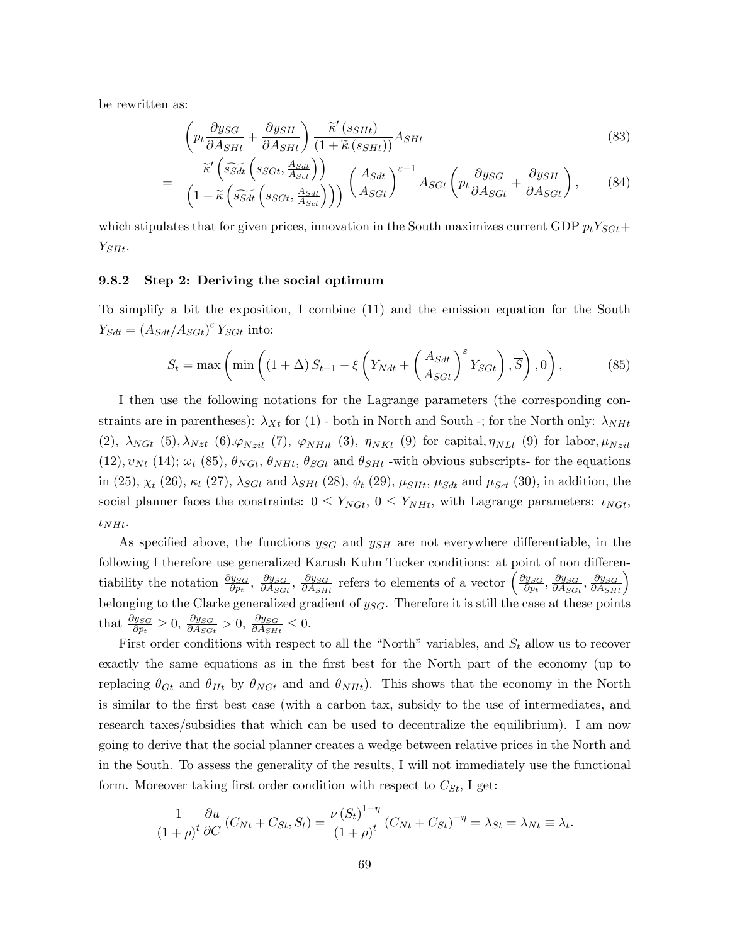be rewritten as:

$$
\left(p_t \frac{\partial y_{SG}}{\partial A_{SHt}} + \frac{\partial y_{SH}}{\partial A_{SHt}}\right) \frac{\tilde{\kappa}'(s_{SHt})}{(1 + \tilde{\kappa}(s_{SHt}))} A_{SHt}
$$
\n(83)

$$
= \frac{\widetilde{\kappa}'\left(\widetilde{s_{Sdt}}\left(s_{SGt}, \frac{A_{Sdt}}{A_{Sct}}\right)\right)}{\left(1+\widetilde{\kappa}\left(\widetilde{s_{Sdt}}\left(s_{SGt}, \frac{A_{Sdt}}{A_{Sct}}\right)\right)\right)}\left(\frac{A_{Sdt}}{A_{SGt}}\right)^{\varepsilon-1}A_{SGt}\left(p_t\frac{\partial y_{SG}}{\partial A_{SGt}} + \frac{\partial y_{SH}}{\partial A_{SGt}}\right),\qquad(84)
$$

which stipulates that for given prices, innovation in the South maximizes current GDP  $p_t Y_{SGE}$ +  $Y_{SHt}$ .

#### 9.8.2 Step 2: Deriving the social optimum

To simplify a bit the exposition, I combine (11) and the emission equation for the South  $Y_{Sdt} = (A_{Sdt}/A_{Sdt})^{\varepsilon} Y_{Sdt}$  into:

$$
S_t = \max\left(\min\left(\left(1+\Delta\right)S_{t-1} - \xi\left(Y_{Ndt} + \left(\frac{A_{Sdt}}{A_{Sdt}}\right)^{\varepsilon}Y_{SGt}\right), \overline{S}\right), 0\right),\tag{85}
$$

I then use the following notations for the Lagrange parameters (the corresponding constraints are in parentheses):  $\lambda_{Xt}$  for (1) - both in North and South -; for the North only:  $\lambda_{NHt}$ (2),  $\lambda_{NGt}$  (5),  $\lambda_{Nzt}$  (6),  $\varphi_{Nzit}$  (7),  $\varphi_{NHit}$  (3),  $\eta_{NKt}$  (9) for capital,  $\eta_{NLt}$  (9) for labor,  $\mu_{Nzit}$  $(12), v_{Nt}$  (14);  $\omega_t$  (85),  $\theta_{NGt}$ ,  $\theta_{NHt}$ ,  $\theta_{SGt}$  and  $\theta_{SHt}$  -with obvious subscripts- for the equations in (25),  $\chi_t$  (26),  $\kappa_t$  (27),  $\lambda_{SGt}$  and  $\lambda_{SHt}$  (28),  $\phi_t$  (29),  $\mu_{SHt}$ ,  $\mu_{Sdt}$  and  $\mu_{Sct}$  (30), in addition, the social planner faces the constraints:  $0 \le Y_{NGL}$ ,  $0 \le Y_{NHL}$ , with Lagrange parameters:  $\iota_{NGt}$ ,  $\iota_{NHt}$ .

As specified above, the functions  $y_{SG}$  and  $y_{SH}$  are not everywhere differentiable, in the following I therefore use generalized Karush Kuhn Tucker conditions: at point of non differentiability the notation  $\frac{\partial y_{SG}}{\partial p_t}$ ,  $\frac{\partial y_{SG}}{\partial A_{SG}}$  $\frac{\partial y_{SG}}{\partial A_{SGt}}, \frac{\partial y_{SG}}{\partial A_{SH}}$  $\frac{\partial y_{SG}}{\partial A_{SHt}}$  refers to elements of a vector  $\left(\frac{\partial y_{SG}}{\partial p_t}\right)$  $\frac{\partial y_{SG}}{\partial p_t}, \frac{\partial y_{SG}}{\partial A_{SG}}$  $\frac{\partial y_{SG}}{\partial A_{SGt}}, \frac{\partial y_{SG}}{\partial A_{SHt}}\Big)$ belonging to the Clarke generalized gradient of  $y_{SG}$ . Therefore it is still the case at these points that  $\frac{\partial y_{SG}}{\partial p_t} \geq 0$ ,  $\frac{\partial y_{SG}}{\partial A_{SG}}$  $\frac{\partial y_{SG}}{\partial A_{SGt}} > 0, \frac{\partial y_{SG}}{\partial A_{SH}}$  $\frac{\partial y_{SG}}{\partial A_{SHt}} \leq 0.$ 

First order conditions with respect to all the "North" variables, and  $S_t$  allow us to recover exactly the same equations as in the first best for the North part of the economy (up to replacing  $\theta_{G_t}$  and  $\theta_{H_t}$  by  $\theta_{NG_t}$  and and  $\theta_{NH_t}$ . This shows that the economy in the North is similar to the first best case (with a carbon tax, subsidy to the use of intermediates, and research taxes/subsidies that which can be used to decentralize the equilibrium). I am now going to derive that the social planner creates a wedge between relative prices in the North and in the South. To assess the generality of the results, I will not immediately use the functional form. Moreover taking first order condition with respect to  $C_{St}$ , I get:

$$
\frac{1}{(1+\rho)^t}\frac{\partial u}{\partial C}\left(C_{Nt}+C_{St},S_t\right)=\frac{\nu\left(S_t\right)^{1-\eta}}{(1+\rho)^t}\left(C_{Nt}+C_{St}\right)^{-\eta}=\lambda_{St}=\lambda_{Nt}\equiv\lambda_t.
$$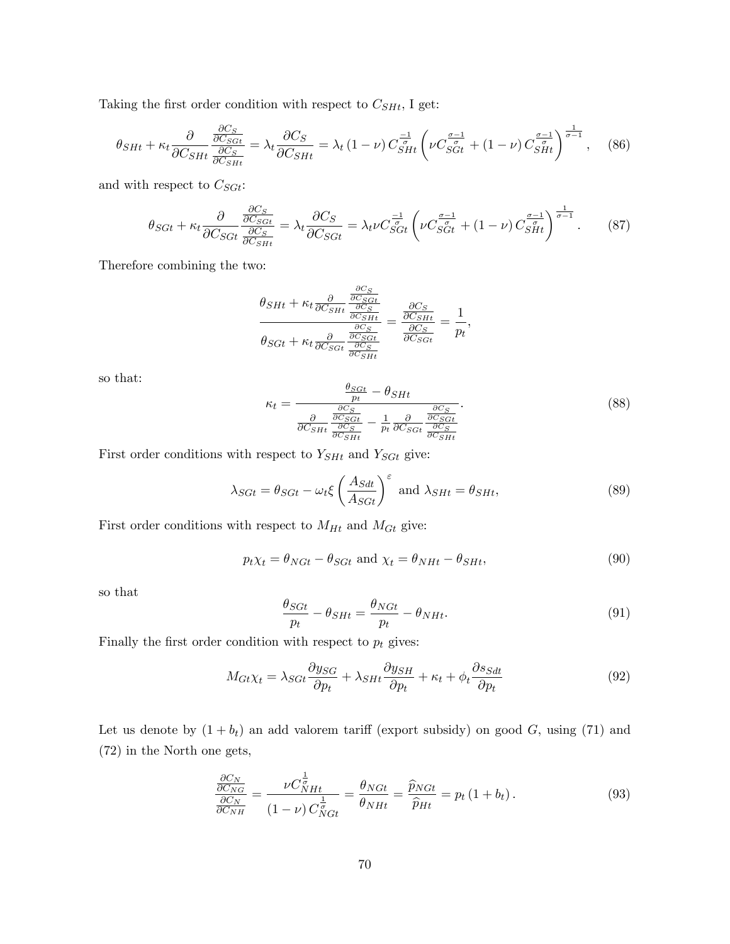Taking the first order condition with respect to  $C_{SHL}$ , I get:

$$
\theta_{SHt} + \kappa_t \frac{\partial}{\partial C_{SHt}} \frac{\frac{\partial C_S}{\partial C_{SGL}}}{\frac{\partial C_S}{\partial C_{SHt}}} = \lambda_t \frac{\partial C_S}{\partial C_{SHt}} = \lambda_t (1 - \nu) C_{SHt}^{-\frac{1}{\sigma}} \left( \nu C_{SGt}^{\frac{\sigma - 1}{\sigma}} + (1 - \nu) C_{SHt}^{\frac{\sigma - 1}{\sigma}} \right)^{\frac{1}{\sigma - 1}}, \quad (86)
$$

and with respect to  $\mathcal{C}_{SGt}$  :

$$
\theta_{SGt} + \kappa_t \frac{\partial}{\partial C_{SGt}} \frac{\frac{\partial C_S}{\partial C_{SGt}}}{\frac{\partial C_S}{\partial C_{SHt}}} = \lambda_t \frac{\partial C_S}{\partial C_{SGt}} = \lambda_t \nu C_{SGt}^{\frac{-1}{\sigma}} \left( \nu C_{SGt}^{\frac{\sigma-1}{\sigma}} + (1-\nu) C_{SHt}^{\frac{\sigma-1}{\sigma}} \right)^{\frac{1}{\sigma-1}}. \tag{87}
$$

Therefore combining the two:

$$
\frac{\theta_{SHt} + \kappa_t \frac{\partial}{\partial C_{SHt}} \frac{\frac{\partial C_S}{\partial C_{SHt}}}{\frac{\partial C_{SHt}}{\partial C_{SHt}}}}{\theta_{SGt} + \kappa_t \frac{\partial}{\partial C_{SGt}} \frac{\frac{\partial C_S}{\partial C_{SHt}}}{\frac{\partial C_{SGt}}{\partial C_{SHt}}} = \frac{\frac{\partial C_S}{\partial C_{SHt}}}{\frac{\partial C_S}{\partial C_{SGt}}} = \frac{1}{p_t},
$$

so that:

$$
\kappa_t = \frac{\frac{\theta_{SGt}}{pt} - \theta_{SHt}}{\frac{\partial}{\partial C_{SHt}} \frac{\frac{\partial C_S}{\partial C_{SGt}}}{\frac{\partial C_{SGt}}{\frac{\partial C_S}{\partial C_{SHt}}} - \frac{1}{pt} \frac{\partial}{\partial C_{SGt}} \frac{\frac{\partial C_S}{\partial C_{SGt}}}{\frac{\partial C_{SHt}}{\frac{\partial C_{SHt}}{\frac{\partial C_{SHt}}{\frac{\partial C_{SHt}}{\frac{\partial C_{SHt}}{\frac{\partial C_{SHt}}{\frac{\partial C_{SHt}}{\frac{\partial C_{SHt}}{\frac{\partial C_{SHt}}{\frac{\partial C_{SHt}}{\frac{\partial C_{SHt}}{\frac{\partial C_{SHt}}{\frac{\partial C_{SHt}}{\frac{\partial C_{SHt}}{\frac{\partial C_{SHt}}{\frac{\partial C_{SHt}}{\frac{\partial C_{SHt}}{\frac{\partial C_{SHt}}{\frac{\partial C_{SHt}}{\frac{\partial C_{SHt}}{\frac{\partial C_{SHt}}{\frac{\partial C_{SHt}}{\frac{\partial C_{SHt}}{\frac{\partial C_{SHt}}{\frac{\partial C_{SHt}}{\frac{\partial C_{SHt}}{\frac{\partial C_{SHt}}{\frac{\partial C_{SHt}}{\frac{\partial C_{SHt}}{\frac{\partial C_{SHt}}{\frac{\partial C_{SHt}}{\frac{\partial C_{SHt}}{\frac{\partial C_{SHt}}{\frac{\partial C_{SHt}}{\frac{\partial C_{SHt}}{\frac{\partial C_{SHt}}{\frac{\partial C_{SHt}}{\frac{\partial C_{SHt}}{\frac{\partial C_{SHt}}{\frac{\partial C_{SHt}}{\frac{\partial C_{SHt}}{\frac{\partial C_{SHt}}{\frac{\partial C_{SHt}}{\frac{\partial C_{SHt}}{\frac{\partial C_{SHt}}{\frac{\partial C_{SHt}}{\frac{\partial C_{SHt}}{\frac{\partial C_{SHt}}{\frac{\partial C_{SHt}}{\frac{\partial C_{SHt}}{\frac{\partial C_{SHt}}{\frac{\partial C_{SHt}}{\frac{\partial C_{SHt}}{\frac{\partial C_{SHt}}{\frac{\partial C_{SHt}}{\frac{\partial C_{SHt}}{\frac{\partial C_{SHt}}{\frac{\partial C_{SHt}}{\frac{\partial C_{SHt}}{\frac{\partial C_{SHt}}{\frac{\partial C_{SHt}}{\frac{\partial C_{SHt}}{\frac{\partial C_{SHt}}{\frac{\partial C_{SHt}}{\frac{\partial C_{SHt}}{\frac{\partial C_{SHt}}{\frac{\partial C_{SHt}}{\frac{\partial C_{SHt}}{\frac{\partial C_{SHt}}{\frac{\partial C_{SHt}}{\frac{\partial C_{SHt}}{\frac{\partial C_{SH
$$

First order conditions with respect to  $Y_{SHt}$  and  $Y_{SGt}$  give:

$$
\lambda_{SGt} = \theta_{SGt} - \omega_t \xi \left(\frac{A_{Sdt}}{A_{SGt}}\right)^{\varepsilon} \text{ and } \lambda_{SHt} = \theta_{SHt},\tag{89}
$$

First order conditions with respect to  $M_{Ht}$  and  $M_{Gt}$  give:

$$
p_t \chi_t = \theta_{NGt} - \theta_{SGt} \text{ and } \chi_t = \theta_{NHt} - \theta_{SHt},\tag{90}
$$

so that

$$
\frac{\theta_{SGL}}{p_t} - \theta_{SHt} = \frac{\theta_{NGL}}{p_t} - \theta_{NHt}.\tag{91}
$$

Finally the first order condition with respect to  $p_t$  gives:

$$
M_{Gt}\chi_t = \lambda_{SGt} \frac{\partial y_{SG}}{\partial p_t} + \lambda_{SHt} \frac{\partial y_{SH}}{\partial p_t} + \kappa_t + \phi_t \frac{\partial s_{Sdt}}{\partial p_t}
$$
(92)

Let us denote by  $(1 + b_t)$  an add valorem tariff (export subsidy) on good G, using (71) and (72) in the North one gets,

$$
\frac{\frac{\partial C_N}{\partial C_{NG}}}{\frac{\partial C_N}{\partial C_{NH}}} = \frac{\nu C_{NHt}^{\frac{1}{\sigma}}}{(1-\nu) C_{NGt}^{\frac{1}{\sigma}}} = \frac{\theta_{NGt}}{\theta_{NHt}} = \frac{\widehat{p}_{NGt}}{\widehat{p}_{Ht}} = p_t (1 + b_t).
$$
\n(93)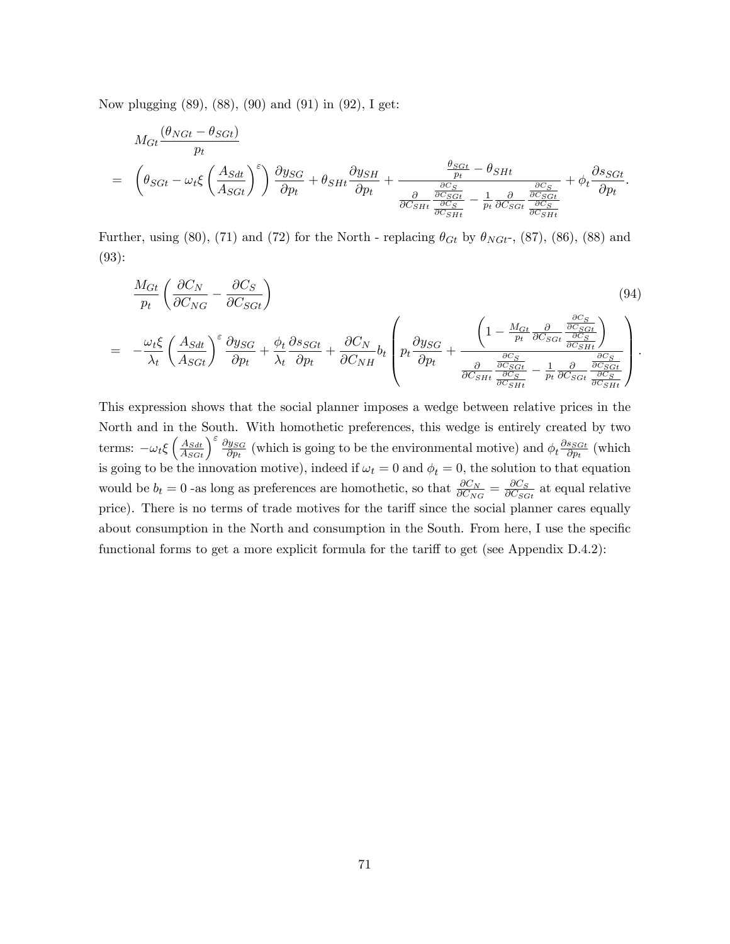Now plugging (89), (88), (90) and (91) in (92), I get:

$$
M_{Gt} \frac{(\theta_{NGt} - \theta_{SGt})}{p_t}
$$
  
=  $\left(\theta_{SGt} - \omega_t \xi \left(\frac{A_{Sdt}}{A_{SGt}}\right)^{\varepsilon}\right) \frac{\partial y_{SG}}{\partial p_t} + \theta_{SHt} \frac{\partial y_{SH}}{\partial p_t} + \frac{\frac{\theta_{SGt}}{p_t} - \theta_{SHt}}{\frac{\partial C_{SGt}}{\partial C_{SHt}} - \frac{1}{\frac{\partial C_{SGt}}{\partial C_{SGt}}}} + \phi_t \frac{\partial s_{SGt}}{\partial p_t}.$ 

Further, using (80), (71) and (72) for the North - replacing  $\theta_{Gt}$  by  $\theta_{NGt}$ -, (87), (86), (88) and (93):

$$
\frac{M_{Gt}}{p_t} \left( \frac{\partial C_N}{\partial C_{NG}} - \frac{\partial C_S}{\partial C_{SGt}} \right)
$$
\n
$$
= -\frac{\omega_t \xi}{\lambda_t} \left( \frac{A_{Sdt}}{A_{SGt}} \right)^{\varepsilon} \frac{\partial y_{SG}}{\partial p_t} + \frac{\phi_t}{\lambda_t} \frac{\partial s_{SGt}}{\partial p_t} + \frac{\partial C_N}{\partial C_{NH}} b_t \left( p_t \frac{\partial y_{SG}}{\partial p_t} + \frac{\left( 1 - \frac{M_{Gt}}{p_t} \frac{\partial}{\partial C_{SGt}} \frac{\partial C_S}{\partial C_{SGt}} \right)}{\frac{\partial C_S}{\partial C_{SHt}} - \frac{1}{p_t} \frac{\partial}{\partial C_{SGt}} \frac{\partial C_S}{\partial C_{SGt}} \right)}.
$$
\n(94)

This expression shows that the social planner imposes a wedge between relative prices in the North and in the South. With homothetic preferences, this wedge is entirely created by two terms:  $-\omega_t \xi \left(\frac{A_{Sdt}}{A_{SGt}}\right)^{\varepsilon} \frac{\partial y_{SG}}{\partial p_t}$  $\frac{\partial y_{SG}}{\partial p_t}$  (which is going to be the environmental motive) and  $\phi_t \frac{\partial s_{SGt}}{\partial p_t}$  $\frac{s_{SGt}}{\partial p_t}$  (which is going to be the innovation motive), indeed if  $\omega_t = 0$  and  $\phi_t = 0$ , the solution to that equation would be  $b_t = 0$  -as long as preferences are homothetic, so that  $\frac{\partial C_N}{\partial C_{NG}} = \frac{\partial C_S}{\partial C_{SG}}$  $\frac{\partial C_S}{\partial C_{SGt}}$  at equal relative price). There is no terms of trade motives for the tariff since the social planner cares equally about consumption in the North and consumption in the South. From here, I use the specific functional forms to get a more explicit formula for the tariff to get (see Appendix  $D.4.2$ ):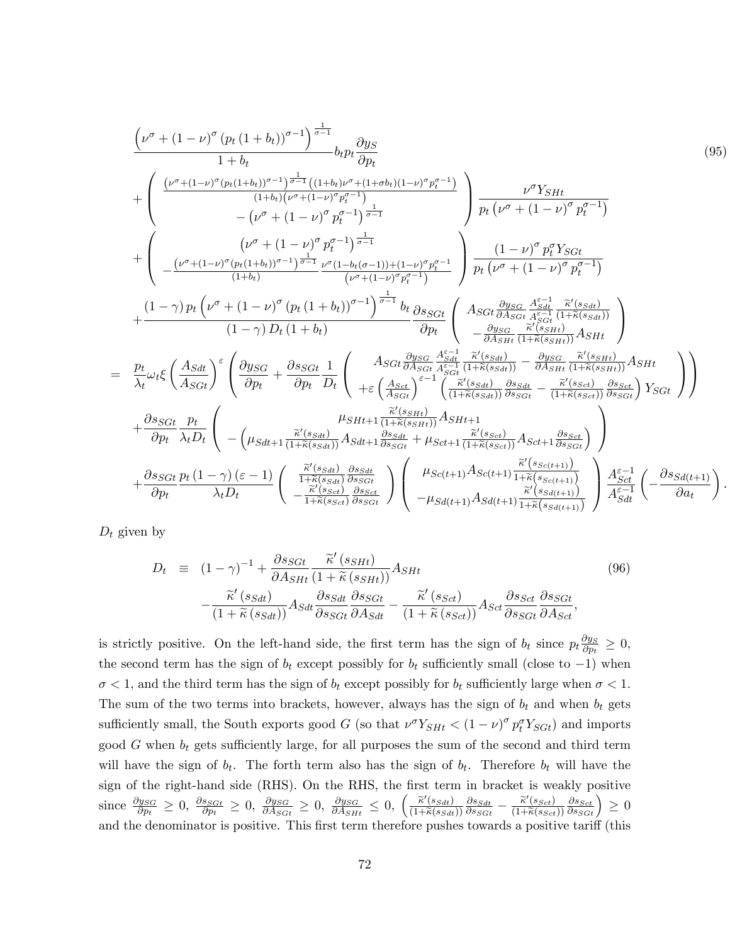$$
\frac{\left(\nu^{\sigma} + (1-\nu)^{\sigma} (p_{t} (1+b_{t}))^{\sigma-1}\right)^{\frac{1}{\sigma-1}}}{1+b_{t}} + \frac{\left(\frac{(\nu^{\sigma} + (1-\nu)^{\sigma} (p_{t} (1+b_{t}))^{\sigma-1})^{\frac{1}{\sigma-1}} \left((1+b_{t}) (\nu^{\sigma} + (1-b_{t})^{\sigma} \nu^{\sigma} + (1+b_{t}) (1-\nu)^{\sigma} p_{t}^{\sigma-1})}{(1+b_{t}) (\nu^{\sigma} + (1-\nu)^{\sigma} p_{t}^{\sigma-1})}\right)}{\nu^{\sigma} p_{t}}\right) \frac{\nu^{\sigma} Y_{SHt}}{\rho_{t} (\nu^{\sigma} + (1-\nu)^{\sigma} p_{t}^{\sigma-1})}
$$
\n
$$
+ \left(\frac{(\nu^{\sigma} + (1-\nu)^{\sigma} (p_{t} (1+b_{t}))^{\sigma-1})^{\frac{1}{\sigma-1}} \nu^{\sigma} (1-b_{t})}{(1+b_{t})}\right)^{\frac{1}{\sigma-1}} \frac{\left(1-\nu)^{\sigma} p_{t}^{\sigma} Y_{SGt}}{\rho_{t} (\nu^{\sigma} + (1-\nu)^{\sigma} p_{t}^{\sigma-1})}\right)}{\left(\nu^{\sigma} + (1-\nu)^{\sigma} p_{t}^{\sigma-1}\right)^{\frac{1}{\sigma-1}} b_{t}} \frac{\left(1-\nu)^{\sigma} p_{t}^{\sigma} Y_{SGt}}{\rho_{t} (\nu^{\sigma} + (1-\nu)^{\sigma} p_{t}^{\sigma-1})}\right)}{\frac{\left(1-\gamma\right) p_{t} (\nu^{\sigma} + (1-\nu)^{\sigma} p_{t}^{\sigma-1})} \frac{\left(1-\nu\right) p_{t}^{\sigma} Y_{SGt}}{\rho_{t} (\nu^{\sigma} + (1-\nu)^{\sigma} p_{t}^{\sigma-1})}\right)}{\frac{\left(1-\gamma\right) p_{t} (\nu^{\sigma} + (1-\nu)^{\sigma} p_{t}^{\sigma-1})} \frac{\rho_{t}}{\rho_{t}} \left(\frac{A_{SGt} \frac{\partial y_{SG}}{\partial A_{SGt}} \frac{A_{SGt}}{\partial A_{SGt}} \frac{\partial y_{SG}}{\partial A_{SGt}} \frac{A_{SGt}}{\partial A_{SGt}} \frac{\partial z_{1}}{\partial A_{SGt}} \frac{\partial z_{1}}{\partial A_{SGt}} \frac{\partial z_{2
$$

 $D_t$  given by

 $=$ 

$$
D_t \equiv (1 - \gamma)^{-1} + \frac{\partial s_{SGL}}{\partial A_{SHt}} \frac{\tilde{\kappa}'(s_{SHt})}{(1 + \tilde{\kappa}(s_{SHt}))} A_{SHt}
$$
\n
$$
- \frac{\tilde{\kappa}'(s_{SHt})}{(1 + \tilde{\kappa}(s_{Sdt}))} A_{Sdt} \frac{\partial s_{Sdt}}{\partial s_{SGt}} \frac{\partial s_{SGt}}{\partial A_{Sdt}} - \frac{\tilde{\kappa}'(s_{Sct})}{(1 + \tilde{\kappa}(s_{Sct}))} A_{Sct} \frac{\partial s_{Sct}}{\partial s_{SGt}} \frac{\partial s_{SGt}}{\partial A_{Sct}},
$$
\n(96)

is strictly positive. On the left-hand side, the first term has the sign of  $b_t$  since  $p_t \frac{\partial y_S}{\partial p_t} \geq 0$ , the second term has the sign of  $b_t$  except possibly for  $b_t$  sufficiently small (close to  $-1$ ) when  $\sigma$  < 1, and the third term has the sign of  $b_t$  except possibly for  $b_t$  sufficiently large when  $\sigma$  < 1. The sum of the two terms into brackets, however, always has the sign of  $b_t$  and when  $b_t$  gets sufficiently small, the South exports good G (so that  $\nu^{\sigma} Y_{SHt} < (1 - \nu)^{\sigma} p_t^{\sigma} Y_{SGt}$ ) and imports good  $G$  when  $b_t$  gets sufficiently large, for all purposes the sum of the second and third term will have the sign of  $b_t$ . The forth term also has the sign of  $b_t$ . Therefore  $b_t$  will have the sign of the right-hand side (RHS). On the RHS, the first term in bracket is weakly positive since  $\frac{\partial y_{SG}}{\partial p_t} \geq 0$ ,  $\frac{\partial s_{SGt}}{\partial p_t} \geq 0$ ,  $\frac{\partial y_{SG}}{\partial A_{SGt}} \geq 0$ ,  $\frac{\partial y_{SG}}{\partial A_{SHt}} \leq 0$ ,  $\left(\frac{\tilde{\kappa}'(s_{Sdt})}{(1+\tilde{\kappa}(s_{Sdt}))}\frac{\partial s_{Sdt}}{\partial s_{SGt}} - \frac{\tilde{\kappa}'(s_{Sct})}{(1+\tilde{\kappa}(s_{Sct}))}\frac{\partial s_{Sdt}}{\partial s_{SGt}}\right) \geq 0$ and the denominator is positive. This first term therefore pushes towards a positive tariff (this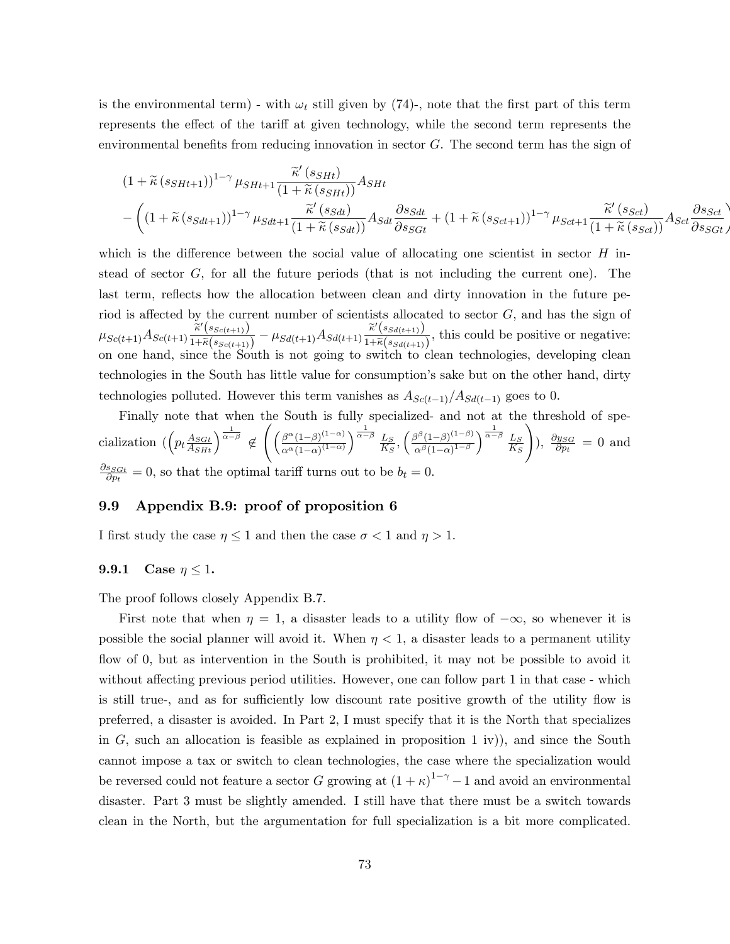is the environmental term) - with  $\omega_t$  still given by (74)-, note that the first part of this term represents the effect of the tariff at given technology, while the second term represents the environmental benefits from reducing innovation in sector  $G$ . The second term has the sign of

$$
(1 + \widetilde{\kappa}(s_{SHt+1}))^{1-\gamma} \mu_{SHt+1} \frac{\widetilde{\kappa}'(s_{SHt})}{(1 + \widetilde{\kappa}(s_{SHt}))} A_{SHt}
$$
  

$$
- \left( (1 + \widetilde{\kappa}(s_{SHt+1}))^{1-\gamma} \mu_{Sdt+1} \frac{\widetilde{\kappa}'(s_{SH})}{(1 + \widetilde{\kappa}(s_{SH}))} A_{Sdt} \frac{\partial s_{Sdt}}{\partial s_{SGt}} + (1 + \widetilde{\kappa}(s_{Set+1}))^{1-\gamma} \mu_{Sct+1} \frac{\widetilde{\kappa}'(s_{Sct})}{(1 + \widetilde{\kappa}(s_{Set}))} A_{Sct} \frac{\partial s_{Sct}}{\partial s_{SGt}} \right)
$$

which is the difference between the social value of allocating one scientist in sector  $H$  instead of sector  $G$ , for all the future periods (that is not including the current one). The last term, reflects how the allocation between clean and dirty innovation in the future period is affected by the current number of scientists allocated to sector  $G$ , and has the sign of  $\mu_{Sc(t+1)}A_{Sc(t+1)} \frac{\widetilde{\kappa}'(s_{Sc(t+1)})}{1+\widetilde{\kappa}(s_{Sc(t+1)})}$  $\frac{\widetilde{\kappa}'(s_{Sc(t+1)})}{1+\widetilde{\kappa}(s_{Sc(t+1)})}-\mu_{Sd(t+1)}A_{Sd(t+1)}\frac{\widetilde{\kappa}'(s_{Sd(t+1)})}{1+\widetilde{\kappa}(s_{Sd(t+1)})}$  $\frac{\pi \left(\frac{S_{\mathcal{S}}(t+1)}{S_{\mathcal{S}}(t+1)}\right)}{1+\widetilde{\kappa}(s_{\mathcal{S}}(t+1))}$ , this could be positive or negative: on one hand, since the South is not going to switch to clean technologies, developing clean technologies in the South has little value for consumption's sake but on the other hand, dirty technologies polluted. However this term vanishes as  $A_{Sc(t-1)}/A_{Sd(t-1)}$  goes to 0.

Finally note that when the South is fully specialized- and not at the threshold of specialization  $\left( \left( p_t \frac{A_{SGL}}{A_{SHt}} \right)^{\frac{1}{\alpha-\beta}} \notin \right)$  $\int \frac{\beta^{\alpha}(1-\beta)^{(1-\alpha)}}{(\beta-\alpha)^{(1-\alpha)}}$  $\alpha^{\alpha}(1-\alpha)^{(1-\alpha)}$  $\sqrt{\frac{1}{\alpha-\beta}} \underline{L}_S$  $rac{L_S}{K_S}, \left(\frac{\beta^{\beta}(1-\beta)^{(1-\beta)}}{\alpha^{\beta}(1-\alpha)^{1-\beta}}\right)$  $\alpha^{\beta} (1-\alpha)^{1-\beta}$  $\sqrt{\frac{1}{\alpha-\beta}} \underline{L}_S$  $K_S$ !  $), \frac{\partial y_{SG}}{\partial p_t} = 0$  and  $\partial s_{SGt}$  $\frac{s_{SGt}}{\partial p_t} = 0$ , so that the optimal tariff turns out to be  $b_t = 0$ .

## 9.9 Appendix B.9: proof of proposition 6

I first study the case  $\eta \leq 1$  and then the case  $\sigma < 1$  and  $\eta > 1$ .

## 9.9.1 Case  $\eta \leq 1$ .

The proof follows closely Appendix B.7.

First note that when  $\eta = 1$ , a disaster leads to a utility flow of  $-\infty$ , so whenever it is possible the social planner will avoid it. When  $\eta < 1$ , a disaster leads to a permanent utility flow of 0, but as intervention in the South is prohibited, it may not be possible to avoid it without affecting previous period utilities. However, one can follow part  $1$  in that case - which is still true-, and as for sufficiently low discount rate positive growth of the utility flow is preferred, a disaster is avoided. In Part 2, I must specify that it is the North that specializes in G, such an allocation is feasible as explained in proposition 1 iv), and since the South cannot impose a tax or switch to clean technologies, the case where the specialization would be reversed could not feature a sector G growing at  $(1 + \kappa)^{1-\gamma} - 1$  and avoid an environmental disaster. Part 3 must be slightly amended. I still have that there must be a switch towards clean in the North, but the argumentation for full specialization is a bit more complicated.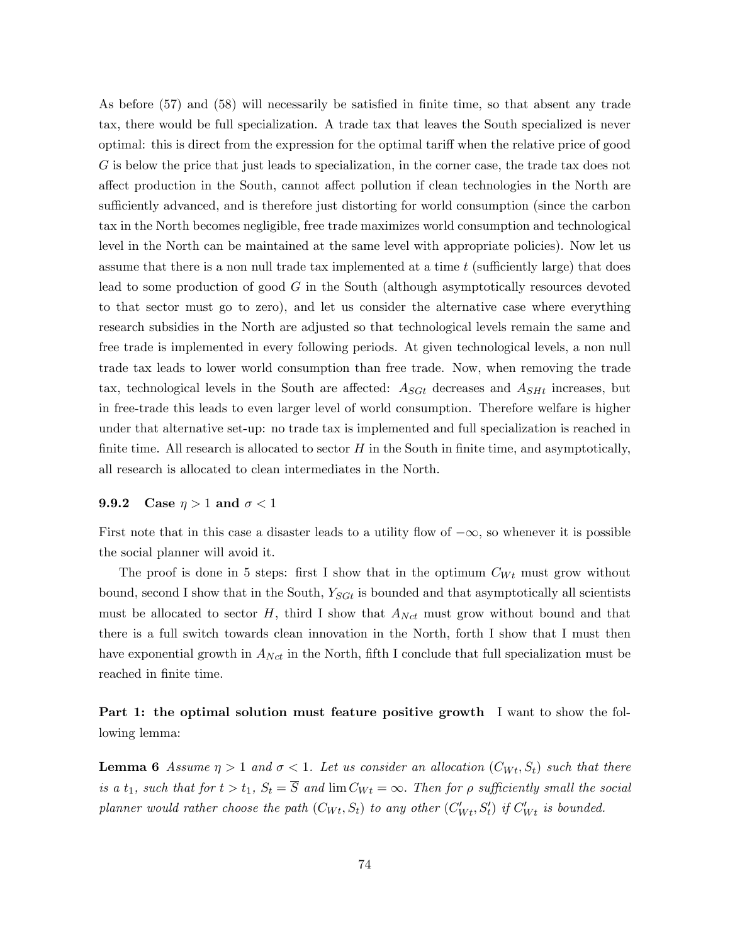As before (57) and (58) will necessarily be satisfied in finite time, so that absent any trade tax, there would be full specialization. A trade tax that leaves the South specialized is never optimal: this is direct from the expression for the optimal tariff when the relative price of good G is below the price that just leads to specialization, in the corner case, the trade tax does not affect production in the South, cannot affect pollution if clean technologies in the North are sufficiently advanced, and is therefore just distorting for world consumption (since the carbon tax in the North becomes negligible, free trade maximizes world consumption and technological level in the North can be maintained at the same level with appropriate policies). Now let us assume that there is a non null trade tax implemented at a time  $t$  (sufficiently large) that does lead to some production of good G in the South (although asymptotically resources devoted to that sector must go to zero), and let us consider the alternative case where everything research subsidies in the North are adjusted so that technological levels remain the same and free trade is implemented in every following periods. At given technological levels, a non null trade tax leads to lower world consumption than free trade. Now, when removing the trade tax, technological levels in the South are affected:  $A_{\text{S}Gt}$  decreases and  $A_{\text{S}Ht}$  increases, but in free-trade this leads to even larger level of world consumption. Therefore welfare is higher under that alternative set-up: no trade tax is implemented and full specialization is reached in finite time. All research is allocated to sector  $H$  in the South in finite time, and asymptotically, all research is allocated to clean intermediates in the North.

## 9.9.2 Case  $\eta > 1$  and  $\sigma < 1$

First note that in this case a disaster leads to a utility flow of  $-\infty$ , so whenever it is possible the social planner will avoid it.

The proof is done in 5 steps: first I show that in the optimum  $C_{Wt}$  must grow without bound, second I show that in the South,  $Y_{SGt}$  is bounded and that asymptotically all scientists must be allocated to sector  $H$ , third I show that  $A_{Nct}$  must grow without bound and that there is a full switch towards clean innovation in the North, forth I show that I must then have exponential growth in  $A_{Net}$  in the North, fifth I conclude that full specialization must be reached in finite time.

Part 1: the optimal solution must feature positive growth I want to show the following lemma:

**Lemma 6** Assume  $\eta > 1$  and  $\sigma < 1$ . Let us consider an allocation  $(C_{Wt}, S_t)$  such that there is a  $t_1$ , such that for  $t > t_1$ ,  $S_t = \overline{S}$  and  $\lim C_{Wt} = \infty$ . Then for  $\rho$  sufficiently small the social planner would rather choose the path  $(C_{Wt}, S_t)$  to any other  $(C'_{Wt}, S'_t)$  if  $C'_{Wt}$  is bounded.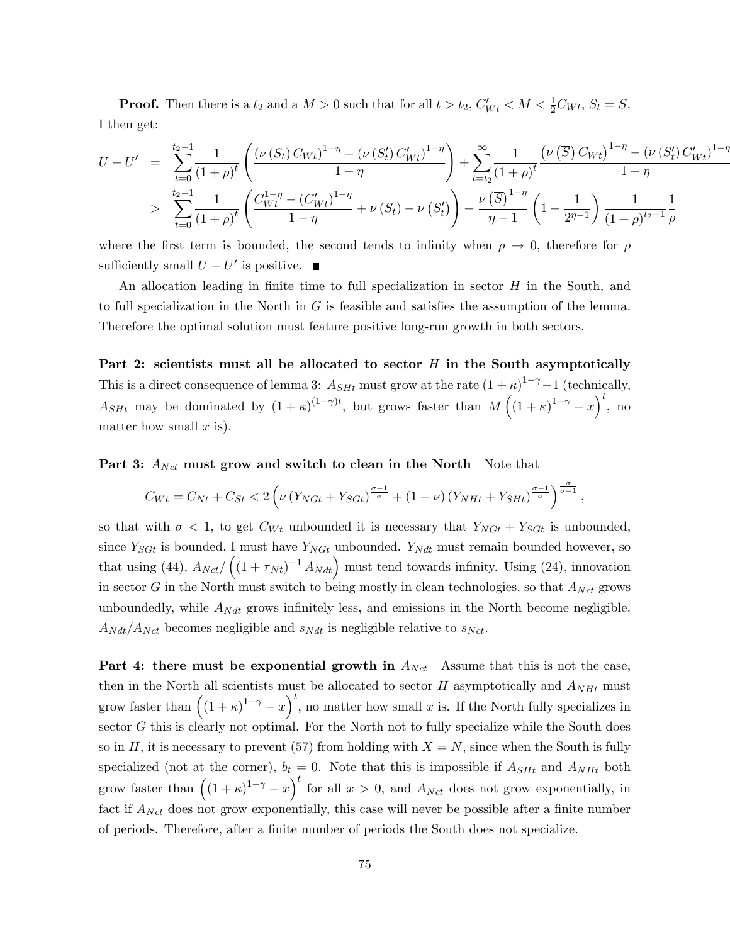**Proof.** Then there is a  $t_2$  and a  $M > 0$  such that for all  $t > t_2$ ,  $C'_{Wt} < M < \frac{1}{2}C_{Wt}$ ,  $S_t = \overline{S}$ . I then get:

$$
U - U' = \sum_{t=0}^{t_2-1} \frac{1}{(1+\rho)^t} \left( \frac{(\nu(S_t) C_{Wt})^{1-\eta} - (\nu(S_t') C_{Wt}')^{1-\eta}}{1-\eta} \right) + \sum_{t=t_2}^{\infty} \frac{1}{(1+\rho)^t} \frac{(\nu(\overline{S}) C_{Wt})^{1-\eta} - (\nu(S_t') C_{Wt}')^{1-\eta}}{1-\eta}
$$
  
> 
$$
\sum_{t=0}^{t_2-1} \frac{1}{(1+\rho)^t} \left( \frac{C_{Wt}^{1-\eta} - (C_{Wt}')^{1-\eta}}{1-\eta} + \nu(S_t) - \nu(S_t') \right) + \frac{\nu(\overline{S})^{1-\eta}}{\eta-1} \left( 1 - \frac{1}{2^{\eta-1}} \right) \frac{1}{(1+\rho)^{t_2-1}} \frac{1}{\rho}
$$

where the first term is bounded, the second tends to infinity when  $\rho \to 0$ , therefore for  $\rho$ sufficiently small  $U - U'$  is positive.

An allocation leading in finite time to full specialization in sector  $H$  in the South, and to full specialization in the North in  $G$  is feasible and satisfies the assumption of the lemma. Therefore the optimal solution must feature positive long-run growth in both sectors.

Part 2: scientists must all be allocated to sector  $H$  in the South asymptotically This is a direct consequence of lemma 3:  $A_{SHt}$  must grow at the rate  $(1 + \kappa)^{1-\gamma} - 1$  (technically,  $A_{SHt}$  may be dominated by  $(1 + \kappa)^{(1-\gamma)t}$ , but grows faster than  $M((1 + \kappa)^{1-\gamma} - x)^t$ , no matter how small  $x$  is).

Part 3:  $A_{Net}$  must grow and switch to clean in the North Note that

$$
C_{Wt} = C_{Nt} + C_{St} < 2\left(\nu\left(Y_{NGt} + Y_{SGt}\right)^{\frac{\sigma-1}{\sigma}} + (1-\nu)\left(Y_{NHt} + Y_{SHt}\right)^{\frac{\sigma-1}{\sigma}}\right)^{\frac{\sigma}{\sigma-1}},
$$

so that with  $\sigma < 1$ , to get  $C_{Wt}$  unbounded it is necessary that  $Y_{NGt} + Y_{SGt}$  is unbounded, since  $Y_{SGt}$  is bounded, I must have  $Y_{NGt}$  unbounded.  $Y_{Ndt}$  must remain bounded however, so that using (44),  $A_{Nct}/((1 + \tau_{Nt})^{-1} A_{Ndt})$  must tend towards infinity. Using (24), innovation in sector G in the North must switch to being mostly in clean technologies, so that  $A_{Net}$  grows unboundedly, while  $A_{Ndt}$  grows infinitely less, and emissions in the North become negligible.  $A_{Ndt}/A_{Nct}$  becomes negligible and  $s_{Ndt}$  is negligible relative to  $s_{Nct}$ .

**Part 4: there must be exponential growth in**  $A_{Net}$  Assume that this is not the case, then in the North all scientists must be allocated to sector  $H$  asymptotically and  $A_{NHt}$  must grow faster than  $((1 + \kappa)^{1-\gamma} - x)^t$ , no matter how small x is. If the North fully specializes in sector  $G$  this is clearly not optimal. For the North not to fully specialize while the South does so in H, it is necessary to prevent (57) from holding with  $X = N$ , since when the South is fully specialized (not at the corner),  $b_t = 0$ . Note that this is impossible if  $A_{SHt}$  and  $A_{NHt}$  both grow faster than  $((1 + \kappa)^{1-\gamma} - x)^t$  for all  $x > 0$ , and  $A_{Nct}$  does not grow exponentially, in fact if  $A_{Nct}$  does not grow exponentially, this case will never be possible after a finite number of periods. Therefore, after a Önite number of periods the South does not specialize.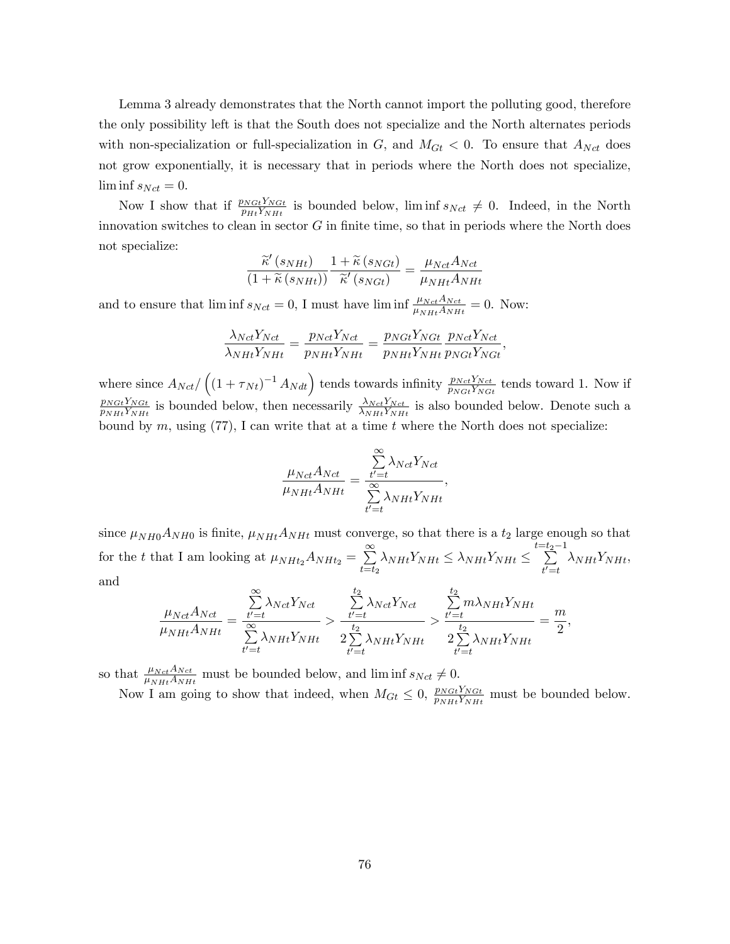Lemma 3 already demonstrates that the North cannot import the polluting good, therefore the only possibility left is that the South does not specialize and the North alternates periods with non-specialization or full-specialization in  $G$ , and  $M_{G_t} < 0$ . To ensure that  $A_{Net}$  does not grow exponentially, it is necessary that in periods where the North does not specialize,  $\liminf s_{Nct} = 0.$ 

Now I show that if  $\frac{p_{NGt}Y_{NGt}}{p_{Ht}Y_{NHt}}$  is bounded below, lim inf  $s_{Nct} \neq 0$ . Indeed, in the North innovation switches to clean in sector  $G$  in finite time, so that in periods where the North does not specialize:

$$
\frac{\widetilde{\kappa}'(s_{NHt})}{(1+\widetilde{\kappa}(s_{NHt}))}\frac{1+\widetilde{\kappa}(s_{NGt})}{\widetilde{\kappa}'(s_{NGt})}=\frac{\mu_{Nct}A_{Nct}}{\mu_{NHt}A_{NHt}}
$$

and to ensure that  $\liminf_{N \to \infty} s_{Nct} = 0$ , I must have  $\liminf_{N \to \infty} \frac{\mu_{Net} A_{Net}}{\mu_{NHt} A_{NHt}} = 0$ . Now:

$$
\frac{\lambda_{Net}Y_{Net}}{\lambda_{NHt}Y_{NHt}} = \frac{p_{Net}Y_{Net}}{p_{NHt}Y_{NHt}} = \frac{p_{NGt}Y_{NGt}}{p_{NHt}Y_{NHt}} \frac{p_{Net}Y_{Net}}{p_{NGt}Y_{NGt}},
$$

where since  $A_{Net}/((1 + \tau_{Nt})^{-1} A_{Ndt})$  tends towards infinity  $\frac{p_{Net}Y_{Net}}{p_{NGt}Y_{NGt}}$  tends toward 1. Now if  $p_{NSt}Y_{NGt}$  $\frac{p_{NGL}Y_{NGL}}{p_{NHt}Y_{NHt}}$  is bounded below, then necessarily  $\frac{\lambda_{NGL}Y_{NCL}}{\lambda_{NHt}Y_{NHt}}$  is also bounded below. Denote such a bound by  $m$ , using (77), I can write that at a time  $t$  where the North does not specialize:

$$
\frac{\mu_{Nct}A_{Nct}}{\mu_{NHt}A_{NHt}} = \frac{\sum_{t'=t}^{\infty} \lambda_{Nct}Y_{Nct}}{\sum_{t'=t}^{\infty} \lambda_{NHt}Y_{NHt}},
$$

since  $\mu_{NH0}A_{NH0}$  is finite,  $\mu_{NHt}A_{NHt}$  must converge, so that there is a  $t_2$  large enough so that for the t that I am looking at  $\mu_{NHt_2}A_{NHt_2} = \sum_{n=1}^{\infty}$  $\sum_{t=t_2}^{\infty} \lambda_{NHt} Y_{NHt} \leq \lambda_{NHt} Y_{NHt} \leq \sum_{t'=t}^{t=t_2-1}$  $t' = t$  $\lambda_{NHt}Y_{NHt}$ and

$$
\frac{\mu_{Nct}A_{Nct}}{\mu_{NHt}A_{NHt}} = \frac{\sum_{t'=t}^{\infty} \lambda_{Nct}Y_{Nct}}{\sum_{t'=t}^{\infty} \lambda_{NHt}Y_{NHt}} > \frac{\sum_{t'=t}^{t_2} \lambda_{Nct}Y_{Nct}}{2\sum_{t'=t}^{t_2} \lambda_{NHt}Y_{NHt}} > \frac{\sum_{t'=t}^{t_2} m\lambda_{NHt}Y_{NHt}}{2\sum_{t'=t}^{t_2} \lambda_{NHt}Y_{NHt}} = \frac{m}{2},
$$

so that  $\frac{\mu_{Net}A_{Net}}{\mu_{NHt}A_{NHt}}$  must be bounded below, and lim inf  $s_{Net} \neq 0$ .

Now I am going to show that indeed, when  $M_{G_t} \leq 0$ ,  $\frac{p_{NGI}Y_{NGI}}{p_{NH}Y_{NH}}$  $\frac{p_{NGL}r_{NGL}}{p_{NHt}Y_{NHt}}$  must be bounded below.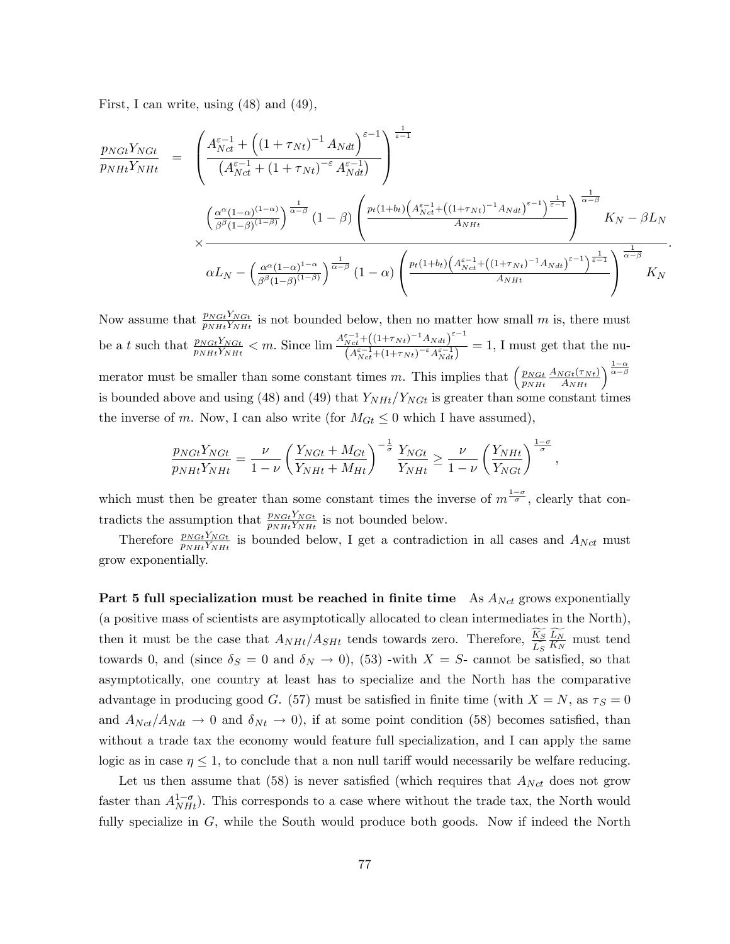First, I can write, using (48) and (49),

$$
\frac{p_{NGL}Y_{NGL}}{p_{NHt}Y_{NHt}} = \frac{\left(\frac{A_{Nct}^{\varepsilon-1} + \left((1+\tau_{Nt})^{-1} A_{Ndt}\right)^{\varepsilon-1}}{(A_{Nct}^{\varepsilon-1} + (1+\tau_{Nt})^{-\varepsilon} A_{Ndt}^{\varepsilon-1})}\right)^{\frac{1}{\varepsilon-1}}}{\left(\frac{\alpha^{\alpha}(1-\alpha)^{(1-\alpha)}}{\beta^{\beta}(1-\beta)^{(1-\beta)}}\right)^{\frac{1}{\alpha-\beta}}(1-\beta)\left(\frac{p_t(1+b_t)\left(A_{Nct}^{\varepsilon-1} + \left((1+\tau_{Nt})^{-1} A_{Ndt}\right)^{\varepsilon-1}\right)^{\frac{1}{\varepsilon-1}}}{A_{NHt}}\right)^{\frac{1}{\alpha-\beta}}K_N - \beta L_N
$$
\n
$$
\alpha L_N - \left(\frac{\alpha^{\alpha}(1-\alpha)^{1-\alpha}}{\beta^{\beta}(1-\beta)^{(1-\beta)}}\right)^{\frac{1}{\alpha-\beta}}(1-\alpha)\left(\frac{p_t(1+b_t)\left(A_{Nct}^{\varepsilon-1} + \left((1+\tau_{Nt})^{-1} A_{Ndt}\right)^{\varepsilon-1}\right)^{\frac{1}{\varepsilon-1}}}{A_{NHt}}\right)^{\frac{1}{\alpha-\beta}}K_N
$$

:

Now assume that  $\frac{p_{NGI}Y_{NGI}}{p_{NHt}Y_{NHt}}$  is not bounded below, then no matter how small m is, there must be a t such that  $\frac{p_{NGL}Y_{NGL}}{p_{NHt}Y_{NHt}} < m$ . Since  $\lim_{n \to \infty} \frac{A_{Nct}^{\varepsilon-1} + ((1+\tau_{Nt})^{-1}A_{Ndt})^{\varepsilon-1}}{(A_{Nct}^{\varepsilon-1} + (1+\tau_{Nt})^{-\varepsilon}A_{NHt}^{\varepsilon-1})}$  $\frac{Nct^{-1}(X^{t+\gamma}Nt)^{-\gamma}N^{at}}{(A_{Net}^{\varepsilon-1}(1+\tau_{Nt})^{-\varepsilon}A_{Ndt}^{\varepsilon-1})} = 1,$  I must get that the numerator must be smaller than some constant times m. This implies that  $\left(\frac{p_{NGt}}{p_{NM}}\right)$  $\overline{p_{NHt}}$  $\frac{A_{NGL}(\tau_{Nt})}{A_{NHt}}\bigg)^{\frac{1-\alpha}{\alpha-\beta}}$ is bounded above and using (48) and (49) that  $Y_{NHt}/Y_{NGt}$  is greater than some constant times the inverse of m. Now, I can also write (for  $M_{G_t} \leq 0$  which I have assumed),

$$
\frac{p_{NGL}Y_{NGL}}{p_{NHt}Y_{NHt}} = \frac{\nu}{1-\nu} \left(\frac{Y_{NGL} + M_{Gt}}{Y_{NHt} + M_{Ht}}\right)^{-\frac{1}{\sigma}} \frac{Y_{NGL}}{Y_{NHt}} \ge \frac{\nu}{1-\nu} \left(\frac{Y_{NHt}}{Y_{NGt}}\right)^{\frac{1-\sigma}{\sigma}},
$$

which must then be greater than some constant times the inverse of  $m^{\frac{1-\sigma}{\sigma}}$ , clearly that contradicts the assumption that  $\frac{p_{NGI}Y_{NGI}}{p_{NHt}Y_{NHt}}$  is not bounded below.

Therefore  $\frac{p_{NGI}Y_{NGI}}{p_{NH}t_{NH}t}$  is bounded below, I get a contradiction in all cases and  $A_{Nct}$  must grow exponentially.

Part 5 full specialization must be reached in finite time As  $A_{Net}$  grows exponentially (a positive mass of scientists are asymptotically allocated to clean intermediates in the North), then it must be the case that  $A_{NHt}/A_{SHt}$  tends towards zero. Therefore,  $\frac{K_S}{\hat{L_S}}$  $\frac{L_N}{K_N}$  must tend towards 0, and (since  $\delta_S = 0$  and  $\delta_N \to 0$ ), (53) -with  $X = S$ - cannot be satisfied, so that asymptotically, one country at least has to specialize and the North has the comparative advantage in producing good G. (57) must be satisfied in finite time (with  $X = N$ , as  $\tau_S = 0$ and  $A_{Net}/A_{Ndt} \rightarrow 0$  and  $\delta_{Nt} \rightarrow 0$ , if at some point condition (58) becomes satisfied, than without a trade tax the economy would feature full specialization, and I can apply the same logic as in case  $\eta \leq 1$ , to conclude that a non null tariff would necessarily be welfare reducing.

Let us then assume that (58) is never satisfied (which requires that  $A_{Net}$  does not grow faster than  $A_{NH}^{1-\sigma}$ ). This corresponds to a case where without the trade tax, the North would fully specialize in G, while the South would produce both goods. Now if indeed the North